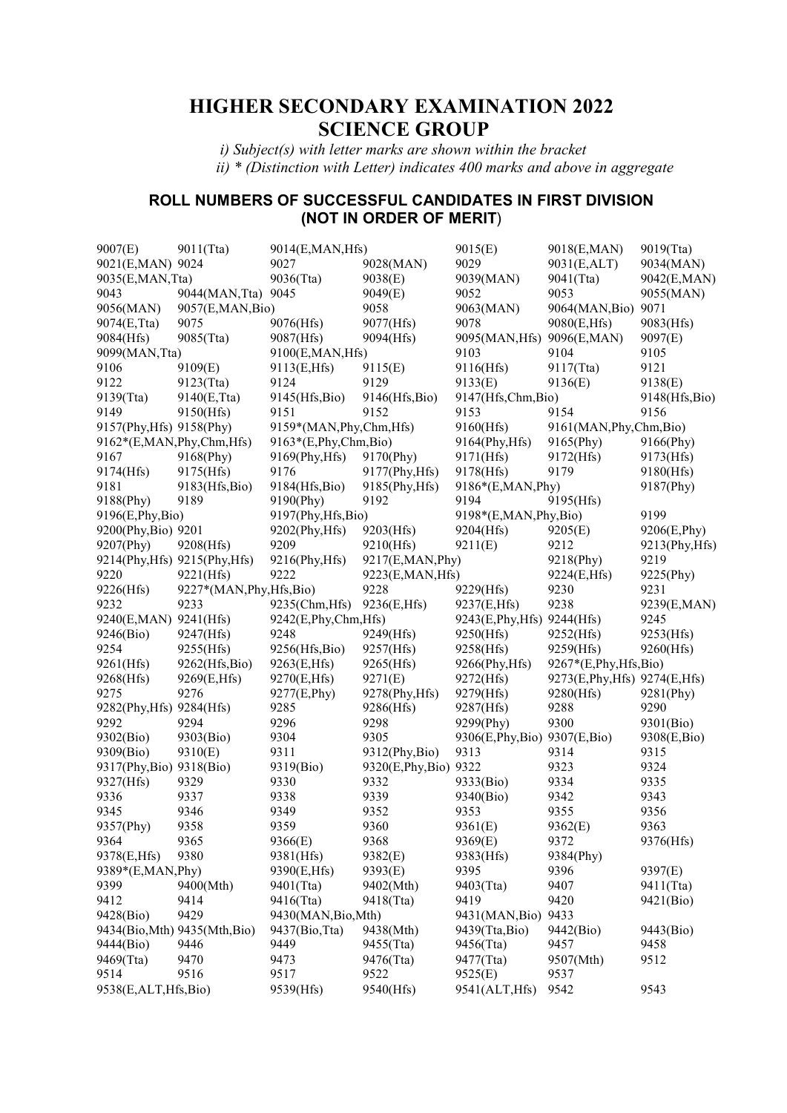# **HIGHER SECONDARY EXAMINATION 2022 SCIENCE GROUP**

 *i) Subject(s) with letter marks are shown within the bracket ii) \* (Distinction with Letter) indicates 400 marks and above in aggregate* 

## **ROLL NUMBERS OF SUCCESSFUL CANDIDATES IN FIRST DIVISION (NOT IN ORDER OF MERIT**)

| 9007(E)                  | 9011(Tta)                     | 9014(E,MAN,Hfs)           |                        | 9015(E)                        | 9018(E,MAN)                    | 9019(Tta)              |
|--------------------------|-------------------------------|---------------------------|------------------------|--------------------------------|--------------------------------|------------------------|
| 9021(E,MAN) 9024         |                               | 9027                      | 9028(MAN)              | 9029                           | 9031(E,ALT)                    | 9034(MAN)              |
| 9035(E,MAN,Tta)          |                               | 9036(Tta)                 | 9038(E)                | 9039(MAN)                      | 9041(Tta)                      | 9042(E,MAN)            |
| 9043                     | 9044(MAN, Tta)                | 9045                      | 9049(E)                | 9052                           | 9053                           | 9055(MAN)              |
| 9056(MAN)                | 9057(E,MAN,Bio)               |                           | 9058                   | 9063(MAN)                      | 9064(MAN, Bio)                 | 9071                   |
| 9074(E,Tta)              | 9075                          | 9076(Hfs)                 | 9077(Hfs)              | 9078                           | 9080(E,Hfs)                    | 9083(Hfs)              |
| 9084(Hfs)                | 9085(Tta)                     | 9087(Hfs)                 | 9094(Hfs)              | 9095(MAN, Hfs) 9096(E, MAN)    |                                | 9097(E)                |
| 9099(MAN, Tta)           |                               | 9100(E,MAN,Hfs)           |                        | 9103                           | 9104                           | 9105                   |
| 9106                     | 9109(E)                       | 9113(E,Hfs)               | 9115(E)                | 9116(Hfs)                      | 9117(Tta)                      | 9121                   |
| 9122                     | 9123(Tta)                     | 9124                      | 9129                   | 9133(E)                        | 9136(E)                        | 9138(E)                |
| 9139(Tta)                | 9140(E,Tta)                   | 9145(Hfs, Bio)            | 9146(Hfs,Bio)          | 9147(Hfs,Chm,Bio)              |                                | 9148(Hfs, Bio)         |
| 9149                     | 9150(Hfs)                     | 9151                      | 9152                   | 9153                           | 9154                           | 9156                   |
| 9157(Phy, Hfs) 9158(Phy) |                               | 9159*(MAN, Phy, Chm, Hfs) |                        | 9160(Hfs)                      | 9161(MAN, Phy, Chm, Bio)       |                        |
| 9162*(E,MAN,Phy,Chm,Hfs) |                               | 9163*(E,Phy,Chm,Bio)      |                        | 9164(Phy, Hfs)                 | 9165(Phy)                      | 9166(Phy)              |
| 9167                     | 9168(Phy)                     | 9169(Phy, Hfs)            | 9170(Phy)              | 9171(Hfs)                      | 9172(Hfs)                      | 9173(Hfs)              |
| 9174(Hfs)                | 9175(Hfs)                     | 9176                      | 9177(Phy, Hfs)         | 9178(Hfs)                      | 9179                           | 9180(Hfs)              |
| 9181                     | 9183(Hfs, Bio)                | 9184(Hfs,Bio)             | 9185(Phy, Hfs)         | 9186*(E,MAN, Phy)              |                                | 9187(Phy)              |
| 9188(Phy)                | 9189                          | 9190(Phy)                 | 9192                   | 9194                           | 9195(Hfs)                      |                        |
| 9196(E,Phy,Bio)          |                               | 9197(Phy, Hfs, Bio)       |                        | 9198*(E,MAN,Phy,Bio)           |                                | 9199                   |
| 9200(Phy,Bio) 9201       |                               | 9202(Phy, Hfs)            | 9203(Hfs)              | 9204(Hfs)                      |                                | 9206(E,Phy)            |
|                          |                               | 9209                      |                        | 9211(E)                        | 9205(E)<br>9212                |                        |
| 9207(Phy)                | 9208(Hfs)                     |                           | 9210(Hfs)              |                                |                                | 9213(Phy, Hfs)<br>9219 |
|                          | 9214(Phy, Hfs) 9215(Phy, Hfs) | 9216(Phy, Hfs)            | 9217(E,MAN, Phy)       |                                | 9218(Phy)                      |                        |
| 9220                     | 9221(Hfs)                     | 9222                      | 9223(E, MAN, Hfs)      |                                | 9224(E,Hfs)                    | 9225(Phy)              |
| 9226(Hfs)                | 9227*(MAN, Phy, Hfs, Bio)     |                           | 9228                   | 9229(Hfs)                      | 9230<br>9238                   | 9231                   |
| 9232                     | 9233                          | 9235(Chm, Hfs)            | 9236(E,Hfs)            | 9237(E,Hfs)                    |                                | 9239(E,MAN)            |
| 9240(E,MAN) 9241(Hfs)    |                               | 9242(E,Phy,Chm,Hfs)       |                        | 9243(E, Phy, Hfs) 9244(Hfs)    |                                | 9245                   |
| 9246(Bio)                | 9247(Hfs)                     | 9248                      | 9249(Hfs)              | 9250(Hfs)                      | 9252(Hfs)                      | 9253(Hfs)              |
| 9254                     | 9255(Hfs)                     | 9256(Hfs,Bio)             | 9257(Hfs)              | 9258(Hfs)                      | 9259(Hfs)                      | 9260(Hfs)              |
| 9261(Hfs)                | 9262(Hfs,Bio)                 | 9263(E,Hfs)               | 9265(Hfs)              | 9266(Phy, Hfs)                 | 9267*(E,Phy,Hfs,Bio)           |                        |
| 9268(Hfs)                | 9269(E,Hfs)                   | 9270(E,Hfs)               | 9271(E)                | 9272(Hfs)                      | 9273(E, Phy, Hfs) 9274(E, Hfs) |                        |
| 9275                     | 9276                          | 9277(E,Phy)               | 9278(Phy, Hfs)         | 9279(Hfs)                      | 9280(Hfs)                      | 9281(Phy)              |
| 9282(Phy, Hfs) 9284(Hfs) |                               | 9285                      | 9286(Hfs)              | 9287(Hfs)                      | 9288                           | 9290                   |
| 9292                     | 9294                          | 9296                      | 9298                   | 9299(Phy)                      | 9300                           | 9301(Bio)              |
| 9302(Bio)                | 9303(Bio)                     | 9304                      | 9305                   | 9306(E, Phy, Bio) 9307(E, Bio) |                                | 9308(E,Bio)            |
| 9309(Bio)                | 9310(E)                       | 9311                      | 9312(Phy,Bio)          | 9313                           | 9314                           | 9315                   |
| 9317(Phy, Bio) 9318(Bio) |                               | 9319(Bio)                 | 9320(E, Phy, Bio) 9322 |                                | 9323                           | 9324                   |
| 9327(Hfs)                | 9329                          | 9330                      | 9332                   | 9333(Bio)                      | 9334                           | 9335                   |
| 9336                     | 9337                          | 9338                      | 9339                   | 9340(Bio)                      | 9342                           | 9343                   |
| 9345                     | 9346                          | 9349                      | 9352                   | 9353                           | 9355                           | 9356                   |
| 9357(Phy)                | 9358                          | 9359                      | 9360                   | 9361(E)                        | 9362(E)                        | 9363                   |
| 9364                     | 9365                          | 9366(E)                   | 9368                   | 9369(E)                        | 9372                           | 9376(Hfs)              |
| 9378(E,Hfs)              | 9380                          | 9381(Hfs)                 | 9382(E)                | 9383(Hfs)                      | 9384(Phy)                      |                        |
| 9389*(E,MAN, Phy)        |                               | 9390(E,Hfs)               | 9393(E)                | 9395                           | 9396                           | 9397(E)                |
| 9399                     | 9400(Mth)                     | 9401(Tta)                 | 9402(Mth)              | 9403(Tta)                      | 9407                           | 9411(Tta)              |
| 9412                     | 9414                          | 9416(Tta)                 | 9418(Tta)              | 9419                           | 9420                           | 9421(Bio)              |
| 9428(Bio)                | 9429                          | 9430(MAN, Bio, Mth)       |                        | 9431(MAN, Bio)                 | 9433                           |                        |
|                          | 9434(Bio, Mth) 9435(Mth, Bio) | 9437(Bio, Tta)            | 9438(Mth)              | 9439(Tta,Bio)                  | 9442(Bio)                      | 9443(Bio)              |
| 9444(Bio)                | 9446                          | 9449                      | 9455(Tta)              | 9456(Tta)                      | 9457                           | 9458                   |
| 9469(Tta)                | 9470                          | 9473                      | 9476(Tta)              | 9477(Tta)                      | 9507(Mth)                      | 9512                   |
| 9514                     | 9516                          | 9517                      | 9522                   | 9525(E)                        | 9537                           |                        |
| 9538(E,ALT,Hfs,Bio)      |                               | 9539(Hfs)                 | 9540(Hfs)              | 9541(ALT, Hfs)                 | 9542                           | 9543                   |
|                          |                               |                           |                        |                                |                                |                        |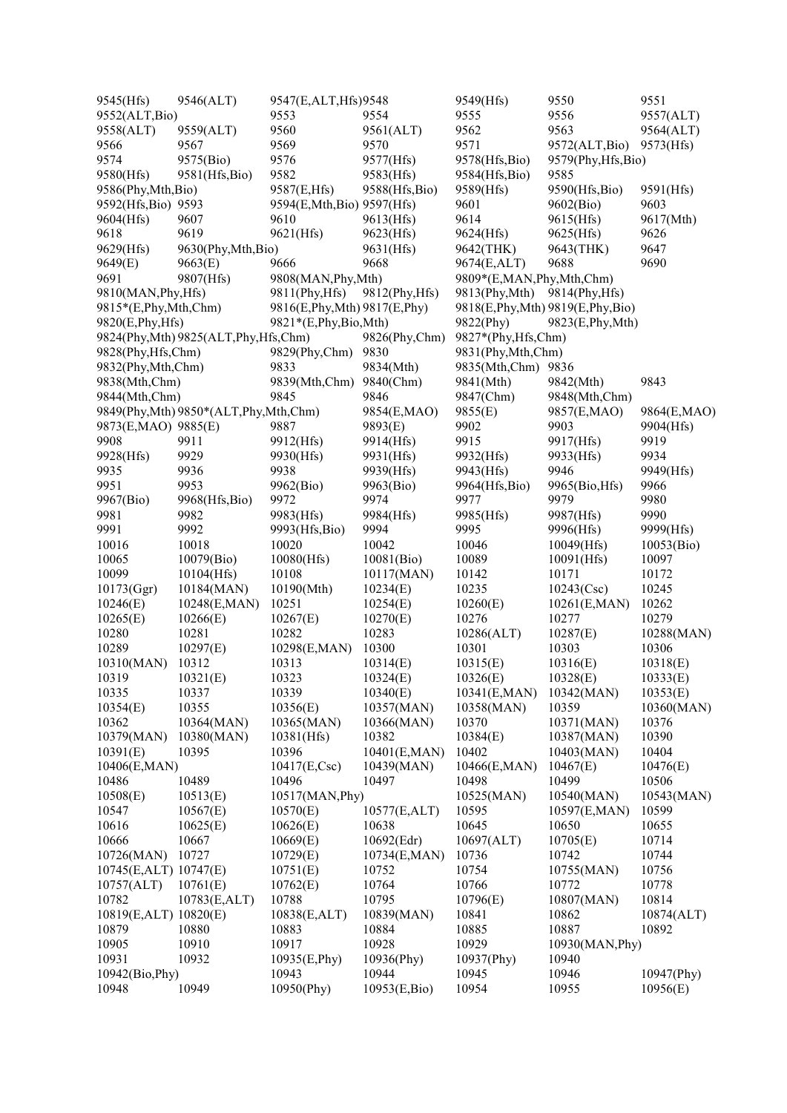| 9545(Hfs)             | 9546(ALT)                                | 9547(E,ALT,Hfs)9548            |                | 9549(Hfs)                | 9550                                | 9551        |
|-----------------------|------------------------------------------|--------------------------------|----------------|--------------------------|-------------------------------------|-------------|
| 9552(ALT, Bio)        |                                          | 9553                           | 9554           | 9555                     | 9556                                | 9557(ALT)   |
| 9558(ALT)             | 9559(ALT)                                | 9560                           | 9561(ALT)      | 9562                     | 9563                                | 9564(ALT)   |
| 9566                  | 9567                                     | 9569                           | 9570           | 9571                     | 9572(ALT,Bio)                       | 9573(Hfs)   |
| 9574                  | 9575(Bio)                                | 9576                           | 9577(Hfs)      | 9578(Hfs,Bio)            | 9579(Phy,Hfs,Bio)                   |             |
| 9580(Hfs)             | 9581(Hfs, Bio)                           | 9582                           | 9583(Hfs)      | 9584(Hfs, Bio)           | 9585                                |             |
| 9586(Phy,Mth,Bio)     |                                          | 9587(E,Hfs)                    | 9588(Hfs, Bio) | 9589(Hfs)                | 9590(Hfs,Bio)                       | 9591(Hfs)   |
| 9592(Hfs, Bio) 9593   |                                          | 9594(E,Mth,Bio) 9597(Hfs)      |                | 9601                     | 9602(Bio)                           | 9603        |
| 9604(Hfs)             | 9607                                     | 9610                           | 9613(Hfs)      | 9614                     | 9615(Hfs)                           | 9617(Mth)   |
| 9618                  | 9619                                     | 9621(Hfs)                      | 9623(Hfs)      | 9624(Hfs)                | 9625(Hfs)                           | 9626        |
|                       |                                          |                                |                |                          |                                     | 9647        |
| 9629(Hfs)             | 9630(Phy,Mth,Bio)                        |                                | 9631(Hfs)      | 9642(THK)                | 9643(THK)                           |             |
| 9649(E)               | 9663(E)                                  | 9666                           | 9668           | 9674(E,ALT)              | 9688                                | 9690        |
| 9691                  | 9807(Hfs)                                | 9808(MAN, Phy, Mth)            |                | 9809*(E,MAN,Phy,Mth,Chm) |                                     |             |
| 9810(MAN, Phy, Hfs)   |                                          | 9811(Phy, Hfs)                 | 9812(Phy, Hfs) | 9813(Phy,Mth)            | 9814(Phy, Hfs)                      |             |
| 9815*(E,Phy,Mth,Chm)  |                                          | 9816(E, Phy, Mth) 9817(E, Phy) |                |                          | 9818(E, Phy, Mth) 9819(E, Phy, Bio) |             |
| 9820(E, Phy, Hfs)     |                                          | 9821*(E,Phy,Bio,Mth)           |                | 9822(Phy)                | 9823(E, Phy, Mth)                   |             |
|                       | 9824(Phy, Mth) 9825(ALT, Phy, Hfs, Chm)  |                                | 9826(Phy,Chm)  | 9827*(Phy,Hfs,Chm)       |                                     |             |
| 9828(Phy, Hfs, Chm)   |                                          | 9829(Phy,Chm)                  | 9830           | 9831(Phy,Mth,Chm)        |                                     |             |
| 9832(Phy,Mth,Chm)     |                                          | 9833                           | 9834(Mth)      | 9835(Mth,Chm) 9836       |                                     |             |
| 9838(Mth,Chm)         |                                          | 9839(Mth,Chm) 9840(Chm)        |                | 9841(Mth)                | 9842(Mth)                           | 9843        |
| 9844(Mth,Chm)         |                                          | 9845                           | 9846           | 9847(Chm)                | 9848(Mth,Chm)                       |             |
|                       | 9849(Phy, Mth) 9850*(ALT, Phy, Mth, Chm) |                                | 9854(E,MAO)    | 9855(E)                  | 9857(E,MAO)                         | 9864(E,MAO) |
| 9873(E,MAO) 9885(E)   |                                          | 9887                           | 9893(E)        | 9902                     | 9903                                | 9904(Hfs)   |
| 9908                  | 9911                                     | 9912(Hfs)                      | 9914(Hfs)      | 9915                     | 9917(Hfs)                           | 9919        |
| 9928(Hfs)             | 9929                                     | 9930(Hfs)                      | 9931(Hfs)      | 9932(Hfs)                | 9933(Hfs)                           | 9934        |
| 9935                  | 9936                                     | 9938                           | 9939(Hfs)      | 9943(Hfs)                | 9946                                | 9949(Hfs)   |
| 9951                  | 9953                                     | 9962(Bio)                      | 9963(Bio)      | 9964(Hfs,Bio)            | 9965(Bio, Hfs)                      | 9966        |
| 9967(Bio)             | 9968(Hfs,Bio)                            | 9972                           | 9974           | 9977                     | 9979                                | 9980        |
| 9981                  | 9982                                     | 9983(Hfs)                      | 9984(Hfs)      | 9985(Hfs)                | 9987(Hfs)                           | 9990        |
| 9991                  | 9992                                     | 9993(Hfs,Bio)                  | 9994           | 9995                     | 9996(Hfs)                           | 9999(Hfs)   |
| 10016                 | 10018                                    | 10020                          | 10042          | 10046                    | $10049$ (Hfs)                       | 10053(Bio)  |
| 10065                 | 10079(Bio)                               | $10080$ (Hfs)                  | 10081(Bio)     | 10089                    | 10091(Hfs)                          | 10097       |
| 10099                 | 10104(Hfs)                               | 10108                          | 10117(MAN)     | 10142                    | 10171                               | 10172       |
| 10173(Ggr)            | 10184(MAN)                               | 10190(Mth)                     | 10234(E)       | 10235                    | 10243(Csc)                          | 10245       |
| 10246(E)              | 10248(E,MAN)                             | 10251                          | 10254(E)       | 10260(E)                 | 10261(E,MAN)                        | 10262       |
|                       |                                          | 10267(E)                       | 10270(E)       | 10276                    | 10277                               | 10279       |
| 10265(E)<br>10280     | 10266(E)                                 | 10282                          |                | 10286(ALT)               |                                     |             |
|                       | 10281                                    |                                | 10283          |                          | 10287(E)                            | 10288(MAN)  |
| 10289                 | 10297(E)                                 | 10298(E,MAN)                   | 10300          | 10301                    | 10303                               | 10306       |
| 10310(MAN)            | 10312                                    | 10313                          | 10314(E)       | 10315(E)                 | 10316(E)                            | 10318(E)    |
| 10319                 | 10321(E)                                 | 10323                          | 10324(E)       | 10326(E)                 | 10328(E)                            | 10333(E)    |
| 10335                 | 10337                                    | 10339                          | 10340(E)       | 10341(E,MAN)             | 10342(MAN)                          | 10353(E)    |
| 10354(E)              | 10355                                    | 10356(E)                       | 10357(MAN)     | 10358(MAN)               | 10359                               | 10360(MAN)  |
| 10362                 | 10364(MAN)                               | 10365(MAN)                     | 10366(MAN)     | 10370                    | 10371(MAN)                          | 10376       |
| 10379(MAN)            | 10380(MAN)                               | 10381(Hfs)                     | 10382          | 10384(E)                 | 10387(MAN)                          | 10390       |
| 10391(E)              | 10395                                    | 10396                          | 10401(E,MAN)   | 10402                    | 10403(MAN)                          | 10404       |
| 10406(E,MAN)          |                                          | 10417(E,Csc)                   | 10439(MAN)     | 10466(E,MAN)             | 10467(E)                            | 10476(E)    |
| 10486                 | 10489                                    | 10496                          | 10497          | 10498                    | 10499                               | 10506       |
| 10508(E)              | 10513(E)                                 | 10517(MAN, Phy)                |                | 10525(MAN)               | 10540(MAN)                          | 10543(MAN)  |
| 10547                 | 10567(E)                                 | 10570(E)                       | 10577(E,ALT)   | 10595                    | 10597(E,MAN)                        | 10599       |
| 10616                 | 10625(E)                                 | 10626(E)                       | 10638          | 10645                    | 10650                               | 10655       |
| 10666                 | 10667                                    | 10669(E)                       | 10692(Edr)     | 10697(ALT)               | 10705(E)                            | 10714       |
| 10726(MAN)            | 10727                                    | 10729(E)                       | 10734(E,MAN)   | 10736                    | 10742                               | 10744       |
| 10745(E,ALT) 10747(E) |                                          | 10751(E)                       | 10752          | 10754                    | 10755(MAN)                          | 10756       |
| 10757(ALT)            | 10761(E)                                 | 10762(E)                       | 10764          | 10766                    | 10772                               | 10778       |
| 10782                 | 10783(E,ALT)                             | 10788                          | 10795          | 10796(E)                 | 10807(MAN)                          | 10814       |
| 10819(E,ALT) 10820(E) |                                          | 10838(E,ALT)                   | 10839(MAN)     | 10841                    | 10862                               | 10874(ALT)  |
| 10879                 | 10880                                    | 10883                          | 10884          | 10885                    | 10887                               | 10892       |
| 10905                 | 10910                                    |                                | 10928          | 10929                    |                                     |             |
|                       |                                          | 10917                          |                |                          | 10930(MAN, Phy)                     |             |
| 10931                 | 10932                                    | 10935(E,Phy)                   | 10936(Phy)     | 10937(Phy)               | 10940                               |             |
| 10942(Bio, Phy)       |                                          | 10943                          | 10944          | 10945                    | 10946                               | 10947(Phy)  |
| 10948                 | 10949                                    | 10950(Phy)                     | 10953(E,Bio)   | 10954                    | 10955                               | 10956(E)    |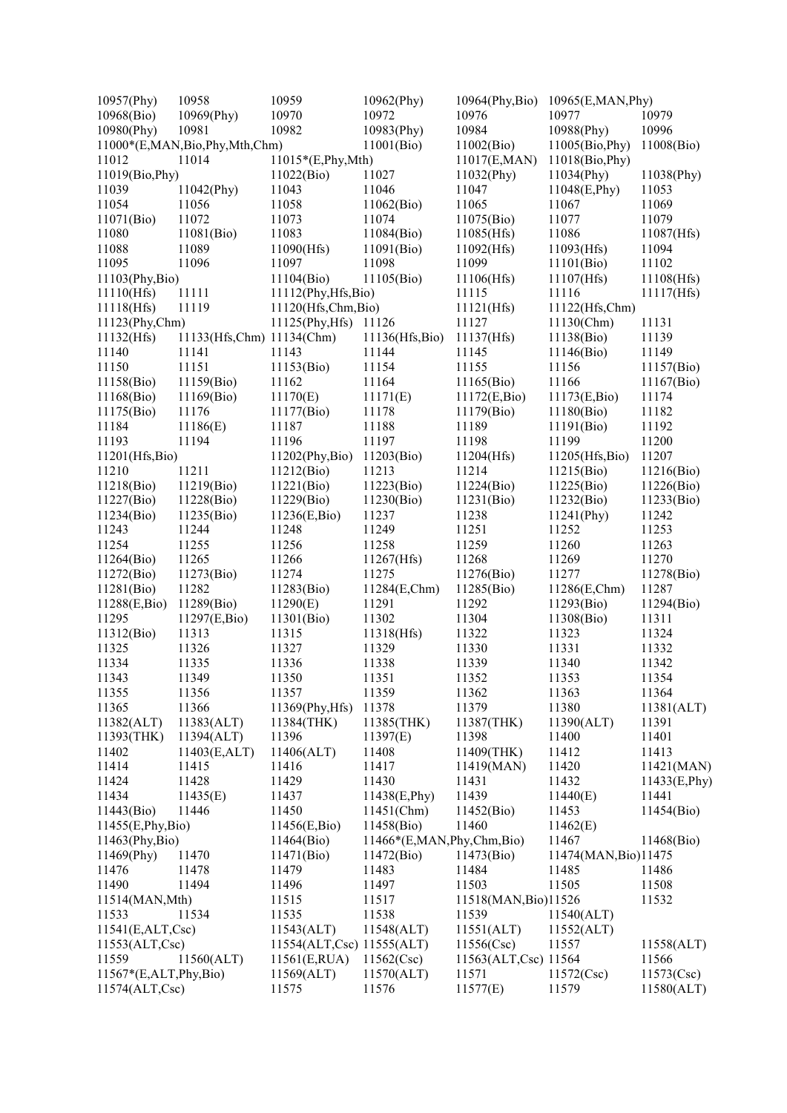| 10957(Phy)                | 10958                         | 10959                     | 10962(Phy)                | 10964(Phy,Bio) 10965(E,MAN,Phy) |                      |               |
|---------------------------|-------------------------------|---------------------------|---------------------------|---------------------------------|----------------------|---------------|
| 10968(Bio)                | 10969(Phy)                    | 10970                     | 10972                     | 10976                           | 10977                | 10979         |
| 10980(Phy)                | 10981                         | 10982                     | 10983(Phy)                | 10984                           | 10988(Phy)           | 10996         |
|                           | 11000*(E,MAN,Bio,Phy,Mth,Chm) |                           | 11001(Bio)                | 11002(Bio)                      | 11005(Bio, Phy)      | 11008(Bio)    |
| 11012                     | 11014                         | $11015*(E, Phy, Mth)$     |                           | 11017(E,MAN)                    | 11018(Bio, Phy)      |               |
| 11019(Bio, Phy)           |                               | 11022(Bio)                | 11027                     | 11032(Phy)                      | 11034(Phy)           | 11038(Phy)    |
| 11039                     | 11042(Phy)                    | 11043                     | 11046                     | 11047                           | 11048(E, Phy)        | 11053         |
| 11054                     | 11056                         | 11058                     | 11062(Bio)                | 11065                           | 11067                | 11069         |
| 11071(Bio)                | 11072                         | 11073                     | 11074                     | 11075(Bio)                      | 11077                | 11079         |
| 11080                     | 11081(Bio)                    | 11083                     | 11084(Bio)                | 11085(Hfs)                      | 11086                | 11087(Hfs)    |
| 11088                     | 11089                         | 11090(Hfs)                | 11091(Bio)                | 11092(Hfs)                      | 11093(Hfs)           | 11094         |
| 11095                     | 11096                         | 11097                     | 11098                     | 11099                           | 11101(Bio)           | 11102         |
| 11103(Phy,Bio)            |                               | 11104(Bio)                | 11105(Bio)                | 11106(Hfs)                      | 11107(Hfs)           | 11108(Hfs)    |
| 11110(Hfs)                | 11111                         | 11112(Phy,Hfs,Bio)        |                           | 11115                           | 11116                | 11117(Hfs)    |
| 11118(Hfs)                | 11119                         | 11120(Hfs,Chm,Bio)        |                           | 11121(Hfs)                      | 11122(Hfs,Chm)       |               |
| 11123(Phy,Chm)            |                               | 11125(Phy, Hfs) 11126     |                           | 11127                           | 11130(Chm)           | 11131         |
|                           |                               |                           |                           |                                 | 11138(Bio)           |               |
| 11132(Hfs)                | 11133(Hfs,Chm) 11134(Chm)     | 11143                     | 11136(Hfs,Bio)            | 11137(Hfs)                      |                      | 11139         |
| 11140                     | 11141                         |                           | 11144                     | 11145                           | 11146(Bio)           | 11149         |
| 11150                     | 11151                         | 11153(Bio)                | 11154                     | 11155                           | 11156                | 11157(Bio)    |
| 11158(Bio)                | 11159(Bio)                    | 11162                     | 11164                     | 11165(Bio)                      | 11166                | 11167(Bio)    |
| 11168(Bio)                | 11169(Bio)                    | 11170(E)                  | 11171(E)                  | 11172(E,Bio)                    | 11173(E,Bio)         | 11174         |
| 11175(Bio)                | 11176                         | 11177(Bio)                | 11178                     | 11179(Bio)                      | 11180(Bio)           | 11182         |
| 11184                     | 11186(E)                      | 11187                     | 11188                     | 11189                           | 11191(Bio)           | 11192         |
| 11193                     | 11194                         | 11196                     | 11197                     | 11198                           | 11199                | 11200         |
| 11201(Hfs,Bio)            |                               | $11202$ (Phy,Bio)         | 11203(Bio)                | 11204(Hfs)                      | 11205(Hfs,Bio)       | 11207         |
| 11210                     | 11211                         | 11212(Bio)                | 11213                     | 11214                           | 11215(Bio)           | 11216(Bio)    |
| 11218(Bio)                | 11219(Bio)                    | 11221(Bio)                | 11223(Bio)                | 11224(Bio)                      | 11225(Bio)           | 11226(Bio)    |
| 11227(Bio)                | 11228(Bio)                    | 11229(Bio)                | 11230(Bio)                | 11231(Bio)                      | 11232(Bio)           | 11233(Bio)    |
| 11234(Bio)                | 11235(Bio)                    | 11236(E,Bio)              | 11237                     | 11238                           | $11241$ (Phy)        | 11242         |
| 11243                     | 11244                         | 11248                     | 11249                     | 11251                           | 11252                | 11253         |
| 11254                     | 11255                         | 11256                     | 11258                     | 11259                           | 11260                | 11263         |
| 11264(Bio)                | 11265                         | 11266                     | 11267(Hfs)                | 11268                           | 11269                | 11270         |
| 11272(Bio)                | 11273(Bio)                    | 11274                     | 11275                     | 11276(Bio)                      | 11277                | 11278(Bio)    |
| 11281(Bio)                | 11282                         | 11283(Bio)                | 11284(E,Chm)              | 11285(Bio)                      | 11286(E,Chm)         | 11287         |
| 11288(E,Bio)              | 11289(Bio)                    | 11290(E)                  | 11291                     | 11292                           | 11293(Bio)           | 11294(Bio)    |
| 11295                     | 11297(E,Bio)                  | 11301(Bio)                | 11302                     | 11304                           | 11308(Bio)           | 11311         |
| 11312(Bio)                | 11313                         | 11315                     | 11318(Hfs)                | 11322                           | 11323                | 11324         |
| 11325                     | 11326                         | 11327                     | 11329                     | 11330                           | 11331                | 11332         |
| 11334                     | 11335                         | 11336                     | 11338                     | 11339                           | 11340                | 11342         |
| 11343                     | 11349                         | 11350                     | 11351                     | 11352                           | 11353                | 11354         |
|                           |                               | 11357                     |                           |                                 |                      | 11364         |
| 11355                     | 11356                         |                           | 11359                     | 11362                           | 11363                |               |
| 11365                     | 11366                         | 11369(Phy, Hfs)           | 11378                     | 11379                           | 11380                | 11381(ALT)    |
| 11382(ALT)                | 11383(ALT)                    | 11384(THK)                | 11385(THK)                | 11387(THK)                      | 11390(ALT)           | 11391         |
| 11393(THK)                | 11394(ALT)                    | 11396                     | 11397(E)                  | 11398                           | 11400                | 11401         |
| 11402                     | 11403(E,ALT)                  | 11406(ALT)                | 11408                     | 11409(THK)                      | 11412                | 11413         |
| 11414                     | 11415                         | 11416                     | 11417                     | 11419(MAN)                      | 11420                | 11421(MAN)    |
| 11424                     | 11428                         | 11429                     | 11430                     | 11431                           | 11432                | 11433(E, Phy) |
| 11434                     | 11435(E)                      | 11437                     | 11438(E,Phy)              | 11439                           | 11440(E)             | 11441         |
| 11443(Bio)                | 11446                         | 11450                     | 11451(Chm)                | 11452(Bio)                      | 11453                | 11454(Bio)    |
| 11455(E, Phys,Bio)        |                               | 11456(E,Bio)              | 11458(Bio)                | 11460                           | 11462(E)             |               |
| $11463$ (Phy,Bio)         |                               | 11464(Bio)                | 11466*(E,MAN,Phy,Chm,Bio) |                                 | 11467                | 11468(Bio)    |
| 11469(Phy)                | 11470                         | 11471(Bio)                | 11472(Bio)                | 11473(Bio)                      | 11474(MAN, Bio)11475 |               |
| 11476                     | 11478                         | 11479                     | 11483                     | 11484                           | 11485                | 11486         |
| 11490                     | 11494                         | 11496                     | 11497                     | 11503                           | 11505                | 11508         |
| 11514(MAN, Mth)           |                               | 11515                     | 11517                     | 11518(MAN, Bio)11526            |                      | 11532         |
| 11533                     | 11534                         | 11535                     | 11538                     | 11539                           | 11540(ALT)           |               |
| 11541(E,ALT, Csc)         |                               | 11543(ALT)                | 11548(ALT)                | 11551(ALT)                      | 11552(ALT)           |               |
| 11553(ALT, Csc)           |                               | 11554(ALT,Csc) 11555(ALT) |                           | 11556(Csc)                      | 11557                | 11558(ALT)    |
| 11559                     | 11560(ALT)                    | 11561(E,RUA)              | 11562(Csc)                | 11563(ALT,Csc) 11564            |                      | 11566         |
| $11567*(E,ALT, Phy, Bio)$ |                               | 11569(ALT)                | 11570(ALT)                | 11571                           | 11572(Csc)           | 11573(Csc)    |
| 11574(ALT,Csc)            |                               | 11575                     | 11576                     | 11577(E)                        | 11579                | 11580(ALT)    |
|                           |                               |                           |                           |                                 |                      |               |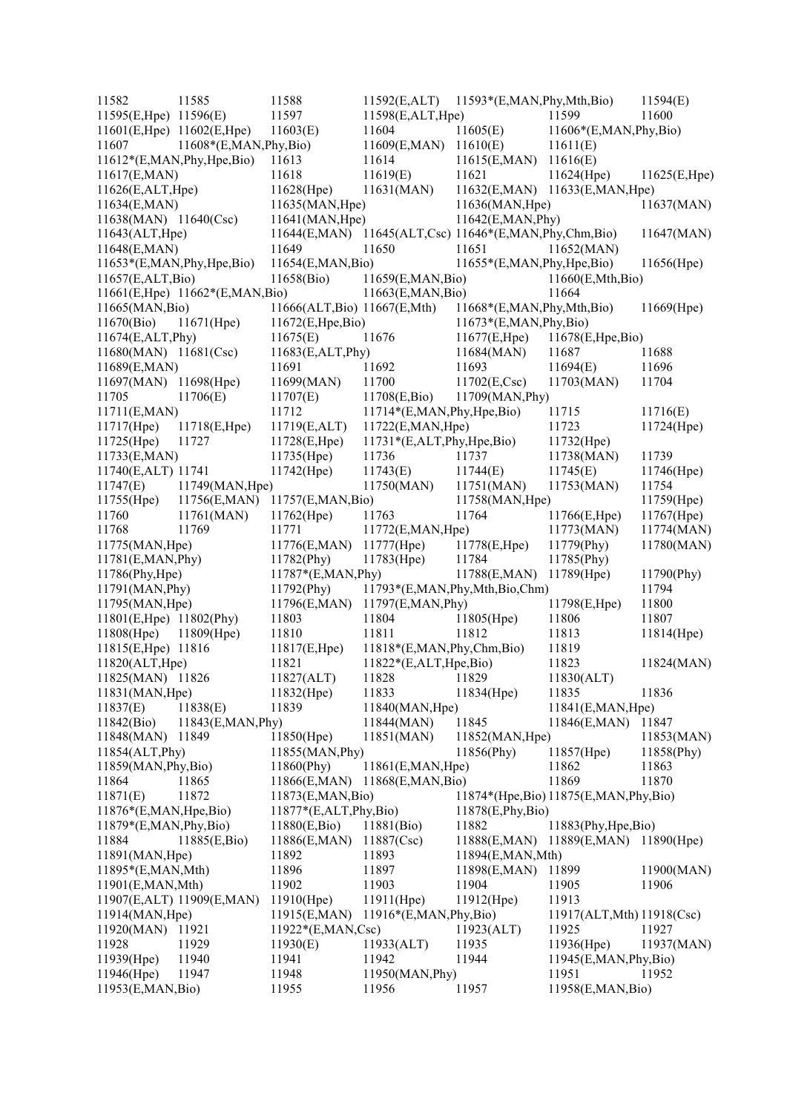| 11582                            | 11585                           | 11588                         | 11592(E,ALT)                 | 11593*(E,MAN,Phy,Mth,Bio)                             |                            | 11594(E)     |
|----------------------------------|---------------------------------|-------------------------------|------------------------------|-------------------------------------------------------|----------------------------|--------------|
| 11595(E,Hpe) 11596(E)            |                                 | 11597                         | 11598(E,ALT,Hpe)             |                                                       | 11599                      | 11600        |
| $11601(E, Hpe)$ 11602 $(E, Hpe)$ |                                 | 11603(E)                      | 11604                        | 11605(E)                                              | 11606*(E,MAN,Phy,Bio)      |              |
| 11607                            | 11608*(E,MAN,Phy,Bio)           |                               | 11609(E,MAN)                 | 11610(E)                                              | 11611(E)                   |              |
|                                  | $11612*(E, MAN, Phy, Hpe, Bio)$ | 11613                         | 11614                        | 11615(E,MAN)                                          | 11616(E)                   |              |
| 11617(E,MAN)                     |                                 | 11618                         | 11619(E)                     | 11621                                                 | 11624(Hpe)                 | 11625(E,Hpe) |
| 11626(E,ALT,Hpe)                 |                                 | 11628(Hpe)                    | 11631(MAN)                   | 11632(E,MAN)                                          | 11633(E, MAN, Hpe)         |              |
| 11634(E,MAN)                     |                                 | 11635(MAN, Hpe)               |                              | 11636(MAN, Hpe)                                       |                            | 11637(MAN)   |
| 11638(MAN) 11640(Csc)            |                                 | 11641(MAN, Hpe)               |                              | 11642(E,MAN, Phy)                                     |                            |              |
| 11643(ALT, Hpe)                  |                                 |                               |                              | 11644(E,MAN) 11645(ALT,Csc) 11646*(E,MAN,Phy,Chm,Bio) |                            | 11647(MAN)   |
| 11648(E,MAN)                     |                                 | 11649                         | 11650                        | 11651                                                 | 11652(MAN)                 |              |
|                                  | 11653*(E,MAN, Phy, Hpe, Bio)    | 11654(E,MAN,Bio)              |                              | 11655*(E,MAN, Phy, Hpe, Bio)                          |                            | 11656(Hpe)   |
| 11657(E,ALT,Bio)                 |                                 | 11658(Bio)                    | 11659(E,MAN,Bio)             |                                                       | 11660(E,Mth,Bio)           |              |
|                                  | 11661(E,Hpe) 11662*(E,MAN,Bio)  |                               | 11663(E, MAN,Bio)            |                                                       | 11664                      |              |
| 11665(MAN, Bio)                  |                                 | 11666(ALT, Bio) 11667(E, Mth) |                              | 11668*(E,MAN,Phy,Mth,Bio)                             |                            | 11669(Hpe)   |
| 11670(Bio)                       | 11671(Hpe)                      | 11672(E, Hpe, Bio)            |                              | 11673*(E,MAN,Phy,Bio)                                 |                            |              |
| 11674(E,ALT,Phy)                 |                                 | 11675(E)                      | 11676                        | 11677(E,Hpe)                                          | 11678(E, Hpe, Bio)         |              |
| 11680(MAN) 11681(Csc)            |                                 | 11683(E,ALT,Phy)              |                              | 11684(MAN)                                            | 11687                      | 11688        |
| 11689(E,MAN)                     |                                 | 11691                         | 11692                        | 11693                                                 | 11694(E)                   | 11696        |
|                                  |                                 |                               | 11700                        |                                                       |                            | 11704        |
| 11697(MAN) 11698(Hpe)            | 11706(E)                        | 11699(MAN)                    |                              | $11702(E, \text{Csc})$                                | 11703(MAN)                 |              |
| 11705                            |                                 | 11707(E)                      | 11708(E,Bio)                 | 11709(MAN, Phy)                                       |                            |              |
| 11711(E,MAN)                     |                                 | 11712                         | 11714*(E,MAN, Phy, Hpe, Bio) |                                                       | 11715                      | 11716(E)     |
| 11717(Hpe)                       | 11718(E, Hpe)                   | 11719(E,ALT)                  | 11722(E,MAN, Hpe)            |                                                       | 11723                      | 11724(Hpe)   |
| 11725(Hpe)                       | 11727                           | 11728(E,Hpe)                  | 11731*(E,ALT,Phy,Hpe,Bio)    |                                                       | 11732(Hpe)                 |              |
| 11733(E,MAN)                     |                                 | 11735(Hpe)                    | 11736                        | 11737                                                 | 11738(MAN)                 | 11739        |
| 11740(E,ALT) 11741               |                                 | 11742(Hpe)                    | 11743(E)                     | 11744(E)                                              | 11745(E)                   | 11746(Hpe)   |
| 11747(E)                         | 11749(MAN, Hpe)                 |                               | 11750(MAN)                   | 11751(MAN)                                            | 11753(MAN)                 | 11754        |
| 11755(Hpe)                       | 11756(E,MAN)                    | 11757(E,MAN,Bio)              |                              | 11758(MAN, Hpe)                                       |                            | 11759(Hpe)   |
| 11760                            | 11761(MAN)                      | $11762$ (Hpe)                 | 11763                        | 11764                                                 | 11766(E,Hpe)               | 11767(Hpe)   |
| 11768                            | 11769                           | 11771                         | 11772(E, MAN, Hpe)           |                                                       | 11773(MAN)                 | 11774(MAN)   |
| 11775(MAN, Hpe)                  |                                 | 11776(E,MAN)                  | 11777(Hpe)                   | 11778(E,Hpe)                                          | 11779(Phy)                 | 11780(MAN)   |
| 11781(E,MAN, Phy)                |                                 | 11782(Phy)                    | 11783(Hpe)                   | 11784                                                 | 11785(Phy)                 |              |
| 11786(Phy, Hpe)                  |                                 | 11787*(E,MAN,Phy)             |                              | 11788(E,MAN)                                          | 11789(Hpe)                 | 11790(Phy)   |
| 11791(MAN, Phy)                  |                                 | 11792(Phy)                    |                              | 11793*(E,MAN,Phy,Mth,Bio,Chm)                         |                            | 11794        |
| 11795(MAN, Hpe)                  |                                 | 11796(E,MAN)                  | 11797(E,MAN, Phy)            |                                                       | 11798(E,Hpe)               | 11800        |
| 11801(E,Hpe) 11802(Phy)          |                                 | 11803                         | 11804                        | 11805(Hpe)                                            | 11806                      | 11807        |
| 11808(Hpe)                       | $11809$ (Hpe)                   | 11810                         | 11811                        | 11812                                                 | 11813                      | 11814(Hpe)   |
| 11815(E,Hpe) 11816               |                                 | 11817(E,Hpe)                  | 11818*(E,MAN,Phy,Chm,Bio)    |                                                       | 11819                      |              |
| 11820(ALT, Hpe)                  |                                 | 11821                         | $11822*(E,ALT, Hpe, Bio)$    |                                                       | 11823                      | 11824(MAN)   |
| 11825(MAN) 11826                 |                                 | 11827(ALT)                    | 11828                        | 11829                                                 | 11830(ALT)                 |              |
| 11831(MAN, Hpe)                  |                                 | 11832(Hpe)                    | 11833                        | 11834(Hpe)                                            | 11835                      | 11836        |
| 11837(E)                         | 11838(E)                        | 11839                         | 11840(MAN, Hpe)              |                                                       | 11841(E, MAN, Hpe)         |              |
| 11842(Bio)                       | 11843(E, MAN, Phy)              |                               | 11844(MAN)                   | 11845                                                 | 11846(E,MAN)               | 11847        |
| 11848(MAN)                       | 11849                           | 11850(Hpe)                    | 11851(MAN)                   | 11852(MAN, Hpe)                                       |                            | 11853(MAN)   |
| 11854(ALT, Phy)                  |                                 | 11855(MAN, Phy)               |                              | 11856(Phy)                                            | 11857(Hpe)                 | 11858(Phy)   |
| 11859(MAN, Phy, Bio)             |                                 | 11860(Phy)                    | 11861(E,MAN, Hpe)            |                                                       | 11862                      | 11863        |
| 11864                            | 11865                           | 11866(E,MAN)                  | 11868(E, MAN, Bio)           |                                                       | 11869                      | 11870        |
| 11871(E)                         | 11872                           | 11873(E, MAN, Bio)            |                              | 11874*(Hpe, Bio) 11875(E, MAN, Phy, Bio)              |                            |              |
| 11876*(E,MAN, Hpe, Bio)          |                                 | $11877*(E,ALT, Phy, Bio)$     |                              | 11878(E,Phy,Bio)                                      |                            |              |
| $11879*(E, MAN, Phy, Bio)$       |                                 | 11880(E,Bio)                  | 11881(Bio)                   | 11882                                                 | 11883(Phy,Hpe,Bio)         |              |
| 11884                            | 11885(E,Bio)                    | 11886(E,MAN)                  | 11887(Csc)                   | 11888(E,MAN)                                          | 11889(E,MAN) 11890(Hpe)    |              |
| 11891(MAN, Hpe)                  |                                 | 11892                         | 11893                        | 11894(E,MAN,Mth)                                      |                            |              |
| 11895*(E,MAN,Mth)                |                                 | 11896                         | 11897                        | 11898(E,MAN)                                          | 11899                      | 11900(MAN)   |
| 11901(E,MAN,Mth)                 |                                 | 11902                         | 11903                        | 11904                                                 | 11905                      | 11906        |
|                                  | 11907(E,ALT) 11909(E,MAN)       | $11910$ (Hpe)                 | $11911$ (Hpe)                | 11912(Hpe)                                            | 11913                      |              |
| 11914(MAN, Hpe)                  |                                 | 11915(E,MAN)                  | $11916*(E, MAN, Phy, Bio)$   |                                                       | 11917(ALT, Mth) 11918(Csc) |              |
| 11920(MAN)                       | 11921                           | $11922*(E, MAN, Csc)$         |                              | 11923(ALT)                                            | 11925                      | 11927        |
| 11928                            | 11929                           | 11930(E)                      | 11933(ALT)                   | 11935                                                 | 11936(Hpe)                 | 11937(MAN)   |
| 11939(Hpe)                       | 11940                           | 11941                         | 11942                        | 11944                                                 | 11945(E, MAN, Phy, Bio)    |              |
| 11946(Hpe)                       | 11947                           | 11948                         | 11950(MAN, Phy)              |                                                       | 11951                      | 11952        |
| 11953(E,MAN,Bio)                 |                                 | 11955                         | 11956                        | 11957                                                 | 11958(E,MAN,Bio)           |              |
|                                  |                                 |                               |                              |                                                       |                            |              |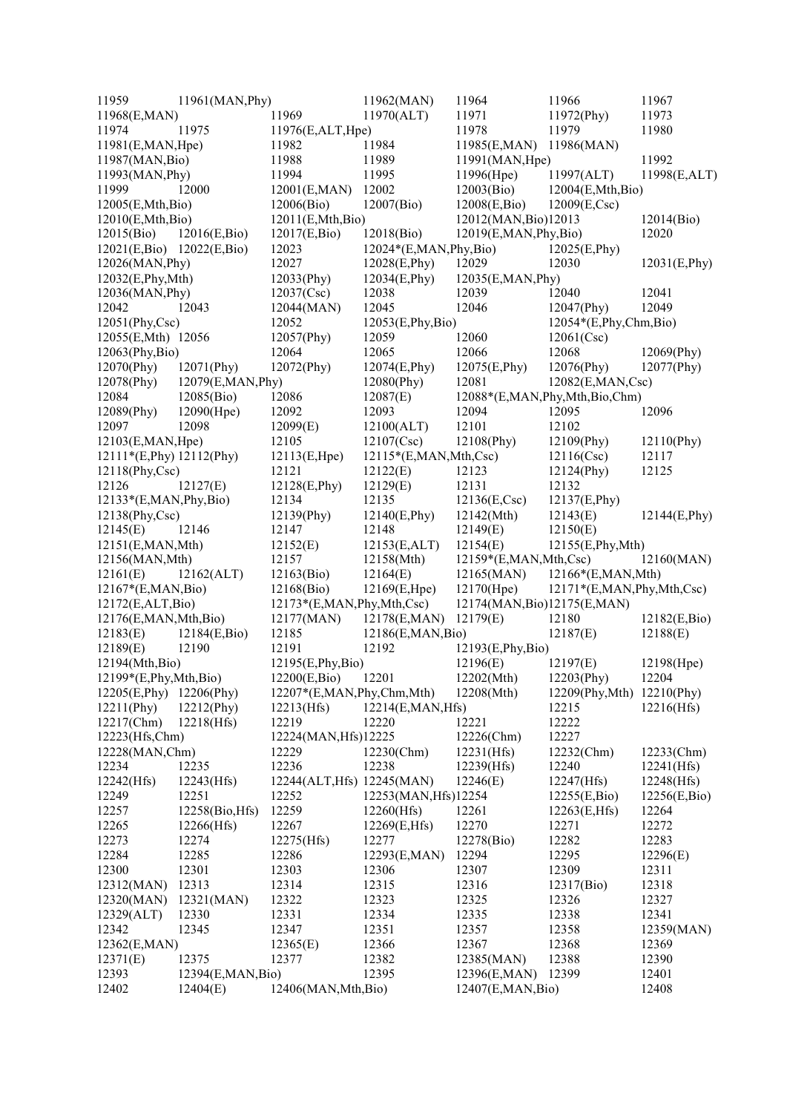| 11959                     | 11961(MAN, Phy)   |                                 | 11962(MAN)                 | 11964                         | 11966                        | 11967         |
|---------------------------|-------------------|---------------------------------|----------------------------|-------------------------------|------------------------------|---------------|
| 11968(E,MAN)              |                   | 11969                           | 11970(ALT)                 | 11971                         | 11972(Phy)                   | 11973         |
| 11974                     | 11975             | 11976(E,ALT,Hpe)                |                            | 11978                         | 11979                        | 11980         |
| 11981(E, MAN, Hpe)        |                   | 11982                           | 11984                      | 11985(E,MAN)                  | 11986(MAN)                   |               |
| 11987(MAN, Bio)           |                   | 11988                           | 11989                      | 11991(MAN, Hpe)               |                              | 11992         |
| 11993(MAN, Phy)           |                   | 11994                           | 11995                      | $11996$ (Hpe)                 | 11997(ALT)                   | 11998(E,ALT)  |
| 11999                     | 12000             | 12001(E,MAN)                    | 12002                      | 12003(Bio)                    | 12004(E,Mth,Bio)             |               |
| 12005(E,Mth,Bio)          |                   | 12006(Bio)                      | 12007(Bio)                 | 12008(E,Bio)                  | $12009(E, \text{Csc})$       |               |
| 12010(E, Mth, Bio)        |                   | 12011(E, Mth, Bio)              |                            | 12012(MAN, Bio)12013          |                              | 12014(Bio)    |
| 12015(Bio)                | 12016(E,Bio)      | 12017(E,Bio)                    | 12018(Bio)                 | 12019(E,MAN,Phy,Bio)          |                              | 12020         |
| 12021(E,Bio) 12022(E,Bio) |                   | 12023                           | $12024*(E, MAN, Phy, Bio)$ |                               | 12025(E, Phy)                |               |
| 12026(MAN, Phy)           |                   | 12027                           | 12028(E,Phy)               | 12029                         | 12030                        | 12031(E, Phy) |
| 12032(E,Phy,Mth)          |                   | 12033(Phy)                      | 12034(E,Phy)               | 12035(E,MAN, Phy)             |                              |               |
| 12036(MAN, Phy)           |                   | 12037(Csc)                      | 12038                      | 12039                         | 12040                        | 12041         |
| 12042                     | 12043             | 12044(MAN)                      | 12045                      | 12046                         | 12047(Phy)                   | 12049         |
| 12051(Phy,Csc)            |                   | 12052                           | 12053(E, Phys, Bio)        |                               | $12054*(E, Phy,Chm,Bio)$     |               |
| 12055(E,Mth) 12056        |                   | 12057(Phy)                      | 12059                      | 12060                         | 12061(Csc)                   |               |
| $12063$ (Phy,Bio)         |                   | 12064                           | 12065                      | 12066                         | 12068                        | 12069(Phy)    |
| $12070$ (Phy)             | $12071$ (Phy)     | 12072(Phy)                      | 12074(E,Phy)               | 12075(E,Phy)                  | $12076$ (Phy)                | 12077(Phy)    |
| $12078$ (Phy)             | 12079(E,MAN, Phy) |                                 | $12080$ (Phy)              | 12081                         | 12082(E, MAN, Csc)           |               |
| 12084                     | 12085(Bio)        | 12086                           | 12087(E)                   | 12088*(E,MAN,Phy,Mth,Bio,Chm) |                              |               |
| 12089(Phy)                | 12090(Hpe)        | 12092                           | 12093                      | 12094                         | 12095                        | 12096         |
| 12097                     | 12098             | 12099(E)                        | 12100(ALT)                 | 12101                         | 12102                        |               |
| 12103(E, MAN, Hpe)        |                   | 12105                           | 12107(Csc)                 | 12108(Phy)                    | $12109$ (Phy)                | 12110(Phy)    |
| 12111*(E,Phy) 12112(Phy)  |                   | 12113(E,Hpe)                    | $12115*(E, MAN, Mth, Csc)$ |                               | 12116(Csc)                   | 12117         |
| $12118$ (Phy,Csc)         |                   | 12121                           | 12122(E)                   | 12123                         | 12124(Phy)                   | 12125         |
| 12126                     | 12127(E)          | 12128(E,Phy)                    | 12129(E)                   | 12131                         | 12132                        |               |
| 12133*(E,MAN,Phy,Bio)     |                   | 12134                           | 12135                      | $12136(E, \text{Csc})$        | 12137(E,Phy)                 |               |
| 12138(Phy,Csc)            |                   | 12139(Phy)                      | 12140(E,Phy)               | 12142(Mth)                    | 12143(E)                     | 12144(E, Phy) |
| 12145(E)                  | 12146             | 12147                           | 12148                      | 12149(E)                      | 12150(E)                     |               |
| 12151(E,MAN,Mth)          |                   | 12152(E)                        | 12153(E,ALT)               | 12154(E)                      | 12155(E,Phy,Mth)             |               |
| 12156(MAN, Mth)           |                   | 12157                           | 12158(Mth)                 | $12159*(E, MAN, Mth, Csc)$    |                              | 12160(MAN)    |
| 12161(E)                  | 12162(ALT)        | 12163(Bio)                      | 12164(E)                   | 12165(MAN)                    | 12166*(E,MAN,Mth)            |               |
| $12167*(E, MAN, Bio)$     |                   | 12168(Bio)                      | 12169(E, Hpe)              | $12170$ (Hpe)                 | 12171*(E,MAN, Phy, Mth, Csc) |               |
| 12172(E,ALT,Bio)          |                   | $12173*(E, MAN, Phy, Mth, Csc)$ |                            | 12174(MAN, Bio)12175(E, MAN)  |                              |               |
| 12176(E,MAN,Mth,Bio)      |                   | 12177(MAN)                      | 12178(E,MAN)               | 12179(E)                      | 12180                        | 12182(E,Bio)  |
| 12183(E)                  | 12184(E,Bio)      | 12185                           | 12186(E,MAN,Bio)           |                               | 12187(E)                     | 12188(E)      |
| 12189(E)                  | 12190             | 12191                           | 12192                      | 12193(E,Phy,Bio)              |                              |               |
| 12194(Mth,Bio)            |                   | 12195(E,Phy,Bio)                |                            | 12196(E)                      | 12197(E)                     | 12198(Hpe)    |
| 12199*(E,Phy,Mth,Bio)     |                   | 12200(E,Bio)                    | 12201                      | 12202(Mth)                    | 12203(Phy)                   | 12204         |
| 12205(E, Phy)             | $12206$ (Phy)     | 12207*(E,MAN,Phy,Chm,Mth)       |                            | 12208(Mth)                    | 12209(Phy, Mth) 12210(Phy)   |               |
| $12211$ (Phy)             | 12212(Phy)        | 12213(Hfs)                      | 12214(E,MAN, Hfs)          |                               | 12215                        | 12216(Hfs)    |
| 12217(Chm)                | 12218(Hfs)        | 12219                           | 12220                      | 12221                         | 12222                        |               |
| 12223(Hfs,Chm)            |                   | 12224(MAN, Hfs)12225            |                            | 12226(Chm)                    | 12227                        |               |
| 12228(MAN,Chm)            |                   | 12229                           | 12230(Chm)                 | 12231(Hfs)                    | 12232(Chm)                   | 12233(Chm)    |
| 12234                     | 12235             | 12236                           | 12238                      | 12239(Hfs)                    | 12240                        | 12241(Hfs)    |
| 12242(Hfs)                | 12243(Hfs)        | 12244(ALT, Hfs) 12245(MAN)      |                            | 12246(E)                      | 12247(Hfs)                   | 12248(Hfs)    |
| 12249                     | 12251             | 12252                           | 12253(MAN, Hfs)12254       |                               | 12255(E,Bio)                 | 12256(E,Bio)  |
| 12257                     | 12258(Bio, Hfs)   | 12259                           | 12260(Hfs)                 | 12261                         | 12263(E,Hfs)                 | 12264         |
| 12265                     | 12266(Hfs)        | 12267                           | 12269(E,Hfs)               | 12270                         | 12271                        | 12272         |
| 12273                     | 12274             | 12275(Hfs)                      | 12277                      | 12278(Bio)                    | 12282                        | 12283         |
| 12284                     | 12285             | 12286                           | 12293(E,MAN)               | 12294                         | 12295                        | 12296(E)      |
| 12300                     | 12301             | 12303                           | 12306                      | 12307                         | 12309                        | 12311         |
| 12312(MAN)                | 12313             | 12314                           | 12315                      | 12316                         | 12317(Bio)                   | 12318         |
| 12320(MAN)                | 12321(MAN)        | 12322                           | 12323                      | 12325                         | 12326                        | 12327         |
| 12329(ALT)                | 12330             | 12331                           | 12334                      | 12335                         | 12338                        | 12341         |
| 12342                     | 12345             | 12347                           | 12351                      | 12357                         | 12358                        | 12359(MAN)    |
| 12362(E,MAN)              |                   | 12365(E)                        | 12366                      | 12367                         | 12368                        | 12369         |
| 12371(E)                  | 12375             | 12377                           | 12382                      | 12385(MAN)                    | 12388                        | 12390         |
| 12393                     | 12394(E,MAN,Bio)  |                                 | 12395                      | 12396(E,MAN)                  | 12399                        | 12401         |
| 12402                     | 12404(E)          | 12406(MAN, Mth, Bio)            |                            | 12407(E,MAN,Bio)              |                              | 12408         |
|                           |                   |                                 |                            |                               |                              |               |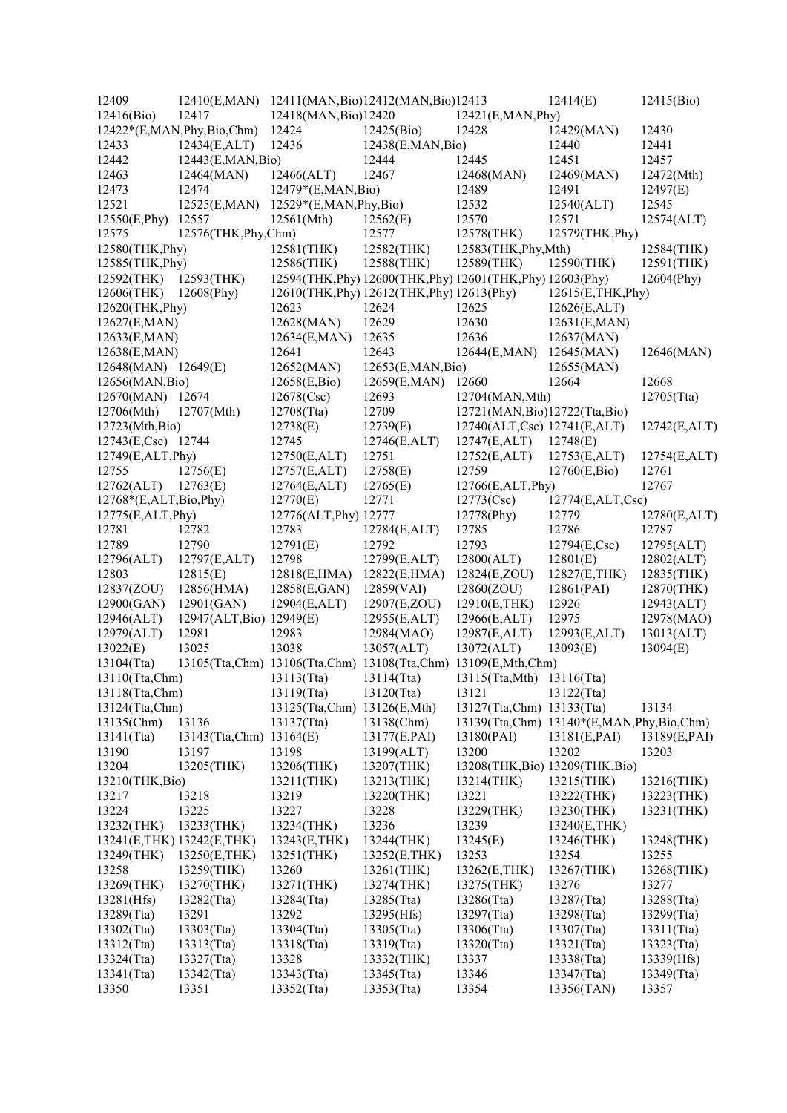| 12409                     | 12410(E,MAN) 12411(MAN, Bio)12412(MAN, Bio)12413              |                             |                                                            |                                          | 12414(E)         | 12415(Bio)    |
|---------------------------|---------------------------------------------------------------|-----------------------------|------------------------------------------------------------|------------------------------------------|------------------|---------------|
| 12416(Bio)                | 12417                                                         | 12418(MAN, Bio)12420        |                                                            | 12421(E, MAN, Phy)                       |                  |               |
|                           | 12422*(E,MAN,Phy,Bio,Chm)                                     | 12424                       | 12425(Bio)                                                 | 12428                                    | 12429(MAN)       | 12430         |
| 12433                     | 12434(E,ALT)                                                  | 12436                       | 12438(E,MAN,Bio)                                           |                                          | 12440            | 12441         |
| 12442                     | 12443(E,MAN,Bio)                                              |                             | 12444                                                      | 12445                                    | 12451            | 12457         |
| 12463                     | 12464(MAN)                                                    | 12466(ALT)                  | 12467                                                      | 12468(MAN)                               | 12469(MAN)       | 12472(Mth)    |
| 12473                     | 12474                                                         | 12479*(E,MAN,Bio)           |                                                            | 12489                                    | 12491            | 12497(E)      |
| 12521                     | 12525(E,MAN)                                                  | 12529*(E,MAN,Phy,Bio)       |                                                            | 12532                                    | 12540(ALT)       | 12545         |
|                           | 12557                                                         | 12561(Mth)                  |                                                            | 12570                                    | 12571            |               |
| 12550(E, Phy)             | 12576(THK, Phy, Chm)                                          |                             | 12562(E)                                                   | 12578(THK)                               |                  | 12574(ALT)    |
| 12575                     |                                                               |                             | 12577                                                      |                                          | 12579(THK, Phy)  |               |
| 12580(THK, Phy)           |                                                               | 12581(THK)                  | 12582(THK)                                                 | 12583(THK, Phy, Mth)                     |                  | 12584(THK)    |
| 12585(THK, Phy)           |                                                               | 12586(THK)                  | 12588(THK)                                                 | $12589$ (THK)                            | 12590(THK)       | $12591$ (THK) |
| 12592(THK) 12593(THK)     |                                                               |                             | 12594(THK, Phy) 12600(THK, Phy) 12601(THK, Phy) 12603(Phy) |                                          |                  | $12604$ (Phy) |
| 12606(THK)                | $12608$ (Phy)                                                 |                             | 12610(THK, Phy) 12612(THK, Phy) 12613(Phy)                 |                                          | 12615(E,THK,Phy) |               |
| 12620(THK, Phy)           |                                                               | 12623                       | 12624                                                      | 12625                                    | 12626(E,ALT)     |               |
| 12627(E,MAN)              |                                                               | 12628(MAN)                  | 12629                                                      | 12630                                    | 12631(E,MAN)     |               |
| 12633(E,MAN)              |                                                               | 12634(E,MAN)                | 12635                                                      | 12636                                    | 12637(MAN)       |               |
| 12638(E,MAN)              |                                                               | 12641                       | 12643                                                      | 12644(E, MAN)                            | 12645(MAN)       | 12646(MAN)    |
| 12648(MAN) 12649(E)       |                                                               | 12652(MAN)                  | 12653(E, MAN, Bio)                                         |                                          | 12655(MAN)       |               |
| 12656(MAN, Bio)           |                                                               | 12658(E,Bio)                | 12659(E,MAN)                                               | 12660                                    | 12664            | 12668         |
| 12670(MAN) 12674          |                                                               | 12678(Csc)                  | 12693                                                      | 12704(MAN, Mth)                          |                  | 12705(Tta)    |
| 12706(Mth)                | 12707(Mth)                                                    | 12708(Tta)                  | 12709                                                      | 12721(MAN, Bio)12722(Tta, Bio)           |                  |               |
| 12723(Mth,Bio)            |                                                               | 12738(E)                    | 12739(E)                                                   | 12740(ALT,Csc) 12741(E,ALT)              |                  | 12742(E,ALT)  |
| 12743(E,Csc) 12744        |                                                               | 12745                       | 12746(E,ALT)                                               | 12747(E,ALT)                             | 12748(E)         |               |
| 12749(E,ALT,Phy)          |                                                               | 12750(E,ALT)                | 12751                                                      | 12752(E,ALT)                             | 12753(E,ALT)     | 12754(E,ALT)  |
|                           | 12756(E)                                                      |                             |                                                            | 12759                                    |                  |               |
| 12755                     |                                                               | 12757(E,ALT)                | 12758(E)                                                   |                                          | 12760(E,Bio)     | 12761         |
| 12762(ALT)                | 12763(E)                                                      | 12764(E,ALT)                | 12765(E)                                                   | 12766(E,ALT,Phy)                         |                  | 12767         |
| 12768*(E,ALT,Bio,Phy)     |                                                               | 12770(E)                    | 12771                                                      | 12773(Csc)                               | 12774(E,ALT,Csc) |               |
| 12775(E,ALT,Phy)          |                                                               | 12776(ALT, Phy) 12777       |                                                            | 12778(Phy)                               | 12779            | 12780(E,ALT)  |
| 12781                     | 12782                                                         | 12783                       | 12784(E,ALT)                                               | 12785                                    | 12786            | 12787         |
| 12789                     | 12790                                                         | 12791(E)                    | 12792                                                      | 12793                                    | 12794(E,Csc)     | 12795(ALT)    |
| 12796(ALT)                | 12797(E,ALT)                                                  | 12798                       | 12799(E,ALT)                                               | 12800(ALT)                               | 12801(E)         | 12802(ALT)    |
| 12803                     | 12815(E)                                                      | 12818(E,HMA)                | 12822(E,HMA)                                               | 12824(E,ZOU)                             | 12827(E,THK)     | 12835(THK)    |
| 12837(ZOU)                | 12856(HMA)                                                    | 12858(E,GAN)                | 12859(VAI)                                                 | 12860(ZOU)                               | 12861(PAI)       | 12870(THK)    |
| 12900(GAN)                | 12901(GAN)                                                    | 12904(E,ALT)                | 12907(E,ZOU)                                               | 12910(E,THK)                             | 12926            | 12943(ALT)    |
| 12946(ALT)                | 12947(ALT, Bio) 12949(E)                                      |                             | 12955(E,ALT)                                               | 12966(E,ALT)                             | 12975            | 12978(MAO)    |
| 12979(ALT)                | 12981                                                         | 12983                       | 12984(MAO)                                                 | 12987(E,ALT)                             | 12993(E,ALT)     | 13013(ALT)    |
| 13022(E)                  | 13025                                                         | 13038                       | 13057(ALT)                                                 | 13072(ALT)                               | 13093(E)         | 13094(E)      |
| 13104(Tta)                | 13105(Tta,Chm) 13106(Tta,Chm) 13108(Tta,Chm) 13109(E,Mth,Chm) |                             |                                                            |                                          |                  |               |
| 13110(Tta,Chm)            |                                                               | 13113(Tta)                  | 13114(Tta)                                                 | 13115(Tta, Mth) 13116(Tta)               |                  |               |
| 13118(Tta,Chm)            |                                                               | 13119(Tta)                  | 13120(Tta)                                                 | 13121                                    | 13122(Tta)       |               |
| 13124(Tta,Chm)            |                                                               | 13125(Tta,Chm) 13126(E,Mth) |                                                            | 13127(Tta,Chm) 13133(Tta)                |                  | 13134         |
|                           |                                                               |                             |                                                            |                                          |                  |               |
| 13135(Chm)                | 13136                                                         | 13137(Tta)                  | 13138(Chm)                                                 | 13139(Tta,Chm) 13140*(E,MAN,Phy,Bio,Chm) |                  |               |
| 13141(Tta)                | 13143(Tta,Chm)                                                | 13164(E)                    | 13177(E,PAI)                                               | 13180(PAI)                               | 13181(E, PAI)    | 13189(E,PAI)  |
| 13190                     | 13197                                                         | 13198                       | 13199(ALT)                                                 | 13200                                    | 13202            | 13203         |
| 13204                     | 13205(THK)                                                    | 13206(THK)                  | 13207(THK)                                                 | 13208(THK, Bio) 13209(THK, Bio)          |                  |               |
| 13210(THK, Bio)           |                                                               | 13211(THK)                  | 13213(THK)                                                 | 13214(THK)                               | 13215(THK)       | 13216(THK)    |
| 13217                     | 13218                                                         | 13219                       | 13220(THK)                                                 | 13221                                    | 13222(THK)       | 13223(THK)    |
| 13224                     | 13225                                                         | 13227                       | 13228                                                      | 13229(THK)                               | 13230(THK)       | 13231(THK)    |
| 13232(THK)                | 13233(THK)                                                    | 13234(THK)                  | 13236                                                      | 13239                                    | 13240(E,THK)     |               |
| 13241(E,THK) 13242(E,THK) |                                                               | 13243(E,THK)                | 13244(THK)                                                 | 13245(E)                                 | 13246(THK)       | 13248(THK)    |
| 13249(THK)                | 13250(E,THK)                                                  | 13251(THK)                  | 13252(E,THK)                                               | 13253                                    | 13254            | 13255         |
| 13258                     | 13259(THK)                                                    | 13260                       | 13261(THK)                                                 | 13262(E,THK)                             | 13267(THK)       | 13268(THK)    |
| 13269(THK)                | 13270(THK)                                                    | 13271(THK)                  | 13274(THK)                                                 | 13275(THK)                               | 13276            | 13277         |
| 13281(Hfs)                | 13282(Tta)                                                    | 13284(Tta)                  | $13285$ (Tta)                                              | 13286(Tta)                               | 13287(Tta)       | 13288(Tta)    |
| 13289(Tta)                | 13291                                                         | 13292                       | 13295(Hfs)                                                 | 13297(Tta)                               | 13298(Tta)       | 13299(Tta)    |
| 13302(Tta)                | 13303(Tta)                                                    | 13304(Tta)                  | 13305(Tta)                                                 | 13306(Tta)                               | 13307(Tta)       | 13311(Tta)    |
| 13312(Tta)                | 13313(Tta)                                                    | 13318(Tta)                  | 13319(Tta)                                                 | $13320$ (Tta)                            | 13321(Tta)       | 13323(Tta)    |
| $13324$ (Tta)             | 13327(Tta)                                                    | 13328                       | 13332(THK)                                                 | 13337                                    | 13338(Tta)       | 13339(Hfs)    |
| $13341$ (Tta)             | 13342(Tta)                                                    |                             |                                                            | 13346                                    | 13347(Tta)       | 13349(Tta)    |
|                           |                                                               | 13343(Tta)                  | $13345$ (Tta)                                              |                                          |                  |               |
| 13350                     | 13351                                                         | 13352(Tta)                  | 13353(Tta)                                                 | 13354                                    | 13356(TAN)       | 13357         |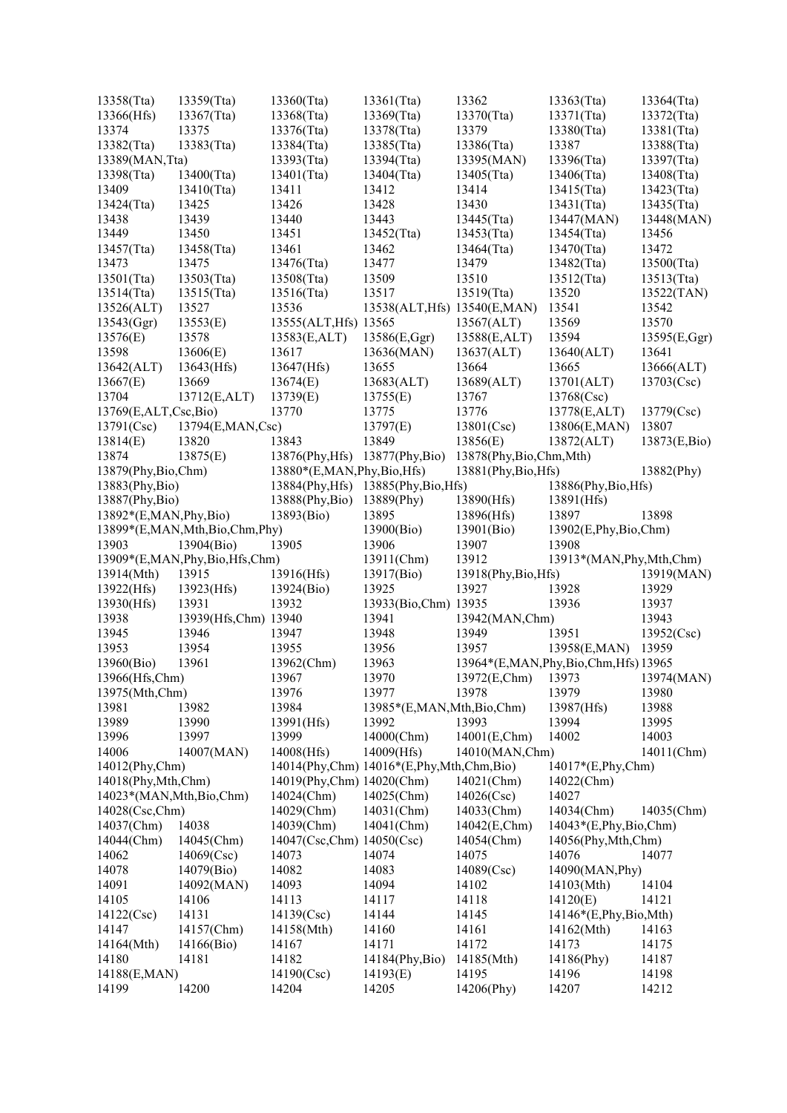| 13358(Tta)                 | 13359(Tta)                    | 13360(Tta)                           | 13361(Tta)                               | 13362                                   | 13363(Tta)                  | 13364(Tta)     |
|----------------------------|-------------------------------|--------------------------------------|------------------------------------------|-----------------------------------------|-----------------------------|----------------|
| 13366(Hfs)                 | 13367(Tta)                    | 13368(Tta)                           | 13369(Tta)                               | 13370(Tta)                              | 13371(Tta)                  | 13372(Tta)     |
| 13374                      | 13375                         | 13376(Tta)                           | 13378(Tta)                               | 13379                                   | 13380(Tta)                  | 13381(Tta)     |
| 13382(Tta)                 | 13383(Tta)                    | 13384(Tta)                           | 13385(Tta)                               | 13386(Tta)                              | 13387                       | 13388(Tta)     |
| 13389(MAN, Tta)            |                               | 13393(Tta)                           | 13394(Tta)                               | 13395(MAN)                              | 13396(Tta)                  | 13397(Tta)     |
| 13398(Tta)                 | 13400(Tta)                    | 13401(Tta)                           | 13404(Tta)                               | $13405$ (Tta)                           | 13406(Tta)                  | 13408(Tta)     |
| 13409                      | 13410(Tta)                    | 13411                                | 13412                                    | 13414                                   | 13415(Tta)                  | 13423(Tta)     |
| 13424(Tta)                 | 13425                         | 13426                                | 13428                                    | 13430                                   | 13431(Tta)                  | 13435(Tta)     |
| 13438                      | 13439                         | 13440                                | 13443                                    | 13445(Tta)                              | 13447(MAN)                  | 13448(MAN)     |
| 13449                      | 13450                         | 13451                                | 13452(Tta)                               | 13453(Tta)                              | 13454(Tta)                  | 13456          |
| 13457(Tta)                 | 13458(Tta)                    | 13461                                | 13462                                    | 13464(Tta)                              | 13470(Tta)                  | 13472          |
| 13473                      | 13475                         | 13476(Tta)                           | 13477                                    | 13479                                   | $13482$ (Tta)               | 13500(Tta)     |
| 13501(Tta)                 | 13503(Tta)                    | 13508(Tta)                           | 13509                                    | 13510                                   | 13512(Tta)                  | 13513(Tta)     |
| $13514$ (Tta)              | 13515(Tta)                    | 13516(Tta)                           | 13517                                    | 13519(Tta)                              | 13520                       | 13522(TAN)     |
| 13526(ALT)                 | 13527                         | 13536                                | 13538(ALT, Hfs) 13540(E, MAN)            |                                         | 13541                       | 13542          |
| 13543(Ggr)                 | 13553(E)                      | 13555(ALT, Hfs) 13565                |                                          | 13567(ALT)                              | 13569                       | 13570          |
| 13576(E)                   | 13578                         | 13583(E,ALT)                         | 13586(E,Ggr)                             | 13588(E,ALT)                            | 13594                       | 13595(E,Ggr)   |
| 13598                      | 13606(E)                      | 13617                                | 13636(MAN)                               | 13637(ALT)                              | 13640(ALT)                  | 13641          |
| 13642(ALT)                 | 13643(Hfs)                    | 13647(Hfs)                           | 13655                                    | 13664                                   | 13665                       | 13666(ALT)     |
| 13667(E)                   | 13669                         | 13674(E)                             |                                          |                                         | 13701(ALT)                  | 13703(Csc)     |
| 13704                      |                               |                                      | 13683(ALT)                               | 13689(ALT)<br>13767                     |                             |                |
|                            | 13712(E,ALT)                  | 13739(E)                             | 13755(E)                                 |                                         | 13768(Csc)                  |                |
| 13769(E,ALT,Csc,Bio)       |                               | 13770                                | 13775                                    | 13776                                   | 13778(E,ALT)                | 13779(Csc)     |
| 13791(Csc)                 | 13794(E,MAN,Csc)              |                                      | 13797(E)                                 | 13801(Csc)                              | 13806(E,MAN)                | 13807          |
| 13814(E)                   | 13820                         | 13843                                | 13849                                    | 13856(E)                                | 13872(ALT)                  | 13873(E,Bio)   |
| 13874                      | 13875(E)                      | 13876(Phy, Hfs) 13877(Phy, Bio)      |                                          | 13878(Phy,Bio,Chm,Mth)                  |                             |                |
| 13879(Phy,Bio,Chm)         |                               | 13880*(E,MAN,Phy,Bio,Hfs)            |                                          | 13881(Phy,Bio,Hfs)                      |                             | 13882(Phy)     |
| 13883(Phy,Bio)             |                               | 13884(Phy, Hfs) 13885(Phy, Bio, Hfs) |                                          |                                         | 13886(Phy,Bio,Hfs)          |                |
| 13887(Phy,Bio)             |                               | 13888(Phy,Bio)                       | 13889(Phy)                               | 13890(Hfs)                              | 13891(Hfs)                  |                |
| 13892*(E,MAN,Phy,Bio)      |                               | 13893(Bio)                           | 13895                                    | 13896(Hfs)                              | 13897                       | 13898          |
|                            | 13899*(E,MAN,Mth,Bio,Chm,Phy) |                                      | 13900(Bio)                               | 13901(Bio)                              | 13902(E,Phy,Bio,Chm)        |                |
| 13903                      | 13904(Bio)                    | 13905                                | 13906                                    | 13907                                   | 13908                       |                |
|                            | 13909*(E,MAN,Phy,Bio,Hfs,Chm) |                                      | 13911(Chm)                               | 13912                                   | 13913*(MAN, Phy, Mth, Chm)  |                |
| 13914(Mth)                 | 13915                         | 13916(Hfs)                           | 13917(Bio)                               | 13918(Phy,Bio,Hfs)                      |                             | 13919(MAN)     |
| 13922(Hfs)                 | 13923(Hfs)                    | 13924(Bio)                           | 13925                                    | 13927                                   | 13928                       | 13929          |
| 13930(Hfs)                 | 13931                         | 13932                                | 13933(Bio,Chm) 13935                     |                                         | 13936                       | 13937          |
| 13938                      | 13939(Hfs,Chm) 13940          |                                      | 13941                                    | 13942(MAN,Chm)                          |                             | 13943          |
| 13945                      | 13946                         | 13947                                | 13948                                    | 13949                                   | 13951                       | 13952(Csc)     |
| 13953                      | 13954                         | 13955                                | 13956                                    | 13957                                   | 13958(E,MAN)                | 13959          |
| 13960(Bio)                 | 13961                         | 13962(Chm)                           | 13963                                    | 13964*(E,MAN, Phy, Bio, Chm, Hfs) 13965 |                             |                |
| 13966(Hfs,Chm)             |                               | 13967                                | 13970                                    | 13972(E,Chm)                            | 13973                       | 13974(MAN)     |
| 13975(Mth,Chm)             |                               | 13976                                | 13977                                    | 13978                                   | 13979                       | 13980          |
| 13981                      | 13982                         | 13984                                | 13985*(E,MAN,Mth,Bio,Chm)                |                                         | 13987(Hfs)                  | 13988          |
| 13989                      | 13990                         | 13991(Hfs)                           | 13992                                    | 13993                                   | 13994                       | 13995          |
| 13996                      | 13997                         | 13999                                | 14000(Chm)                               | 14001(E,Chm)                            | 14002                       | 14003          |
| 14006                      | 14007(MAN)                    | 14008(Hfs)                           | 14009(Hfs)                               | 14010(MAN,Chm)                          |                             | 14011(Chm)     |
| 14012(Phy,Chm)             |                               |                                      | 14014(Phy,Chm) 14016*(E,Phy,Mth,Chm,Bio) |                                         | 14017*(E,Phy,Chm)           |                |
| 14018(Phy, Mth, Chm)       |                               | 14019(Phy,Chm) 14020(Chm)            |                                          | 14021(Chm)                              | 14022(Chm)                  |                |
| 14023*(MAN, Mth, Bio, Chm) |                               | 14024(Chm)                           | 14025(Chm)                               | 14026(Csc)                              | 14027                       |                |
| 14028(Csc,Chm)             |                               | 14029(Chm)                           | 14031(Chm)                               | 14033(Chm)                              | 14034(Chm)                  | 14035(Chm)     |
| 14037(Chm)                 | 14038                         | 14039(Chm)                           | 14041(Chm)                               | 14042(E,Chm)                            | $14043*(E, Phy, Bio, Chm)$  |                |
| 14044(Chm)                 | 14045(Chm)                    | 14047(Csc,Chm) 14050(Csc)            |                                          | 14054(Chm)                              | 14056(Phy, Mth, Chm)        |                |
| 14062                      | 14069(Csc)                    | 14073                                | 14074                                    | 14075                                   | 14076                       | 14077          |
| 14078                      | 14079(Bio)                    | 14082                                | 14083                                    | 14089(Csc)                              | 14090(MAN, Phy)             |                |
| 14091                      | 14092(MAN)                    | 14093                                | 14094                                    | 14102                                   | 14103(Mth)                  | 14104          |
| 14105                      | 14106                         | 14113                                | 14117                                    | 14118                                   | 14120(E)                    | 14121          |
| 14122(Csc)                 | 14131                         | 14139(Csc)                           | 14144                                    | 14145                                   | $14146*(E, Phys, Bio, Mth)$ |                |
| 14147                      | 14157(Chm)                    | 14158(Mth)                           | 14160                                    | 14161                                   | 14162(Mth)                  | 14163          |
| 14164(Mth)                 | 14166(Bio)                    | 14167                                | 14171                                    | 14172                                   | 14173                       | 14175          |
|                            |                               |                                      |                                          |                                         |                             |                |
| 14180                      |                               |                                      |                                          |                                         |                             |                |
|                            | 14181                         | 14182                                | 14184(Phy,Bio)                           | 14185(Mth)                              | 14186(Phy)                  | 14187          |
| 14188(E,MAN)<br>14199      | 14200                         | 14190(Csc)<br>14204                  | 14193(E)<br>14205                        | 14195<br>14206(Phy)                     | 14196<br>14207              | 14198<br>14212 |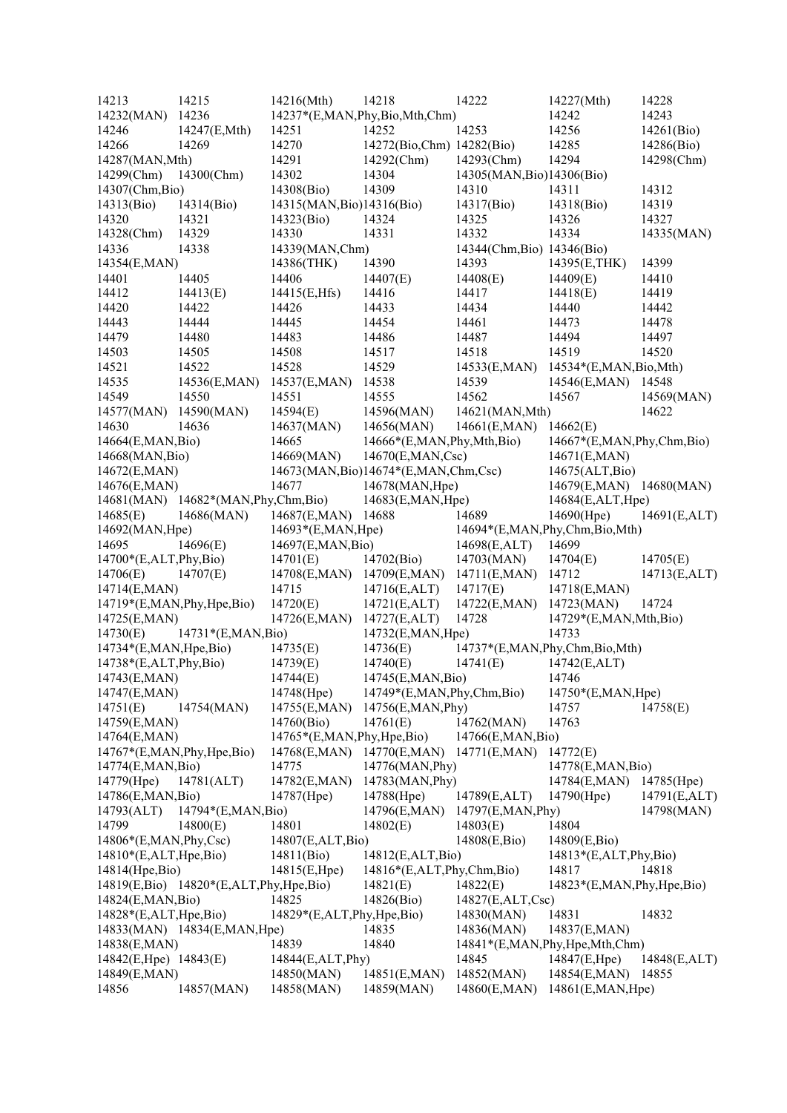| 14213                        | 14215                                  | 14216(Mth)                | 14218                                   | 14222                      | 14227(Mth)                        | 14228        |
|------------------------------|----------------------------------------|---------------------------|-----------------------------------------|----------------------------|-----------------------------------|--------------|
| 14232(MAN)                   | 14236                                  |                           | 14237*(E,MAN,Phy,Bio,Mth,Chm)           |                            | 14242                             | 14243        |
| 14246                        | 14247(E,Mth)                           | 14251                     | 14252                                   | 14253                      | 14256                             | 14261(Bio)   |
| 14266                        | 14269                                  | 14270                     | 14272(Bio,Chm) 14282(Bio)               |                            | 14285                             | 14286(Bio)   |
| 14287(MAN, Mth)              |                                        | 14291                     | 14292(Chm)                              | 14293(Chm)                 | 14294                             | 14298(Chm)   |
| 14299(Chm)                   | 14300(Chm)                             | 14302                     | 14304                                   | 14305(MAN, Bio)14306(Bio)  |                                   |              |
| 14307(Chm, Bio)              |                                        | 14308(Bio)                | 14309                                   | 14310                      | 14311                             | 14312        |
| 14313(Bio)                   | 14314(Bio)                             | 14315(MAN, Bio)14316(Bio) |                                         | 14317(Bio)                 | 14318(Bio)                        | 14319        |
| 14320                        | 14321                                  | 14323(Bio)                | 14324                                   | 14325                      | 14326                             | 14327        |
| 14328(Chm)                   | 14329                                  | 14330                     | 14331                                   | 14332                      | 14334                             | 14335(MAN)   |
| 14336                        | 14338                                  | 14339(MAN,Chm)            |                                         | 14344(Chm, Bio) 14346(Bio) |                                   |              |
| 14354(E,MAN)                 |                                        | 14386(THK)                | 14390                                   | 14393                      | 14395(E,THK)                      | 14399        |
| 14401                        | 14405                                  | 14406                     | 14407(E)                                | 14408(E)                   | 14409(E)                          | 14410        |
| 14412                        | 14413(E)                               | 14415(E,Hfs)              | 14416                                   | 14417                      | 14418(E)                          | 14419        |
| 14420                        | 14422                                  | 14426                     | 14433                                   | 14434                      | 14440                             | 14442        |
| 14443                        | 14444                                  | 14445                     | 14454                                   | 14461                      | 14473                             | 14478        |
| 14479                        | 14480                                  | 14483                     | 14486                                   | 14487                      | 14494                             | 14497        |
| 14503                        | 14505                                  | 14508                     | 14517                                   | 14518                      | 14519                             | 14520        |
| 14521                        | 14522                                  | 14528                     | 14529                                   | 14533(E,MAN)               | 14534*(E,MAN, Bio, Mth)           |              |
|                              |                                        |                           |                                         |                            |                                   |              |
| 14535                        | 14536(E,MAN)                           | 14537(E,MAN)              | 14538                                   | 14539                      | 14546(E,MAN)                      | 14548        |
| 14549                        | 14550                                  | 14551                     | 14555                                   | 14562                      | 14567                             | 14569(MAN)   |
| 14577(MAN)                   | 14590(MAN)                             | 14594(E)                  | 14596(MAN)                              | 14621(MAN, Mth)            |                                   | 14622        |
| 14630                        | 14636                                  | 14637(MAN)                | 14656(MAN)                              | 14661(E,MAN)               | 14662(E)                          |              |
| 14664(E,MAN,Bio)             |                                        | 14665                     | 14666*(E,MAN,Phy,Mth,Bio)               |                            | 14667*(E,MAN,Phy,Chm,Bio)         |              |
| 14668(MAN, Bio)              |                                        | 14669(MAN)                | 14670(E,MAN,Csc)                        |                            | 14671(E,MAN)                      |              |
| 14672(E,MAN)                 |                                        |                           | 14673(MAN, Bio)14674*(E, MAN, Chm, Csc) |                            | 14675(ALT, Bio)                   |              |
| 14676(E,MAN)                 |                                        | 14677                     | 14678(MAN, Hpe)                         |                            | 14679(E,MAN) 14680(MAN)           |              |
|                              | 14681(MAN) 14682*(MAN, Phy, Chm, Bio)  |                           | 14683(E,MAN, Hpe)                       |                            | 14684(E,ALT,Hpe)                  |              |
| 14685(E)                     | 14686(MAN)                             | 14687(E,MAN)              | 14688                                   | 14689                      | 14690(Hpe)                        | 14691(E,ALT) |
| 14692(MAN, Hpe)              |                                        | 14693*(E,MAN,Hpe)         |                                         |                            | 14694*(E,MAN,Phy,Chm,Bio,Mth)     |              |
| 14695                        | 14696(E)                               | 14697(E,MAN,Bio)          |                                         | 14698(E,ALT)               | 14699                             |              |
| 14700*(E,ALT,Phy,Bio)        |                                        | 14701(E)                  | 14702(Bio)                              | 14703(MAN)                 | 14704(E)                          | 14705(E)     |
| 14706(E)                     | 14707(E)                               | 14708(E,MAN)              | 14709(E,MAN)                            | 14711(E, MAN)              | 14712                             | 14713(E,ALT) |
| 14714(E,MAN)                 |                                        | 14715                     | 14716(E,ALT)                            | 14717(E)                   | 14718(E,MAN)                      |              |
| 14719*(E,MAN, Phy, Hpe, Bio) |                                        | 14720(E)                  | 14721(E,ALT)                            | 14722(E,MAN)               | 14723(MAN)                        | 14724        |
| 14725(E,MAN)                 |                                        | 14726(E,MAN)              | 14727(E,ALT)                            | 14728                      | 14729*(E,MAN,Mth,Bio)             |              |
| 14730(E)                     | 14731*(E,MAN,Bio)                      |                           | 14732(E,MAN, Hpe)                       |                            | 14733                             |              |
| 14734*(E,MAN, Hpe, Bio)      |                                        | 14735(E)                  | 14736(E)                                |                            | 14737*(E,MAN,Phy,Chm,Bio,Mth)     |              |
| $14738*(E,ALT, Phy, Bio)$    |                                        | 14739(E)                  | 14740(E)                                | 14741(E)                   | 14742(E,ALT)                      |              |
| 14743(E,MAN)                 |                                        | 14744(E)                  | 14745(E,MAN,Bio)                        |                            | 14746                             |              |
| 14747(E,MAN)                 |                                        | 14748(Hpe)                | 14749*(E,MAN,Phy,Chm,Bio)               |                            | 14750*(E,MAN,Hpe)                 |              |
| 14751(E)                     | 14754(MAN)                             | 14755(E,MAN)              | 14756(E,MAN, Phy)                       |                            | 14757                             | 14758(E)     |
| 14759(E,MAN)                 |                                        | 14760(Bio)                | 14761(E)                                | 14762(MAN)                 | 14763                             |              |
| 14764(E,MAN)                 |                                        | 14765*(E,MAN,Phy,Hpe,Bio) |                                         | 14766(E,MAN,Bio)           |                                   |              |
| 14767*(E,MAN,Phy,Hpe,Bio)    |                                        | 14768(E,MAN) 14770(E,MAN) |                                         | 14771(E,MAN)               | 14772(E)                          |              |
| 14774(E,MAN,Bio)             |                                        | 14775                     | 14776(MAN, Phy)                         |                            | 14778(E,MAN,Bio)                  |              |
| 14779(Hpe)                   | 14781(ALT)                             | 14782(E,MAN)              | 14783(MAN, Phy)                         |                            | 14784(E,MAN)                      | 14785(Hpe)   |
| 14786(E,MAN,Bio)             |                                        | 14787(Hpe)                | 14788(Hpe)                              | 14789(E,ALT)               | 14790(Hpe)                        | 14791(E,ALT) |
| 14793(ALT)                   | 14794*(E,MAN, Bio)                     |                           | 14796(E,MAN)                            | 14797(E,MAN, Phy)          |                                   | 14798(MAN)   |
| 14799                        | 14800(E)                               | 14801                     | 14802(E)                                | 14803(E)                   | 14804                             |              |
| $14806*(E, MAN, Phy, Csc)$   |                                        | 14807(E,ALT,Bio)          |                                         | 14808(E,Bio)               | 14809(E,Bio)                      |              |
| 14810*(E,ALT,Hpe,Bio)        |                                        | 14811(Bio)                | 14812(E,ALT,Bio)                        |                            | 14813*(E,ALT,Phy,Bio)             |              |
| 14814(Hpe,Bio)               |                                        | 14815(E,Hpe)              | 14816*(E,ALT,Phy,Chm,Bio)               |                            | 14817                             | 14818        |
|                              | 14819(E,Bio) 14820*(E,ALT,Phy,Hpe,Bio) |                           | 14821(E)                                | 14822(E)                   | 14823*(E,MAN, Phy, Hpe, Bio)      |              |
| 14824(E,MAN,Bio)             |                                        | 14825                     | 14826(Bio)                              | 14827(E,ALT,Csc)           |                                   |              |
| $14828*(E,ALT, Hpe, Bio)$    |                                        | 14829*(E,ALT,Phy,Hpe,Bio) |                                         | 14830(MAN)                 | 14831                             | 14832        |
|                              | 14833(MAN) 14834(E,MAN, Hpe)           |                           | 14835                                   | 14836(MAN)                 | 14837(E,MAN)                      |              |
| 14838(E,MAN)                 |                                        | 14839                     | 14840                                   |                            | 14841*(E,MAN, Phy, Hpe, Mth, Chm) |              |
| 14842(E,Hpe) 14843(E)        |                                        | 14844(E,ALT,Phy)          |                                         | 14845                      | 14847(E,Hpe)                      | 14848(E,ALT) |
| 14849(E,MAN)                 |                                        | 14850(MAN)                | 14851(E, MAN)                           | 14852(MAN)                 | 14854(E,MAN) 14855                |              |
| 14856                        | 14857(MAN)                             | 14858(MAN)                | 14859(MAN)                              | 14860(E,MAN)               | 14861(E, MAN, Hpe)                |              |
|                              |                                        |                           |                                         |                            |                                   |              |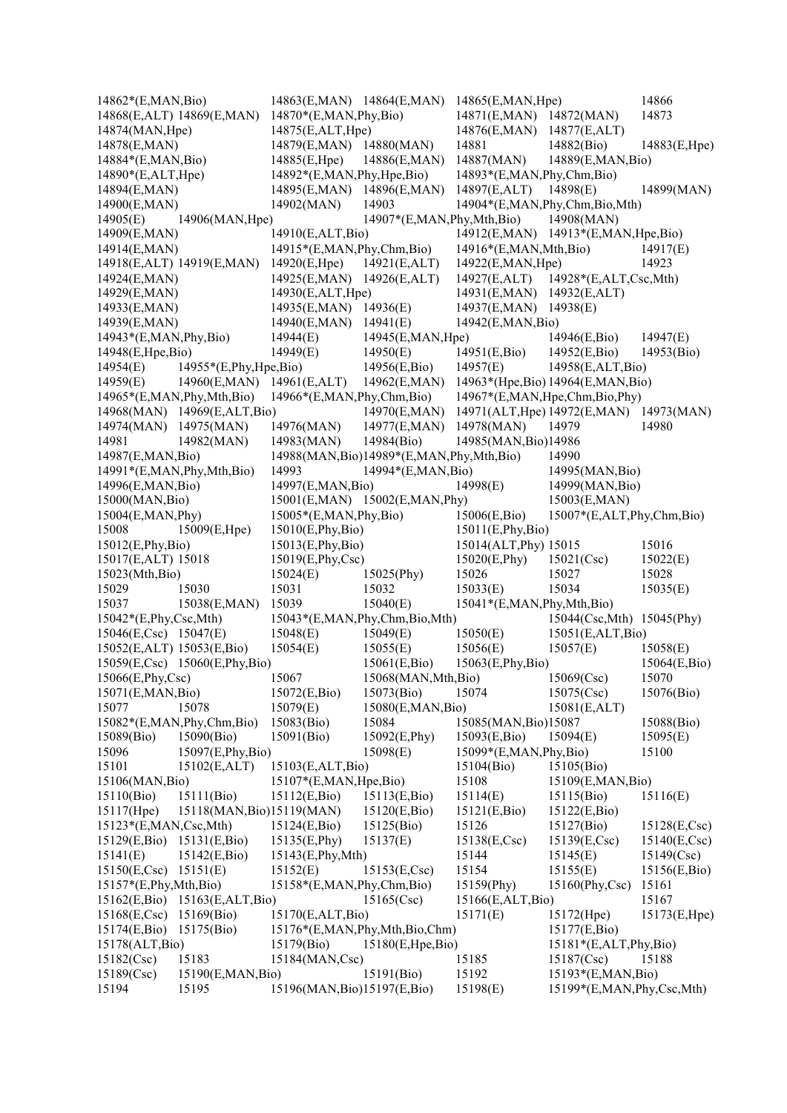| 14862*(E,MAN,Bio)            |                                 |                              |                                              | 14863(E,MAN) 14864(E,MAN) 14865(E,MAN,Hpe) |                            | 14866                  |
|------------------------------|---------------------------------|------------------------------|----------------------------------------------|--------------------------------------------|----------------------------|------------------------|
|                              | 14868(E,ALT) 14869(E,MAN)       | $14870*(E, MAN, Phy, Bio)$   |                                              | 14871(E,MAN) 14872(MAN)                    |                            | 14873                  |
| 14874(MAN, Hpe)              |                                 | 14875(E,ALT,Hpe)             |                                              | 14876(E,MAN) 14877(E,ALT)                  |                            |                        |
| 14878(E,MAN)                 |                                 | 14879(E,MAN) 14880(MAN)      |                                              | 14881                                      | 14882(Bio)                 | 14883(E,Hpe)           |
| 14884*(E,MAN,Bio)            |                                 | 14885(E,Hpe)                 | 14886(E,MAN)                                 | 14887(MAN)                                 | 14889(E,MAN,Bio)           |                        |
| 14890*(E,ALT,Hpe)            |                                 | 14892*(E,MAN, Phy, Hpe, Bio) |                                              | 14893*(E,MAN,Phy,Chm,Bio)                  |                            |                        |
| 14894(E,MAN)                 |                                 | 14895(E,MAN) 14896(E,MAN)    |                                              | 14897(E,ALT) 14898(E)                      |                            | 14899(MAN)             |
| 14900(E,MAN)                 |                                 | 14902(MAN)                   | 14903                                        | 14904*(E,MAN,Phy,Chm,Bio,Mth)              |                            |                        |
| 14905(E)                     | 14906(MAN, Hpe)                 |                              |                                              | 14907*(E,MAN, Phy, Mth, Bio) 14908(MAN)    |                            |                        |
| 14909(E,MAN)                 |                                 | 14910(E,ALT,Bio)             |                                              | 14912(E,MAN) 14913*(E,MAN,Hpe,Bio)         |                            |                        |
| 14914(E,MAN)                 |                                 | 14915*(E,MAN, Phy, Chm, Bio) |                                              | $14916*(E, MAN, Mth, Bio)$                 |                            | 14917(E)               |
|                              | 14918(E,ALT) 14919(E,MAN)       | 14920(E, Hpe)                | 14921(E,ALT)                                 | 14922(E, MAN, Hpe)                         |                            | 14923                  |
| 14924(E,MAN)                 |                                 | 14925(E,MAN) 14926(E,ALT)    |                                              | 14927(E,ALT)                               | $14928*(E,ALT, Csc, Mth)$  |                        |
| 14929(E,MAN)                 |                                 | 14930(E,ALT,Hpe)             |                                              | 14931(E,MAN) 14932(E,ALT)                  |                            |                        |
| 14933(E,MAN)                 |                                 | 14935(E,MAN) 14936(E)        |                                              | 14937(E,MAN) 14938(E)                      |                            |                        |
| 14939(E,MAN)                 |                                 | 14940(E,MAN)                 | 14941(E)                                     | 14942(E,MAN,Bio)                           |                            |                        |
| 14943*(E,MAN, Phy, Bio)      |                                 | 14944(E)                     | 14945(E,MAN, Hpe)                            |                                            | 14946(E,Bio)               | 14947(E)               |
| 14948(E, Hpe, Bio)           |                                 | 14949(E)                     | 14950(E)                                     | 14951(E,Bio)                               | 14952(E,Bio)               | 14953(Bio)             |
| 14954(E)                     | 14955*(E,Phy,Hpe,Bio)           |                              | 14956(E,Bio)                                 | 14957(E)                                   | 14958(E,ALT,Bio)           |                        |
| 14959(E)                     | 14960(E,MAN) 14961(E,ALT)       |                              | 14962(E,MAN)                                 | 14963*(Hpe, Bio) 14964(E, MAN, Bio)        |                            |                        |
|                              | $14965*(E, MAN, Phy, Mth, Bio)$ | 14966*(E,MAN,Phy,Chm,Bio)    |                                              | 14967*(E,MAN, Hpe, Chm, Bio, Phy)          |                            |                        |
|                              | 14968(MAN) 14969(E,ALT,Bio)     |                              | 14970(E,MAN)                                 | 14971(ALT, Hpe) 14972(E, MAN) 14973(MAN)   |                            |                        |
| 14974(MAN) 14975(MAN)        |                                 | 14976(MAN)                   | 14977(E,MAN)                                 | 14978(MAN)                                 | 14979                      | 14980                  |
| 14981                        | 14982(MAN)                      | 14983(MAN)                   | 14984(Bio)                                   | 14985(MAN, Bio)14986                       |                            |                        |
| 14987(E,MAN,Bio)             |                                 |                              | 14988(MAN, Bio)14989*(E, MAN, Phy, Mth, Bio) |                                            | 14990                      |                        |
| 14991*(E,MAN, Phy, Mth, Bio) |                                 | 14993                        | 14994*(E,MAN,Bio)                            |                                            | 14995(MAN, Bio)            |                        |
| 14996(E,MAN,Bio)             |                                 | 14997(E,MAN,Bio)             |                                              | 14998(E)                                   | 14999(MAN, Bio)            |                        |
| 15000(MAN, Bio)              |                                 |                              | 15001(E,MAN) 15002(E,MAN,Phy)                |                                            | 15003(E,MAN)               |                        |
| 15004(E, MAN, Phy)           |                                 | $15005*(E, MAN, Phy, Bio)$   |                                              | 15006(E,Bio)                               | 15007*(E,ALT,Phy,Chm,Bio)  |                        |
| 15008                        | 15009(E,Hpe)                    | 15010(E,Phy,Bio)             |                                              | 15011(E, Phys, Bio)                        |                            |                        |
| 15012(E,Phy,Bio)             |                                 | 15013(E,Phy,Bio)             |                                              | 15014(ALT, Phy) 15015                      |                            | 15016                  |
| 15017(E,ALT) 15018           |                                 | 15019(E,Phy,Csc)             |                                              | 15020(E, Phy)                              | 15021(Csc)                 | 15022(E)               |
| 15023(Mth,Bio)               |                                 | 15024(E)                     | 15025(Phy)                                   | 15026                                      | 15027                      | 15028                  |
| 15029                        | 15030                           | 15031                        | 15032                                        | 15033(E)                                   | 15034                      | 15035(E)               |
| 15037                        | 15038(E,MAN)                    | 15039                        | 15040(E)                                     | 15041*(E,MAN,Phy,Mth,Bio)                  |                            |                        |
| $15042*(E, Phy, Csc, Mth)$   |                                 |                              | 15043*(E,MAN,Phy,Chm,Bio,Mth)                |                                            | 15044(Csc, Mth) 15045(Phy) |                        |
| 15046(E,Csc) 15047(E)        |                                 | 15048(E)                     | 15049(E)                                     | 15050(E)                                   | 15051(E,ALT, Bio)          |                        |
| 15052(E,ALT) 15053(E,Bio)    |                                 | 15054(E)                     | 15055(E)                                     | 15056(E)                                   | 15057(E)                   | 15058(E)               |
|                              | 15059(E,Csc) 15060(E,Phy,Bio)   |                              | 15061(E,Bio)                                 | 15063(E,Phy,Bio)                           |                            | 15064(E,Bio)           |
| 15066(E,Phy,Csc)             |                                 | 15067                        | 15068(MAN, Mth, Bio)                         |                                            | 15069(Csc)                 | 15070                  |
| 15071(E,MAN,Bio)             |                                 | 15072(E,Bio)                 | 15073(Bio)                                   | 15074                                      | 15075(Csc)                 | 15076(Bio)             |
| 15077                        | 15078                           | 15079(E)                     | 15080(E,MAN,Bio)                             |                                            | 15081(E,ALT)               |                        |
|                              | 15082*(E,MAN,Phy,Chm,Bio)       | 15083(Bio)                   | 15084                                        | 15085(MAN, Bio)15087                       |                            | 15088(Bio)             |
| 15089(Bio)                   | 15090(Bio)                      | 15091(Bio)                   | 15092(E,Phy)                                 | 15093(E,Bio)                               | 15094(E)                   | 15095(E)               |
| 15096                        | 15097(E,Phy,Bio)                |                              | 15098(E)                                     | 15099*(E,MAN,Phy,Bio)                      |                            | 15100                  |
| 15101                        | 15102(E,ALT)                    | 15103(E,ALT,Bio)             |                                              | 15104(Bio)                                 | 15105(Bio)                 |                        |
| 15106(MAN, Bio)              |                                 | 15107*(E,MAN,Hpe,Bio)        |                                              | 15108                                      | 15109(E,MAN,Bio)           |                        |
| 15110(Bio)                   | 15111(Bio)                      | 15112(E,Bio)                 | 15113(E,Bio)                                 | 15114(E)                                   | 15115(Bio)                 | 15116(E)               |
| 15117(Hpe)                   | 15118(MAN, Bio)15119(MAN)       |                              | 15120(E,Bio)                                 | 15121(E,Bio)                               | 15122(E,Bio)               |                        |
| 15123*(E,MAN,Csc,Mth)        |                                 | 15124(E,Bio)                 | 15125(Bio)                                   | 15126                                      | 15127(Bio)                 | 15128(E,Csc)           |
| 15129(E,Bio)                 | 15131(E,Bio)                    | 15135(E,Phy)                 | 15137(E)                                     | 15138(E,Csc)                               | 15139(E,Csc)               | $15140(E, \text{Csc})$ |
| 15141(E)                     | 15142(E,Bio)                    | 15143(E,Phy,Mth)             |                                              | 15144                                      | 15145(E)                   | 15149(Csc)             |
| 15150(E,Csc) 15151(E)        |                                 | 15152(E)                     | 15153(E,Csc)                                 | 15154                                      | 15155(E)                   | 15156(E,Bio)           |
| 15157*(E,Phy,Mth,Bio)        |                                 | 15158*(E,MAN,Phy,Chm,Bio)    |                                              | 15159(Phy)                                 | 15160(Phy,Csc)             | 15161                  |
|                              | 15162(E,Bio) 15163(E,ALT,Bio)   |                              | 15165(Csc)                                   | 15166(E,ALT,Bio)                           |                            | 15167                  |
| 15168(E,Csc) 15169(Bio)      |                                 | 15170(E,ALT,Bio)             |                                              | 15171(E)                                   | 15172(Hpe)                 | 15173(E,Hpe)           |
| 15174(E,Bio) 15175(Bio)      |                                 |                              | 15176*(E,MAN,Phy,Mth,Bio,Chm)                |                                            | 15177(E,Bio)               |                        |
| 15178(ALT, Bio)              |                                 | 15179(Bio)                   | 15180(E, Hpe, Bio)                           |                                            | 15181*(E,ALT,Phy,Bio)      |                        |
| 15182(Csc)                   | 15183                           | 15184(MAN,Csc)               |                                              | 15185                                      | 15187(Csc)                 | 15188                  |
| 15189(Csc)                   | 15190(E,MAN,Bio)                |                              | 15191(Bio)                                   | 15192                                      | 15193*(E,MAN,Bio)          |                        |
| 15194                        | 15195                           | 15196(MAN, Bio)15197(E, Bio) |                                              | 15198(E)                                   | 15199*(E,MAN,Phy,Csc,Mth)  |                        |
|                              |                                 |                              |                                              |                                            |                            |                        |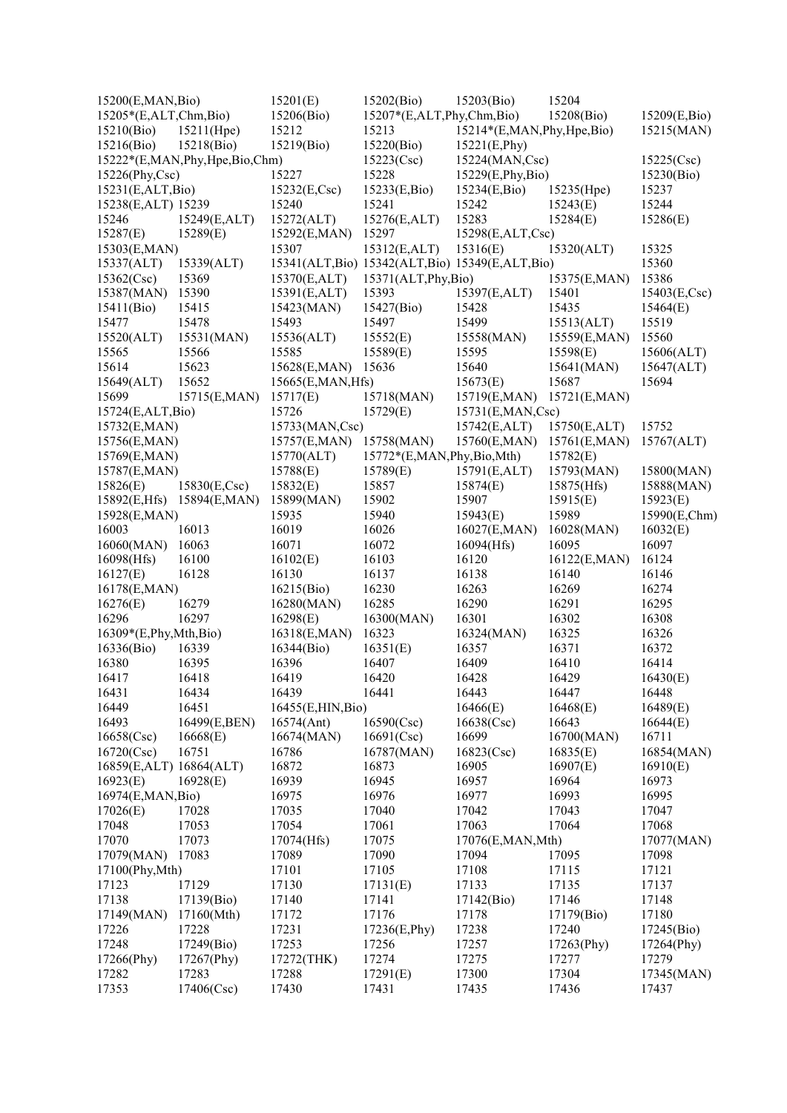| 15200(E,MAN,Bio)            |                               | 15201(E)          | 15202(Bio)                                     | 15203(Bio)                   | 15204                 |                        |
|-----------------------------|-------------------------------|-------------------|------------------------------------------------|------------------------------|-----------------------|------------------------|
| 15205*(E,ALT,Chm,Bio)       |                               | 15206(Bio)        | 15207*(E,ALT,Phy,Chm,Bio)                      |                              | 15208(Bio)            | 15209(E,Bio)           |
| 15210(Bio)                  | 15211(Hpe)                    | 15212             | 15213                                          | 15214*(E,MAN, Phy, Hpe, Bio) |                       | 15215(MAN)             |
| 15216(Bio)                  | 15218(Bio)                    | 15219(Bio)        | 15220(Bio)                                     | 15221(E,Phy)                 |                       |                        |
|                             | 15222*(E,MAN,Phy,Hpe,Bio,Chm) |                   | 15223(Csc)                                     | 15224(MAN,Csc)               |                       | 15225(Csc)             |
| 15226(Phy,Csc)              |                               | 15227             | 15228                                          | 15229(E, Phy, Bio)           |                       | 15230(Bio)             |
| 15231(E,ALT,Bio)            |                               | 15232(E,Csc)      | 15233(E,Bio)                                   | 15234(E,Bio)                 | 15235(Hpe)            | 15237                  |
| 15238(E,ALT) 15239          |                               | 15240             | 15241                                          | 15242                        | 15243(E)              | 15244                  |
| 15246                       | 15249(E,ALT)                  | 15272(ALT)        | 15276(E,ALT)                                   | 15283                        | 15284(E)              | 15286(E)               |
| 15287(E)                    | 15289(E)                      | 15292(E,MAN)      | 15297                                          | 15298(E,ALT,Csc)             |                       |                        |
| 15303(E,MAN)                |                               | 15307             | 15312(E,ALT)                                   | 15316(E)                     | 15320(ALT)            | 15325                  |
| 15337(ALT)                  | 15339(ALT)                    |                   | 15341(ALT,Bio) 15342(ALT,Bio) 15349(E,ALT,Bio) |                              |                       | 15360                  |
| 15362(Csc)                  | 15369                         | 15370(E,ALT)      | 15371(ALT, Phy,Bio)                            |                              | 15375(E,MAN)          | 15386                  |
| 15387(MAN)                  | 15390                         | 15391(E,ALT)      | 15393                                          | 15397(E,ALT)                 | 15401                 | $15403(E, \text{Csc})$ |
| 15411(Bio)                  | 15415                         | 15423(MAN)        | 15427(Bio)                                     | 15428                        | 15435                 | 15464(E)               |
| 15477                       | 15478                         | 15493             | 15497                                          | 15499                        | 15513(ALT)            | 15519                  |
| 15520(ALT)                  | 15531(MAN)                    | 15536(ALT)        | 15552(E)                                       | 15558(MAN)                   | 15559(E,MAN)          | 15560                  |
| 15565                       | 15566                         | 15585             | 15589(E)                                       | 15595                        | 15598(E)              | 15606(ALT)             |
| 15614                       | 15623                         | 15628(E,MAN)      | 15636                                          | 15640                        | 15641(MAN)            | 15647(ALT)             |
| 15649(ALT)                  | 15652                         | 15665(E,MAN,Hfs)  |                                                | 15673(E)                     | 15687                 | 15694                  |
| 15699                       | 15715(E,MAN)                  | 15717(E)          | 15718(MAN)                                     | 15719(E,MAN)                 | 15721(E,MAN)          |                        |
| 15724(E,ALT,Bio)            |                               | 15726             | 15729(E)                                       | 15731(E,MAN,Csc)             |                       |                        |
| 15732(E,MAN)                |                               | 15733(MAN,Csc)    |                                                | 15742(E,ALT)                 | 15750(E,ALT)          | 15752                  |
| 15756(E,MAN)                |                               | 15757(E,MAN)      | 15758(MAN)                                     | 15760(E,MAN)                 | 15761(E,MAN)          | 15767(ALT)             |
| 15769(E,MAN)                |                               | 15770(ALT)        | 15772*(E,MAN,Phy,Bio,Mth)                      |                              | 15782(E)              |                        |
| 15787(E,MAN)                |                               | 15788(E)          | 15789(E)                                       | 15791(E,ALT)                 | 15793(MAN)            | 15800(MAN)             |
| 15826(E)                    | 15830(E,Csc)                  | 15832(E)          | 15857                                          | 15874(E)                     | 15875(Hfs)            | 15888(MAN)             |
| 15892(E,Hfs)                | 15894(E,MAN)                  | 15899(MAN)        | 15902                                          | 15907                        | 15915(E)              | 15923(E)               |
| 15928(E,MAN)                |                               | 15935             | 15940                                          | 15943(E)                     | 15989                 | 15990(E,Chm)           |
| 16003                       | 16013                         | 16019             | 16026                                          | 16027(E,MAN)                 | 16028(MAN)            | 16032(E)               |
| 16060(MAN)                  | 16063                         | 16071             | 16072                                          | 16094(Hfs)                   | 16095                 | 16097                  |
| 16098(Hfs)<br>16127(E)      | 16100<br>16128                | 16102(E)<br>16130 | 16103<br>16137                                 | 16120<br>16138               | 16122(E,MAN)<br>16140 | 16124<br>16146         |
| 16178(E,MAN)                |                               | 16215(Bio)        | 16230                                          | 16263                        | 16269                 | 16274                  |
| 16276(E)                    | 16279                         | 16280(MAN)        | 16285                                          | 16290                        | 16291                 | 16295                  |
| 16296                       | 16297                         | 16298(E)          | 16300(MAN)                                     | 16301                        | 16302                 | 16308                  |
| $16309*(E, Phys, Mth, Bio)$ |                               | 16318(E,MAN)      | 16323                                          | 16324(MAN)                   | 16325                 | 16326                  |
| 16336(Bio)                  | 16339                         | 16344(Bio)        | 16351(E)                                       | 16357                        | 16371                 | 16372                  |
| 16380                       | 16395                         | 16396             | 16407                                          | 16409                        | 16410                 | 16414                  |
| 16417                       | 16418                         | 16419             | 16420                                          | 16428                        | 16429                 | 16430(E)               |
| 16431                       | 16434                         | 16439             | 16441                                          | 16443                        | 16447                 | 16448                  |
| 16449                       | 16451                         | 16455(E,HIN,Bio)  |                                                | 16466(E)                     | 16468(E)              | 16489(E)               |
| 16493                       | 16499(E,BEN)                  | 16574(Ant)        | 16590(Csc)                                     | 16638(Csc)                   | 16643                 | 16644(E)               |
| 16658(Csc)                  | 16668(E)                      | 16674(MAN)        | 16691(Csc)                                     | 16699                        | 16700(MAN)            | 16711                  |
| 16720(Csc)                  | 16751                         | 16786             | 16787(MAN)                                     | 16823(Csc)                   | 16835(E)              | 16854(MAN)             |
| 16859(E,ALT) 16864(ALT)     |                               | 16872             | 16873                                          | 16905                        | 16907(E)              | 16910(E)               |
| 16923(E)                    | 16928(E)                      | 16939             | 16945                                          | 16957                        | 16964                 | 16973                  |
| 16974(E,MAN,Bio)            |                               | 16975             | 16976                                          | 16977                        | 16993                 | 16995                  |
| 17026(E)                    | 17028                         | 17035             | 17040                                          | 17042                        | 17043                 | 17047                  |
| 17048                       | 17053                         | 17054             | 17061                                          | 17063                        | 17064                 | 17068                  |
| 17070                       | 17073                         | 17074(Hfs)        | 17075                                          | 17076(E,MAN,Mth)             |                       | 17077(MAN)             |
| 17079(MAN)                  | 17083                         | 17089             | 17090                                          | 17094                        | 17095                 | 17098                  |
| 17100(Phy,Mth)              |                               | 17101             | 17105                                          | 17108                        | 17115                 | 17121                  |
| 17123                       | 17129                         | 17130             | 17131(E)                                       | 17133                        | 17135                 | 17137                  |
| 17138                       | 17139(Bio)                    | 17140             | 17141                                          | 17142(Bio)                   | 17146                 | 17148                  |
| 17149(MAN)                  | 17160(Mth)                    | 17172             | 17176                                          | 17178                        | 17179(Bio)            | 17180                  |
| 17226                       | 17228                         | 17231             | 17236(E,Phy)                                   | 17238                        | 17240                 | 17245(Bio)             |
| 17248                       | 17249(Bio)                    | 17253             | 17256                                          | 17257                        | 17263(Phy)            | 17264(Phy)             |
| 17266(Phy)                  | 17267(Phy)                    | 17272(THK)        | 17274                                          | 17275                        | 17277                 | 17279                  |
| 17282                       | 17283                         | 17288             | 17291(E)                                       | 17300                        | 17304                 | 17345(MAN)             |
| 17353                       | 17406(Csc)                    | 17430             | 17431                                          | 17435                        | 17436                 | 17437                  |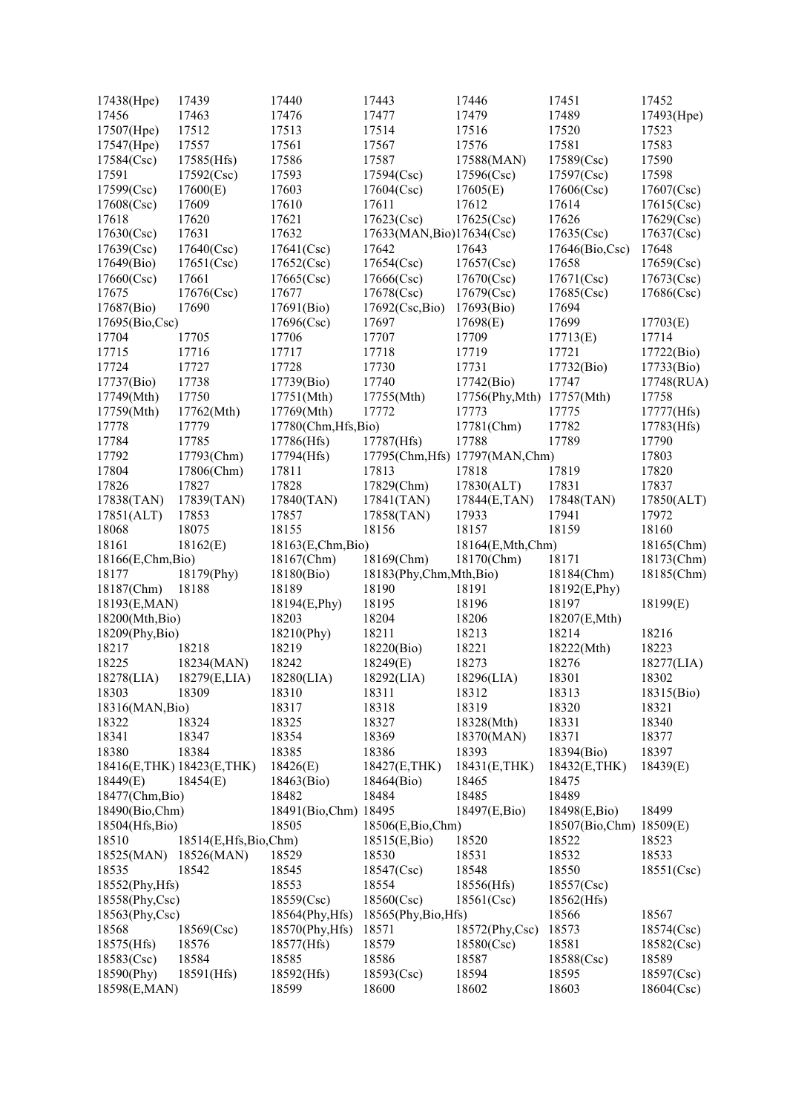| 17438(Hpe)                | 17439                | 17440                    | 17443                                | 17446                           | 17451                   | 17452                    |
|---------------------------|----------------------|--------------------------|--------------------------------------|---------------------------------|-------------------------|--------------------------|
| 17456                     | 17463                | 17476                    | 17477                                | 17479                           | 17489                   | 17493(Hpe)               |
| 17507(Hpe)                | 17512                | 17513                    | 17514                                | 17516                           | 17520                   | 17523                    |
| 17547(Hpe)                | 17557                | 17561                    | 17567                                | 17576                           | 17581                   | 17583                    |
| 17584(Csc)                | 17585(Hfs)           | 17586                    | 17587                                | 17588(MAN)                      | 17589(Csc)              | 17590                    |
| 17591                     | 17592(Csc)           | 17593                    | 17594(Csc)                           | 17596(Csc)                      | 17597(Csc)              | 17598                    |
| 17599(Csc)                | 17600(E)             | 17603                    | 17604(Csc)                           | 17605(E)                        | 17606(Csc)              | 17607(Csc)               |
| 17608(Csc)                | 17609                | 17610                    | 17611                                | 17612                           | 17614                   | 17615(Csc)               |
| 17618                     | 17620                | 17621                    | 17623(Csc)                           | 17625(Csc)                      | 17626                   | 17629(Csc)               |
| 17630(Csc)                | 17631                | 17632                    | 17633(MAN, Bio)17634(Csc)            |                                 | 17635(Csc)              | 17637(Csc)               |
| 17639(Csc)                | 17640(Csc)           | 17641(Csc)               | 17642                                | 17643                           | 17646(Bio,Csc)          | 17648                    |
| 17649(Bio)                | 17651(Csc)           | 17652(Csc)               | 17654(Csc)                           | 17657(Csc)                      | 17658                   | 17659(Csc)               |
| 17660(Csc)                | 17661                | 17665(Csc)               | 17666(Csc)                           | 17670(Csc)                      | 17671(Csc)              | 17673(Csc)               |
| 17675                     | 17676(Csc)           | 17677                    | 17678(Csc)                           | 17679(Csc)                      | 17685(Csc)              | 17686(Csc)               |
| 17687(Bio)                | 17690                | 17691(Bio)               | 17692(Csc,Bio)                       | 17693(Bio)                      | 17694                   |                          |
| 17695(Bio,Csc)            |                      | 17696(Csc)               | 17697                                | 17698(E)                        | 17699                   | 17703(E)                 |
| 17704                     | 17705                | 17706                    | 17707                                | 17709                           | 17713(E)                | 17714                    |
| 17715                     | 17716                | 17717                    | 17718                                | 17719                           | 17721                   | 17722(Bio)               |
| 17724                     | 17727                | 17728                    | 17730                                | 17731                           | 17732(Bio)              | 17733(Bio)               |
| 17737(Bio)                | 17738                | 17739(Bio)               | 17740                                | 17742(Bio)                      | 17747                   | 17748(RUA)               |
| 17749(Mth)                | 17750                | 17751(Mth)               | 17755(Mth)                           | 17756(Phy,Mth)                  | 17757(Mth)              | 17758                    |
| 17759(Mth)                | 17762(Mth)           | 17769(Mth)               | 17772                                | 17773                           | 17775                   | 17777(Hfs)               |
| 17778                     | 17779                | 17780(Chm, Hfs, Bio)     |                                      | 17781(Chm)                      | 17782                   | 17783(Hfs)               |
| 17784                     | 17785                | 17786(Hfs)               | 17787(Hfs)                           | 17788                           | 17789                   | 17790                    |
| 17792                     | 17793(Chm)           | 17794(Hfs)               |                                      | 17795(Chm, Hfs) 17797(MAN, Chm) |                         | 17803                    |
| 17804                     | 17806(Chm)           | 17811                    | 17813                                | 17818                           | 17819                   | 17820                    |
| 17826                     | 17827                | 17828                    | 17829(Chm)                           | 17830(ALT)                      | 17831                   | 17837                    |
| 17838(TAN)                | 17839(TAN)           | 17840(TAN)               | 17841(TAN)                           | 17844(E,TAN)                    | 17848(TAN)              | 17850(ALT)               |
| 17851(ALT)                | 17853                | 17857                    | 17858(TAN)                           | 17933                           | 17941                   | 17972                    |
|                           | 18075                | 18155                    |                                      | 18157                           | 18159                   | 18160                    |
| 18068<br>18161            |                      |                          | 18156                                |                                 |                         |                          |
|                           | 18162(E)             | 18163(E,Chm,Bio)         |                                      | 18164(E,Mth,Chm)                | 18171                   | 18165(Chm)<br>18173(Chm) |
| 18166(E,Chm,Bio)<br>18177 | 18179(Phy)           | 18167(Chm)<br>18180(Bio) | 18169(Chm)<br>18183(Phy,Chm,Mth,Bio) | 18170(Chm)                      |                         |                          |
|                           | 18188                | 18189                    | 18190                                |                                 | 18184(Chm)              | 18185(Chm)               |
| 18187(Chm)                |                      |                          |                                      | 18191<br>18196                  | 18192(E,Phy)<br>18197   |                          |
| 18193(E,MAN)              |                      | 18194(E,Phy)             | 18195                                |                                 |                         | 18199(E)                 |
| 18200(Mth,Bio)            |                      | 18203                    | 18204                                | 18206                           | 18207(E,Mth)            |                          |
| 18209(Phy,Bio)            |                      | 18210(Phy)               | 18211                                | 18213                           | 18214                   | 18216                    |
| 18217                     | 18218                | 18219                    | 18220(Bio)                           | 18221                           | 18222(Mth)              | 18223                    |
| 18225                     | 18234(MAN)           | 18242                    | 18249(E)                             | 18273                           | 18276                   | 18277(LIA)               |
| 18278(LIA)                | 18279(E,LIA)         | 18280(LIA)               | 18292(LIA)                           | 18296(LIA)                      | 18301                   | 18302                    |
| 18303                     | 18309                | 18310                    | 18311                                | 18312                           | 18313                   | 18315(Bio)               |
| 18316(MAN, Bio)           |                      | 18317                    | 18318                                | 18319                           | 18320                   | 18321                    |
| 18322                     | 18324                | 18325                    | 18327                                | 18328(Mth)                      | 18331                   | 18340                    |
| 18341                     | 18347                | 18354                    | 18369                                | 18370(MAN)                      | 18371                   | 18377                    |
| 18380                     | 18384                | 18385                    | 18386                                | 18393                           | 18394(Bio)              | 18397                    |
| 18416(E,THK) 18423(E,THK) |                      | 18426(E)                 | 18427(E,THK)                         | 18431(E,THK)                    | 18432(E,THK)            | 18439(E)                 |
| 18449(E)                  | 18454(E)             | 18463(Bio)               | 18464(Bio)                           | 18465                           | 18475                   |                          |
| 18477(Chm, Bio)           |                      | 18482                    | 18484                                | 18485                           | 18489                   |                          |
| 18490(Bio,Chm)            |                      | 18491(Bio,Chm) 18495     |                                      | 18497(E,Bio)                    | 18498(E,Bio)            | 18499                    |
| 18504(Hfs,Bio)            |                      | 18505                    | 18506(E,Bio,Chm)                     |                                 | 18507(Bio,Chm) 18509(E) |                          |
| 18510                     | 18514(E,Hfs,Bio,Chm) |                          | 18515(E,Bio)                         | 18520                           | 18522                   | 18523                    |
| 18525(MAN)                | 18526(MAN)           | 18529                    | 18530                                | 18531                           | 18532                   | 18533                    |
| 18535                     | 18542                | 18545                    | 18547(Csc)                           | 18548                           | 18550                   | 18551(Csc)               |
| 18552(Phy, Hfs)           |                      | 18553                    | 18554                                | 18556(Hfs)                      | 18557(Csc)              |                          |
| 18558(Phy,Csc)            |                      | 18559(Csc)               | 18560(Csc)                           | 18561(Csc)                      | 18562(Hfs)              |                          |
| 18563(Phy,Csc)            |                      | 18564(Phy, Hfs)          | 18565(Phy,Bio,Hfs)                   |                                 | 18566                   | 18567                    |
| 18568                     | 18569(Csc)           | 18570(Phy, Hfs)          | 18571                                | 18572(Phy,Csc)                  | 18573                   | 18574(Csc)               |
| 18575(Hfs)                | 18576                | 18577(Hfs)               | 18579                                | 18580(Csc)                      | 18581                   | 18582(Csc)               |
| 18583(Csc)                | 18584                | 18585                    | 18586                                | 18587                           | 18588(Csc)              | 18589                    |
| 18590(Phy)                | 18591(Hfs)           | 18592(Hfs)               | 18593(Csc)                           | 18594                           | 18595                   | 18597(Csc)               |
| 18598(E,MAN)              |                      | 18599                    | 18600                                | 18602                           | 18603                   | 18604(Csc)               |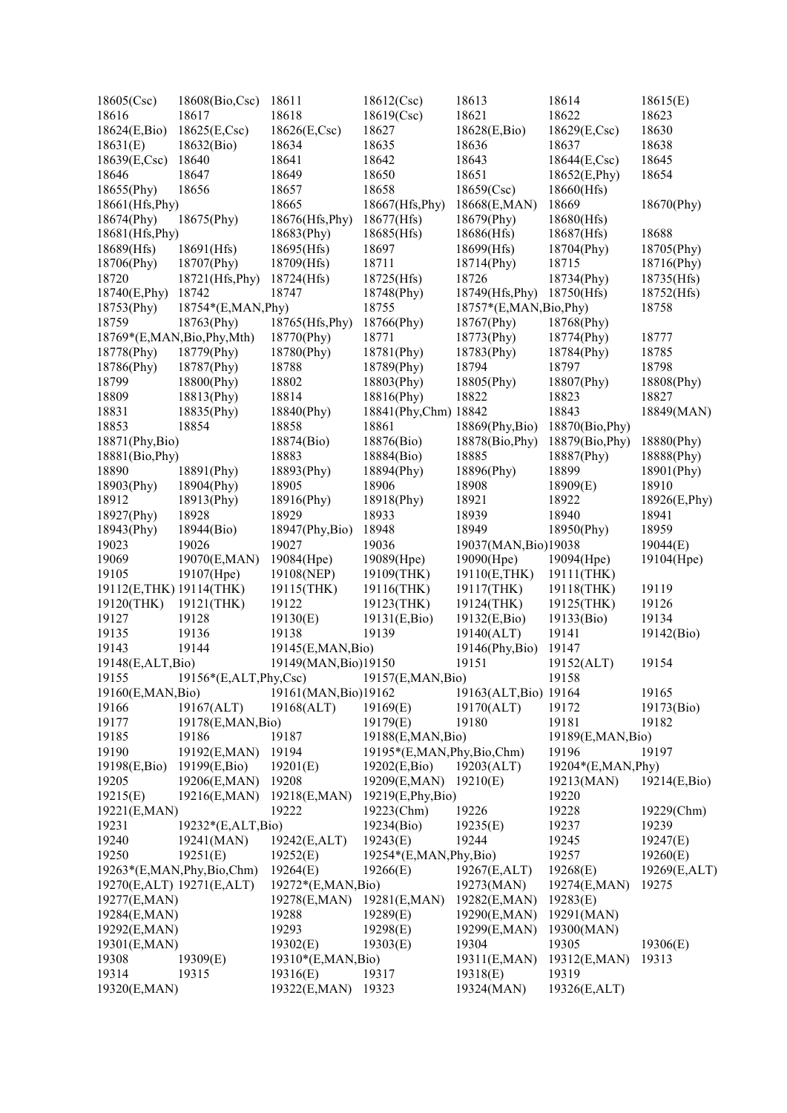| 18605(Csc)                | 18608(Bio,Csc)            | 18611                | 18612(Csc)                | 18613                   | 18614                  | 18615(E)     |
|---------------------------|---------------------------|----------------------|---------------------------|-------------------------|------------------------|--------------|
| 18616                     | 18617                     | 18618                | 18619(Csc)                | 18621                   | 18622                  | 18623        |
| 18624(E,Bio)              | 18625(E,Csc)              | 18626(E,Csc)         | 18627                     | 18628(E,Bio)            | 18629(E,Csc)           | 18630        |
| 18631(E)                  | 18632(Bio)                | 18634                | 18635                     | 18636                   | 18637                  | 18638        |
| $18639(E, \text{Csc})$    | 18640                     | 18641                | 18642                     | 18643                   | $18644(E, \text{Csc})$ | 18645        |
| 18646                     | 18647                     | 18649                | 18650                     | 18651                   | 18652(E,Phy)           | 18654        |
| 18655(Phy)                | 18656                     | 18657                | 18658                     | 18659(Csc)              | 18660(Hfs)             |              |
| 18661(Hfs, Phy)           |                           | 18665                | 18667(Hfs, Phy)           | 18668(E,MAN)            | 18669                  | 18670(Phy)   |
| 18674(Phy)                | 18675(Phy)                | 18676(Hfs,Phy)       | 18677(Hfs)                | 18679(Phy)              | 18680(Hfs)             |              |
| 18681(Hfs, Phy)           |                           | 18683(Phy)           | 18685(Hfs)                | 18686(Hfs)              | 18687(Hfs)             | 18688        |
| 18689(Hfs)                | 18691(Hfs)                | 18695(Hfs)           | 18697                     | 18699(Hfs)              | 18704(Phy)             | 18705(Phy)   |
|                           |                           |                      | 18711                     |                         | 18715                  |              |
| 18706(Phy)                | 18707(Phy)                | 18709(Hfs)           |                           | 18714(Phy)              |                        | 18716(Phy)   |
| 18720                     | 18721(Hfs, Phy)           | 18724(Hfs)           | 18725(Hfs)                | 18726                   | 18734(Phy)             | 18735(Hfs)   |
| 18740(E,Phy)              | 18742                     | 18747                | 18748(Phy)                | 18749(Hfs, Phy)         | 18750(Hfs)             | 18752(Hfs)   |
| 18753(Phy)                | 18754*(E,MAN,Phy)         |                      | 18755                     | 18757*(E,MAN, Bio, Phy) |                        | 18758        |
| 18759                     | 18763(Phy)                | 18765(Hfs,Phy)       | 18766(Phy)                | 18767(Phy)              | 18768(Phy)             |              |
| 18769*(E,MAN,Bio,Phy,Mth) |                           | 18770(Phy)           | 18771                     | 18773(Phy)              | 18774(Phy)             | 18777        |
| 18778(Phy)                | 18779(Phy)                | 18780(Phy)           | 18781(Phy)                | 18783(Phy)              | 18784(Phy)             | 18785        |
| 18786(Phy)                | 18787(Phy)                | 18788                | 18789(Phy)                | 18794                   | 18797                  | 18798        |
| 18799                     | 18800(Phy)                | 18802                | 18803(Phy)                | 18805(Phy)              | 18807(Phy)             | 18808(Phy)   |
| 18809                     | 18813(Phy)                | 18814                | 18816(Phy)                | 18822                   | 18823                  | 18827        |
| 18831                     | 18835(Phy)                | 18840(Phy)           | 18841(Phy,Chm) 18842      |                         | 18843                  | 18849(MAN)   |
| 18853                     | 18854                     | 18858                | 18861                     | 18869(Phy,Bio)          | 18870(Bio, Phy)        |              |
| 18871(Phy,Bio)            |                           | 18874(Bio)           | 18876(Bio)                | 18878(Bio, Phy)         | 18879(Bio, Phy)        | 18880(Phy)   |
| 18881(Bio, Phy)           |                           | 18883                | 18884(Bio)                | 18885                   | 18887(Phy)             | 18888(Phy)   |
| 18890                     | 18891(Phy)                | 18893(Phy)           | 18894(Phy)                | 18896(Phy)              | 18899                  | 18901(Phy)   |
| 18903(Phy)                | 18904(Phy)                | 18905                | 18906                     | 18908                   | 18909(E)               | 18910        |
| 18912                     | 18913(Phy)                | 18916(Phy)           | 18918(Phy)                | 18921                   | 18922                  | 18926(E,Phy) |
| 18927(Phy)                | 18928                     | 18929                | 18933                     | 18939                   | 18940                  | 18941        |
| 18943(Phy)                | 18944(Bio)                | 18947(Phy,Bio)       | 18948                     | 18949                   | 18950(Phy)             | 18959        |
| 19023                     | 19026                     | 19027                | 19036                     | 19037(MAN, Bio)19038    |                        | 19044(E)     |
| 19069                     | 19070(E,MAN)              | 19084(Hpe)           | 19089(Hpe)                | 19090(Hpe)              | 19094(Hpe)             | 19104(Hpe)   |
| 19105                     | 19107(Hpe)                | 19108(NEP)           | 19109(THK)                | 19110(E,THK)            | 19111(THK)             |              |
| 19112(E,THK) 19114(THK)   |                           | 19115(THK)           | 19116(THK)                | 19117(THK)              | 19118(THK)             | 19119        |
| 19120(THK)                | $19121$ (THK)             | 19122                | 19123(THK)                | 19124(THK)              | 19125(THK)             | 19126        |
| 19127                     | 19128                     | 19130(E)             | 19131(E,Bio)              | 19132(E,Bio)            | 19133(Bio)             | 19134        |
| 19135                     | 19136                     | 19138                | 19139                     | 19140(ALT)              | 19141                  | 19142(Bio)   |
| 19143                     | 19144                     | 19145(E,MAN,Bio)     |                           | 19146(Phy,Bio)          | 19147                  |              |
| 19148(E,ALT,Bio)          |                           | 19149(MAN, Bio)19150 |                           | 19151                   | 19152(ALT)             | 19154        |
| 19155                     | $19156*(E,ALT, Phy, Csc)$ |                      | 19157(E,MAN,Bio)          |                         | 19158                  |              |
| 19160(E,MAN,Bio)          |                           | 19161(MAN, Bio)19162 |                           | 19163(ALT, Bio) 19164   |                        | 19165        |
| 19166                     | 19167(ALT)                | 19168(ALT)           | 19169(E)                  | 19170(ALT)              | 19172                  | 19173(Bio)   |
| 19177                     | 19178(E,MAN,Bio)          |                      | 19179(E)                  | 19180                   | 19181                  | 19182        |
| 19185                     | 19186                     | 19187                | 19188(E,MAN,Bio)          |                         | 19189(E,MAN,Bio)       |              |
| 19190                     |                           | 19194                | 19195*(E,MAN,Phy,Bio,Chm) |                         | 19196                  | 19197        |
|                           | 19192(E,MAN)              |                      |                           |                         |                        |              |
| 19198(E,Bio)              | 19199(E,Bio)              | 19201(E)             | 19202(E,Bio)              | 19203(ALT)              | 19204*(E,MAN, Phy)     |              |
| 19205                     | 19206(E,MAN)              | 19208                | 19209(E,MAN)              | 19210(E)                | 19213(MAN)             | 19214(E,Bio) |
| 19215(E)                  | 19216(E,MAN)              | 19218(E,MAN)         | 19219(E,Phy,Bio)          |                         | 19220                  |              |
| 19221(E,MAN)              |                           | 19222                | 19223(Chm)                | 19226                   | 19228                  | 19229(Chm)   |
| 19231                     | 19232*(E,ALT,Bio)         |                      | 19234(Bio)                | 19235(E)                | 19237                  | 19239        |
| 19240                     | 19241(MAN)                | 19242(E,ALT)         | 19243(E)                  | 19244                   | 19245                  | 19247(E)     |
| 19250                     | 19251(E)                  | 19252(E)             | 19254*(E,MAN,Phy,Bio)     |                         | 19257                  | 19260(E)     |
| 19263*(E,MAN,Phy,Bio,Chm) |                           | 19264(E)             | 19266(E)                  | 19267(E,ALT)            | 19268(E)               | 19269(E,ALT) |
| 19270(E,ALT) 19271(E,ALT) |                           | 19272*(E,MAN,Bio)    |                           | 19273(MAN)              | 19274(E,MAN)           | 19275        |
| 19277(E,MAN)              |                           | 19278(E,MAN)         | 19281(E,MAN)              | 19282(E,MAN)            | 19283(E)               |              |
| 19284(E,MAN)              |                           | 19288                | 19289(E)                  | 19290(E,MAN)            | 19291(MAN)             |              |
| 19292(E,MAN)              |                           | 19293                | 19298(E)                  | 19299(E,MAN)            | 19300(MAN)             |              |
| 19301(E,MAN)              |                           | 19302(E)             | 19303(E)                  | 19304                   | 19305                  | 19306(E)     |
| 19308                     | 19309(E)                  | 19310*(E,MAN,Bio)    |                           | 19311(E,MAN)            | 19312(E,MAN)           | 19313        |
| 19314                     | 19315                     | 19316(E)             | 19317                     | 19318(E)                | 19319                  |              |
| 19320(E,MAN)              |                           | 19322(E,MAN)         | 19323                     | 19324(MAN)              | 19326(E,ALT)           |              |
|                           |                           |                      |                           |                         |                        |              |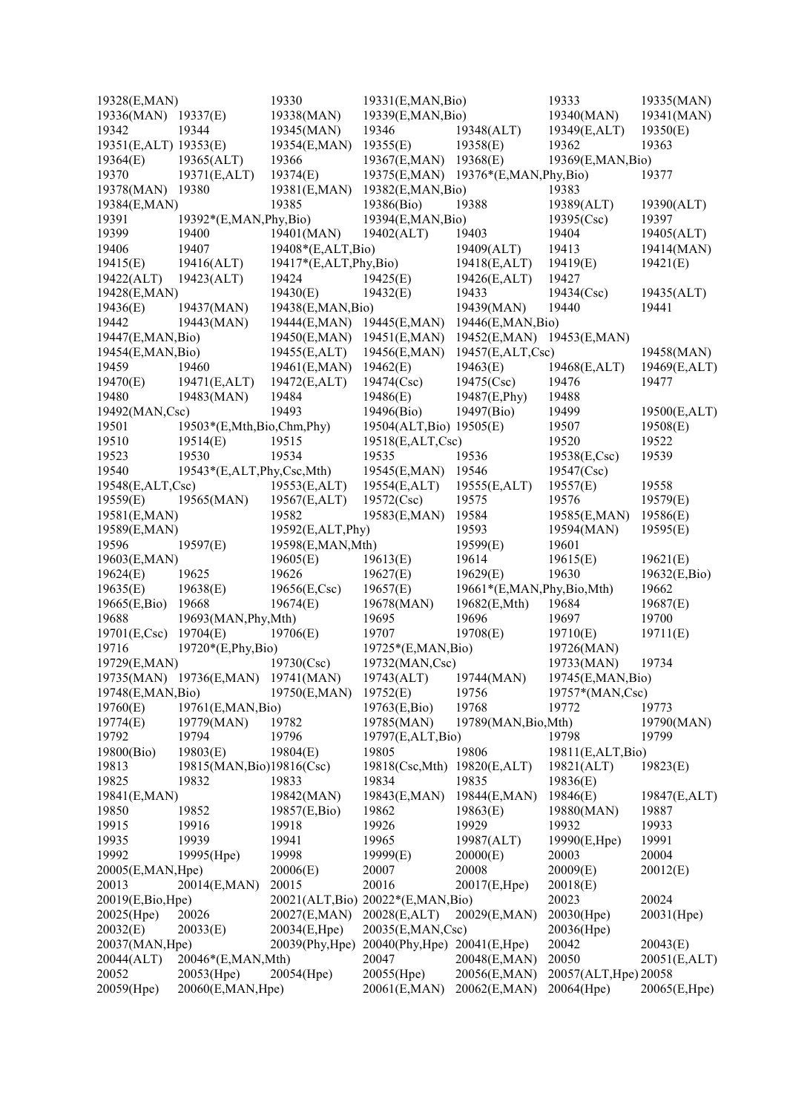| 19328(E,MAN)          |                                    | 19330                     | 19331(E,MAN,Bio)                    |                            | 19333                 | 19335(MAN)   |
|-----------------------|------------------------------------|---------------------------|-------------------------------------|----------------------------|-----------------------|--------------|
| 19336(MAN) 19337(E)   |                                    | 19338(MAN)                | 19339(E,MAN,Bio)                    |                            | 19340(MAN)            | 19341(MAN)   |
| 19342                 | 19344                              | 19345(MAN)                | 19346                               | 19348(ALT)                 | 19349(E,ALT)          | 19350(E)     |
| 19351(E,ALT) 19353(E) |                                    | 19354(E,MAN)              | 19355(E)                            | 19358(E)                   | 19362                 | 19363        |
| 19364(E)              | 19365(ALT)                         | 19366                     | 19367(E,MAN)                        | 19368(E)                   | 19369(E,MAN,Bio)      |              |
| 19370                 | 19371(E,ALT)                       | 19374(E)                  | 19375(E,MAN)                        | $19376*(E, MAN, Phy, Bio)$ |                       | 19377        |
| 19378(MAN)            | 19380                              | 19381(E,MAN)              | 19382(E,MAN,Bio)                    |                            | 19383                 |              |
| 19384(E,MAN)          |                                    | 19385                     | 19386(Bio)                          | 19388                      | 19389(ALT)            | 19390(ALT)   |
| 19391                 | 19392*(E,MAN, Phy, Bio)            |                           | 19394(E,MAN,Bio)                    |                            | 19395(Csc)            | 19397        |
| 19399                 | 19400                              | 19401(MAN)                | 19402(ALT)                          | 19403                      | 19404                 | 19405(ALT)   |
| 19406                 | 19407                              | 19408*(E,ALT,Bio)         |                                     | 19409(ALT)                 | 19413                 | 19414(MAN)   |
| 19415(E)              | 19416(ALT)                         | $19417*(E,ALT, Phy, Bio)$ |                                     | 19418(E,ALT)               | 19419(E)              | 19421(E)     |
| 19422(ALT)            | 19423(ALT)                         | 19424                     | 19425(E)                            | 19426(E,ALT)               | 19427                 |              |
| 19428(E,MAN)          |                                    | 19430(E)                  | 19432(E)                            | 19433                      | 19434(Csc)            | 19435(ALT)   |
| 19436(E)              | 19437(MAN)                         | 19438(E,MAN,Bio)          |                                     | 19439(MAN)                 | 19440                 | 19441        |
| 19442                 |                                    |                           |                                     |                            |                       |              |
|                       | 19443(MAN)                         | 19444(E,MAN)              | 19445(E,MAN)                        | 19446(E,MAN,Bio)           |                       |              |
| 19447(E,MAN,Bio)      |                                    | 19450(E,MAN)              | 19451(E, MAN)                       | 19452(E,MAN) 19453(E,MAN)  |                       |              |
| 19454(E,MAN,Bio)      |                                    | 19455(E,ALT)              | 19456(E,MAN)                        | 19457(E,ALT,Csc)           |                       | 19458(MAN)   |
| 19459                 | 19460                              | 19461(E,MAN)              | 19462(E)                            | 19463(E)                   | 19468(E,ALT)          | 19469(E,ALT) |
| 19470(E)              | 19471(E,ALT)                       | 19472(E,ALT)              | 19474(Csc)                          | 19475(Csc)                 | 19476                 | 19477        |
| 19480                 | 19483(MAN)                         | 19484                     | 19486(E)                            | 19487(E,Phy)               | 19488                 |              |
| 19492(MAN,Csc)        |                                    | 19493                     | 19496(Bio)                          | 19497(Bio)                 | 19499                 | 19500(E,ALT) |
| 19501                 | 19503*(E,Mth,Bio,Chm,Phy)          |                           | 19504(ALT, Bio) 19505(E)            |                            | 19507                 | 19508(E)     |
| 19510                 | 19514(E)                           | 19515                     | 19518(E,ALT,Csc)                    |                            | 19520                 | 19522        |
| 19523                 | 19530                              | 19534                     | 19535                               | 19536                      | 19538(E,Csc)          | 19539        |
| 19540                 | 19543*(E,ALT,Phy,Csc,Mth)          |                           | 19545(E,MAN)                        | 19546                      | 19547(Csc)            |              |
| 19548(E,ALT,Csc)      |                                    | 19553(E,ALT)              | 19554(E,ALT)                        | 19555(E,ALT)               | 19557(E)              | 19558        |
| 19559(E)              | 19565(MAN)                         | 19567(E,ALT)              | 19572(Csc)                          | 19575                      | 19576                 | 19579(E)     |
| 19581(E,MAN)          |                                    | 19582                     | 19583(E,MAN)                        | 19584                      | 19585(E,MAN)          | 19586(E)     |
| 19589(E,MAN)          |                                    | 19592(E,ALT,Phy)          |                                     | 19593                      | 19594(MAN)            | 19595(E)     |
| 19596                 | 19597(E)                           | 19598(E,MAN,Mth)          |                                     | 19599(E)                   | 19601                 |              |
| 19603(E,MAN)          |                                    | 19605(E)                  | 19613(E)                            | 19614                      | 19615(E)              | 19621(E)     |
| 19624(E)              | 19625                              | 19626                     | 19627(E)                            | 19629(E)                   | 19630                 | 19632(E,Bio) |
| 19635(E)              | 19638(E)                           | 19656(E,Csc)              | 19657(E)                            | 19661*(E,MAN,Phy,Bio,Mth)  |                       | 19662        |
| 19665(E,Bio)          | 19668                              | 19674(E)                  | 19678(MAN)                          | 19682(E,Mth)               | 19684                 | 19687(E)     |
| 19688                 | 19693(MAN, Phy, Mth)               |                           | 19695                               | 19696                      | 19697                 | 19700        |
| 19701(E,Csc)          | 19704(E)                           | 19706(E)                  | 19707                               | 19708(E)                   | 19710(E)              | 19711(E)     |
| 19716                 | 19720*(E,Phy,Bio)                  |                           | $19725*(E, MAN, Bio)$               |                            | 19726(MAN)            |              |
| 19729(E,MAN)          |                                    | 19730(Csc)                | 19732(MAN,Csc)                      |                            | 19733(MAN)            | 19734        |
|                       | 19735(MAN) 19736(E,MAN) 19741(MAN) |                           | 19743(ALT)                          | 19744(MAN)                 | 19745(E,MAN,Bio)      |              |
| 19748(E,MAN,Bio)      |                                    | 19750(E,MAN)              | 19752(E)                            | 19756                      | 19757*(MAN,Csc)       |              |
| 19760(E)              | 19761(E,MAN,Bio)                   |                           | 19763(E,Bio)                        | 19768                      | 19772                 | 19773        |
| 19774(E)              | 19779(MAN)                         | 19782                     | 19785(MAN)                          | 19789(MAN, Bio, Mth)       |                       | 19790(MAN)   |
| 19792                 | 19794                              | 19796                     | 19797(E,ALT,Bio)                    |                            | 19798                 | 19799        |
| 19800(Bio)            | 19803(E)                           | 19804(E)                  | 19805                               | 19806                      | 19811(E,ALT,Bio)      |              |
| 19813                 | 19815(MAN, Bio)19816(Csc)          |                           | 19818(Csc,Mth)                      | 19820(E,ALT)               | 19821(ALT)            | 19823(E)     |
| 19825                 | 19832                              | 19833                     | 19834                               | 19835                      | 19836(E)              |              |
| 19841(E,MAN)          |                                    | 19842(MAN)                | 19843(E,MAN)                        | 19844(E,MAN)               | 19846(E)              | 19847(E,ALT) |
| 19850                 | 19852                              | 19857(E,Bio)              | 19862                               | 19863(E)                   | 19880(MAN)            | 19887        |
| 19915                 | 19916                              | 19918                     | 19926                               | 19929                      | 19932                 | 19933        |
| 19935                 | 19939                              | 19941                     | 19965                               |                            |                       | 19991        |
| 19992                 |                                    | 19998                     |                                     | 19987(ALT)                 | 19990(E,Hpe)          | 20004        |
|                       | 19995(Hpe)                         |                           | 19999(E)                            | 20000(E)                   | 20003                 |              |
| 20005(E,MAN,Hpe)      |                                    | 20006(E)                  | 20007                               | 20008                      | 20009(E)              | 20012(E)     |
| 20013                 | 20014(E,MAN)                       | 20015                     | 20016                               | 20017(E,Hpe)               | 20018(E)              |              |
| 20019(E,Bio,Hpe)      |                                    |                           | 20021(ALT, Bio) 20022*(E, MAN, Bio) |                            | 20023                 | 20024        |
| 20025(Hpe)            | 20026                              | 20027(E,MAN)              | 20028(E,ALT)                        | 20029(E,MAN)               | 20030(Hpe)            | 20031(Hpe)   |
| 20032(E)              | 20033(E)                           | 20034(E,Hpe)              | 20035(E,MAN,Csc)                    |                            | 20036(Hpe)            |              |
| 20037(MAN, Hpe)       |                                    | 20039(Phy,Hpe)            | $20040$ (Phy, Hpe)                  | 20041(E,Hpe)               | 20042                 | 20043(E)     |
| 20044(ALT)            | 20046*(E,MAN,Mth)                  |                           | 20047                               | 20048(E,MAN)               | 20050                 | 20051(E,ALT) |
| 20052                 | $20053$ (Hpe)                      | 20054(Hpe)                | 20055(Hpe)                          | 20056(E,MAN)               | 20057(ALT, Hpe) 20058 |              |
| 20059(Hpe)            | 20060(E,MAN,Hpe)                   |                           | 20061(E,MAN)                        | 20062(E,MAN)               | 20064(Hpe)            | 20065(E,Hpe) |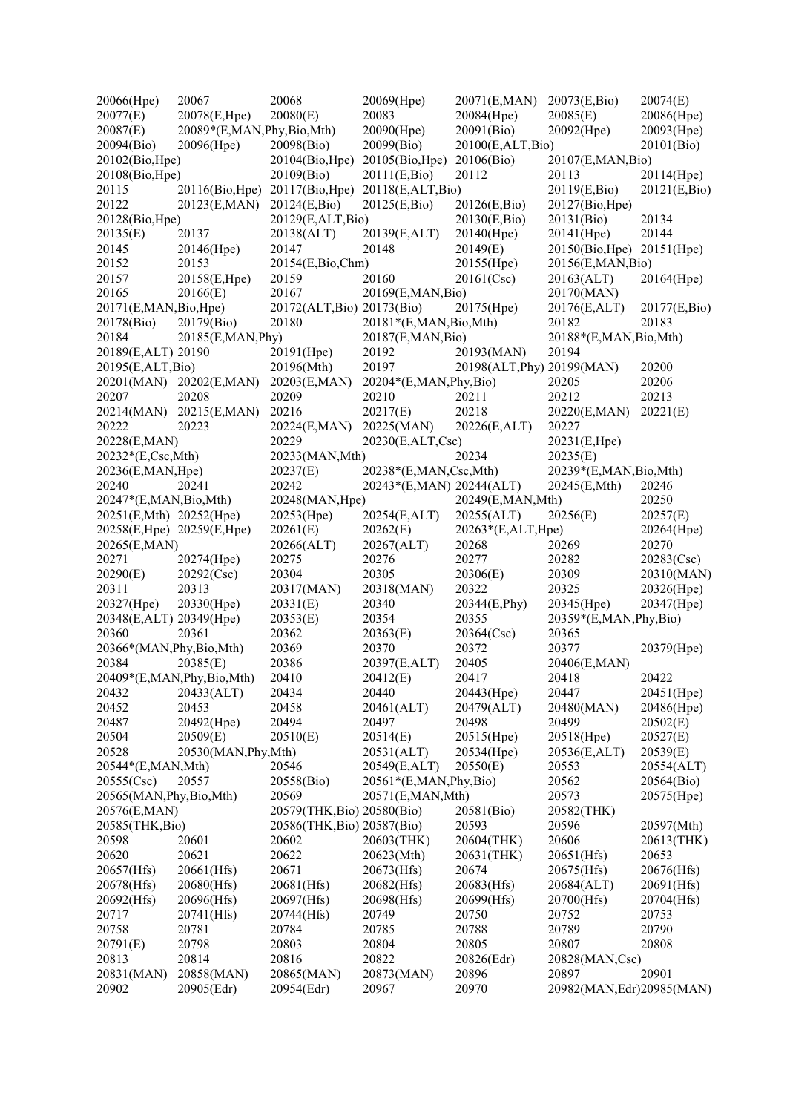| 20066(Hpe)                 | 20067                        | 20068                      | 20069(Hpe)                 | 20071(E,MAN)               | 20073(E,Bio)                | 20074(E)     |
|----------------------------|------------------------------|----------------------------|----------------------------|----------------------------|-----------------------------|--------------|
| 20077(E)                   | 20078(E,Hpe)                 | 20080(E)                   | 20083                      | 20084(Hpe)                 | 20085(E)                    | 20086(Hpe)   |
| 20087(E)                   | 20089*(E,MAN,Phy,Bio,Mth)    |                            | 20090(Hpe)                 | 20091(Bio)                 | 20092(Hpe)                  | 20093(Hpe)   |
| 20094(Bio)                 | 20096(Hpe)                   | 20098(Bio)                 | 20099(Bio)                 | 20100(E,ALT,Bio)           |                             | 20101(Bio)   |
| 20102(Bio, Hpe)            |                              | 20104(Bio, Hpe)            | 20105(Bio, Hpe)            | 20106(Bio)                 | 20107(E,MAN,Bio)            |              |
| 20108(Bio, Hpe)            |                              | 20109(Bio)                 | 20111(E,Bio)               | 20112                      | 20113                       | 20114(Hpe)   |
| 20115                      | 20116(Bio, Hpe)              | 20117(Bio, Hpe)            | 20118(E,ALT,Bio)           |                            | 20119(E,Bio)                | 20121(E,Bio) |
| 20122                      | 20123(E,MAN)                 | 20124(E,Bio)               | 20125(E,Bio)               | 20126(E,Bio)               | 20127(Bio, Hpe)             |              |
| 20128(Bio, Hpe)            |                              | 20129(E,ALT,Bio)           |                            | 20130(E,Bio)               | 20131(Bio)                  | 20134        |
| 20135(E)                   | 20137                        | 20138(ALT)                 | 20139(E,ALT)               | 20140(Hpe)                 | 20141(Hpe)                  | 20144        |
| 20145                      |                              | 20147                      |                            |                            |                             |              |
|                            | 20146(Hpe)                   |                            | 20148                      | 20149(E)                   | 20150(Bio, Hpe) 20151(Hpe)  |              |
| 20152                      | 20153                        | 20154(E,Bio,Chm)           |                            | 20155(Hpe)                 | 20156(E,MAN,Bio)            |              |
| 20157                      | 20158(E,Hpe)                 | 20159                      | 20160                      | 20161(Csc)                 | 20163(ALT)                  | 20164(Hpe)   |
| 20165                      | 20166(E)                     | 20167                      | 20169(E,MAN,Bio)           |                            | 20170(MAN)                  |              |
| 20171(E,MAN, Bio, Hpe)     |                              | 20172(ALT, Bio) 20173(Bio) |                            | 20175(Hpe)                 | 20176(E,ALT)                | 20177(E,Bio) |
| 20178(Bio)                 | 20179(Bio)                   | 20180                      | 20181*(E,MAN, Bio, Mth)    |                            | 20182                       | 20183        |
| 20184                      | 20185(E,MAN, Phy)            |                            | 20187(E,MAN,Bio)           |                            | 20188*(E,MAN, Bio, Mth)     |              |
| 20189(E,ALT) 20190         |                              | 20191(Hpe)                 | 20192                      | 20193(MAN)                 | 20194                       |              |
| 20195(E,ALT,Bio)           |                              | 20196(Mth)                 | 20197                      | 20198(ALT, Phy) 20199(MAN) |                             | 20200        |
|                            | 20201(MAN) 20202(E,MAN)      | 20203(E,MAN)               | 20204*(E,MAN,Phy,Bio)      |                            | 20205                       | 20206        |
| 20207                      | 20208                        | 20209                      | 20210                      | 20211                      | 20212                       | 20213        |
| 20214(MAN)                 | 20215(E,MAN)                 | 20216                      | 20217(E)                   | 20218                      | 20220(E,MAN)                | 20221(E)     |
| 20222                      | 20223                        | 20224(E,MAN)               | 20225(MAN)                 | 20226(E,ALT)               | 20227                       |              |
| 20228(E,MAN)               |                              | 20229                      | 20230(E,ALT,Csc)           |                            | 20231(E,Hpe)                |              |
| 20232*(E,Csc,Mth)          |                              | 20233(MAN, Mth)            |                            | 20234                      | 20235(E)                    |              |
| 20236(E,MAN, Hpe)          |                              | 20237(E)                   | 20238*(E,MAN,Csc,Mth)      |                            | 20239*(E,MAN, Bio, Mth)     |              |
| 20240                      | 20241                        | 20242                      | 20243*(E,MAN) 20244(ALT)   |                            | 20245(E,Mth)                | 20246        |
| 20247*(E,MAN, Bio, Mth)    |                              | 20248(MAN, Hpe)            |                            | 20249(E,MAN,Mth)           |                             | 20250        |
| 20251(E,Mth) 20252(Hpe)    |                              | 20253(Hpe)                 | 20254(E,ALT)               | 20255(ALT)                 | 20256(E)                    | 20257(E)     |
| 20258(E,Hpe) 20259(E,Hpe)  |                              |                            |                            |                            |                             |              |
|                            |                              | 20261(E)                   | 20262(E)                   | 20263*(E,ALT,Hpe)          |                             | 20264(Hpe)   |
| 20265(E,MAN)               |                              | 20266(ALT)                 | 20267(ALT)                 | 20268                      | 20269                       | 20270        |
| 20271                      | 20274(Hpe)                   | 20275                      | 20276                      | 20277                      | 20282                       | 20283(Csc)   |
| 20290(E)                   | 20292(Csc)                   | 20304                      | 20305                      | 20306(E)                   | 20309                       | 20310(MAN)   |
| 20311                      | 20313                        | 20317(MAN)                 | 20318(MAN)                 | 20322                      | 20325                       | 20326(Hpe)   |
| 20327(Hpe)                 | 20330(Hpe)                   | 20331(E)                   | 20340                      | 20344(E,Phy)               | 20345(Hpe)                  | 20347(Hpe)   |
| 20348(E,ALT) 20349(Hpe)    |                              | 20353(E)                   | 20354                      | 20355                      | 20359*(E,MAN, Phy, Bio)     |              |
| 20360                      | 20361                        | 20362                      | 20363(E)                   | 20364(Csc)                 | 20365                       |              |
| 20366*(MAN, Phy, Bio, Mth) |                              | 20369                      | 20370                      | 20372                      | 20377                       | 20379(Hpe)   |
| 20384                      | 20385(E)                     | 20386                      | 20397(E,ALT)               | 20405                      | 20406(E,MAN)                |              |
|                            | 20409*(E,MAN, Phy, Bio, Mth) | 20410                      | 20412(E)                   | 20417                      | 20418                       | 20422        |
| 20432                      | 20433(ALT)                   | 20434                      | 20440                      | 20443(Hpe)                 | 20447                       | 20451(Hpe)   |
| 20452                      | 20453                        | 20458                      | 20461(ALT)                 | 20479(ALT)                 | 20480(MAN)                  | 20486(Hpe)   |
| 20487                      | 20492(Hpe)                   | 20494                      | 20497                      | 20498                      | 20499                       | 20502(E)     |
| 20504                      | 20509(E)                     | 20510(E)                   | 20514(E)                   | 20515(Hpe)                 | 20518(Hpe)                  | 20527(E)     |
| 20528                      | 20530(MAN, Phy, Mth)         |                            | 20531(ALT)                 | 20534(Hpe)                 | 20536(E,ALT)                | 20539(E)     |
| 20544*(E,MAN,Mth)          |                              | 20546                      | 20549(E,ALT)               | 20550(E)                   | 20553                       | 20554(ALT)   |
| 20555(Csc)                 | 20557                        | 20558(Bio)                 | $20561*(E, MAN, Phy, Bio)$ |                            | 20562                       | 20564(Bio)   |
| 20565(MAN, Phy, Bio, Mth)  |                              | 20569                      | 20571(E,MAN,Mth)           |                            | 20573                       | 20575(Hpe)   |
| 20576(E,MAN)               |                              | 20579(THK, Bio) 20580(Bio) |                            | 20581(Bio)                 | 20582(THK)                  |              |
| 20585(THK, Bio)            |                              | 20586(THK, Bio) 20587(Bio) |                            | 20593                      | 20596                       | 20597(Mth)   |
|                            |                              |                            |                            |                            |                             |              |
| 20598                      | 20601                        | 20602                      | 20603(THK)                 | 20604(THK)                 | 20606                       | 20613(THK)   |
| 20620                      | 20621                        | 20622                      | 20623(Mth)                 | 20631(THK)                 | 20651(Hfs)                  | 20653        |
| 20657(Hfs)                 | 20661(Hfs)                   | 20671                      | 20673(Hfs)                 | 20674                      | 20675(Hfs)                  | 20676(Hfs)   |
| 20678(Hfs)                 | 20680(Hfs)                   | 20681(Hfs)                 | 20682(Hfs)                 | 20683(Hfs)                 | 20684(ALT)                  | 20691(Hfs)   |
| 20692(Hfs)                 | 20696(Hfs)                   | 20697(Hfs)                 | 20698(Hfs)                 | 20699(Hfs)                 | 20700(Hfs)                  | 20704(Hfs)   |
| 20717                      | 20741(Hfs)                   | 20744(Hfs)                 | 20749                      | 20750                      | 20752                       | 20753        |
| 20758                      | 20781                        | 20784                      | 20785                      | 20788                      | 20789                       | 20790        |
| 20791(E)                   | 20798                        | 20803                      | 20804                      | 20805                      | 20807                       | 20808        |
| 20813                      | 20814                        | 20816                      | 20822                      | 20826(Edr)                 | 20828(MAN,Csc)              |              |
| 20831(MAN)                 | 20858(MAN)                   | 20865(MAN)                 | 20873(MAN)                 | 20896                      | 20897                       | 20901        |
| 20902                      | 20905(Edr)                   | 20954(Edr)                 | 20967                      | 20970                      | 20982(MAN, Edr) 20985 (MAN) |              |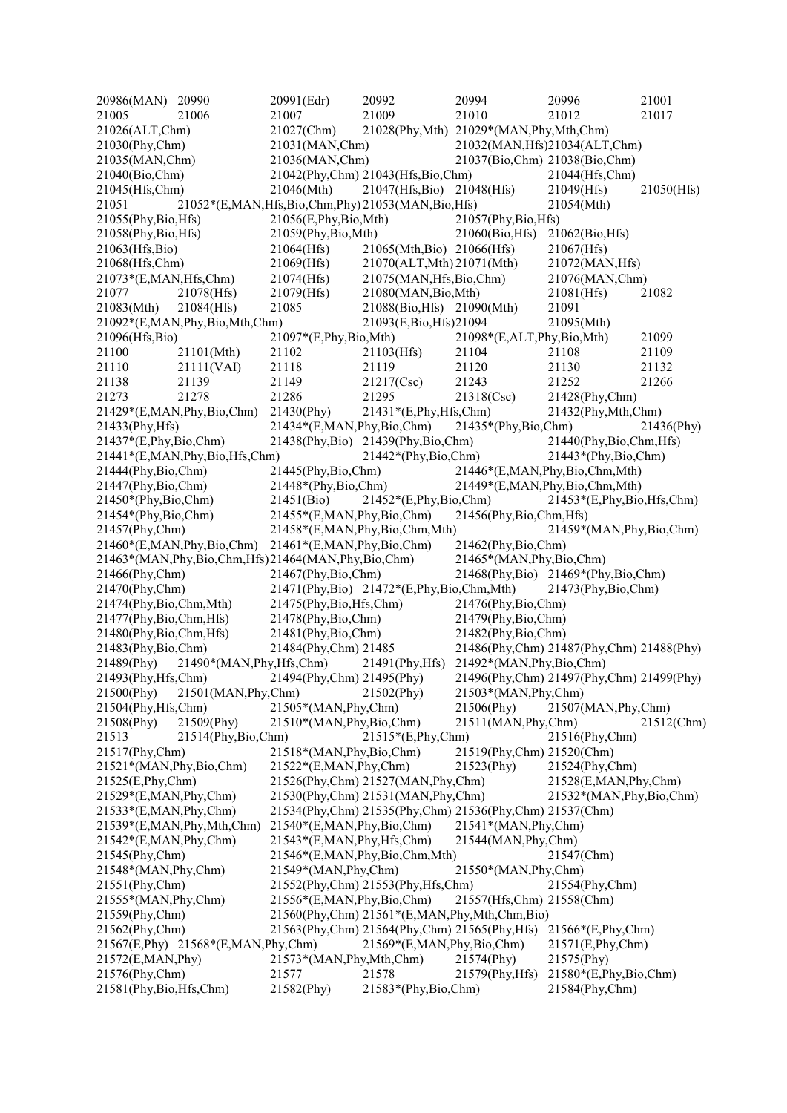20986(MAN) 20990 20991(Edr) 20992 20994 20996 21001 21005 21006 21007 21009 21010 21012 21017 21026(ALT,Chm) 21027(Chm) 21028(Phy,Mth) 21029\*(MAN,Phy,Mth,Chm) 21030(Phy,Chm) 21031(MAN,Chm) 21032(MAN,Hfs)21034(ALT,Chm) 21035(MAN,Chm) 21036(MAN,Chm) 21037(Bio,Chm) 21038(Bio,Chm) 21040(Bio,Chm) 21042(Phy,Chm) 21043(Hfs,Bio,Chm) 21044(Hfs,Chm) 21045(Hfs,Chm) 21046(Mth) 21047(Hfs,Bio) 21048(Hfs) 21049(Hfs) 21050(Hfs) 21051 21052\*(E,MAN,Hfs,Bio,Chm,Phy) 21053(MAN,Bio,Hfs) 21054(Mth) 21055(Phy,Bio,Hfs) 21056(E,Phy,Bio,Mth) 21057(Phy,Bio,Hfs) 21058(Phy,Bio,Hfs) 21059(Phy,Bio,Mth) 21060(Bio,Hfs) 21062(Bio,Hfs) 21063(Hfs,Bio) 21064(Hfs) 21065(Mth,Bio) 21066(Hfs) 21067(Hfs) 21068(Hfs,Chm) 21069(Hfs) 21070(ALT,Mth) 21071(Mth) 21072(MAN,Hfs) 21073\*(E,MAN,Hfs,Chm) 21074(Hfs) 21075(MAN,Hfs,Bio,Chm) 21076(MAN,Chm) 21077 21078(Hfs) 21079(Hfs) 21080(MAN,Bio,Mth) 21081(Hfs) 21082 21083(Mth) 21084(Hfs) 21085 21088(Bio,Hfs) 21090(Mth) 21091 21092\*(E,MAN,Phy,Bio,Mth,Chm) 21093(E,Bio,Hfs) 21094 21095(Mth) 21096(Hfs,Bio) 21097\*(E,Phy,Bio,Mth) 21098\*(E,ALT,Phy,Bio,Mth) 21099 21100 21101(Mth) 21102 21103(Hfs) 21104 21108 21109 21110 21111(VAI) 21118 21119 21120 21130 21132 21138 21139 21149 21217(Csc) 21243 21252 21266 21273 21278 21286 21295 21318(Csc) 21428(Phy,Chm) 21429\*(E,MAN,Phy,Bio,Chm) 21430(Phy) 21431\*(E,Phy,Hfs,Chm) 21432(Phy,Mth,Chm) 21433(Phy,Hfs) 21434\*(E,MAN,Phy,Bio,Chm) 21435\*(Phy,Bio,Chm) 21436(Phy) 21437\*(E,Phy,Bio,Chm) 21438(Phy,Bio) 21439(Phy,Bio,Chm) 21440(Phy,Bio,Chm,Hfs) 21441\*(E,MAN,Phy,Bio,Hfs,Chm) 21442\*(Phy,Bio,Chm) 21443\*(Phy,Bio,Chm) 21444(Phy,Bio,Chm) 21445(Phy,Bio,Chm) 21446\*(E,MAN,Phy,Bio,Chm,Mth) 21447(Phy,Bio,Chm) 21448\*(Phy,Bio,Chm) 21449\*(E,MAN,Phy,Bio,Chm,Mth) 21450\*(Phy,Bio,Chm) 21451(Bio) 21452\*(E,Phy,Bio,Chm) 21453\*(E,Phy,Bio,Hfs,Chm) 21454\*(Phy,Bio,Chm) 21455\*(E,MAN,Phy,Bio,Chm) 21456(Phy,Bio,Chm,Hfs) 21457(Phy,Chm) 21458\*(E,MAN,Phy,Bio,Chm,Mth) 21459\*(MAN,Phy,Bio,Chm) 21460\*(E,MAN,Phy,Bio,Chm) 21461\*(E,MAN,Phy,Bio,Chm) 21462(Phy,Bio,Chm) 21463\*(MAN,Phy,Bio,Chm,Hfs) 21464(MAN,Phy,Bio,Chm) 21465\*(MAN,Phy,Bio,Chm) 21466(Phy,Chm) 21467(Phy,Bio,Chm) 21468(Phy,Bio) 21469\*(Phy,Bio,Chm) 21470(Phy,Chm) 21471(Phy,Bio) 21472\*(E,Phy,Bio,Chm,Mth) 21473(Phy,Bio,Chm) 21474(Phy,Bio,Chm,Mth) 21475(Phy,Bio,Hfs,Chm) 21476(Phy,Bio,Chm) 21477(Phy,Bio,Chm,Hfs) 21478(Phy,Bio,Chm) 21479(Phy,Bio,Chm) 21480(Phy,Bio,Chm,Hfs) 21481(Phy,Bio,Chm) 21482(Phy,Bio,Chm) 21483(Phy,Bio,Chm) 21484(Phy,Chm) 21485 21486(Phy,Chm) 21487(Phy,Chm) 21488(Phy) 21489(Phy) 21490\*(MAN,Phy,Hfs,Chm) 21491(Phy,Hfs) 21492\*(MAN,Phy,Bio,Chm) 21493(Phy,Hfs,Chm) 21494(Phy,Chm) 21495(Phy) 21496(Phy,Chm) 21497(Phy,Chm) 21499(Phy) 21500(Phy) 21501(MAN,Phy,Chm) 21502(Phy) 21503\*(MAN,Phy,Chm) 21504(Phy,Hfs,Chm) 21505\*(MAN,Phy,Chm) 21506(Phy) 21507(MAN,Phy,Chm) 21508(Phy) 21509(Phy) 21510\*(MAN,Phy,Bio,Chm) 21511(MAN,Phy,Chm) 21512(Chm) 21513 21514(Phy,Bio,Chm) 21515\*(E,Phy,Chm) 21516(Phy,Chm) 21517(Phy,Chm) 21518\*(MAN,Phy,Bio,Chm) 21519(Phy,Chm) 21520(Chm) 21521\*(MAN,Phy,Bio,Chm) 21522\*(E,MAN,Phy,Chm) 21523(Phy) 21524(Phy,Chm) 21525(E,Phy,Chm) 21526(Phy,Chm) 21527(MAN,Phy,Chm) 21528(E,MAN,Phy,Chm) 21529\*(E,MAN,Phy,Chm) 21530(Phy,Chm) 21531(MAN,Phy,Chm) 21532\*(MAN,Phy,Bio,Chm) 21533\*(E,MAN,Phy,Chm) 21534(Phy,Chm) 21535(Phy,Chm) 21536(Phy,Chm) 21537(Chm) 21539\*(E,MAN,Phy,Mth,Chm) 21540\*(E,MAN,Phy,Bio,Chm) 21541\*(MAN,Phy,Chm) 21542\*(E,MAN,Phy,Chm) 21543\*(E,MAN,Phy,Hfs,Chm) 21544(MAN,Phy,Chm) 21545(Phy,Chm) 21546\*(E,MAN,Phy,Bio,Chm,Mth) 21548\*(MAN,Phy,Chm) 21547(<br>21548\*(MAN,Phy,Chm) 21549\*(MAN,Phy,Chm) 21550\*(MAN,Phy,Chm) 21548\*(MAN,Phy,Chm) 21549\*(MAN,Phy,Chm) 21551(Phy,Chm) 21552(Phy,Chm) 21553(Phy,Hfs,Chm) 21554(Phy,Chm) 21555\*(MAN,Phy,Chm) 21556\*(E,MAN,Phy,Bio,Chm) 21557(Hfs,Chm) 21558(Chm) 21559(Phy,Chm) 21560(Phy,Chm) 21561\*(E,MAN,Phy,Mth,Chm,Bio) 21562(Phy,Chm) 21563(Phy,Chm) 21564(Phy,Chm) 21565(Phy,Hfs) 21566\*(E,Phy,Chm) 21567(E,Phy) 21568\*(E,MAN,Phy,Chm) 21569\*(E,MAN,Phy,Bio,Chm) 21571(E,Phy,Chm) 21572(E,MAN,Phy) 21573\*(MAN,Phy,Mth,Chm) 21574(Phy) 21575(Phy) 21576(Phy,Chm) 21577 21578 21579(Phy,Hfs) 21580\*(E,Phy,Bio,Chm) 21581(Phy,Bio,Hfs,Chm) 21582(Phy) 21583\*(Phy,Bio,Chm) 21584(Phy,Chm)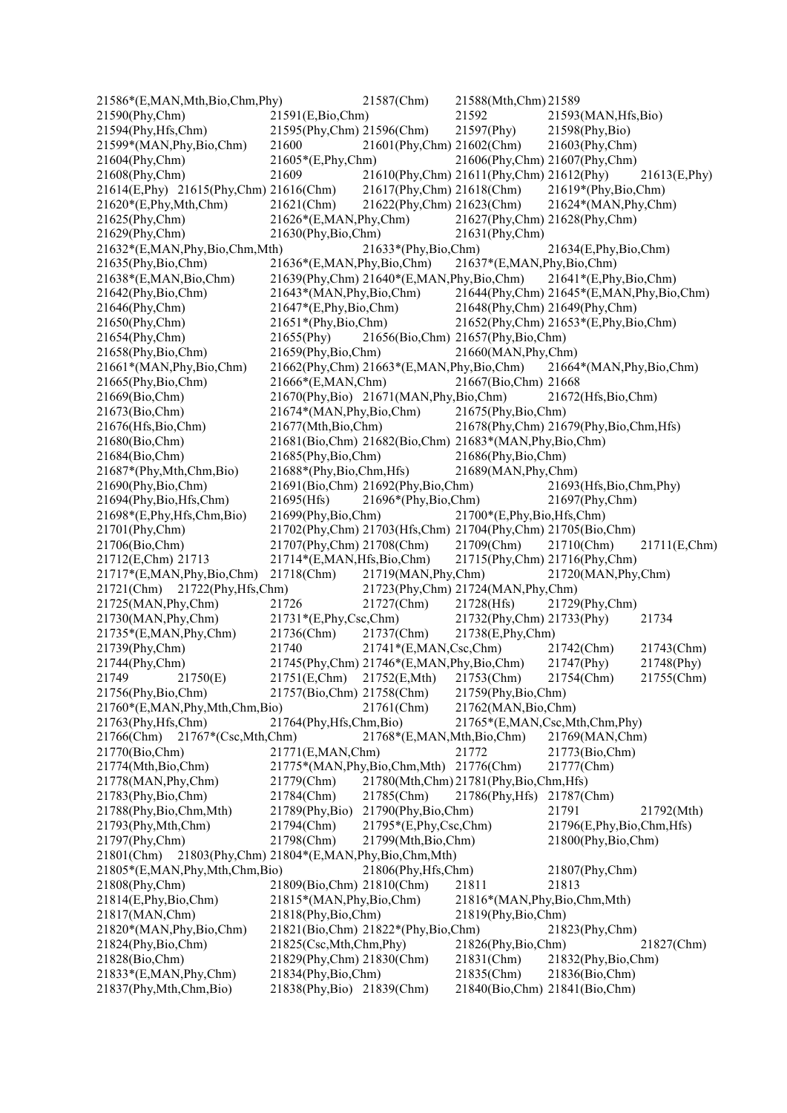| 21586*(E,MAN,Mth,Bio,Chm,Phy)                              |                              | 21587(Chm)                                                 | 21588(Mth,Chm) 21589                                        |                                          |              |
|------------------------------------------------------------|------------------------------|------------------------------------------------------------|-------------------------------------------------------------|------------------------------------------|--------------|
| 21590(Phy,Chm)                                             | 21591(E,Bio,Chm)             |                                                            | 21592                                                       | 21593(MAN, Hfs, Bio)                     |              |
| 21594(Phy, Hfs, Chm)                                       | 21595(Phy,Chm) 21596(Chm)    |                                                            | 21597(Phy)                                                  | 21598(Phy,Bio)                           |              |
| 21599*(MAN, Phy, Bio, Chm)                                 | 21600                        | 21601(Phy,Chm) 21602(Chm)                                  |                                                             | 21603(Phy,Chm)                           |              |
| 21604(Phy,Chm)                                             | 21605*(E,Phy,Chm)            |                                                            |                                                             | 21606(Phy,Chm) 21607(Phy,Chm)            |              |
| 21608(Phy,Chm)                                             | 21609                        |                                                            | 21610(Phy,Chm) 21611(Phy,Chm) 21612(Phy)                    |                                          | 21613(E,Phy) |
| 21614(E,Phy) 21615(Phy,Chm) 21616(Chm)                     |                              | 21617(Phy,Chm) 21618(Chm)                                  |                                                             | 21619*(Phy,Bio,Chm)                      |              |
| $21620*(E, Phy, Mth, Chm)$                                 | $21621$ (Chm)                | 21622(Phy,Chm) 21623(Chm)                                  |                                                             | 21624*(MAN, Phy, Chm)                    |              |
| $21625$ (Phy,Chm)                                          | $21626*(E, MAN, Phy,Chm)$    |                                                            |                                                             | 21627(Phy,Chm) 21628(Phy,Chm)            |              |
| 21629(Phy,Chm)                                             | 21630(Phy,Bio,Chm)           |                                                            | 21631(Phy,Chm)                                              |                                          |              |
| 21632*(E,MAN, Phy, Bio, Chm, Mth)                          |                              | $21633*(Phys,Bio,Chm)$                                     |                                                             | 21634(E,Phy,Bio,Chm)                     |              |
| $21635$ (Phy,Bio,Chm)                                      | 21636*(E,MAN,Phy,Bio,Chm)    |                                                            | 21637*(E,MAN,Phy,Bio,Chm)                                   |                                          |              |
| 21638*(E,MAN, Bio, Chm)                                    |                              | 21639(Phy,Chm) 21640*(E,MAN,Phy,Bio,Chm)                   |                                                             | $21641*(E, Phy, Bio, Chm)$               |              |
| 21642(Phy,Bio,Chm)                                         | 21643*(MAN, Phy, Bio, Chm)   |                                                            |                                                             | 21644(Phy,Chm) 21645*(E,MAN,Phy,Bio,Chm) |              |
| 21646(Phy,Chm)                                             | 21647*(E,Phy,Bio,Chm)        |                                                            |                                                             | 21648(Phy,Chm) 21649(Phy,Chm)            |              |
| 21650(Phy,Chm)                                             | $21651*(Phys,Bio,Chm)$       |                                                            |                                                             | 21652(Phy,Chm) 21653*(E,Phy,Bio,Chm)     |              |
| 21654(Phy,Chm)                                             | 21655(Phy)                   |                                                            | 21656(Bio,Chm) 21657(Phy,Bio,Chm)                           |                                          |              |
| 21658(Phy,Bio,Chm)                                         | 21659(Phy,Bio,Chm)           |                                                            | 21660(MAN, Phy, Chm)                                        |                                          |              |
| 21661*(MAN, Phy, Bio, Chm)                                 |                              | $21662$ (Phy,Chm) $21663$ <sup>*</sup> (E,MAN,Phy,Bio,Chm) |                                                             | 21664*(MAN, Phy, Bio, Chm)               |              |
| 21665(Phy,Bio,Chm)                                         | 21666*(E,MAN,Chm)            |                                                            | 21667(Bio,Chm) 21668                                        |                                          |              |
| 21669(Bio,Chm)                                             |                              | 21670(Phy,Bio) 21671(MAN,Phy,Bio,Chm)                      |                                                             | 21672(Hfs,Bio,Chm)                       |              |
| 21673(Bio,Chm)                                             | $21674*(MAN, Phy, Bio, Chm)$ |                                                            | 21675(Phy,Bio,Chm)                                          |                                          |              |
| 21676(Hfs, Bio, Chm)                                       | 21677(Mth,Bio,Chm)           |                                                            |                                                             | 21678(Phy,Chm) 21679(Phy,Bio,Chm,Hfs)    |              |
| 21680(Bio,Chm)                                             |                              |                                                            | 21681(Bio,Chm) 21682(Bio,Chm) 21683*(MAN,Phy,Bio,Chm)       |                                          |              |
| 21684(Bio,Chm)                                             | $21685$ (Phy,Bio,Chm)        |                                                            | 21686(Phy,Bio,Chm)                                          |                                          |              |
| 21687*(Phy,Mth,Chm,Bio)                                    | 21688*(Phy,Bio,Chm,Hfs)      |                                                            | 21689(MAN, Phy, Chm)                                        |                                          |              |
| 21690(Phy,Bio,Chm)                                         |                              | 21691(Bio,Chm) 21692(Phy,Bio,Chm)                          |                                                             | 21693(Hfs, Bio, Chm, Phy)                |              |
| 21694(Phy,Bio,Hfs,Chm)                                     | 21695(Hfs)                   | 21696*(Phy,Bio,Chm)                                        |                                                             | 21697(Phy,Chm)                           |              |
| 21698*(E,Phy,Hfs,Chm,Bio)                                  | 21699(Phy,Bio,Chm)           |                                                            | 21700*(E,Phy,Bio,Hfs,Chm)                                   |                                          |              |
| 21701(Phy,Chm)                                             |                              |                                                            | 21702(Phy,Chm) 21703(Hfs,Chm) 21704(Phy,Chm) 21705(Bio,Chm) |                                          |              |
| 21706(Bio,Chm)                                             | 21707(Phy,Chm) 21708(Chm)    |                                                            | $21709$ (Chm)                                               | 21710(Chm)                               | 21711(E,Chm) |
| 21712(E,Chm) 21713                                         | 21714*(E,MAN,Hfs,Bio,Chm)    |                                                            |                                                             | 21715(Phy,Chm) 21716(Phy,Chm)            |              |
| $21717*(E, MAN, Phy, Bio, Chm)$                            | 21718(Chm)                   | 21719(MAN, Phy, Chm)                                       |                                                             | 21720(MAN, Phy, Chm)                     |              |
| 21721(Chm) 21722(Phy, Hfs, Chm)                            |                              |                                                            | 21723(Phy,Chm) 21724(MAN,Phy,Chm)                           |                                          |              |
| 21725(MAN, Phy, Chm)                                       | 21726                        | 21727(Chm)                                                 | 21728(Hfs)                                                  | $21729$ (Phy,Chm)                        |              |
| 21730(MAN, Phy, Chm)                                       | $21731*(E, Phy, Csc, Chm)$   |                                                            | 21732(Phy,Chm) 21733(Phy)                                   |                                          | 21734        |
| $21735*(E, MAN, Phy,Chm)$                                  | 21736(Chm)                   | 21737(Chm)                                                 | 21738(E,Phy,Chm)                                            |                                          |              |
| 21739(Phy,Chm)                                             | 21740                        | $21741*(E, MAN, Csc, Chm)$                                 |                                                             | 21742(Chm)                               | 21743(Chm)   |
| 21744(Phy,Chm)                                             |                              | 21745(Phy,Chm) 21746*(E,MAN,Phy,Bio,Chm)                   |                                                             | 21747(Phy)                               | 21748(Phy)   |
| 21749<br>21750(E)                                          | 21751(E,Chm)                 | 21752(E, Mth)                                              | 21753(Chm)                                                  | 21754(Chm)                               | 21755(Chm)   |
| 21756(Phy,Bio,Chm)                                         | 21757(Bio,Chm) 21758(Chm)    |                                                            | 21759(Phy,Bio,Chm)                                          |                                          |              |
| 21760*(E,MAN,Phy,Mth,Chm,Bio)                              |                              | 21761(Chm)                                                 | 21762(MAN, Bio, Chm)                                        |                                          |              |
| $21763$ (Phy, Hfs, Chm)                                    | 21764(Phy, Hfs, Chm, Bio)    |                                                            |                                                             | 21765*(E,MAN,Csc,Mth,Chm,Phy)            |              |
| $21767*(Csc,Mth,Chm)$<br>21766(Chm)                        |                              | 21768*(E,MAN,Mth,Bio,Chm)                                  |                                                             | 21769(MAN,Chm)                           |              |
| 21770(Bio,Chm)                                             | 21771(E,MAN,Chm)             |                                                            | 21772                                                       | 21773(Bio,Chm)                           |              |
| 21774(Mth,Bio,Chm)                                         |                              | 21775*(MAN, Phy, Bio, Chm, Mth) 21776(Chm)                 |                                                             | 21777(Chm)                               |              |
| 21778(MAN, Phy, Chm)                                       | 21779(Chm)                   |                                                            | 21780(Mth,Chm) 21781(Phy,Bio,Chm,Hfs)                       |                                          |              |
| 21783(Phy,Bio,Chm)                                         | 21784(Chm)                   | 21785(Chm)                                                 | 21786(Phy, Hfs)                                             | 21787(Chm)                               |              |
| 21788(Phy,Bio,Chm,Mth)                                     | 21789(Phy,Bio)               | 21790(Phy,Bio,Chm)                                         |                                                             | 21791                                    | 21792(Mth)   |
| 21793(Phy, Mth, Chm)                                       | 21794(Chm)                   | 21795*(E,Phy,Csc,Chm)                                      |                                                             | 21796(E,Phy,Bio,Chm,Hfs)                 |              |
| 21797(Phy,Chm)                                             | 21798(Chm)                   | 21799(Mth,Bio,Chm)                                         |                                                             | 21800(Phy,Bio,Chm)                       |              |
| 21803(Phy,Chm) 21804*(E,MAN,Phy,Bio,Chm,Mth)<br>21801(Chm) |                              |                                                            |                                                             |                                          |              |
| 21805*(E,MAN, Phy, Mth, Chm, Bio)                          |                              | 21806(Phy, Hfs, Chm)                                       |                                                             | 21807(Phy,Chm)                           |              |
| 21808(Phy,Chm)                                             | 21809(Bio,Chm) 21810(Chm)    |                                                            | 21811                                                       | 21813                                    |              |
| 21814(E,Phy,Bio,Chm)                                       | 21815*(MAN, Phy, Bio, Chm)   |                                                            | 21816*(MAN, Phy, Bio, Chm, Mth)                             |                                          |              |
| 21817(MAN,Chm)                                             | 21818(Phy,Bio,Chm)           |                                                            | 21819(Phy,Bio,Chm)                                          |                                          |              |
| 21820*(MAN, Phy, Bio, Chm)                                 |                              | 21821(Bio,Chm) 21822*(Phy,Bio,Chm)                         |                                                             | 21823(Phy,Chm)                           |              |
| 21824(Phy,Bio,Chm)                                         | 21825(Csc,Mth,Chm,Phy)       |                                                            | 21826(Phy,Bio,Chm)                                          |                                          | 21827(Chm)   |
| 21828(Bio,Chm)                                             | 21829(Phy,Chm) 21830(Chm)    |                                                            | 21831(Chm)                                                  | 21832(Phy,Bio,Chm)                       |              |
| 21833*(E,MAN,Phy,Chm)                                      | 21834(Phy,Bio,Chm)           |                                                            | 21835(Chm)                                                  | 21836(Bio,Chm)                           |              |
| 21837(Phy, Mth, Chm, Bio)                                  | 21838(Phy,Bio) 21839(Chm)    |                                                            | 21840(Bio,Chm) 21841(Bio,Chm)                               |                                          |              |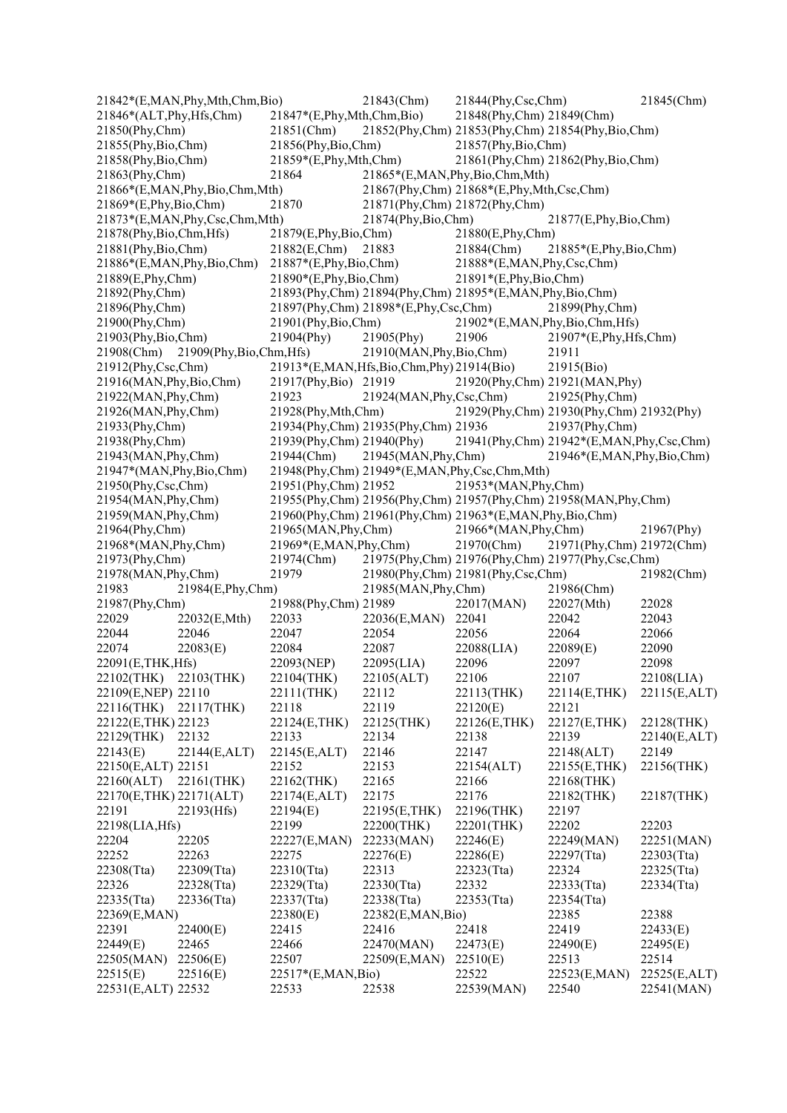|                                                   | 21842*(E,MAN, Phy, Mth, Chm, Bio)    |                                 | 21843(Chm)                               | 21844(Phy,Csc,Chm)                                              |                                   | 21845(Chm)   |
|---------------------------------------------------|--------------------------------------|---------------------------------|------------------------------------------|-----------------------------------------------------------------|-----------------------------------|--------------|
| 21846*(ALT, Phy, Hfs, Chm)                        |                                      | $21847*(E, Phy, Mth, Chm, Bio)$ |                                          | 21848(Phy,Chm) 21849(Chm)                                       |                                   |              |
| 21850(Phy,Chm)                                    |                                      | $21851$ (Chm)                   |                                          | 21852(Phy,Chm) 21853(Phy,Chm) 21854(Phy,Bio,Chm)                |                                   |              |
| $21855$ (Phy, Bio, Chm)                           |                                      | 21856(Phy,Bio,Chm)              |                                          | 21857(Phy,Bio,Chm)                                              |                                   |              |
| 21858(Phy,Bio,Chm)                                |                                      | $21859*(E, Phy, Mth, Chm)$      |                                          |                                                                 | 21861(Phy,Chm) 21862(Phy,Bio,Chm) |              |
| 21863(Phy,Chm)                                    |                                      | 21864                           |                                          | 21865*(E,MAN,Phy,Bio,Chm,Mth)                                   |                                   |              |
|                                                   | 21866*(E,MAN,Phy,Bio,Chm,Mth)        |                                 |                                          | 21867(Phy,Chm) 21868*(E,Phy,Mth,Csc,Chm)                        |                                   |              |
| $21869*(E, Phy, Bio, Chm)$                        |                                      | 21870                           |                                          | 21871(Phy,Chm) 21872(Phy,Chm)                                   |                                   |              |
|                                                   | 21873*(E,MAN, Phy, Csc, Chm, Mth)    |                                 | 21874(Phy,Bio,Chm)                       |                                                                 | 21877(E,Phy,Bio,Chm)              |              |
| 21878(Phy,Bio,Chm,Hfs)                            |                                      | 21879(E, Phy, Bio, Chm)         |                                          | 21880(E,Phy,Chm)                                                |                                   |              |
| 21881(Phy,Bio,Chm)                                |                                      | 21882(E,Chm)                    | 21883                                    | $21884$ (Chm)                                                   | 21885*(E,Phy,Bio,Chm)             |              |
|                                                   | 21886*(E,MAN,Phy,Bio,Chm)            | $21887*(E, Phy, Bio, Chm)$      |                                          | 21888*(E,MAN,Phy,Csc,Chm)                                       |                                   |              |
| 21889(E,Phy,Chm)                                  |                                      | $21890*(E, Phy, Bio, Chm)$      |                                          | $21891*(E, Phy, Bio, Chm)$                                      |                                   |              |
| 21892(Phy,Chm)                                    |                                      |                                 |                                          | 21893(Phy,Chm) 21894(Phy,Chm) 21895*(E,MAN,Phy,Bio,Chm)         |                                   |              |
| 21896(Phy,Chm)                                    |                                      |                                 | 21897(Phy,Chm) 21898*(E,Phy,Csc,Chm)     |                                                                 | 21899(Phy,Chm)                    |              |
| 21900(Phy,Chm)                                    |                                      | 21901(Phy,Bio,Chm)              |                                          |                                                                 | 21902*(E,MAN,Phy,Bio,Chm,Hfs)     |              |
| 21903(Phy,Bio,Chm)                                |                                      | 21904(Phy)                      | 21905(Phy)                               | 21906                                                           | 21907*(E,Phy,Hfs,Chm)             |              |
|                                                   | 21908(Chm) 21909(Phy, Bio, Chm, Hfs) |                                 | 21910(MAN, Phy, Bio, Chm)                |                                                                 | 21911                             |              |
| $21912$ (Phy,Csc,Chm)                             |                                      |                                 | 21913*(E,MAN,Hfs,Bio,Chm,Phy) 21914(Bio) |                                                                 | 21915(Bio)                        |              |
|                                                   |                                      |                                 |                                          |                                                                 | 21920(Phy,Chm) 21921(MAN,Phy)     |              |
| 21916(MAN, Phy, Bio, Chm)<br>21922(MAN, Phy, Chm) |                                      | 21917(Phy,Bio) 21919            |                                          |                                                                 |                                   |              |
|                                                   |                                      | 21923                           | 21924(MAN, Phy, Csc, Chm)                |                                                                 | 21925(Phy,Chm)                    |              |
| 21926(MAN, Phy, Chm)                              |                                      | 21928(Phy, Mth, Chm)            |                                          | 21929(Phy,Chm) 21930(Phy,Chm) 21932(Phy)                        |                                   |              |
| 21933(Phy,Chm)                                    |                                      |                                 | 21934(Phy,Chm) 21935(Phy,Chm) 21936      |                                                                 | 21937(Phy,Chm)                    |              |
| 21938(Phy,Chm)                                    |                                      | 21939(Phy,Chm) 21940(Phy)       |                                          | 21941(Phy,Chm) 21942*(E,MAN,Phy,Csc,Chm)                        |                                   |              |
| 21943(MAN, Phy, Chm)                              |                                      | 21944(Chm)                      | $21945$ (MAN, Phy, Chm)                  |                                                                 | 21946*(E,MAN,Phy,Bio,Chm)         |              |
| 21947*(MAN, Phy, Bio, Chm)                        |                                      |                                 |                                          | 21948(Phy,Chm) 21949*(E,MAN,Phy,Csc,Chm,Mth)                    |                                   |              |
| 21950(Phy,Csc,Chm)                                |                                      | 21951(Phy,Chm) 21952            |                                          | 21953*(MAN, Phy, Chm)                                           |                                   |              |
| 21954(MAN, Phy, Chm)                              |                                      |                                 |                                          | 21955(Phy,Chm) 21956(Phy,Chm) 21957(Phy,Chm) 21958(MAN,Phy,Chm) |                                   |              |
| 21959(MAN, Phy, Chm)                              |                                      |                                 |                                          | 21960(Phy,Chm) 21961(Phy,Chm) 21963*(E,MAN,Phy,Bio,Chm)         |                                   |              |
| 21964(Phy,Chm)                                    |                                      | 21965(MAN, Phy, Chm)            |                                          | 21966*(MAN, Phy, Chm)                                           |                                   | 21967(Phy)   |
| 21968*(MAN, Phy, Chm)                             |                                      | 21969*(E,MAN,Phy,Chm)           |                                          | $21970$ (Chm)                                                   | 21971(Phy,Chm) 21972(Chm)         |              |
| 21973(Phy,Chm)                                    |                                      | 21974(Chm)                      |                                          | 21975(Phy,Chm) 21976(Phy,Chm) 21977(Phy,Csc,Chm)                |                                   |              |
| 21978(MAN, Phy, Chm)                              |                                      | 21979                           |                                          | 21980(Phy,Chm) 21981(Phy,Csc,Chm)                               |                                   | 21982(Chm)   |
| 21983                                             | 21984(E,Phy,Chm)                     |                                 | 21985(MAN, Phy, Chm)                     |                                                                 | 21986(Chm)                        |              |
| 21987(Phy,Chm)                                    |                                      | 21988(Phy,Chm) 21989            |                                          | 22017(MAN)                                                      | 22027(Mth)                        | 22028        |
| 22029                                             | 22032(E,Mth)                         | 22033                           | 22036(E,MAN)                             | 22041                                                           | 22042                             | 22043        |
| 22044                                             | 22046                                | 22047                           | 22054                                    | 22056                                                           | 22064                             | 22066        |
| 22074                                             | 22083(E)                             | 22084                           | 22087                                    | 22088(LIA)                                                      | 22089(E)                          | 22090        |
| 22091(E,THK, Hfs)                                 |                                      | 22093(NEP)                      | 22095(LIA)                               | 22096                                                           | 22097                             | 22098        |
| 22102(THK) 22103(THK)                             |                                      | 22104(THK)                      | 22105(ALT)                               | 22106                                                           | 22107                             | 22108(LIA)   |
| 22109(E,NEP) 22110                                |                                      | 22111(THK)                      | 22112                                    | 22113(THK)                                                      | 22114(E,THK)                      | 22115(E,ALT) |
| 22116(THK)                                        | 22117(THK)                           | 22118                           | 22119                                    | 22120(E)                                                        | 22121                             |              |
| 22122(E, THK) 22123                               |                                      | 22124(E,THK)                    | 22125(THK)                               | 22126(E,THK)                                                    | 22127(E,THK)                      | 22128(THK)   |
| 22129(THK)                                        | 22132                                | 22133                           | 22134                                    | 22138                                                           | 22139                             | 22140(E,ALT) |
| 22143(E)                                          | 22144(E,ALT)                         | 22145(E,ALT)                    | 22146                                    | 22147                                                           | 22148(ALT)                        | 22149        |
| 22150(E,ALT) 22151                                |                                      | 22152                           | 22153                                    | 22154(ALT)                                                      | 22155(E,THK)                      | 22156(THK)   |
| 22160(ALT)                                        | 22161(THK)                           | 22162(THK)                      | 22165                                    | 22166                                                           | 22168(THK)                        |              |
| 22170(E,THK) 22171(ALT)                           |                                      | 22174(E,ALT)                    | 22175                                    | 22176                                                           | 22182(THK)                        | 22187(THK)   |
| 22191                                             | 22193(Hfs)                           | 22194(E)                        | 22195(E,THK)                             | 22196(THK)                                                      | 22197                             |              |
| 22198(LIA, Hfs)                                   |                                      | 22199                           | 22200(THK)                               | 22201(THK)                                                      | 22202                             | 22203        |
| 22204                                             | 22205                                | 22227(E,MAN)                    | 22233(MAN)                               | 22246(E)                                                        | 22249(MAN)                        | 22251(MAN)   |
| 22252                                             | 22263                                | 22275                           | 22276(E)                                 | 22286(E)                                                        | 22297(Tta)                        | 22303(Tta)   |
| 22308(Tta)                                        | 22309(Tta)                           | 22310(Tta)                      | 22313                                    | 22323(Tta)                                                      | 22324                             | 22325(Tta)   |
| 22326                                             | 22328(Tta)                           | 22329(Tta)                      | 22330(Tta)                               | 22332                                                           | 22333(Tta)                        | 22334(Tta)   |
| $22335$ (Tta)                                     | 22336(Tta)                           | 22337(Tta)                      | 22338(Tta)                               | $22353$ (Tta)                                                   | 22354(Tta)                        |              |
| 22369(E,MAN)                                      |                                      | 22380(E)                        | 22382(E,MAN,Bio)                         |                                                                 | 22385                             | 22388        |
| 22391                                             | 22400(E)                             | 22415                           | 22416                                    | 22418                                                           | 22419                             | 22433(E)     |
| 22449(E)                                          | 22465                                | 22466                           | 22470(MAN)                               | 22473(E)                                                        | 22490(E)                          | 22495(E)     |
| 22505(MAN)                                        | 22506(E)                             | 22507                           | 22509(E,MAN)                             | 22510(E)                                                        | 22513                             | 22514        |
| 22515(E)                                          | 22516(E)                             | 22517*(E,MAN,Bio)               |                                          | 22522                                                           | 22523(E,MAN)                      | 22525(E,ALT) |
| 22531(E,ALT) 22532                                |                                      | 22533                           | 22538                                    | 22539(MAN)                                                      | 22540                             | 22541(MAN)   |
|                                                   |                                      |                                 |                                          |                                                                 |                                   |              |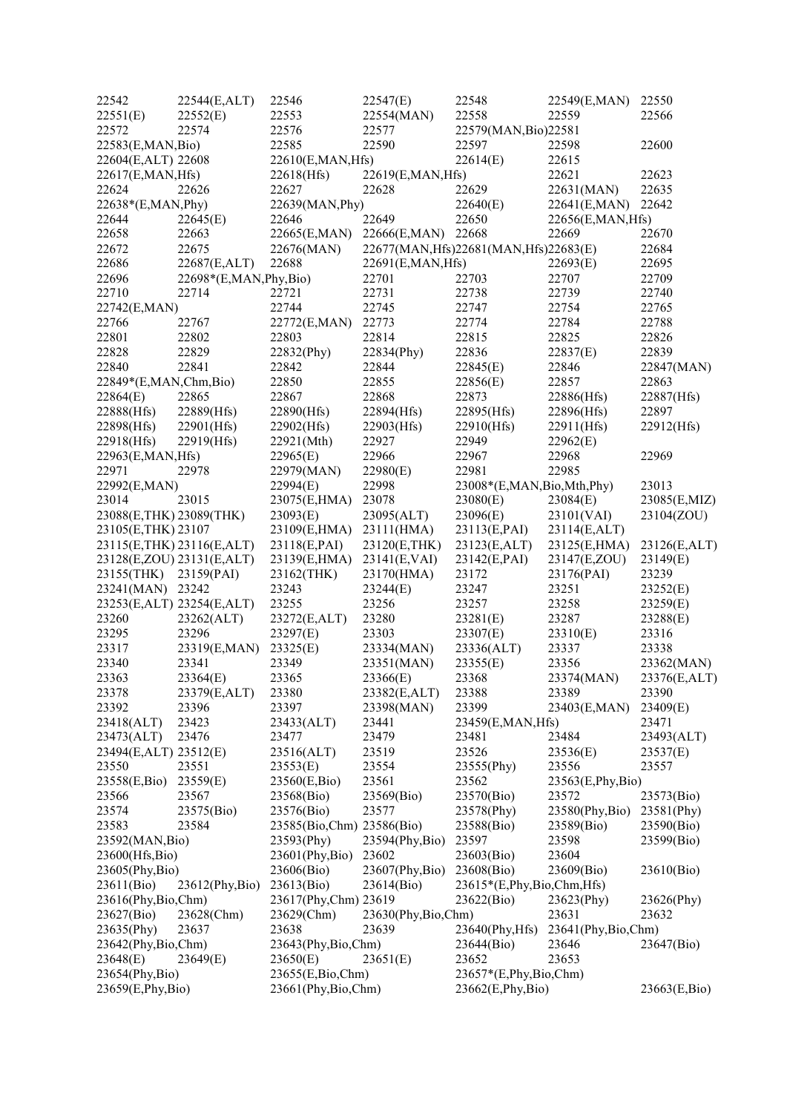| 22542                    | 22544(E,ALT)              | 22546                     | 22547(E)           | 22548                                  | 22549(E,MAN)       | 22550        |
|--------------------------|---------------------------|---------------------------|--------------------|----------------------------------------|--------------------|--------------|
| 22551(E)                 | 22552(E)                  | 22553                     | 22554(MAN)         | 22558                                  | 22559              | 22566        |
| 22572                    | 22574                     | 22576                     | 22577              | 22579(MAN, Bio) 22581                  |                    |              |
| 22583(E,MAN,Bio)         |                           | 22585                     | 22590              | 22597                                  | 22598              | 22600        |
| 22604(E,ALT) 22608       |                           | 22610(E,MAN,Hfs)          |                    | 22614(E)                               | 22615              |              |
| 22617(E,MAN,Hfs)         |                           | 22618(Hfs)                | 22619(E,MAN, Hfs)  |                                        | 22621              | 22623        |
| 22624                    | 22626                     | 22627                     | 22628              | 22629                                  | 22631(MAN)         | 22635        |
| 22638*(E,MAN,Phy)        |                           | 22639(MAN, Phy)           |                    | 22640(E)                               | 22641(E,MAN)       | 22642        |
| 22644                    | 22645(E)                  | 22646                     | 22649              | 22650                                  | 22656(E,MAN,Hfs)   |              |
| 22658                    | 22663                     | 22665(E,MAN)              | 22666(E,MAN)       | 22668                                  | 22669              | 22670        |
| 22672                    | 22675                     | 22676(MAN)                |                    | 22677(MAN, Hfs)22681(MAN, Hfs)22683(E) |                    | 22684        |
| 22686                    | 22687(E,ALT)              | 22688                     | 22691(E,MAN, Hfs)  |                                        | 22693(E)           | 22695        |
| 22696                    | 22698*(E,MAN,Phy,Bio)     |                           | 22701              | 22703                                  | 22707              | 22709        |
| 22710                    | 22714                     | 22721                     | 22731              | 22738                                  | 22739              | 22740        |
| 22742(E,MAN)             |                           | 22744                     | 22745              | 22747                                  | 22754              | 22765        |
| 22766                    | 22767                     | 22772(E,MAN)              | 22773              | 22774                                  | 22784              | 22788        |
| 22801                    | 22802                     | 22803                     | 22814              | 22815                                  | 22825              | 22826        |
| 22828                    | 22829                     | 22832(Phy)                | 22834(Phy)         | 22836                                  | 22837(E)           | 22839        |
| 22840                    | 22841                     | 22842                     | 22844              | 22845(E)                               | 22846              | 22847(MAN)   |
| 22849*(E,MAN,Chm,Bio)    |                           | 22850                     | 22855              | 22856(E)                               | 22857              | 22863        |
| 22864(E)                 | 22865                     | 22867                     | 22868              | 22873                                  | 22886(Hfs)         | 22887(Hfs)   |
| 22888(Hfs)               | 22889(Hfs)                | 22890(Hfs)                | 22894(Hfs)         | 22895(Hfs)                             | 22896(Hfs)         | 22897        |
| 22898(Hfs)               | 22901(Hfs)                | 22902(Hfs)                | 22903(Hfs)         | 22910(Hfs)                             | 22911(Hfs)         | 22912(Hfs)   |
| 22918(Hfs)               | 22919(Hfs)                | 22921(Mth)                | 22927              | 22949                                  | 22962(E)           |              |
| 22963(E,MAN,Hfs)         |                           | 22965(E)                  | 22966              | 22967                                  | 22968              | 22969        |
| 22971                    | 22978                     | 22979(MAN)                | 22980(E)           | 22981                                  | 22985              |              |
| 22992(E,MAN)             |                           | 22994(E)                  | 22998              | 23008*(E,MAN,Bio,Mth,Phy)              |                    | 23013        |
| 23014                    | 23015                     | 23075(E,HMA)              | 23078              | 23080(E)                               | 23084(E)           | 23085(E,MIZ) |
| 23088(E, THK) 23089(THK) |                           | 23093(E)                  | 23095(ALT)         | 23096(E)                               | 23101(VAI)         | 23104(ZOU)   |
| 23105(E,THK) 23107       |                           | 23109(E,HMA)              | 23111(HMA)         | 23113(E,PAI)                           | 23114(E,ALT)       |              |
|                          | 23115(E,THK) 23116(E,ALT) | 23118(E,PAI)              | 23120(E,THK)       | 23123(E,ALT)                           | 23125(E,HMA)       | 23126(E,ALT) |
|                          | 23128(E,ZOU) 23131(E,ALT) | 23139(E,HMA)              | 23141(E, VAI)      | 23142(E,PAI)                           | 23147(E,ZOU)       | 23149(E)     |
| 23155(THK) 23159(PAI)    |                           | 23162(THK)                | 23170(HMA)         | 23172                                  | 23176(PAI)         | 23239        |
| 23241(MAN) 23242         |                           | 23243                     | 23244(E)           | 23247                                  | 23251              | 23252(E)     |
|                          |                           | 23255                     | 23256              | 23257                                  | 23258              | 23259(E)     |
| 23260                    | 23253(E,ALT) 23254(E,ALT) |                           | 23280              | 23281(E)                               | 23287              |              |
|                          | 23262(ALT)                | 23272(E,ALT)              | 23303              |                                        |                    | 23288(E)     |
| 23295                    | 23296                     | 23297(E)                  |                    | 23307(E)                               | 23310(E)           | 23316        |
| 23317                    | 23319(E,MAN)              | 23325(E)                  | 23334(MAN)         | 23336(ALT)                             | 23337              | 23338        |
| 23340                    | 23341                     | 23349                     | 23351(MAN)         | 23355(E)                               | 23356              | 23362(MAN)   |
| 23363                    | 23364(E)                  | 23365                     | 23366(E)           | 23368                                  | 23374(MAN)         | 23376(E,ALT) |
| 23378                    | 23379(E,ALT)              | 23380                     | 23382(E,ALT)       | 23388                                  | 23389              | 23390        |
| 23392                    | 23396                     | 23397                     | 23398(MAN)         | 23399                                  | 23403(E,MAN)       | 23409(E)     |
| 23418(ALT)               | 23423                     | 23433(ALT)                | 23441              | 23459(E,MAN, Hfs)                      |                    | 23471        |
| 23473(ALT)               | 23476                     | 23477                     | 23479              | 23481                                  | 23484              | 23493(ALT)   |
| 23494(E,ALT) 23512(E)    |                           | 23516(ALT)                | 23519              | 23526                                  | 23536(E)           | 23537(E)     |
| 23550                    | 23551                     | 23553(E)                  | 23554              | 23555(Phy)                             | 23556              | 23557        |
| 23558(E,Bio)             | 23559(E)                  | 23560(E,Bio)              | 23561              | 23562                                  | 23563(E, Phy, Bio) |              |
| 23566                    | 23567                     | 23568(Bio)                | 23569(Bio)         | 23570(Bio)                             | 23572              | 23573(Bio)   |
| 23574                    | 23575(Bio)                | 23576(Bio)                | 23577              | 23578(Phy)                             | 23580(Phy,Bio)     | 23581(Phy)   |
| 23583                    | 23584                     | 23585(Bio,Chm) 23586(Bio) |                    | 23588(Bio)                             | 23589(Bio)         | 23590(Bio)   |
| 23592(MAN, Bio)          |                           | 23593(Phy)                | 23594(Phy,Bio)     | 23597                                  | 23598              | 23599(Bio)   |
| 23600(Hfs,Bio)           |                           | $23601$ (Phy,Bio)         | 23602              | 23603(Bio)                             | 23604              |              |
| 23605(Phy,Bio)           |                           | 23606(Bio)                | 23607(Phy,Bio)     | 23608(Bio)                             | 23609(Bio)         | 23610(Bio)   |
| 23611(Bio)               | $23612$ (Phy,Bio)         | 23613(Bio)                | 23614(Bio)         | 23615*(E,Phy,Bio,Chm,Hfs)              |                    |              |
| 23616(Phy,Bio,Chm)       |                           | 23617(Phy,Chm) 23619      |                    | 23622(Bio)                             | 23623(Phy)         | 23626(Phy)   |
| 23627(Bio)               | 23628(Chm)                | 23629(Chm)                | 23630(Phy,Bio,Chm) |                                        | 23631              | 23632        |
| 23635(Phy)               | 23637                     | 23638                     | 23639              | $23640$ (Phy, Hfs)                     | 23641(Phy,Bio,Chm) |              |
| 23642(Phy,Bio,Chm)       |                           | 23643(Phy,Bio,Chm)        |                    | 23644(Bio)                             | 23646              | 23647(Bio)   |
| 23648(E)                 | 23649(E)                  | 23650(E)                  | 23651(E)           | 23652                                  | 23653              |              |
| 23654(Phy,Bio)           |                           | 23655(E,Bio,Chm)          |                    | 23657*(E,Phy,Bio,Chm)                  |                    |              |
| 23659(E,Phy,Bio)         |                           | 23661(Phy,Bio,Chm)        |                    | 23662(E, Phy, Bio)                     |                    | 23663(E,Bio) |
|                          |                           |                           |                    |                                        |                    |              |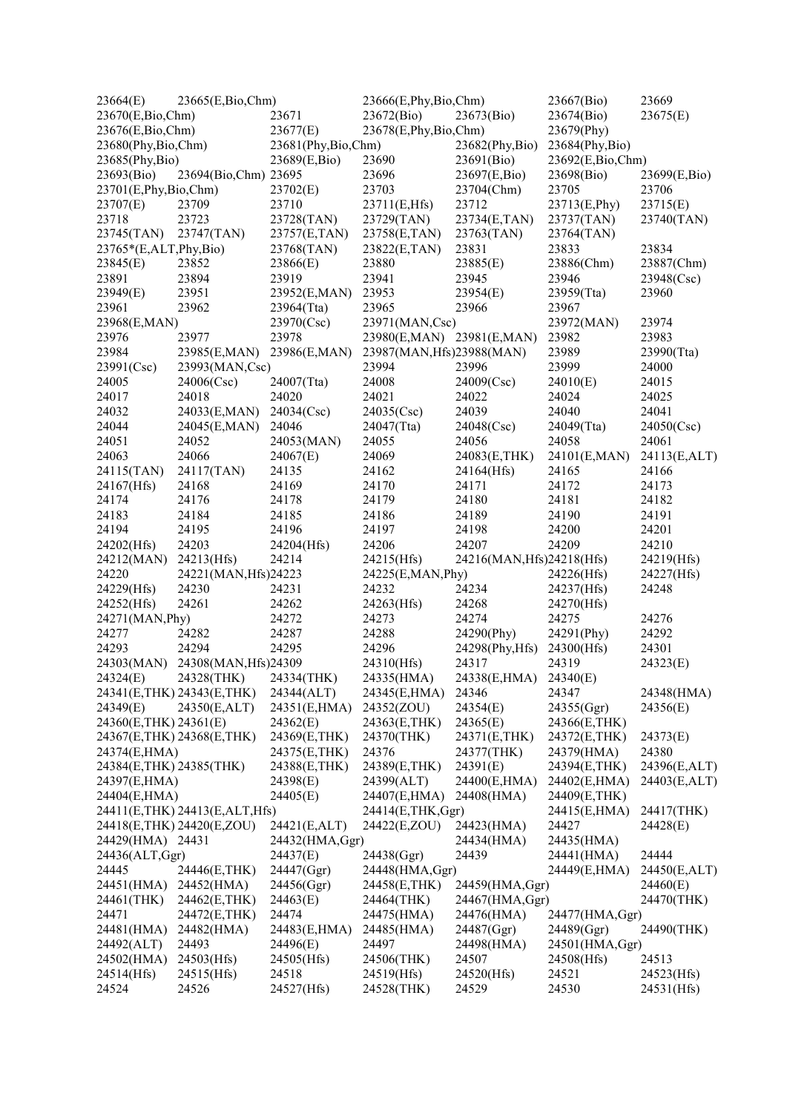| 23664(E)                  | 23665(E,Bio,Chm)              |                    | 23666(E,Phy,Bio,Chm)      |                           | 23667(Bio)       | 23669        |
|---------------------------|-------------------------------|--------------------|---------------------------|---------------------------|------------------|--------------|
| 23670(E,Bio,Chm)          |                               | 23671              | 23672(Bio)                | 23673(Bio)                | 23674(Bio)       | 23675(E)     |
| 23676(E,Bio,Chm)          |                               | 23677(E)           | 23678(E,Phy,Bio,Chm)      |                           | 23679(Phy)       |              |
| 23680(Phy,Bio,Chm)        |                               | 23681(Phy,Bio,Chm) |                           | 23682(Phy,Bio)            | 23684(Phy,Bio)   |              |
| 23685(Phy,Bio)            |                               | 23689(E,Bio)       | 23690                     | 23691(Bio)                | 23692(E,Bio,Chm) |              |
| 23693(Bio)                | 23694(Bio,Chm) 23695          |                    | 23696                     | 23697(E,Bio)              | 23698(Bio)       | 23699(E,Bio) |
| 23701(E,Phy,Bio,Chm)      |                               | 23702(E)           | 23703                     | 23704(Chm)                | 23705            | 23706        |
| 23707(E)                  | 23709                         | 23710              | 23711(E,Hfs)              | 23712                     | 23713(E,Phy)     | 23715(E)     |
| 23718                     | 23723                         | 23728(TAN)         | 23729(TAN)                | 23734(E,TAN)              | 23737(TAN)       | 23740(TAN)   |
| 23745(TAN)                | 23747(TAN)                    | 23757(E,TAN)       | 23758(E,TAN)              | 23763(TAN)                | 23764(TAN)       |              |
| $23765*(E,ALT, Phy, Bio)$ |                               | 23768(TAN)         | 23822(E,TAN)              | 23831                     | 23833            | 23834        |
| 23845(E)                  | 23852                         | 23866(E)           | 23880                     | 23885(E)                  | 23886(Chm)       | 23887(Chm)   |
| 23891                     | 23894                         | 23919              | 23941                     | 23945                     | 23946            | 23948(Csc)   |
| 23949(E)                  | 23951                         | 23952(E,MAN)       | 23953                     | 23954(E)                  | 23959(Tta)       | 23960        |
| 23961                     | 23962                         | 23964(Tta)         | 23965                     | 23966                     | 23967            |              |
| 23968(E,MAN)              |                               | 23970(Csc)         | 23971(MAN,Csc)            |                           | 23972(MAN)       | 23974        |
| 23976                     | 23977                         | 23978              | 23980(E,MAN) 23981(E,MAN) |                           | 23982            | 23983        |
| 23984                     | 23985(E,MAN)                  | 23986(E,MAN)       | 23987(MAN, Hfs)23988(MAN) |                           | 23989            | 23990(Tta)   |
| 23991(Csc)                | 23993(MAN,Csc)                |                    | 23994                     | 23996                     | 23999            | 24000        |
| 24005                     | 24006(Csc)                    | 24007(Tta)         | 24008                     | 24009(Csc)                | 24010(E)         | 24015        |
| 24017                     | 24018                         | 24020              | 24021                     | 24022                     | 24024            | 24025        |
| 24032                     | 24033(E,MAN)                  | 24034(Csc)         | 24035(Csc)                | 24039                     | 24040            | 24041        |
| 24044                     | 24045(E,MAN)                  | 24046              | 24047(Tta)                | 24048(Csc)                | 24049(Tta)       | 24050(Csc)   |
| 24051                     | 24052                         | 24053(MAN)         | 24055                     | 24056                     | 24058            | 24061        |
| 24063                     | 24066                         | 24067(E)           | 24069                     | 24083(E,THK)              | 24101(E,MAN)     | 24113(E,ALT) |
| 24115(TAN)                | 24117(TAN)                    | 24135              | 24162                     | 24164(Hfs)                | 24165            | 24166        |
| 24167(Hfs)                | 24168                         | 24169              | 24170                     | 24171                     | 24172            | 24173        |
| 24174                     | 24176                         | 24178              | 24179                     | 24180                     | 24181            | 24182        |
| 24183                     | 24184                         | 24185              | 24186                     | 24189                     | 24190            | 24191        |
| 24194                     | 24195                         | 24196              | 24197                     | 24198                     | 24200            | 24201        |
| 24202(Hfs)                | 24203                         | 24204(Hfs)         | 24206                     | 24207                     | 24209            | 24210        |
| 24212(MAN)                | 24213(Hfs)                    | 24214              | 24215(Hfs)                | 24216(MAN, Hfs)24218(Hfs) |                  | 24219(Hfs)   |
| 24220                     | 24221(MAN, Hfs) 24223         |                    | 24225(E,MAN, Phy)         |                           | 24226(Hfs)       | 24227(Hfs)   |
| 24229(Hfs)                | 24230                         | 24231              | 24232                     | 24234                     | 24237(Hfs)       | 24248        |
| 24252(Hfs)                | 24261                         | 24262              | 24263(Hfs)                | 24268                     | 24270(Hfs)       |              |
| 24271(MAN, Phy)           |                               | 24272              | 24273                     | 24274                     | 24275            | 24276        |
| 24277                     | 24282                         | 24287              | 24288                     | 24290(Phy)                | 24291(Phy)       | 24292        |
| 24293                     | 24294                         | 24295              | 24296                     | 24298(Phy, Hfs)           | 24300(Hfs)       | 24301        |
| 24303(MAN)                | 24308(MAN, Hfs)24309          |                    | 24310(Hfs)                | 24317                     | 24319            | 24323(E)     |
| 24324(E)                  | 24328(THK)                    | 24334(THK)         | 24335(HMA)                | 24338(E,HMA)              | 24340(E)         |              |
|                           | 24341(E,THK) 24343(E,THK)     | 24344(ALT)         | 24345(E,HMA)              | 24346                     | 24347            | 24348(HMA)   |
| 24349(E)                  | 24350(E,ALT)                  | 24351(E,HMA)       | 24352(ZOU)                | 24354(E)                  | 24355(Ggr)       | 24356(E)     |
| 24360(E,THK) 24361(E)     |                               | 24362(E)           | 24363(E,THK)              | 24365(E)                  | 24366(E,THK)     |              |
|                           | 24367(E,THK) 24368(E,THK)     | 24369(E,THK)       | 24370(THK)                | 24371(E,THK)              | 24372(E,THK)     | 24373(E)     |
| 24374(E,HMA)              |                               | 24375(E,THK)       | 24376                     | 24377(THK)                | 24379(HMA)       | 24380        |
| 24384(E,THK) 24385(THK)   |                               | 24388(E,THK)       | 24389(E,THK)              | 24391(E)                  | 24394(E,THK)     | 24396(E,ALT) |
| 24397(E,HMA)              |                               | 24398(E)           | 24399(ALT)                | 24400(E,HMA)              | 24402(E,HMA)     | 24403(E,ALT) |
| 24404(E,HMA)              |                               | 24405(E)           | 24407(E,HMA)              | 24408(HMA)                | 24409(E,THK)     |              |
|                           | 24411(E,THK) 24413(E,ALT,Hfs) |                    | 24414(E,THK,Ggr)          |                           | 24415(E,HMA)     | 24417(THK)   |
|                           | 24418(E,THK) 24420(E,ZOU)     | 24421(E,ALT)       | 24422(E,ZOU)              | 24423(HMA)                | 24427            | 24428(E)     |
| 24429(HMA) 24431          |                               | 24432(HMA, Ggr)    |                           | 24434(HMA)                | 24435(HMA)       |              |
| 24436(ALT,Ggr)            |                               | 24437(E)           | 24438(Ggr)                | 24439                     | 24441(HMA)       | 24444        |
| 24445                     | 24446(E,THK)                  | 24447(Ggr)         | 24448(HMA, Ggr)           |                           | 24449(E,HMA)     | 24450(E,ALT) |
| 24451(HMA)                | 24452(HMA)                    | 24456(Ggr)         | 24458(E,THK)              | 24459(HMA, Ggr)           |                  | 24460(E)     |
| 24461(THK)                | 24462(E,THK)                  | 24463(E)           | 24464(THK)                | 24467(HMA, Ggr)           |                  | 24470(THK)   |
| 24471                     | 24472(E,THK)                  | 24474              | 24475(HMA)                | 24476(HMA)                | 24477(HMA, Ggr)  |              |
| 24481(HMA)                | 24482(HMA)                    | 24483(E,HMA)       | 24485(HMA)                | 24487(Ggr)                | 24489(Ggr)       | 24490(THK)   |
| 24492(ALT)                | 24493                         | 24496(E)           | 24497                     | 24498(HMA)                | 24501(HMA, Ggr)  |              |
| 24502(HMA)                | 24503(Hfs)                    | 24505(Hfs)         | 24506(THK)                | 24507                     | 24508(Hfs)       | 24513        |
| 24514(Hfs)                | 24515(Hfs)                    | 24518              | 24519(Hfs)                | 24520(Hfs)                | 24521            | 24523(Hfs)   |
| 24524                     | 24526                         | 24527(Hfs)         | 24528(THK)                | 24529                     | 24530            | 24531(Hfs)   |
|                           |                               |                    |                           |                           |                  |              |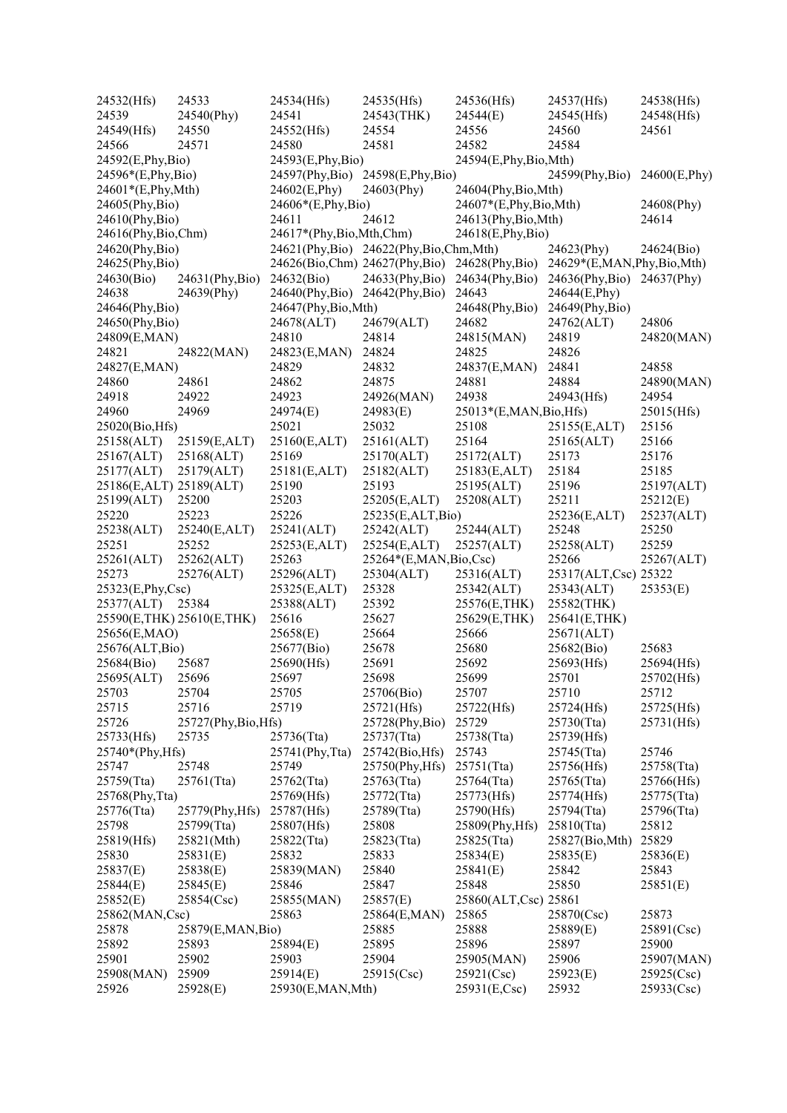| 24532(Hfs)              | 24533                     | 24534(Hfs)                    | 24535(Hfs)                            | 24536(Hfs)              | 24537(Hfs)                | 24538(Hfs)    |
|-------------------------|---------------------------|-------------------------------|---------------------------------------|-------------------------|---------------------------|---------------|
| 24539                   | 24540(Phy)                | 24541                         | 24543(THK)                            | 24544(E)                | 24545(Hfs)                | 24548(Hfs)    |
| 24549(Hfs)              | 24550                     | 24552(Hfs)                    | 24554                                 | 24556                   | 24560                     | 24561         |
| 24566                   | 24571                     | 24580                         | 24581                                 | 24582                   | 24584                     |               |
| 24592(E,Phy,Bio)        |                           | 24593(E,Phy,Bio)              |                                       | 24594(E,Phy,Bio,Mth)    |                           |               |
| 24596*(E,Phy,Bio)       |                           | 24597(Phy,Bio)                | 24598(E,Phy,Bio)                      |                         | 24599(Phy, Bio)           | 24600(E,Phy)  |
| 24601*(E,Phy,Mth)       |                           | 24602(E, Phy)                 | 24603(Phy)                            | 24604(Phy,Bio,Mth)      |                           |               |
| 24605(Phy,Bio)          |                           | 24606*(E,Phy,Bio)             |                                       | 24607*(E,Phy,Bio,Mth)   |                           | 24608(Phy)    |
| 24610(Phy,Bio)          |                           | 24611                         | 24612                                 | 24613(Phy,Bio,Mth)      |                           | 24614         |
| 24616(Phy,Bio,Chm)      |                           | 24617*(Phy, Bio, Mth, Chm)    |                                       | 24618(E,Phy,Bio)        |                           |               |
|                         |                           |                               |                                       |                         |                           |               |
| 24620(Phy,Bio)          |                           |                               | 24621(Phy,Bio) 24622(Phy,Bio,Chm,Mth) |                         | 24623(Phy)                | 24624(Bio)    |
| 24625(Phy,Bio)          |                           | 24626(Bio,Chm) 24627(Phy,Bio) |                                       | 24628(Phy,Bio)          | 24629*(E,MAN,Phy,Bio,Mth) |               |
| 24630(Bio)              | 24631(Phy,Bio)            | 24632(Bio)                    | 24633(Phy,Bio)                        | 24634(Phy,Bio)          | $24636$ (Phy,Bio)         | 24637(Phy)    |
| 24638                   | 24639(Phy)                | 24640(Phy,Bio) 24642(Phy,Bio) |                                       | 24643                   | 24644(E,Phy)              |               |
| 24646(Phy,Bio)          |                           | 24647(Phy,Bio,Mth)            |                                       | 24648(Phy,Bio)          | 24649(Phy, Bio)           |               |
| 24650(Phy,Bio)          |                           | 24678(ALT)                    | 24679(ALT)                            | 24682                   | 24762(ALT)                | 24806         |
| 24809(E,MAN)            |                           | 24810                         | 24814                                 | 24815(MAN)              | 24819                     | 24820(MAN)    |
| 24821                   | 24822(MAN)                | 24823(E,MAN)                  | 24824                                 | 24825                   | 24826                     |               |
| 24827(E,MAN)            |                           | 24829                         | 24832                                 | 24837(E,MAN)            | 24841                     | 24858         |
| 24860                   | 24861                     | 24862                         | 24875                                 | 24881                   | 24884                     | 24890(MAN)    |
| 24918                   | 24922                     | 24923                         | 24926(MAN)                            | 24938                   | 24943(Hfs)                | 24954         |
| 24960                   | 24969                     | 24974(E)                      | 24983(E)                              | 25013*(E,MAN, Bio, Hfs) |                           | 25015(Hfs)    |
| 25020(Bio, Hfs)         |                           | 25021                         | 25032                                 | 25108                   | 25155(E,ALT)              | 25156         |
| 25158(ALT)              | 25159(E,ALT)              | 25160(E,ALT)                  | 25161(ALT)                            | 25164                   | 25165(ALT)                | 25166         |
| 25167(ALT)              | 25168(ALT)                | 25169                         | 25170(ALT)                            | 25172(ALT)              | 25173                     | 25176         |
| 25177(ALT)              | 25179(ALT)                | 25181(E,ALT)                  | 25182(ALT)                            | 25183(E,ALT)            | 25184                     | 25185         |
| 25186(E,ALT) 25189(ALT) |                           | 25190                         | 25193                                 | 25195(ALT)              | 25196                     | 25197(ALT)    |
|                         | 25200                     | 25203                         | 25205(E,ALT)                          | 25208(ALT)              | 25211                     | 25212(E)      |
| 25199(ALT)              |                           |                               |                                       |                         |                           |               |
| 25220                   | 25223                     | 25226                         | 25235(E,ALT,Bio)                      |                         | 25236(E,ALT)              | 25237(ALT)    |
| 25238(ALT)              | 25240(E,ALT)              | 25241(ALT)                    | 25242(ALT)                            | 25244(ALT)              | 25248                     | 25250         |
| 25251                   | 25252                     | 25253(E,ALT)                  | 25254(E,ALT)                          | 25257(ALT)              | 25258(ALT)                | 25259         |
| 25261(ALT)              | 25262(ALT)                | 25263                         | 25264*(E,MAN,Bio,Csc)                 |                         | 25266                     | 25267(ALT)    |
| 25273                   | 25276(ALT)                | 25296(ALT)                    | 25304(ALT)                            | 25316(ALT)              | 25317(ALT,Csc) 25322      |               |
| 25323(E,Phy,Csc)        |                           | 25325(E,ALT)                  | 25328                                 | 25342(ALT)              | 25343(ALT)                | 25353(E)      |
| 25377(ALT)              | 25384                     | 25388(ALT)                    | 25392                                 | 25576(E,THK)            | 25582(THK)                |               |
|                         | 25590(E,THK) 25610(E,THK) | 25616                         | 25627                                 | 25629(E,THK)            | 25641(E,THK)              |               |
| 25656(E,MAO)            |                           | 25658(E)                      | 25664                                 | 25666                   | 25671(ALT)                |               |
| 25676(ALT, Bio)         |                           | 25677(Bio)                    | 25678                                 | 25680                   | 25682(Bio)                | 25683         |
| 25684(Bio)              | 25687                     | 25690(Hfs)                    | 25691                                 | 25692                   | 25693(Hfs)                | 25694(Hfs)    |
| 25695(ALT)              | 25696                     | 25697                         | 25698                                 | 25699                   | 25701                     | 25702(Hfs)    |
| 25703                   | 25704                     | 25705                         | 25706(Bio)                            | 25707                   | 25710                     | 25712         |
| 25715                   | 25716                     | 25719                         | 25721(Hfs)                            | 25722(Hfs)              | 25724(Hfs)                | 25725(Hfs)    |
| 25726                   | $25727$ (Phy,Bio,Hfs)     |                               | 25728(Phy,Bio)                        | 25729                   | $25730$ (Tta)             | 25731(Hfs)    |
| 25733(Hfs)              | 25735                     | 25736(Tta)                    | 25737(Tta)                            | 25738(Tta)              | 25739(Hfs)                |               |
| 25740*(Phy, Hfs)        |                           | $25741$ (Phy, Tta)            | 25742(Bio, Hfs)                       | 25743                   | 25745(Tta)                | 25746         |
| 25747                   | 25748                     | 25749                         | 25750(Phy, Hfs)                       | $25751$ (Tta)           | 25756(Hfs)                | 25758(Tta)    |
| 25759(Tta)              | $25761$ (Tta)             | 25762(Tta)                    | 25763(Tta)                            | 25764(Tta)              | 25765(Tta)                | 25766(Hfs)    |
| 25768(Phy, Tta)         |                           | 25769(Hfs)                    | 25772(Tta)                            | 25773(Hfs)              | 25774(Hfs)                | $25775$ (Tta) |
|                         |                           | 25787(Hfs)                    | 25789(Tta)                            |                         | 25794(Tta)                | 25796(Tta)    |
| 25776(Tta)              | 25779(Phy, Hfs)           |                               |                                       | 25790(Hfs)              |                           |               |
| 25798                   | 25799(Tta)                | 25807(Hfs)                    | 25808                                 | 25809(Phy, Hfs)         | $25810$ (Tta)             | 25812         |
| 25819(Hfs)              | 25821(Mth)                | $25822$ (Tta)                 | 25823(Tta)                            | $25825$ (Tta)           | 25827(Bio, Mth)           | 25829         |
| 25830                   | 25831(E)                  | 25832                         | 25833                                 | 25834(E)                | 25835(E)                  | 25836(E)      |
| 25837(E)                | 25838(E)                  | 25839(MAN)                    | 25840                                 | 25841(E)                | 25842                     | 25843         |
| 25844(E)                | 25845(E)                  | 25846                         | 25847                                 | 25848                   | 25850                     | 25851(E)      |
| 25852(E)                | 25854(Csc)                | 25855(MAN)                    | 25857(E)                              | 25860(ALT,Csc) 25861    |                           |               |
| 25862(MAN,Csc)          |                           | 25863                         | 25864(E,MAN)                          | 25865                   | 25870(Csc)                | 25873         |
| 25878                   | 25879(E,MAN,Bio)          |                               | 25885                                 | 25888                   | 25889(E)                  | 25891(Csc)    |
| 25892                   | 25893                     | 25894(E)                      | 25895                                 | 25896                   | 25897                     | 25900         |
| 25901                   | 25902                     | 25903                         | 25904                                 | 25905(MAN)              | 25906                     | 25907(MAN)    |
| 25908(MAN)              | 25909                     | 25914(E)                      | 25915(Csc)                            | $25921$ (Csc)           | 25923(E)                  | 25925(Csc)    |
| 25926                   | 25928(E)                  | 25930(E,MAN,Mth)              |                                       | 25931(E,Csc)            | 25932                     | 25933(Csc)    |
|                         |                           |                               |                                       |                         |                           |               |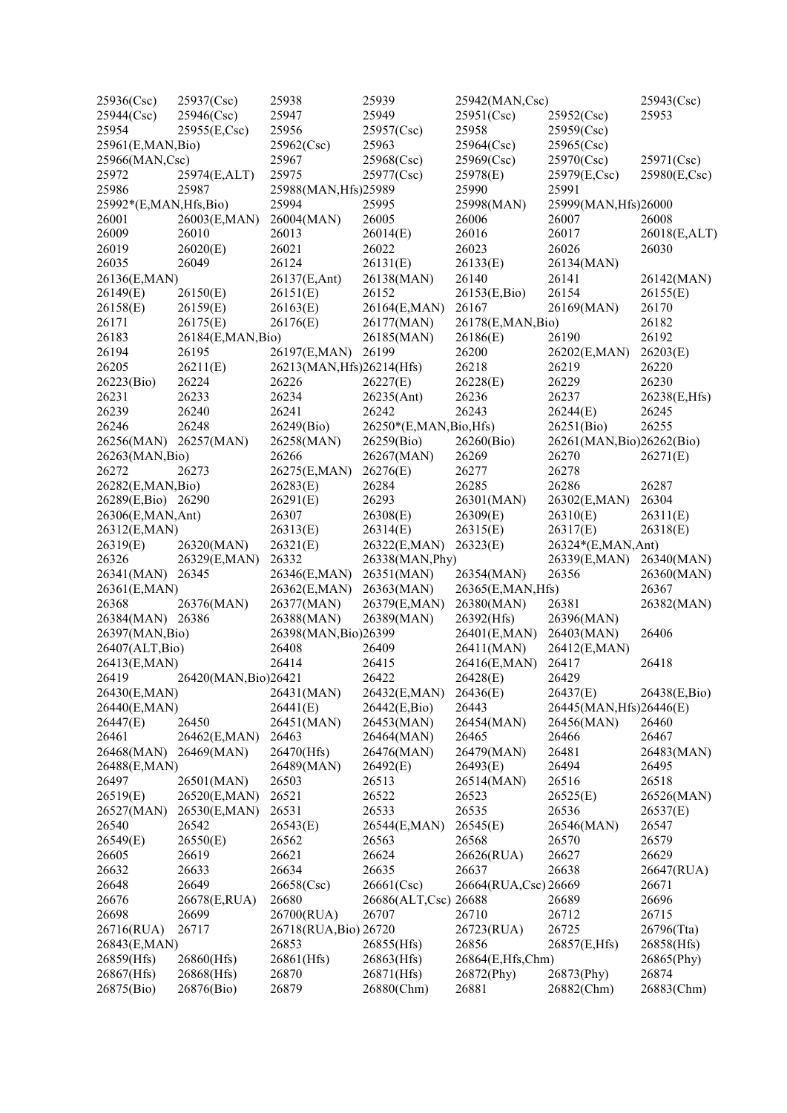| 25936(Csc)                         | 25937(Csc)           | 25938                     | 25939                   | 25942(MAN,Csc)           |                           | 25943(Csc)   |
|------------------------------------|----------------------|---------------------------|-------------------------|--------------------------|---------------------------|--------------|
| 25944(Csc)                         | 25946(Csc)           | 25947                     | 25949                   | 25951(Csc)               | 25952(Csc)                | 25953        |
| 25954                              | 25955(E,Csc)         | 25956                     | 25957(Csc)              | 25958                    | 25959(Csc)                |              |
| 25961(E,MAN,Bio)                   |                      | 25962(Csc)                | 25963                   | 25964(Csc)               | 25965(Csc)                |              |
| 25966(MAN,Csc)                     |                      | 25967                     | 25968(Csc)              | 25969(Csc)               | 25970(Csc)                | 25971(Csc)   |
| 25972                              | 25974(E,ALT)         | 25975                     | 25977(Csc)              | 25978(E)                 | 25979(E,Csc)              | 25980(E,Csc) |
| 25986                              | 25987                | 25988(MAN, Hfs) 25989     |                         | 25990                    | 25991                     |              |
| 25992*(E,MAN,Hfs,Bio)              |                      | 25994                     | 25995                   | 25998(MAN)               | 25999(MAN, Hfs)26000      |              |
| 26001                              | 26003(E,MAN)         | 26004(MAN)                | 26005                   | 26006                    | 26007                     | 26008        |
| 26009                              | 26010                | 26013                     | 26014(E)                | 26016                    | 26017                     | 26018(E,ALT) |
| 26019                              | 26020(E)             | 26021                     | 26022                   | 26023                    | 26026                     | 26030        |
| 26035                              | 26049                | 26124                     | 26131(E)                | 26133(E)                 | 26134(MAN)                |              |
| 26136(E,MAN)                       |                      | 26137(E,Ant)              | 26138(MAN)              | 26140                    | 26141                     | 26142(MAN)   |
| 26149(E)                           | 26150(E)             | 26151(E)                  | 26152                   | 26153(E,Bio)             | 26154                     | 26155(E)     |
| 26158(E)                           | 26159(E)             | 26163(E)                  | 26164(E,MAN)            | 26167                    | 26169(MAN)                | 26170        |
| 26171                              | 26175(E)             | 26176(E)                  | 26177(MAN)              | 26178(E,MAN,Bio)         |                           | 26182        |
| 26183                              | 26184(E,MAN,Bio)     |                           | 26185(MAN)              | 26186(E)                 | 26190                     | 26192        |
| 26194                              | 26195                | 26197(E,MAN)              | 26199                   | 26200                    | 26202(E,MAN)              | 26203(E)     |
| 26205                              | 26211(E)             | 26213(MAN, Hfs)26214(Hfs) |                         | 26218                    | 26219                     | 26220        |
| 26223(Bio)                         | 26224                | 26226                     | 26227(E)                | 26228(E)                 | 26229                     | 26230        |
| 26231                              | 26233                | 26234                     | 26235(Ant)              | 26236                    | 26237                     | 26238(E,Hfs) |
| 26239                              | 26240                | 26241                     | 26242                   | 26243                    | 26244(E)                  | 26245        |
| 26246                              | 26248                | 26249(Bio)                | 26250*(E,MAN, Bio, Hfs) |                          | 26251(Bio)                | 26255        |
| 26256(MAN)                         | 26257(MAN)           | 26258(MAN)                | 26259(Bio)              | 26260(Bio)               | 26261(MAN, Bio)26262(Bio) |              |
| 26263(MAN, Bio)                    |                      | 26266                     | 26267(MAN)              | 26269                    | 26270                     | 26271(E)     |
| 26272                              | 26273                | 26275(E,MAN)              | 26276(E)                | 26277                    | 26278                     |              |
| 26282(E,MAN,Bio)                   |                      | 26283(E)                  | 26284                   | 26285                    | 26286                     | 26287        |
| 26289(E,Bio) 26290                 |                      | 26291(E)                  | 26293                   | 26301(MAN)               | 26302(E,MAN)              | 26304        |
| 26306(E,MAN,Ant)                   |                      | 26307                     | 26308(E)                | 26309(E)                 | 26310(E)                  | 26311(E)     |
| 26312(E,MAN)                       |                      | 26313(E)                  | 26314(E)                | 26315(E)                 | 26317(E)                  | 26318(E)     |
| 26319(E)                           | 26320(MAN)           | 26321(E)                  | 26322(E,MAN)            | 26323(E)                 | 26324*(E,MAN,Ant)         |              |
| 26326                              | 26329(E,MAN)         | 26332                     | 26338(MAN, Phy)         |                          | 26339(E,MAN)              | 26340(MAN)   |
| 26341(MAN)                         | 26345                | 26346(E,MAN)              | 26351(MAN)              | 26354(MAN)               | 26356                     | 26360(MAN)   |
| 26361(E,MAN)                       |                      | 26362(E,MAN)              | 26363(MAN)              | 26365(E,MAN,Hfs)         |                           | 26367        |
| 26368                              | 26376(MAN)           | 26377(MAN)                | 26379(E,MAN)            |                          | 26381                     | 26382(MAN)   |
| 26384(MAN) 26386                   |                      | 26388(MAN)                | 26389(MAN)              | 26380(MAN)<br>26392(Hfs) | 26396(MAN)                |              |
|                                    |                      | 26398(MAN, Bio) 26399     |                         | 26401(E,MAN)             |                           | 26406        |
| 26397(MAN, Bio)<br>26407(ALT, Bio) |                      |                           |                         | 26411(MAN)               | 26403(MAN)                |              |
|                                    |                      | 26408<br>26414            | 26409                   |                          | 26412(E,MAN)              | 26418        |
| 26413(E,MAN)                       |                      |                           | 26415                   | 26416(E,MAN)             | 26417                     |              |
| 26419                              | 26420(MAN, Bio)26421 |                           | 26422                   | 26428(E)                 | 26429                     |              |
| 26430(E,MAN)                       |                      | 26431(MAN)                | 26432(E,MAN)            | 26436(E)                 | 26437(E)                  | 26438(E,Bio) |
| 26440(E,MAN)                       |                      | 26441(E)                  | 26442(E,Bio)            | 26443                    | 26445(MAN, Hfs)26446(E)   |              |
| 26447(E)                           | 26450                | 26451(MAN)                | 26453(MAN)              | 26454(MAN)               | 26456(MAN)                | 26460        |
| 26461                              | 26462(E,MAN)         | 26463                     | 26464(MAN)              | 26465                    | 26466                     | 26467        |
| 26468(MAN)                         | 26469(MAN)           | 26470(Hfs)                | 26476(MAN)              | 26479(MAN)               | 26481                     | 26483(MAN)   |
| 26488(E,MAN)                       |                      | 26489(MAN)                | 26492(E)                | 26493(E)                 | 26494                     | 26495        |
| 26497                              | 26501(MAN)           | 26503                     | 26513                   | 26514(MAN)               | 26516                     | 26518        |
| 26519(E)                           | 26520(E,MAN)         | 26521                     | 26522                   | 26523                    | 26525(E)                  | 26526(MAN)   |
| 26527(MAN)                         | 26530(E,MAN)         | 26531                     | 26533                   | 26535                    | 26536                     | 26537(E)     |
| 26540                              | 26542                | 26543(E)                  | 26544(E,MAN)            | 26545(E)                 | 26546(MAN)                | 26547        |
| 26549(E)                           | 26550(E)             | 26562                     | 26563                   | 26568                    | 26570                     | 26579        |
| 26605                              | 26619                | 26621                     | 26624                   | 26626(RUA)               | 26627                     | 26629        |
| 26632                              | 26633                | 26634                     | 26635                   | 26637                    | 26638                     | 26647(RUA)   |
| 26648                              | 26649                | 26658(Csc)                | 26661(Csc)              | 26664(RUA,Csc) 26669     |                           | 26671        |
| 26676                              | 26678(E,RUA)         | 26680                     | 26686(ALT,Csc)          | 26688                    | 26689                     | 26696        |
| 26698                              | 26699                | 26700(RUA)                | 26707                   | 26710                    | 26712                     | 26715        |
| 26716(RUA)                         | 26717                | 26718(RUA, Bio) 26720     |                         | 26723(RUA)               | 26725                     | 26796(Tta)   |
| 26843(E,MAN)                       |                      | 26853                     | 26855(Hfs)              | 26856                    | 26857(E,Hfs)              | 26858(Hfs)   |
| 26859(Hfs)                         | 26860(Hfs)           | 26861(Hfs)                | 26863(Hfs)              | 26864(E,Hfs,Chm)         |                           | 26865(Phy)   |
| 26867(Hfs)                         | 26868(Hfs)           | 26870                     | 26871(Hfs)              | 26872(Phy)               | 26873(Phy)                | 26874        |
| 26875(Bio)                         | 26876(Bio)           | 26879                     | 26880(Chm)              | 26881                    | 26882(Chm)                | 26883(Chm)   |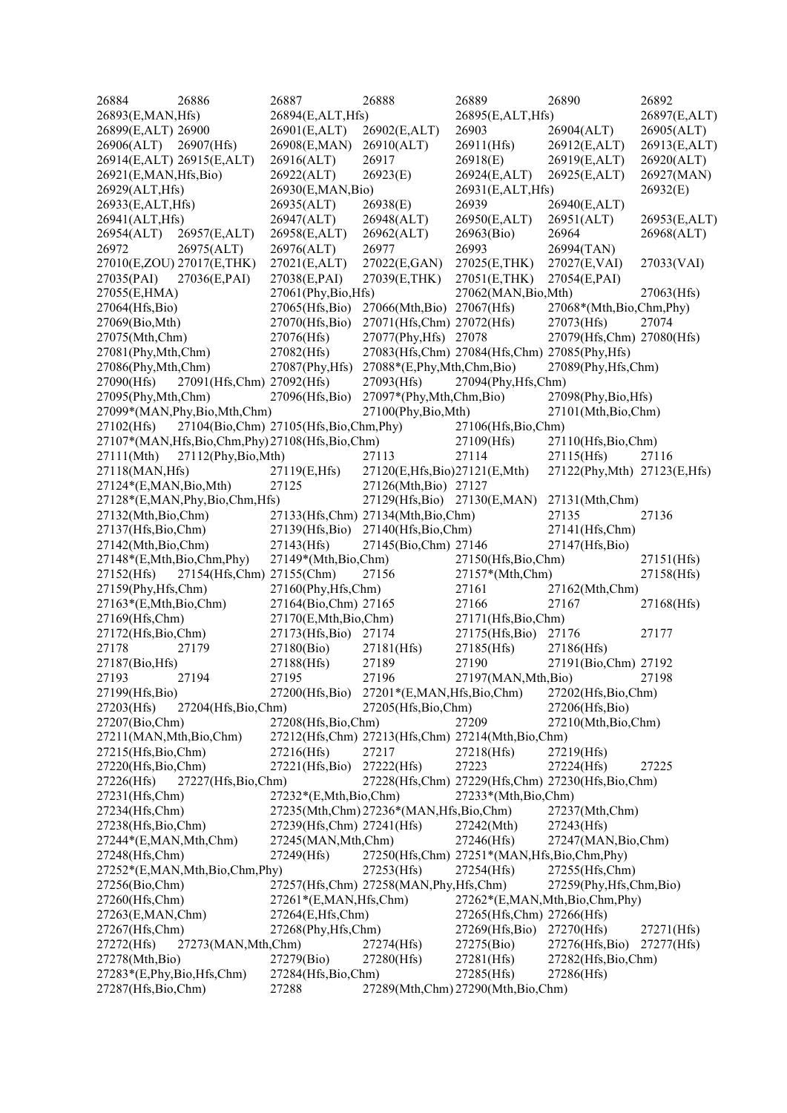| 26884                      | 26886                           | 26887                                                | 26888                                  | 26889                                            | 26890                                            | 26892        |
|----------------------------|---------------------------------|------------------------------------------------------|----------------------------------------|--------------------------------------------------|--------------------------------------------------|--------------|
| 26893(E,MAN,Hfs)           |                                 | 26894(E,ALT,Hfs)                                     |                                        | 26895(E,ALT,Hfs)                                 |                                                  | 26897(E,ALT) |
| 26899(E,ALT) 26900         |                                 | 26901(E,ALT)                                         | 26902(E,ALT)                           | 26903                                            | 26904(ALT)                                       | 26905(ALT)   |
| 26906(ALT)                 | 26907(Hfs)                      | 26908(E,MAN)                                         | 26910(ALT)                             | 26911(Hfs)                                       | 26912(E,ALT)                                     | 26913(E,ALT) |
|                            | 26914(E,ALT) 26915(E,ALT)       | 26916(ALT)                                           | 26917                                  | 26918(E)                                         | 26919(E,ALT)                                     | 26920(ALT)   |
| 26921(E,MAN, Hfs, Bio)     |                                 | 26922(ALT)                                           | 26923(E)                               | 26924(E,ALT)                                     | 26925(E,ALT)                                     | 26927(MAN)   |
| 26929(ALT, Hfs)            |                                 | 26930(E,MAN,Bio)                                     |                                        | 26931(E,ALT,Hfs)                                 |                                                  | 26932(E)     |
| 26933(E,ALT,Hfs)           |                                 | 26935(ALT)                                           | 26938(E)                               | 26939                                            | 26940(E,ALT)                                     |              |
| 26941(ALT, Hfs)            |                                 | 26947(ALT)                                           | 26948(ALT)                             | 26950(E,ALT)                                     | 26951(ALT)                                       | 26953(E,ALT) |
| 26954(ALT)                 | 26957(E,ALT)                    | 26958(E,ALT)                                         | 26962(ALT)                             | 26963(Bio)                                       | 26964                                            | 26968(ALT)   |
| 26972                      | 26975(ALT)                      | 26976(ALT)                                           | 26977                                  | 26993                                            | 26994(TAN)                                       |              |
|                            | 27010(E,ZOU) 27017(E,THK)       | 27021(E,ALT)                                         | 27022(E,GAN)                           | 27025(E,THK)                                     | 27027(E,VAI)                                     | 27033(VAI)   |
| 27035(PAI)                 | 27036(E,PAI)                    | 27038(E,PAI)                                         | 27039(E,THK)                           | 27051(E,THK)                                     | 27054(E,PAI)                                     |              |
| 27055(E,HMA)               |                                 | 27061(Phy,Bio,Hfs)                                   |                                        | 27062(MAN, Bio, Mth)                             |                                                  | 27063(Hfs)   |
| 27064(Hfs,Bio)             |                                 | 27065(Hfs,Bio)                                       | 27066(Mth,Bio) 27067(Hfs)              |                                                  | 27068*(Mth,Bio,Chm,Phy)                          |              |
| 27069(Bio,Mth)             |                                 | 27070(Hfs,Bio)                                       | 27071(Hfs,Chm) 27072(Hfs)              |                                                  | 27073(Hfs)                                       | 27074        |
| 27075(Mth,Chm)             |                                 | 27076(Hfs)                                           | 27077(Phy, Hfs) 27078                  |                                                  | 27079(Hfs,Chm) 27080(Hfs)                        |              |
| 27081(Phy,Mth,Chm)         |                                 | 27082(Hfs)                                           |                                        | 27083(Hfs,Chm) 27084(Hfs,Chm) 27085(Phy,Hfs)     |                                                  |              |
| 27086(Phy,Mth,Chm)         |                                 | 27087(Phy, Hfs)                                      | 27088*(E,Phy,Mth,Chm,Bio)              |                                                  | 27089(Phy, Hfs, Chm)                             |              |
| 27090(Hfs)                 | 27091(Hfs,Chm) 27092(Hfs)       |                                                      | 27093(Hfs)                             | 27094(Phy, Hfs, Chm)                             |                                                  |              |
| 27095(Phy, Mth, Chm)       |                                 | 27096(Hfs,Bio)                                       | 27097*(Phy,Mth,Chm,Bio)                |                                                  | 27098(Phy,Bio,Hfs)                               |              |
|                            | 27099*(MAN, Phy, Bio, Mth, Chm) |                                                      | 27100(Phy,Bio,Mth)                     |                                                  | 27101(Mth,Bio,Chm)                               |              |
| 27102(Hfs)                 |                                 | 27104(Bio,Chm) 27105(Hfs,Bio,Chm,Phy)                |                                        | 27106(Hfs, Bio, Chm)                             |                                                  |              |
|                            |                                 | 27107*(MAN, Hfs, Bio, Chm, Phy) 27108(Hfs, Bio, Chm) |                                        | 27109(Hfs)                                       | 27110(Hfs,Bio,Chm)                               |              |
|                            |                                 |                                                      |                                        | 27114                                            |                                                  | 27116        |
| 27111(Mth)                 | 27112(Phy,Bio,Mth)              |                                                      | 27113                                  |                                                  | 27115(Hfs)                                       |              |
| 27118(MAN, Hfs)            |                                 | 27119(E,Hfs)                                         | 27120(E,Hfs,Bio)27121(E,Mth)           |                                                  | 27122(Phy, Mth) 27123(E, Hfs)                    |              |
| 27124*(E,MAN, Bio, Mth)    |                                 | 27125                                                | 27126(Mth,Bio) 27127                   |                                                  |                                                  |              |
|                            | 27128*(E,MAN,Phy,Bio,Chm,Hfs)   |                                                      | 27129(Hfs, Bio) 27130(E, MAN)          |                                                  | 27131(Mth,Chm)                                   |              |
| 27132(Mth,Bio,Chm)         |                                 |                                                      | 27133(Hfs,Chm) 27134(Mth,Bio,Chm)      |                                                  | 27135                                            | 27136        |
| 27137(Hfs,Bio,Chm)         |                                 | 27139(Hfs,Bio)                                       | 27140(Hfs,Bio,Chm)                     |                                                  | 27141(Hfs,Chm)                                   |              |
| 27142(Mth,Bio,Chm)         |                                 | 27143(Hfs)                                           | 27145(Bio,Chm) 27146                   |                                                  | 27147(Hfs,Bio)                                   |              |
| 27148*(E,Mth,Bio,Chm,Phy)  |                                 | 27149*(Mth,Bio,Chm)                                  |                                        | 27150(Hfs, Bio, Chm)                             |                                                  | 27151(Hfs)   |
| 27152(Hfs)                 | 27154(Hfs,Chm) 27155(Chm)       |                                                      | 27156                                  | 27157*(Mth,Chm)                                  |                                                  | 27158(Hfs)   |
| 27159(Phy, Hfs, Chm)       |                                 | 27160(Phy, Hfs, Chm)                                 |                                        | 27161                                            | 27162(Mth,Chm)                                   |              |
| $27163*(E, Mth, Bio, Chm)$ |                                 | 27164(Bio,Chm) 27165                                 |                                        | 27166                                            | 27167                                            | 27168(Hfs)   |
| 27169(Hfs,Chm)             |                                 | 27170(E,Mth,Bio,Chm)                                 |                                        | 27171(Hfs,Bio,Chm)                               |                                                  |              |
| 27172(Hfs, Bio, Chm)       |                                 | 27173(Hfs,Bio)                                       | 27174                                  | 27175(Hfs,Bio)                                   | 27176                                            | 27177        |
| 27178                      | 27179                           | 27180(Bio)                                           | 27181(Hfs)                             | 27185(Hfs)                                       | 27186(Hfs)                                       |              |
| 27187(Bio, Hfs)            |                                 | 27188(Hfs)                                           | 27189                                  | 27190                                            | 27191(Bio,Chm) 27192                             |              |
| 27193                      | 27194                           | 27195                                                | 27196                                  | 27197(MAN, Mth, Bio)                             |                                                  | 27198        |
| 27199(Hfs,Bio)             |                                 | 27200(Hfs,Bio)                                       | 27201*(E,MAN,Hfs,Bio,Chm)              |                                                  | 27202(Hfs, Bio, Chm)                             |              |
| 27203(Hfs)                 | 27204(Hfs,Bio,Chm)              |                                                      | 27205(Hfs, Bio, Chm)                   |                                                  | 27206(Hfs,Bio)                                   |              |
| 27207(Bio,Chm)             |                                 | 27208(Hfs, Bio, Chm)                                 |                                        | 27209                                            | 27210(Mth,Bio,Chm)                               |              |
| 27211(MAN, Mth, Bio, Chm)  |                                 |                                                      |                                        | 27212(Hfs,Chm) 27213(Hfs,Chm) 27214(Mth,Bio,Chm) |                                                  |              |
| 27215(Hfs, Bio, Chm)       |                                 | 27216(Hfs)                                           | 27217                                  | 27218(Hfs)                                       | 27219(Hfs)                                       |              |
| 27220(Hfs, Bio, Chm)       |                                 | 27221(Hfs,Bio)                                       | 27222(Hfs)                             | 27223                                            | 27224(Hfs)                                       | 27225        |
| 27226(Hfs)                 | 27227(Hfs,Bio,Chm)              |                                                      |                                        |                                                  | 27228(Hfs,Chm) 27229(Hfs,Chm) 27230(Hfs,Bio,Chm) |              |
| 27231(Hfs,Chm)             |                                 | 27232*(E,Mth,Bio,Chm)                                |                                        | 27233*(Mth,Bio,Chm)                              |                                                  |              |
| 27234(Hfs,Chm)             |                                 |                                                      | 27235(Mth,Chm) 27236*(MAN,Hfs,Bio,Chm) |                                                  | 27237(Mth,Chm)                                   |              |
| 27238(Hfs, Bio, Chm)       |                                 | 27239(Hfs,Chm) 27241(Hfs)                            |                                        | 27242(Mth)                                       | 27243(Hfs)                                       |              |
| 27244*(E,MAN,Mth,Chm)      |                                 | 27245(MAN, Mth, Chm)                                 |                                        | 27246(Hfs)                                       | 27247(MAN, Bio, Chm)                             |              |
| 27248(Hfs,Chm)             |                                 | 27249(Hfs)                                           |                                        | 27250(Hfs,Chm) 27251*(MAN,Hfs,Bio,Chm,Phy)       |                                                  |              |
|                            | 27252*(E,MAN,Mth,Bio,Chm,Phy)   |                                                      | 27253(Hfs)                             | 27254(Hfs)                                       | 27255(Hfs,Chm)                                   |              |
| 27256(Bio,Chm)             |                                 |                                                      | 27257(Hfs,Chm) 27258(MAN,Phy,Hfs,Chm)  |                                                  | 27259(Phy, Hfs, Chm, Bio)                        |              |
| 27260(Hfs,Chm)             |                                 | 27261*(E,MAN,Hfs,Chm)                                |                                        |                                                  | 27262*(E,MAN,Mth,Bio,Chm,Phy)                    |              |
| 27263(E,MAN,Chm)           |                                 | 27264(E,Hfs,Chm)                                     |                                        | 27265(Hfs,Chm) 27266(Hfs)                        |                                                  |              |
| 27267(Hfs,Chm)             |                                 | 27268(Phy, Hfs, Chm)                                 |                                        | $27269$ (Hfs,Bio)                                | 27270(Hfs)                                       | 27271(Hfs)   |
| 27272(Hfs)                 | 27273(MAN, Mth, Chm)            |                                                      | 27274(Hfs)                             | 27275(Bio)                                       | 27276(Hfs,Bio)                                   | 27277(Hfs)   |
| 27278(Mth,Bio)             |                                 | 27279(Bio)                                           | 27280(Hfs)                             | 27281(Hfs)                                       | 27282(Hfs, Bio, Chm)                             |              |
| 27283*(E,Phy,Bio,Hfs,Chm)  |                                 | 27284(Hfs,Bio,Chm)                                   |                                        | 27285(Hfs)                                       | 27286(Hfs)                                       |              |
| 27287(Hfs, Bio, Chm)       |                                 | 27288                                                |                                        | 27289(Mth,Chm) 27290(Mth,Bio,Chm)                |                                                  |              |
|                            |                                 |                                                      |                                        |                                                  |                                                  |              |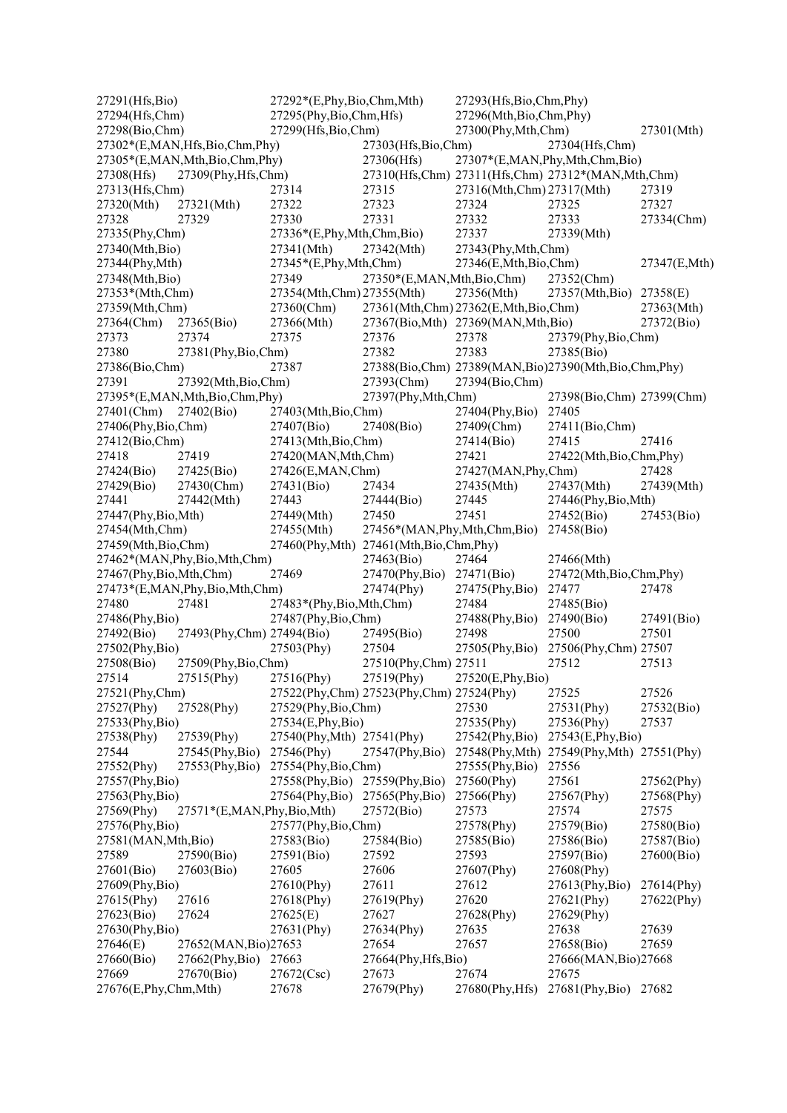27291(Hfs,Bio) 27292\*(E,Phy,Bio,Chm,Mth) 27293(Hfs,Bio,Chm,Phy) 27294(Hfs,Chm) 27295(Phy,Bio,Chm,Hfs) 27296(Mth,Bio,Chm,Phy) 27298(Bio,Chm) 27299(Hfs,Bio,Chm) 27300(Phy,Mth,Chm) 27301(Mth) 27302\*(E,MAN,Hfs,Bio,Chm,Phy) 27303(Hfs,Bio,Chm) 27304(Hfs,Chm) 27305\*(E,MAN,Mth,Bio,Chm,Phy) 27306(Hfs) 27307\*(E,MAN,Phy,Mth,Chm,Bio) 27308(Hfs) 27309(Phy,Hfs,Chm) 27310(Hfs,Chm) 27311(Hfs,Chm) 27312\*(MAN,Mth,Chm) 27313(Hfs,Chm) 27314 27315 27316(Mth,Chm) 27317(Mth) 27319 27320(Mth) 27321(Mth) 27322 27323 27324 27325 27327 27328 27329 27330 27331 27332 27333 27334(Chm) 27335(Phy,Chm) 27336\*(E,Phy,Mth,Chm,Bio) 27337 27339(Mth) 27340(Mth,Bio) 27341(Mth) 27342(Mth) 27343(Phy,Mth,Chm) 27344(Phy,Mth) 27345\*(E,Phy,Mth,Chm) 27346(E,Mth,Bio,Chm) 27347(E,Mth) 27348(Mth,Bio) 27349 27350\*(E,MAN,Mth,Bio,Chm) 27352(Chm) 27353\*(Mth,Chm) 27354(Mth,Chm) 27355(Mth) 27356(Mth) 27357(Mth,Bio) 27358(E) 27359(Mth,Chm) 27360(Chm) 27361(Mth,Chm) 27362(E,Mth,Bio,Chm) 27363(Mth) 27364(Chm) 27365(Bio) 27366(Mth) 27367(Bio,Mth) 27369(MAN,Mth,Bio) 27372(Bio) 27373 27374 27375 27376 27378 27379(Phy,Bio,Chm) 27380 27381(Phy,Bio,Chm) 27382 27383 27385(Bio)<br>27386(Bio,Chm) 27386(Bio,Chm) 27389(MAN,Bio)27390(Mth. 27386(Bio,Chm) 27387 27388(Bio,Chm) 27389(MAN,Bio)27390(Mth,Bio,Chm,Phy) 27391 27392(Mth,Bio,Chm) 27393(Chm) 27394(Bio,Chm) 27395\*(E,MAN,Mth,Bio,Chm,Phy) 27397(Phy,Mth,Chm) 27398(Bio,Chm) 27399(Chm) 27401(Chm) 27402(Bio) 27403(Mth,Bio,Chm) 27404(Phy,Bio) 27405 27406(Phy,Bio,Chm) 27407(Bio) 27408(Bio) 27409(Chm) 27411(Bio,Chm) 27412(Bio,Chm) 27413(Mth,Bio,Chm) 27414(Bio) 27415 27416 27418 27419 27420(MAN,Mth,Chm) 27421 27422(Mth,Bio,Chm,Phy) 27424(Bio) 27425(Bio) 27426(E,MAN,Chm) 27427(MAN,Phy,Chm) 27428 27429(Bio) 27430(Chm) 27431(Bio) 27434 27435(Mth) 27437(Mth) 27439(Mth) 27441 27442(Mth) 27443 27444(Bio) 27445 27446(Phy,Bio,Mth) 27447(Phy,Bio,Mth) 27449(Mth) 27450 27451 27452(Bio) 27453(Bio) 27454(Mth,Chm) 27455(Mth) 27456\*(MAN,Phy,Mth,Chm,Bio) 27458(Bio) 27459(Mth,Bio,Chm) 27460(Phy,Mth) 27461(Mth,Bio,Chm,Phy) 27462\*(MAN, Phy, Bio, Mth, Chm) 27463(Bio) 27464 27466(Mth)<br>27467(Phy, Bio, Mth, Chm) 27469 27470(Phy, Bio) 27471(Bio) 27472(Mth, Bio, Chm, Phy) 27467(Phy,Bio,Mth,Chm) 27469 27470(Phy,Bio) 27471(Bio) 27473\*(E,MAN,Phy,Bio,Mth,Chm) 27474(Phy) 27475(Phy,Bio) 27477 27478 27480 27481 27483\*(Phy,Bio,Mth,Chm) 27484 27485(Bio) 27486(Phy,Bio) 27487(Phy,Bio,Chm) 27488(Phy,Bio) 27490(Bio) 27491(Bio)<br>27492(Bio) 27493(Phy.Chm) 27494(Bio) 27495(Bio) 27498 27500 27501 27492(Bio) 27493(Phy,Chm) 27494(Bio) 27495(Bio) 27498 27500 27501 27502(Phy,Bio) 27503(Phy) 27504 27505(Phy,Bio) 27506(Phy,Chm) 27507 27508(Bio) 27509(Phy,Bio,Chm) 27510(Phy,Chm) 27511 27512 27513 27514 27515(Phy) 27516(Phy) 27519(Phy) 27520(E,Phy,Bio) 27521(Phy,Chm) 27522(Phy,Chm) 27523(Phy,Chm) 27524(Phy) 27525 27526 27527(Phy) 27528(Phy) 27529(Phy,Bio,Chm) 27530 27531(Phy) 27532(Bio) 27533(Phy,Bio) 27534(E,Phy,Bio) 27535(Phy) 27536(Phy) 27537 27538(Phy) 27539(Phy) 27540(Phy,Mth) 27541(Phy) 27542(Phy,Bio) 27543(E,Phy,Bio) 27544 27545(Phy,Bio) 27546(Phy) 27547(Phy,Bio) 27548(Phy,Mth) 27549(Phy,Mth) 27551(Phy) 27552(Phy) 27553(Phy,Bio) 27554(Phy,Bio,Chm) 27555(Phy,Bio) 27556 27557(Phy,Bio) 27558(Phy,Bio) 27559(Phy,Bio) 27560(Phy) 27561 27562(Phy) 27563(Phy,Bio) 27564(Phy,Bio) 27565(Phy,Bio) 27566(Phy) 27567(Phy) 27568(Phy) 27569(Phy) 27571\*(E,MAN,Phy,Bio,Mth) 27572(Bio) 27573 27574 27575 27576(Phy,Bio) 27577(Phy,Bio,Chm) 27578(Phy) 27579(Bio) 27580(Bio) 27581(MAN,Mth,Bio) 27583(Bio) 27584(Bio) 27585(Bio) 27586(Bio) 27587(Bio)<br>27589 27590(Bio) 27591(Bio) 27592 27593 27597(Bio) 27600(Bio) 27589 27590(Bio) 27591(Bio) 27592 27593 27597(Bio) 27600(Bio) 27601(Bio) 27603(Bio) 27605 27606 27607(Phy) 27608(Phy)<br>27609(Phy.Bio) 27610(Phy) 27611 27612 27613(Phy. 27609(Phy,Bio) 27610(Phy) 27611 27612 27613(Phy,Bio) 27614(Phy) 27615(Phy) 27616 27618(Phy) 27619(Phy) 27620 27621(Phy) 27622(Phy) 27623(Bio) 27624 27625(E) 27627 27628(Phy) 27629(Phy) 27630(Phy,Bio) 27631(Phy) 27634(Phy) 27635 27638 27639 27646(E) 27652(MAN,Bio)27653 27654 27657 27658(Bio) 27659 27660(Bio) 27662(Phy,Bio) 27663 27664(Phy,Hfs,Bio) 27666(MAN,Bio)27668 27669 27670(Bio) 27672(Csc) 27673 27674 27675 27676(E,Phy,Chm,Mth) 27678 27679(Phy) 27680(Phy,Hfs) 27681(Phy,Bio) 27682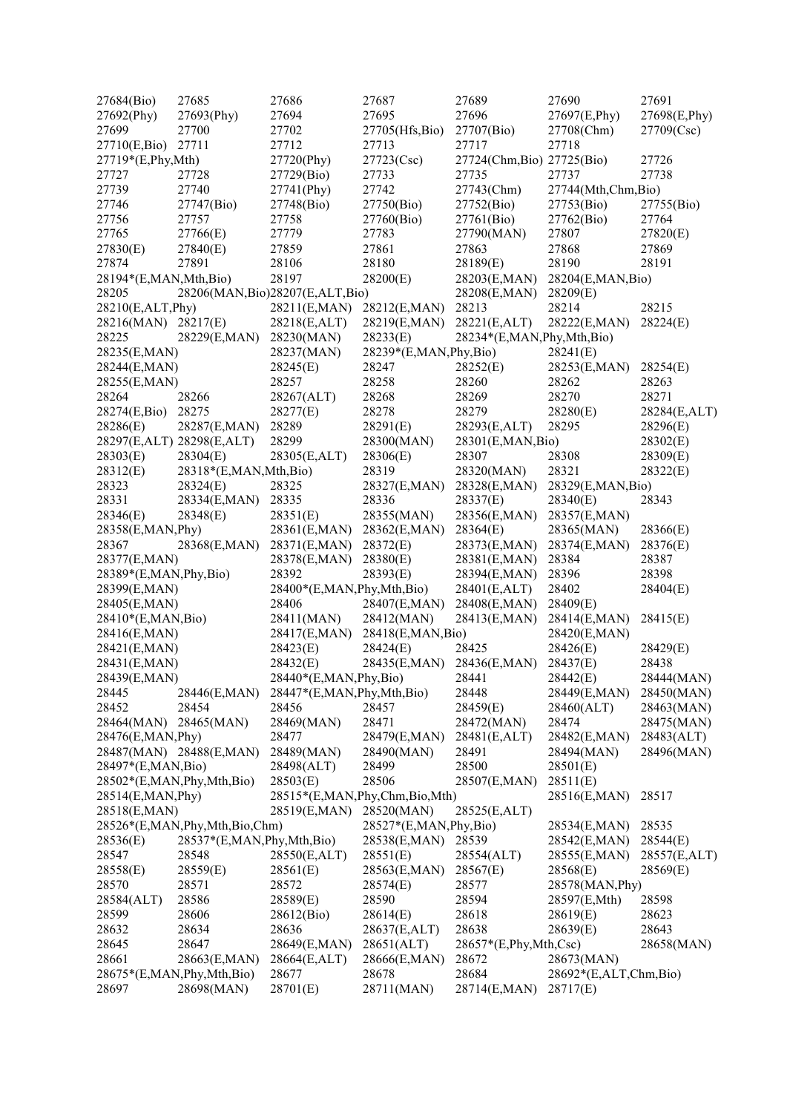| 27684(Bio)              | 27685                         | 27686                             | 27687                         | 27689                      | 27690                 | 27691        |
|-------------------------|-------------------------------|-----------------------------------|-------------------------------|----------------------------|-----------------------|--------------|
| 27692(Phy)              | 27693(Phy)                    | 27694                             | 27695                         | 27696                      | 27697(E,Phy)          | 27698(E,Phy) |
| 27699                   | 27700                         | 27702                             | 27705(Hfs,Bio)                | 27707(Bio)                 | 27708(Chm)            | 27709(Csc)   |
| 27710(E,Bio)            | 27711                         | 27712                             | 27713                         | 27717                      | 27718                 |              |
| 27719*(E,Phy,Mth)       |                               | 27720(Phy)                        | 27723(Csc)                    | 27724(Chm, Bio) 27725(Bio) |                       | 27726        |
| 27727                   | 27728                         | 27729(Bio)                        | 27733                         | 27735                      | 27737                 | 27738        |
| 27739                   | 27740                         | 27741(Phy)                        | 27742                         | 27743(Chm)                 | 27744(Mth,Chm,Bio)    |              |
| 27746                   | 27747(Bio)                    | 27748(Bio)                        | 27750(Bio)                    | 27752(Bio)                 | 27753(Bio)            | 27755(Bio)   |
| 27756                   | 27757                         | 27758                             | 27760(Bio)                    | 27761(Bio)                 | 27762(Bio)            | 27764        |
| 27765                   | 27766(E)                      | 27779                             | 27783                         | 27790(MAN)                 | 27807                 | 27820(E)     |
| 27830(E)                | 27840(E)                      | 27859                             | 27861                         | 27863                      | 27868                 | 27869        |
| 27874                   | 27891                         | 28106                             | 28180                         | 28189(E)                   | 28190                 | 28191        |
| 28194*(E,MAN,Mth,Bio)   |                               | 28197                             | 28200(E)                      | 28203(E,MAN)               | 28204(E,MAN, Bio)     |              |
| 28205                   |                               | 28206(MAN, Bio)28207(E, ALT, Bio) |                               | 28208(E,MAN)               | 28209(E)              |              |
| 28210(E,ALT,Phy)        |                               | 28211(E,MAN)                      | 28212(E,MAN)                  | 28213                      | 28214                 | 28215        |
| 28216(MAN) 28217(E)     |                               | 28218(E,ALT)                      | 28219(E,MAN)                  | 28221(E,ALT)               | 28222(E,MAN)          | 28224(E)     |
| 28225                   | 28229(E,MAN)                  | 28230(MAN)                        | 28233(E)                      | 28234*(E,MAN,Phy,Mth,Bio)  |                       |              |
| 28235(E,MAN)            |                               | 28237(MAN)                        | 28239*(E,MAN, Phy, Bio)       |                            | 28241(E)              |              |
| 28244(E,MAN)            |                               |                                   |                               |                            |                       |              |
|                         |                               | 28245(E)<br>28257                 | 28247                         | 28252(E)                   | 28253(E,MAN)          | 28254(E)     |
| 28255(E,MAN)            |                               |                                   | 28258                         | 28260                      | 28262                 | 28263        |
| 28264                   | 28266                         | 28267(ALT)                        | 28268                         | 28269                      | 28270                 | 28271        |
| 28274(E,Bio)            | 28275                         | 28277(E)                          | 28278                         | 28279                      | 28280(E)              | 28284(E,ALT) |
| 28286(E)                | 28287(E,MAN)                  | 28289                             | 28291(E)                      | 28293(E,ALT)               | 28295                 | 28296(E)     |
|                         | 28297(E,ALT) 28298(E,ALT)     | 28299                             | 28300(MAN)                    | 28301(E,MAN,Bio)           |                       | 28302(E)     |
| 28303(E)                | 28304(E)                      | 28305(E,ALT)                      | 28306(E)                      | 28307                      | 28308                 | 28309(E)     |
| 28312(E)                | 28318*(E,MAN,Mth,Bio)         |                                   | 28319                         | 28320(MAN)                 | 28321                 | 28322(E)     |
| 28323                   | 28324(E)                      | 28325                             | 28327(E,MAN)                  | 28328(E,MAN)               | 28329(E,MAN,Bio)      |              |
| 28331                   | 28334(E,MAN)                  | 28335                             | 28336                         | 28337(E)                   | 28340(E)              | 28343        |
| 28346(E)                | 28348(E)                      | 28351(E)                          | 28355(MAN)                    | 28356(E,MAN)               | 28357(E,MAN)          |              |
| 28358(E,MAN, Phy)       |                               | 28361(E,MAN)                      | 28362(E,MAN)                  | 28364(E)                   | 28365(MAN)            | 28366(E)     |
| 28367                   | 28368(E,MAN)                  | 28371(E,MAN)                      | 28372(E)                      | 28373(E,MAN)               | 28374(E,MAN)          | 28376(E)     |
| 28377(E,MAN)            |                               | 28378(E,MAN)                      | 28380(E)                      | 28381(E,MAN)               | 28384                 | 28387        |
| 28389*(E,MAN, Phy, Bio) |                               | 28392                             | 28393(E)                      | 28394(E,MAN)               | 28396                 | 28398        |
| 28399(E,MAN)            |                               | 28400*(E,MAN,Phy,Mth,Bio)         |                               | 28401(E,ALT)               | 28402                 | 28404(E)     |
| 28405(E,MAN)            |                               | 28406                             | 28407(E,MAN)                  | 28408(E,MAN)               | 28409(E)              |              |
| 28410*(E,MAN,Bio)       |                               | 28411(MAN)                        | 28412(MAN)                    | 28413(E,MAN)               | 28414(E,MAN)          | 28415(E)     |
| 28416(E,MAN)            |                               | 28417(E,MAN)                      | 28418(E,MAN,Bio)              |                            | 28420(E,MAN)          |              |
| 28421(E,MAN)            |                               | 28423(E)                          | 28424(E)                      | 28425                      | 28426(E)              | 28429(E)     |
| 28431(E,MAN)            |                               | 28432(E)                          | 28435(E,MAN)                  | 28436(E,MAN)               | 28437(E)              | 28438        |
| 28439(E,MAN)            |                               | 28440*(E,MAN,Phy,Bio)             |                               | 28441                      | 28442(E)              | 28444(MAN)   |
| 28445                   | 28446(E,MAN)                  | 28447*(E,MAN,Phy,Mth,Bio)         |                               | 28448                      | 28449(E,MAN)          | 28450(MAN)   |
| 28452                   | 28454                         | 28456                             | 28457                         | 28459(E)                   | 28460(ALT)            | 28463(MAN)   |
| 28464(MAN)              | 28465(MAN)                    | 28469(MAN)                        | 28471                         | 28472(MAN)                 | 28474                 | 28475(MAN)   |
| 28476(E,MAN, Phy)       |                               | 28477                             | 28479(E,MAN)                  | 28481(E,ALT)               | 28482(E,MAN)          | 28483(ALT)   |
|                         | 28487(MAN) 28488(E,MAN)       | 28489(MAN)                        | 28490(MAN)                    | 28491                      | 28494(MAN)            | 28496(MAN)   |
| 28497*(E,MAN,Bio)       |                               | 28498(ALT)                        | 28499                         | 28500                      | 28501(E)              |              |
|                         | 28502*(E,MAN,Phy,Mth,Bio)     | 28503(E)                          | 28506                         | 28507(E,MAN)               | 28511(E)              |              |
| 28514(E,MAN, Phy)       |                               |                                   | 28515*(E,MAN,Phy,Chm,Bio,Mth) |                            | 28516(E,MAN)          | 28517        |
| 28518(E,MAN)            |                               | 28519(E,MAN)                      | 28520(MAN)                    | 28525(E,ALT)               |                       |              |
|                         | 28526*(E,MAN,Phy,Mth,Bio,Chm) |                                   | 28527*(E,MAN, Phy, Bio)       |                            | 28534(E,MAN)          | 28535        |
| 28536(E)                | 28537*(E,MAN, Phy, Mth, Bio)  |                                   | 28538(E,MAN)                  | 28539                      | 28542(E,MAN)          | 28544(E)     |
| 28547                   | 28548                         | 28550(E,ALT)                      | 28551(E)                      | 28554(ALT)                 | 28555(E,MAN)          | 28557(E,ALT) |
| 28558(E)                | 28559(E)                      | 28561(E)                          | 28563(E,MAN)                  | 28567(E)                   | 28568(E)              | 28569(E)     |
| 28570                   | 28571                         | 28572                             | 28574(E)                      | 28577                      | 28578(MAN, Phy)       |              |
| 28584(ALT)              | 28586                         | 28589(E)                          | 28590                         | 28594                      | 28597(E,Mth)          | 28598        |
| 28599                   | 28606                         | 28612(Bio)                        | 28614(E)                      | 28618                      | 28619(E)              | 28623        |
| 28632                   | 28634                         | 28636                             | 28637(E,ALT)                  | 28638                      | 28639(E)              | 28643        |
| 28645                   | 28647                         | 28649(E,MAN)                      | 28651(ALT)                    | $28657*(E, Phy, Mth, Csc)$ |                       | 28658(MAN)   |
| 28661                   | 28663(E,MAN)                  | 28664(E,ALT)                      | 28666(E,MAN)                  | 28672                      | 28673(MAN)            |              |
|                         | 28675*(E,MAN,Phy,Mth,Bio)     | 28677                             | 28678                         | 28684                      | 28692*(E,ALT,Chm,Bio) |              |
| 28697                   | 28698(MAN)                    | 28701(E)                          | 28711(MAN)                    | 28714(E,MAN)               | 28717(E)              |              |
|                         |                               |                                   |                               |                            |                       |              |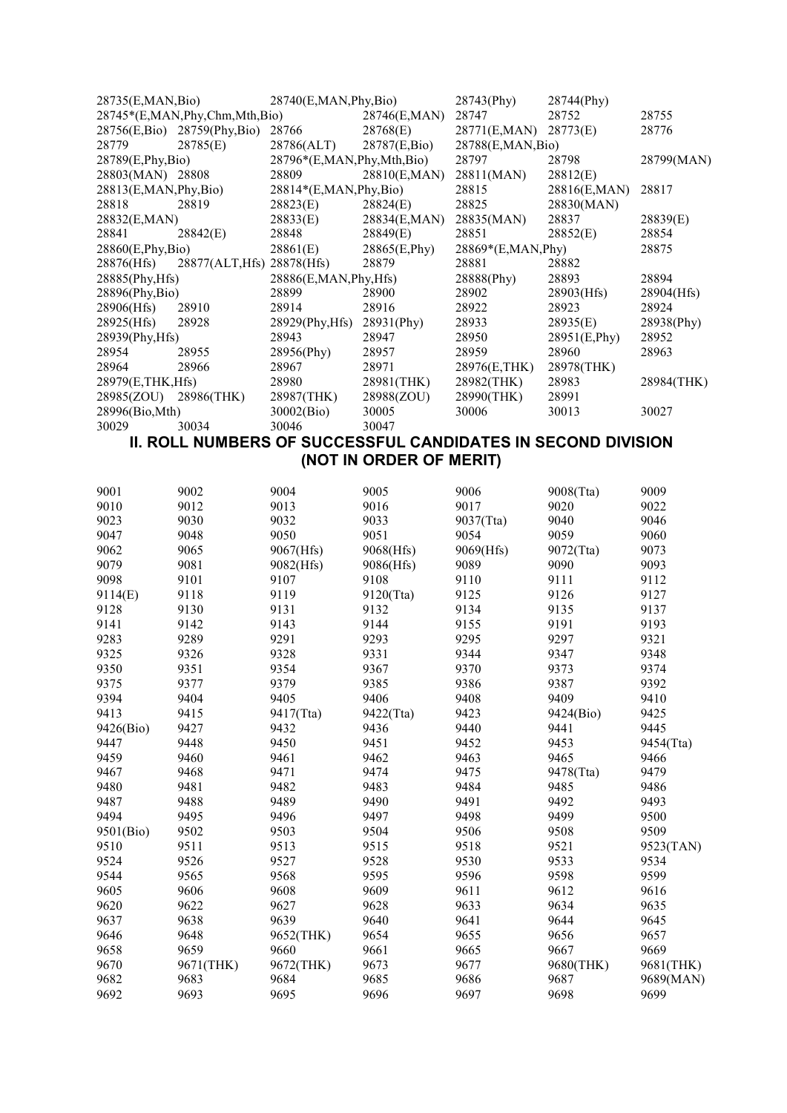| 28735(E,MAN,Bio)        |                                       | 28740(E, MAN, Phy, Bio)         |               | $28743$ (Phy)         | 28744(Phy)    |            |
|-------------------------|---------------------------------------|---------------------------------|---------------|-----------------------|---------------|------------|
|                         | $28745*(E, MAN, Phy, Chm, Mth, Bio)$  |                                 | 28746(E,MAN)  | 28747                 | 28752         | 28755      |
|                         | 28756(E,Bio) 28759(Phy,Bio)           | 28766                           | 28768(E)      | 28771(E,MAN) 28773(E) |               | 28776      |
| 28779                   | 28785(E)                              | 28786(ALT)                      | 28787(E,Bio)  | 28788(E,MAN, Bio)     |               |            |
| 28789(E, Phys, Bio)     |                                       | $28796*(E, MAN, Phy, Mth, Bio)$ |               | 28797                 | 28798         | 28799(MAN) |
| 28803(MAN) 28808        |                                       | 28809                           | 28810(E,MAN)  | 28811(MAN)            | 28812(E)      |            |
| 28813(E, MAN, Phy, Bio) |                                       | $28814*(E, MAN, Phy, Bio)$      |               | 28815                 | 28816(E,MAN)  | 28817      |
| 28818                   | 28819                                 | 28823(E)                        | 28824(E)      | 28825                 | 28830(MAN)    |            |
| 28832(E,MAN)            |                                       | 28833(E)                        | 28834(E,MAN)  | 28835(MAN)            | 28837         | 28839(E)   |
| 28841                   | 28842(E)                              | 28848                           | 28849(E)      | 28851                 | 28852(E)      | 28854      |
| 28860(E, Phy, Bio)      |                                       | 28861(E)                        | 28865(E, Phy) | $28869*(E, MAN, Phy)$ |               | 28875      |
|                         | 28876(Hfs) 28877(ALT, Hfs) 28878(Hfs) |                                 | 28879         | 28881                 | 28882         |            |
| 28885(Phy, Hfs)         |                                       | $28886$ (E,MAN, Phy, Hfs)       |               | 28888(Phy)            | 28893         | 28894      |
| 28896(Phy,Bio)          |                                       | 28899                           | 28900         | 28902                 | 28903(Hfs)    | 28904(Hfs) |
| 28906(Hfs)              | 28910                                 | 28914                           | 28916         | 28922                 | 28923         | 28924      |
| 28925(Hfs)              | 28928                                 | 28929(Phy, Hfs)                 | $28931$ (Phy) | 28933                 | 28935(E)      | 28938(Phy) |
| 28939(Phy, Hfs)         |                                       | 28943                           | 28947         | 28950                 | 28951(E, Phy) | 28952      |
| 28954                   | 28955                                 | 28956(Phy)                      | 28957         | 28959                 | 28960         | 28963      |
| 28964                   | 28966                                 | 28967                           | 28971         | 28976(E,THK)          | 28978(THK)    |            |
| 28979(E,THK, Hfs)       |                                       | 28980                           | 28981(THK)    | 28982(THK)            | 28983         | 28984(THK) |
| 28985(ZOU) 28986(THK)   |                                       | 28987(THK)                      | 28988(ZOU)    | 28990(THK)            | 28991         |            |
| 28996(Bio, Mth)         |                                       | 30002(Bio)                      | 30005         | 30006                 | 30013         | 30027      |
| 30029                   | 30034                                 | 30046                           | 30047         |                       |               |            |
|                         |                                       |                                 |               |                       |               |            |

#### **II. ROLL NUMBERS OF SUCCESSFUL CANDIDATES IN SECOND DIVISION (NOT IN ORDER OF MERIT)**

| 9001      | 9002      | 9004      | 9005      | 9006      | 9008(Tta) | 9009      |
|-----------|-----------|-----------|-----------|-----------|-----------|-----------|
| 9010      | 9012      | 9013      | 9016      | 9017      | 9020      | 9022      |
| 9023      | 9030      | 9032      | 9033      | 9037(Tta) | 9040      | 9046      |
| 9047      | 9048      | 9050      | 9051      | 9054      | 9059      | 9060      |
| 9062      | 9065      | 9067(Hfs) | 9068(Hfs) | 9069(Hfs) | 9072(Tta) | 9073      |
| 9079      | 9081      | 9082(Hfs) | 9086(Hfs) | 9089      | 9090      | 9093      |
| 9098      | 9101      | 9107      | 9108      | 9110      | 9111      | 9112      |
| 9114(E)   | 9118      | 9119      | 9120(Tta) | 9125      | 9126      | 9127      |
| 9128      | 9130      | 9131      | 9132      | 9134      | 9135      | 9137      |
| 9141      | 9142      | 9143      | 9144      | 9155      | 9191      | 9193      |
| 9283      | 9289      | 9291      | 9293      | 9295      | 9297      | 9321      |
| 9325      | 9326      | 9328      | 9331      | 9344      | 9347      | 9348      |
| 9350      | 9351      | 9354      | 9367      | 9370      | 9373      | 9374      |
| 9375      | 9377      | 9379      | 9385      | 9386      | 9387      | 9392      |
| 9394      | 9404      | 9405      | 9406      | 9408      | 9409      | 9410      |
| 9413      | 9415      | 9417(Tta) | 9422(Tta) | 9423      | 9424(Bio) | 9425      |
| 9426(Bio) | 9427      | 9432      | 9436      | 9440      | 9441      | 9445      |
| 9447      | 9448      | 9450      | 9451      | 9452      | 9453      | 9454(Tta) |
| 9459      | 9460      | 9461      | 9462      | 9463      | 9465      | 9466      |
| 9467      | 9468      | 9471      | 9474      | 9475      | 9478(Tta) | 9479      |
| 9480      | 9481      | 9482      | 9483      | 9484      | 9485      | 9486      |
| 9487      | 9488      | 9489      | 9490      | 9491      | 9492      | 9493      |
| 9494      | 9495      | 9496      | 9497      | 9498      | 9499      | 9500      |
| 9501(Bio) | 9502      | 9503      | 9504      | 9506      | 9508      | 9509      |
| 9510      | 9511      | 9513      | 9515      | 9518      | 9521      | 9523(TAN) |
| 9524      | 9526      | 9527      | 9528      | 9530      | 9533      | 9534      |
| 9544      | 9565      | 9568      | 9595      | 9596      | 9598      | 9599      |
| 9605      | 9606      | 9608      | 9609      | 9611      | 9612      | 9616      |
| 9620      | 9622      | 9627      | 9628      | 9633      | 9634      | 9635      |
| 9637      | 9638      | 9639      | 9640      | 9641      | 9644      | 9645      |
| 9646      | 9648      | 9652(THK) | 9654      | 9655      | 9656      | 9657      |
| 9658      | 9659      | 9660      | 9661      | 9665      | 9667      | 9669      |
| 9670      | 9671(THK) | 9672(THK) | 9673      | 9677      | 9680(THK) | 9681(THK) |
| 9682      | 9683      | 9684      | 9685      | 9686      | 9687      | 9689(MAN) |
| 9692      | 9693      | 9695      | 9696      | 9697      | 9698      | 9699      |
|           |           |           |           |           |           |           |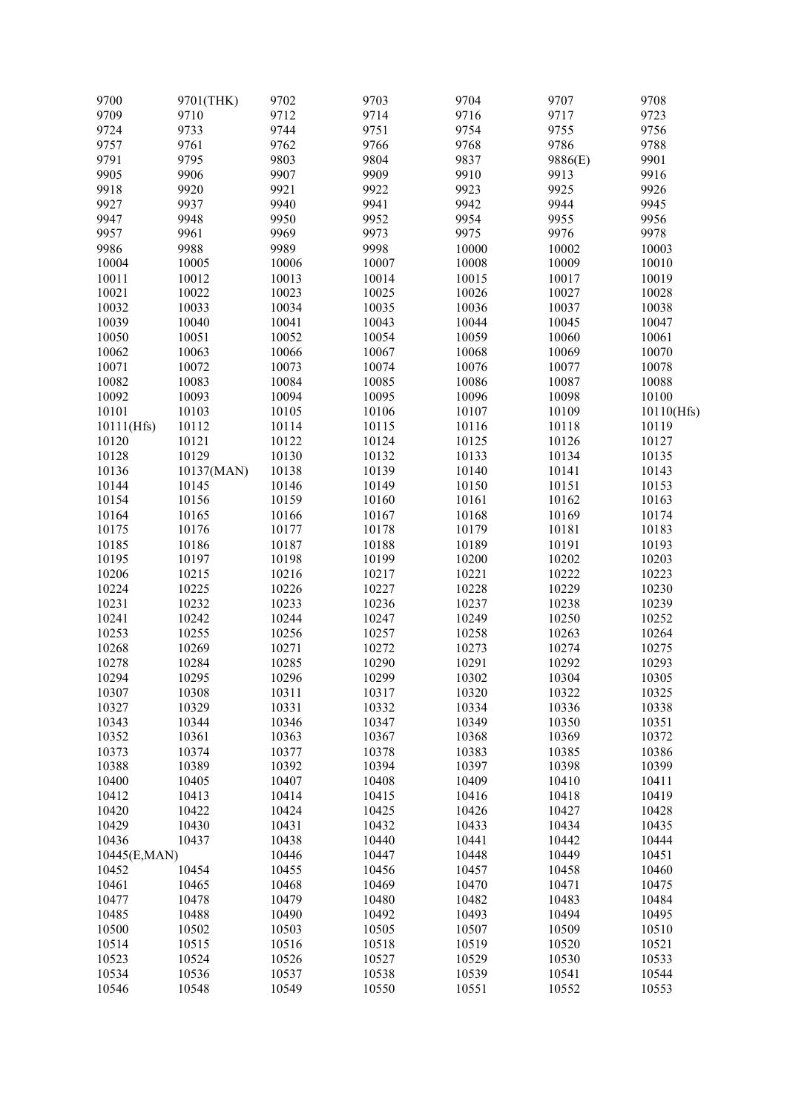| 9700         | 9701(THK)  | 9702  | 9703  | 9704  | 9707    | 9708       |
|--------------|------------|-------|-------|-------|---------|------------|
| 9709         | 9710       | 9712  | 9714  | 9716  | 9717    | 9723       |
| 9724         | 9733       | 9744  | 9751  | 9754  | 9755    | 9756       |
| 9757         | 9761       | 9762  | 9766  | 9768  | 9786    | 9788       |
| 9791         | 9795       | 9803  | 9804  | 9837  | 9886(E) | 9901       |
| 9905         | 9906       | 9907  | 9909  | 9910  | 9913    | 9916       |
| 9918         | 9920       | 9921  | 9922  | 9923  | 9925    | 9926       |
| 9927         | 9937       | 9940  | 9941  | 9942  | 9944    | 9945       |
|              |            |       |       |       |         |            |
| 9947         | 9948       | 9950  | 9952  | 9954  | 9955    | 9956       |
| 9957         | 9961       | 9969  | 9973  | 9975  | 9976    | 9978       |
| 9986         | 9988       | 9989  | 9998  | 10000 | 10002   | 10003      |
| 10004        | 10005      | 10006 | 10007 | 10008 | 10009   | 10010      |
| 10011        | 10012      | 10013 | 10014 | 10015 | 10017   | 10019      |
| 10021        | 10022      | 10023 | 10025 | 10026 | 10027   | 10028      |
| 10032        | 10033      | 10034 | 10035 | 10036 | 10037   | 10038      |
| 10039        | 10040      | 10041 | 10043 | 10044 | 10045   | 10047      |
| 10050        | 10051      | 10052 | 10054 | 10059 | 10060   | 10061      |
| 10062        | 10063      | 10066 | 10067 | 10068 | 10069   | 10070      |
|              |            |       |       |       |         |            |
| 10071        | 10072      | 10073 | 10074 | 10076 | 10077   | 10078      |
| 10082        | 10083      | 10084 | 10085 | 10086 | 10087   | 10088      |
| 10092        | 10093      | 10094 | 10095 | 10096 | 10098   | 10100      |
| 10101        | 10103      | 10105 | 10106 | 10107 | 10109   | 10110(Hfs) |
| 10111(Hfs)   | 10112      | 10114 | 10115 | 10116 | 10118   | 10119      |
| 10120        | 10121      | 10122 | 10124 | 10125 | 10126   | 10127      |
| 10128        | 10129      | 10130 | 10132 | 10133 | 10134   | 10135      |
| 10136        | 10137(MAN) | 10138 | 10139 | 10140 | 10141   | 10143      |
| 10144        | 10145      | 10146 | 10149 | 10150 | 10151   | 10153      |
| 10154        | 10156      | 10159 | 10160 | 10161 | 10162   | 10163      |
|              |            |       |       |       |         | 10174      |
| 10164        | 10165      | 10166 | 10167 | 10168 | 10169   |            |
| 10175        | 10176      | 10177 | 10178 | 10179 | 10181   | 10183      |
| 10185        | 10186      | 10187 | 10188 | 10189 | 10191   | 10193      |
| 10195        | 10197      | 10198 | 10199 | 10200 | 10202   | 10203      |
| 10206        | 10215      | 10216 | 10217 | 10221 | 10222   | 10223      |
| 10224        | 10225      | 10226 | 10227 | 10228 | 10229   | 10230      |
| 10231        | 10232      | 10233 | 10236 | 10237 | 10238   | 10239      |
| 10241        | 10242      | 10244 | 10247 | 10249 | 10250   | 10252      |
| 10253        | 10255      | 10256 | 10257 | 10258 | 10263   | 10264      |
| 10268        | 10269      | 10271 | 10272 | 10273 | 10274   | 10275      |
| 10278        | 10284      | 10285 | 10290 | 10291 | 10292   | 10293      |
| 10294        | 10295      | 10296 | 10299 | 10302 | 10304   | 10305      |
|              |            |       |       |       |         |            |
| 10307        | 10308      | 10311 | 10317 | 10320 | 10322   | 10325      |
| 10327        | 10329      | 10331 | 10332 | 10334 | 10336   | 10338      |
| 10343        | 10344      | 10346 | 10347 | 10349 | 10350   | 10351      |
| 10352        | 10361      | 10363 | 10367 | 10368 | 10369   | 10372      |
| 10373        | 10374      | 10377 | 10378 | 10383 | 10385   | 10386      |
| 10388        | 10389      | 10392 | 10394 | 10397 | 10398   | 10399      |
| 10400        | 10405      | 10407 | 10408 | 10409 | 10410   | 10411      |
| 10412        | 10413      | 10414 | 10415 | 10416 | 10418   | 10419      |
| 10420        | 10422      | 10424 | 10425 | 10426 | 10427   | 10428      |
| 10429        | 10430      | 10431 | 10432 | 10433 | 10434   | 10435      |
| 10436        | 10437      | 10438 | 10440 | 10441 | 10442   | 10444      |
|              |            |       |       |       |         |            |
| 10445(E,MAN) |            | 10446 | 10447 | 10448 | 10449   | 10451      |
| 10452        | 10454      | 10455 | 10456 | 10457 | 10458   | 10460      |
| 10461        | 10465      | 10468 | 10469 | 10470 | 10471   | 10475      |
| 10477        | 10478      | 10479 | 10480 | 10482 | 10483   | 10484      |
| 10485        | 10488      | 10490 | 10492 | 10493 | 10494   | 10495      |
| 10500        | 10502      | 10503 | 10505 | 10507 | 10509   | 10510      |
| 10514        | 10515      | 10516 | 10518 | 10519 | 10520   | 10521      |
| 10523        | 10524      | 10526 | 10527 | 10529 | 10530   | 10533      |
| 10534        | 10536      | 10537 | 10538 | 10539 | 10541   | 10544      |
|              |            |       |       |       |         |            |
| 10546        | 10548      | 10549 | 10550 | 10551 | 10552   | 10553      |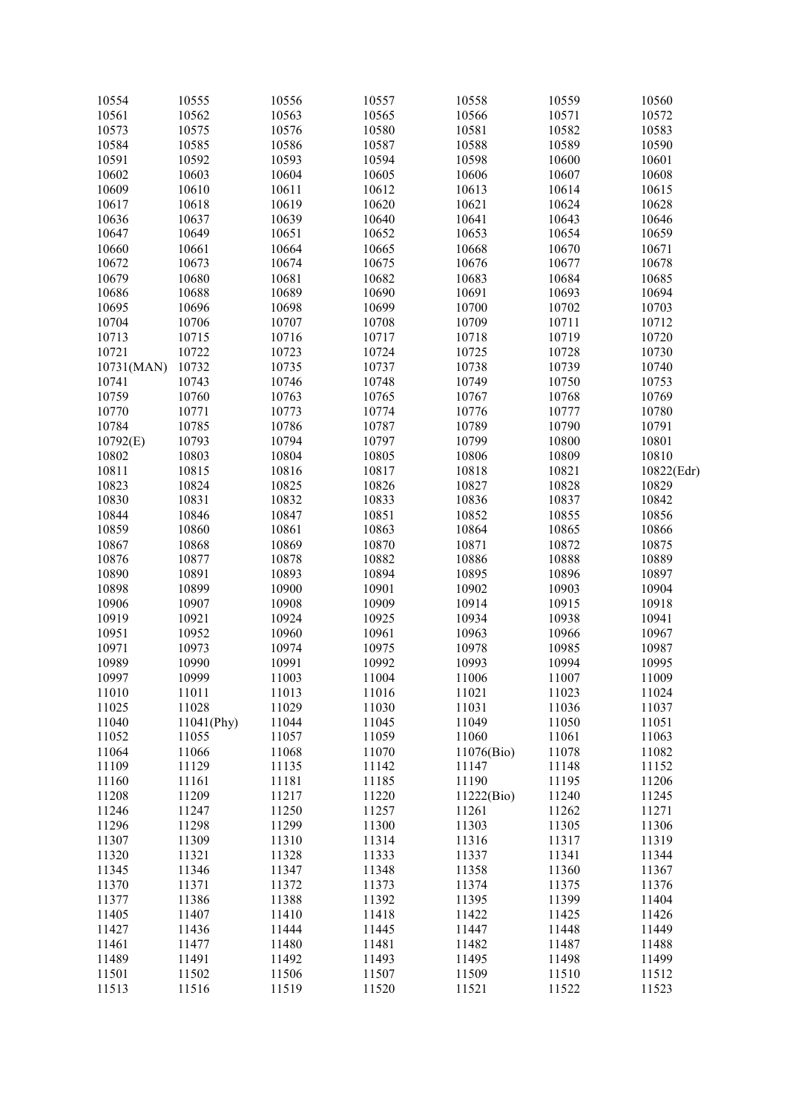| 10554      | 10555      | 10556 | 10557 | 10558      | 10559 | 10560      |
|------------|------------|-------|-------|------------|-------|------------|
| 10561      | 10562      | 10563 | 10565 | 10566      | 10571 | 10572      |
| 10573      | 10575      | 10576 | 10580 | 10581      | 10582 | 10583      |
| 10584      | 10585      | 10586 | 10587 | 10588      | 10589 | 10590      |
| 10591      | 10592      | 10593 | 10594 | 10598      | 10600 | 10601      |
| 10602      | 10603      | 10604 | 10605 | 10606      | 10607 | 10608      |
| 10609      | 10610      | 10611 | 10612 | 10613      | 10614 | 10615      |
| 10617      | 10618      | 10619 | 10620 | 10621      | 10624 | 10628      |
|            |            |       |       |            |       |            |
| 10636      | 10637      | 10639 | 10640 | 10641      | 10643 | 10646      |
| 10647      | 10649      | 10651 | 10652 | 10653      | 10654 | 10659      |
| 10660      | 10661      | 10664 | 10665 | 10668      | 10670 | 10671      |
| 10672      | 10673      | 10674 | 10675 | 10676      | 10677 | 10678      |
| 10679      | 10680      | 10681 | 10682 | 10683      | 10684 | 10685      |
| 10686      | 10688      | 10689 | 10690 | 10691      | 10693 | 10694      |
| 10695      | 10696      | 10698 | 10699 | 10700      | 10702 | 10703      |
| 10704      | 10706      | 10707 | 10708 | 10709      | 10711 | 10712      |
| 10713      | 10715      | 10716 | 10717 | 10718      | 10719 | 10720      |
| 10721      | 10722      | 10723 | 10724 | 10725      | 10728 | 10730      |
| 10731(MAN) | 10732      | 10735 | 10737 | 10738      | 10739 | 10740      |
| 10741      | 10743      | 10746 | 10748 | 10749      | 10750 | 10753      |
| 10759      | 10760      | 10763 | 10765 | 10767      | 10768 | 10769      |
| 10770      | 10771      | 10773 | 10774 | 10776      | 10777 | 10780      |
|            |            |       |       |            |       |            |
| 10784      | 10785      | 10786 | 10787 | 10789      | 10790 | 10791      |
| 10792(E)   | 10793      | 10794 | 10797 | 10799      | 10800 | 10801      |
| 10802      | 10803      | 10804 | 10805 | 10806      | 10809 | 10810      |
| 10811      | 10815      | 10816 | 10817 | 10818      | 10821 | 10822(Edr) |
| 10823      | 10824      | 10825 | 10826 | 10827      | 10828 | 10829      |
| 10830      | 10831      | 10832 | 10833 | 10836      | 10837 | 10842      |
| 10844      | 10846      | 10847 | 10851 | 10852      | 10855 | 10856      |
| 10859      | 10860      | 10861 | 10863 | 10864      | 10865 | 10866      |
| 10867      | 10868      | 10869 | 10870 | 10871      | 10872 | 10875      |
| 10876      | 10877      | 10878 | 10882 | 10886      | 10888 | 10889      |
| 10890      | 10891      | 10893 | 10894 | 10895      | 10896 | 10897      |
| 10898      | 10899      | 10900 | 10901 | 10902      | 10903 | 10904      |
| 10906      | 10907      | 10908 | 10909 | 10914      | 10915 | 10918      |
| 10919      | 10921      | 10924 | 10925 | 10934      | 10938 | 10941      |
|            |            |       |       |            |       |            |
| 10951      | 10952      | 10960 | 10961 | 10963      | 10966 | 10967      |
| 10971      | 10973      | 10974 | 10975 | 10978      | 10985 | 10987      |
| 10989      | 10990      | 10991 | 10992 | 10993      | 10994 | 10995      |
| 10997      | 10999      | 11003 | 11004 | 11006      | 11007 | 11009      |
| 11010      | 11011      | 11013 | 11016 | 11021      | 11023 | 11024      |
| 11025      | 11028      | 11029 | 11030 | 11031      | 11036 | 11037      |
| 11040      | 11041(Phy) | 11044 | 11045 | 11049      | 11050 | 11051      |
| 11052      | 11055      | 11057 | 11059 | 11060      | 11061 | 11063      |
| 11064      | 11066      | 11068 | 11070 | 11076(Bio) | 11078 | 11082      |
| 11109      | 11129      | 11135 | 11142 | 11147      | 11148 | 11152      |
| 11160      | 11161      | 11181 | 11185 | 11190      | 11195 | 11206      |
| 11208      | 11209      | 11217 | 11220 | 11222(Bio) | 11240 | 11245      |
| 11246      | 11247      | 11250 | 11257 | 11261      | 11262 | 11271      |
| 11296      | 11298      | 11299 | 11300 | 11303      | 11305 | 11306      |
|            |            |       |       |            |       |            |
| 11307      | 11309      | 11310 | 11314 | 11316      | 11317 | 11319      |
| 11320      | 11321      | 11328 | 11333 | 11337      | 11341 | 11344      |
| 11345      | 11346      | 11347 | 11348 | 11358      | 11360 | 11367      |
| 11370      | 11371      | 11372 | 11373 | 11374      | 11375 | 11376      |
| 11377      | 11386      | 11388 | 11392 | 11395      | 11399 | 11404      |
| 11405      | 11407      | 11410 | 11418 | 11422      | 11425 | 11426      |
| 11427      | 11436      | 11444 | 11445 | 11447      | 11448 | 11449      |
| 11461      | 11477      | 11480 | 11481 | 11482      | 11487 | 11488      |
| 11489      | 11491      | 11492 | 11493 | 11495      | 11498 | 11499      |
| 11501      | 11502      | 11506 | 11507 | 11509      | 11510 | 11512      |
| 11513      | 11516      | 11519 | 11520 | 11521      | 11522 | 11523      |
|            |            |       |       |            |       |            |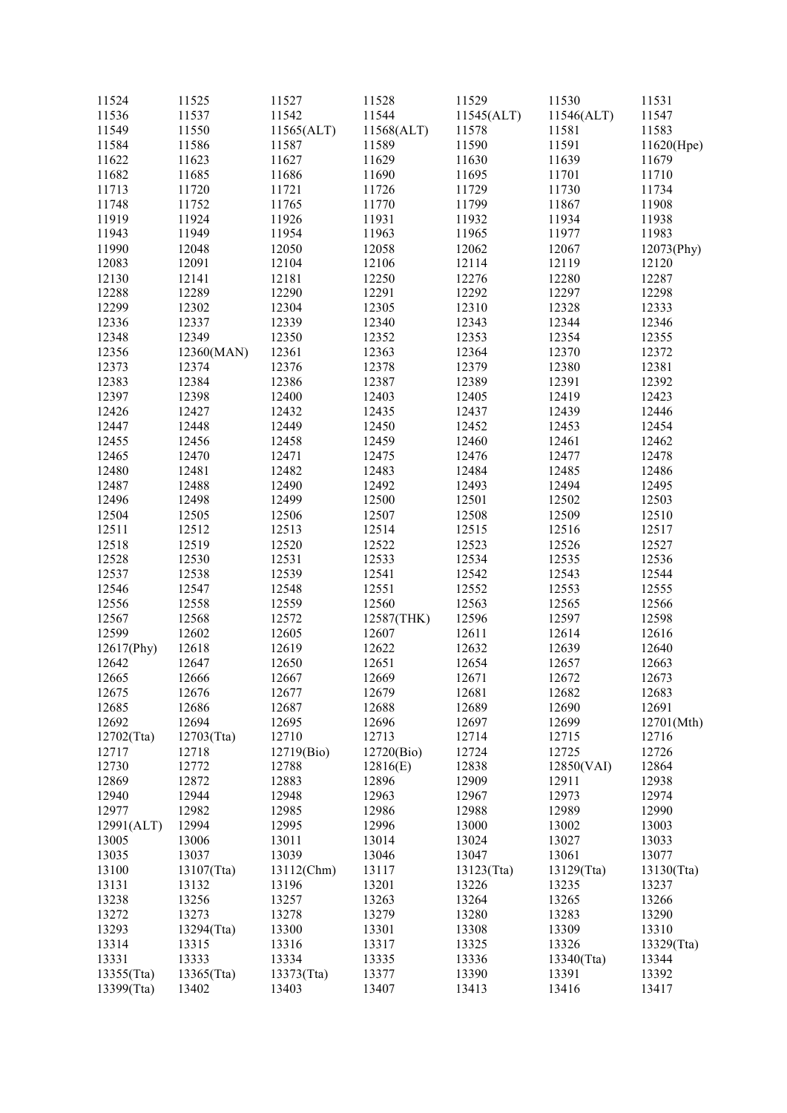| 11524      | 11525      | 11527      | 11528      | 11529      | 11530         | 11531      |
|------------|------------|------------|------------|------------|---------------|------------|
| 11536      | 11537      | 11542      | 11544      | 11545(ALT) | 11546(ALT)    | 11547      |
| 11549      | 11550      | 11565(ALT) | 11568(ALT) | 11578      | 11581         | 11583      |
| 11584      | 11586      | 11587      | 11589      | 11590      | 11591         | 11620(Hpe) |
| 11622      | 11623      | 11627      | 11629      | 11630      | 11639         | 11679      |
| 11682      | 11685      | 11686      | 11690      | 11695      | 11701         | 11710      |
| 11713      | 11720      | 11721      | 11726      | 11729      | 11730         | 11734      |
| 11748      | 11752      | 11765      | 11770      | 11799      | 11867         | 11908      |
| 11919      | 11924      | 11926      | 11931      | 11932      | 11934         | 11938      |
| 11943      | 11949      | 11954      | 11963      | 11965      | 11977         | 11983      |
| 11990      | 12048      | 12050      | 12058      | 12062      | 12067         | 12073(Phy) |
| 12083      | 12091      | 12104      | 12106      | 12114      | 12119         | 12120      |
| 12130      | 12141      | 12181      | 12250      | 12276      | 12280         | 12287      |
| 12288      | 12289      | 12290      | 12291      | 12292      | 12297         | 12298      |
| 12299      | 12302      | 12304      | 12305      | 12310      | 12328         | 12333      |
| 12336      | 12337      | 12339      | 12340      | 12343      | 12344         | 12346      |
| 12348      | 12349      | 12350      | 12352      | 12353      | 12354         | 12355      |
| 12356      | 12360(MAN) | 12361      | 12363      | 12364      | 12370         | 12372      |
| 12373      | 12374      | 12376      | 12378      | 12379      | 12380         | 12381      |
| 12383      | 12384      | 12386      | 12387      | 12389      | 12391         | 12392      |
| 12397      | 12398      | 12400      | 12403      | 12405      | 12419         | 12423      |
| 12426      | 12427      | 12432      | 12435      | 12437      | 12439         | 12446      |
| 12447      | 12448      | 12449      | 12450      | 12452      | 12453         | 12454      |
| 12455      | 12456      | 12458      | 12459      | 12460      | 12461         | 12462      |
| 12465      | 12470      | 12471      | 12475      | 12476      | 12477         | 12478      |
| 12480      | 12481      | 12482      | 12483      | 12484      | 12485         | 12486      |
| 12487      | 12488      | 12490      | 12492      | 12493      | 12494         | 12495      |
| 12496      | 12498      | 12499      | 12500      | 12501      | 12502         | 12503      |
| 12504      | 12505      | 12506      | 12507      | 12508      | 12509         | 12510      |
| 12511      | 12512      | 12513      | 12514      | 12515      | 12516         | 12517      |
| 12518      | 12519      | 12520      | 12522      | 12523      | 12526         | 12527      |
| 12528      | 12530      | 12531      | 12533      | 12534      | 12535         | 12536      |
| 12537      | 12538      | 12539      | 12541      | 12542      | 12543         | 12544      |
| 12546      | 12547      | 12548      | 12551      | 12552      | 12553         | 12555      |
| 12556      | 12558      | 12559      | 12560      | 12563      | 12565         | 12566      |
| 12567      | 12568      | 12572      | 12587(THK) | 12596      | 12597         | 12598      |
| 12599      | 12602      | 12605      | 12607      | 12611      | 12614         | 12616      |
| 12617(Phy) | 12618      | 12619      | 12622      | 12632      | 12639         | 12640      |
| 12642      | 12647      | 12650      | 12651      | 12654      | 12657         | 12663      |
| 12665      | 12666      | 12667      | 12669      | 12671      | 12672         | 12673      |
| 12675      | 12676      | 12677      | 12679      | 12681      | 12682         | 12683      |
| 12685      | 12686      | 12687      | 12688      | 12689      | 12690         | 12691      |
| 12692      | 12694      | 12695      | 12696      | 12697      | 12699         | 12701(Mth) |
| 12702(Tta) | 12703(Tta) | 12710      | 12713      | 12714      | 12715         | 12716      |
| 12717      | 12718      | 12719(Bio) | 12720(Bio) | 12724      | 12725         | 12726      |
| 12730      | 12772      | 12788      | 12816(E)   | 12838      | 12850(VAI)    | 12864      |
| 12869      | 12872      | 12883      | 12896      | 12909      | 12911         | 12938      |
| 12940      | 12944      | 12948      | 12963      | 12967      | 12973         | 12974      |
| 12977      | 12982      | 12985      | 12986      | 12988      | 12989         | 12990      |
| 12991(ALT) | 12994      | 12995      | 12996      | 13000      | 13002         | 13003      |
| 13005      | 13006      | 13011      | 13014      | 13024      | 13027         | 13033      |
| 13035      | 13037      | 13039      | 13046      | 13047      | 13061         | 13077      |
| 13100      | 13107(Tta) | 13112(Chm) | 13117      | 13123(Tta) | 13129(Tta)    | 13130(Tta) |
| 13131      | 13132      | 13196      | 13201      | 13226      | 13235         | 13237      |
| 13238      | 13256      | 13257      | 13263      | 13264      | 13265         | 13266      |
| 13272      | 13273      | 13278      | 13279      | 13280      | 13283         | 13290      |
| 13293      | 13294(Tta) | 13300      | 13301      | 13308      | 13309         | 13310      |
| 13314      | 13315      | 13316      | 13317      | 13325      | 13326         | 13329(Tta) |
| 13331      | 13333      | 13334      | 13335      | 13336      | $13340$ (Tta) | 13344      |
| 13355(Tta) | 13365(Tta) | 13373(Tta) | 13377      | 13390      | 13391         | 13392      |
| 13399(Tta) | 13402      | 13403      | 13407      | 13413      | 13416         | 13417      |
|            |            |            |            |            |               |            |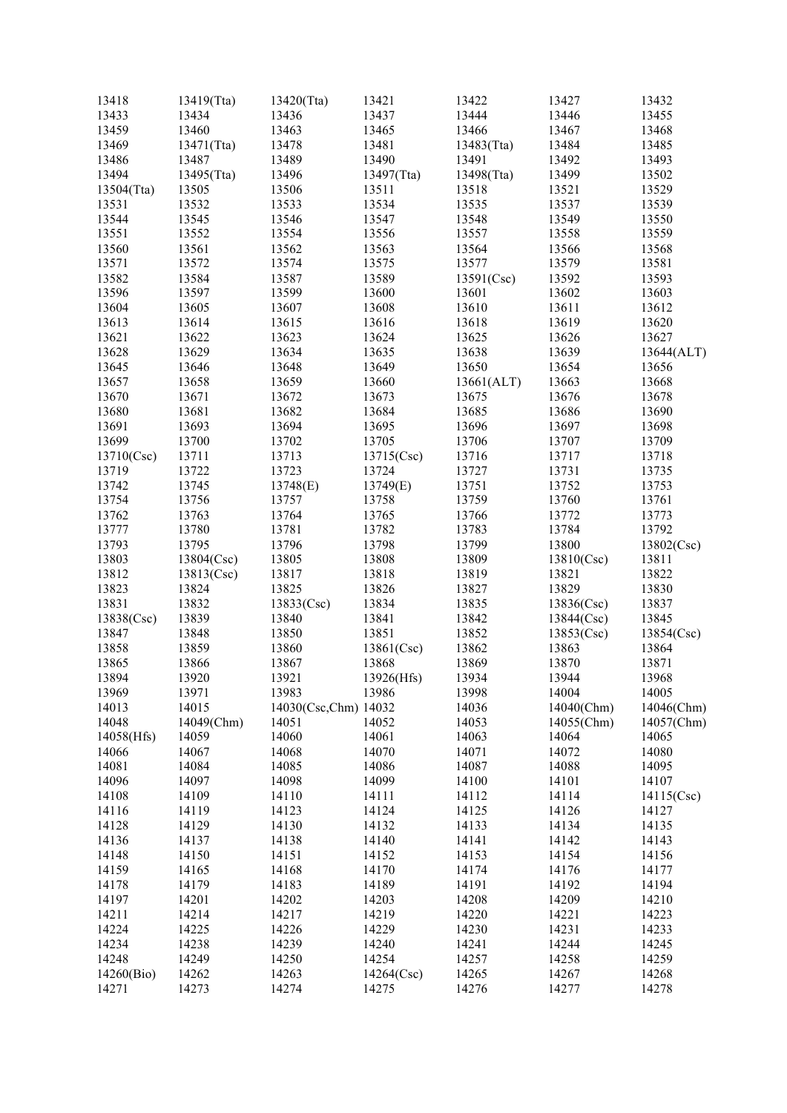| 13418      | 13419(Tta) | 13420(Tta)           | 13421          | 13422      | 13427      | 13432      |
|------------|------------|----------------------|----------------|------------|------------|------------|
| 13433      | 13434      | 13436                | 13437          | 13444      | 13446      | 13455      |
| 13459      | 13460      | 13463                | 13465          | 13466      | 13467      | 13468      |
| 13469      | 13471(Tta) | 13478                | 13481          | 13483(Tta) | 13484      | 13485      |
| 13486      | 13487      | 13489                | 13490          | 13491      | 13492      | 13493      |
| 13494      | 13495(Tta) | 13496                | 13497(Tta)     | 13498(Tta) | 13499      | 13502      |
| 13504(Tta) | 13505      | 13506                | 13511          | 13518      | 13521      | 13529      |
| 13531      | 13532      | 13533                | 13534          | 13535      | 13537      | 13539      |
| 13544      | 13545      | 13546                | 13547          | 13548      | 13549      | 13550      |
| 13551      | 13552      | 13554                | 13556          | 13557      | 13558      | 13559      |
| 13560      | 13561      | 13562                | 13563          | 13564      | 13566      | 13568      |
| 13571      | 13572      | 13574                | 13575          | 13577      | 13579      | 13581      |
| 13582      | 13584      | 13587                | 13589          | 13591(Csc) | 13592      | 13593      |
| 13596      | 13597      | 13599                | 13600          | 13601      | 13602      | 13603      |
| 13604      | 13605      | 13607                | 13608          | 13610      | 13611      | 13612      |
| 13613      | 13614      | 13615                | 13616          | 13618      | 13619      | 13620      |
| 13621      | 13622      | 13623                | 13624          | 13625      | 13626      | 13627      |
| 13628      | 13629      | 13634                | 13635          | 13638      | 13639      | 13644(ALT) |
| 13645      | 13646      | 13648                | 13649          | 13650      | 13654      | 13656      |
|            |            |                      |                |            |            |            |
| 13657      | 13658      | 13659                | 13660          | 13661(ALT) | 13663      | 13668      |
| 13670      | 13671      | 13672                | 13673<br>13684 | 13675      | 13676      | 13678      |
| 13680      | 13681      | 13682                |                | 13685      | 13686      | 13690      |
| 13691      | 13693      | 13694                | 13695          | 13696      | 13697      | 13698      |
| 13699      | 13700      | 13702                | 13705          | 13706      | 13707      | 13709      |
| 13710(Csc) | 13711      | 13713                | 13715(Csc)     | 13716      | 13717      | 13718      |
| 13719      | 13722      | 13723                | 13724          | 13727      | 13731      | 13735      |
| 13742      | 13745      | 13748(E)             | 13749(E)       | 13751      | 13752      | 13753      |
| 13754      | 13756      | 13757                | 13758          | 13759      | 13760      | 13761      |
| 13762      | 13763      | 13764                | 13765          | 13766      | 13772      | 13773      |
| 13777      | 13780      | 13781                | 13782          | 13783      | 13784      | 13792      |
| 13793      | 13795      | 13796                | 13798          | 13799      | 13800      | 13802(Csc) |
| 13803      | 13804(Csc) | 13805                | 13808          | 13809      | 13810(Csc) | 13811      |
| 13812      | 13813(Csc) | 13817                | 13818          | 13819      | 13821      | 13822      |
| 13823      | 13824      | 13825                | 13826          | 13827      | 13829      | 13830      |
| 13831      | 13832      | 13833(Csc)           | 13834          | 13835      | 13836(Csc) | 13837      |
| 13838(Csc) | 13839      | 13840                | 13841          | 13842      | 13844(Csc) | 13845      |
| 13847      | 13848      | 13850                | 13851          | 13852      | 13853(Csc) | 13854(Csc) |
| 13858      | 13859      | 13860                | 13861(Csc)     | 13862      | 13863      | 13864      |
| 13865      | 13866      | 13867                | 13868          | 13869      | 13870      | 13871      |
| 13894      | 13920      | 13921                | 13926(Hfs)     | 13934      | 13944      | 13968      |
| 13969      | 13971      | 13983                | 13986          | 13998      | 14004      | 14005      |
| 14013      | 14015      | 14030(Csc,Chm) 14032 |                | 14036      | 14040(Chm) | 14046(Chm) |
| 14048      | 14049(Chm) | 14051                | 14052          | 14053      | 14055(Chm) | 14057(Chm) |
| 14058(Hfs) | 14059      | 14060                | 14061          | 14063      | 14064      | 14065      |
| 14066      | 14067      | 14068                | 14070          | 14071      | 14072      | 14080      |
| 14081      | 14084      | 14085                | 14086          | 14087      | 14088      | 14095      |
| 14096      | 14097      | 14098                | 14099          | 14100      | 14101      | 14107      |
| 14108      | 14109      | 14110                | 14111          | 14112      | 14114      | 14115(Csc) |
| 14116      | 14119      | 14123                | 14124          | 14125      | 14126      | 14127      |
| 14128      | 14129      | 14130                | 14132          | 14133      | 14134      | 14135      |
| 14136      | 14137      | 14138                | 14140          | 14141      | 14142      | 14143      |
| 14148      | 14150      | 14151                | 14152          | 14153      | 14154      | 14156      |
| 14159      | 14165      | 14168                | 14170          | 14174      | 14176      | 14177      |
| 14178      | 14179      | 14183                | 14189          | 14191      | 14192      | 14194      |
| 14197      | 14201      | 14202                | 14203          | 14208      | 14209      | 14210      |
| 14211      | 14214      | 14217                | 14219          | 14220      | 14221      | 14223      |
| 14224      | 14225      | 14226                | 14229          | 14230      | 14231      | 14233      |
| 14234      | 14238      | 14239                | 14240          | 14241      | 14244      | 14245      |
| 14248      | 14249      | 14250                | 14254          | 14257      | 14258      | 14259      |
| 14260(Bio) | 14262      | 14263                | 14264(Csc)     | 14265      | 14267      | 14268      |
| 14271      | 14273      | 14274                | 14275          | 14276      | 14277      | 14278      |
|            |            |                      |                |            |            |            |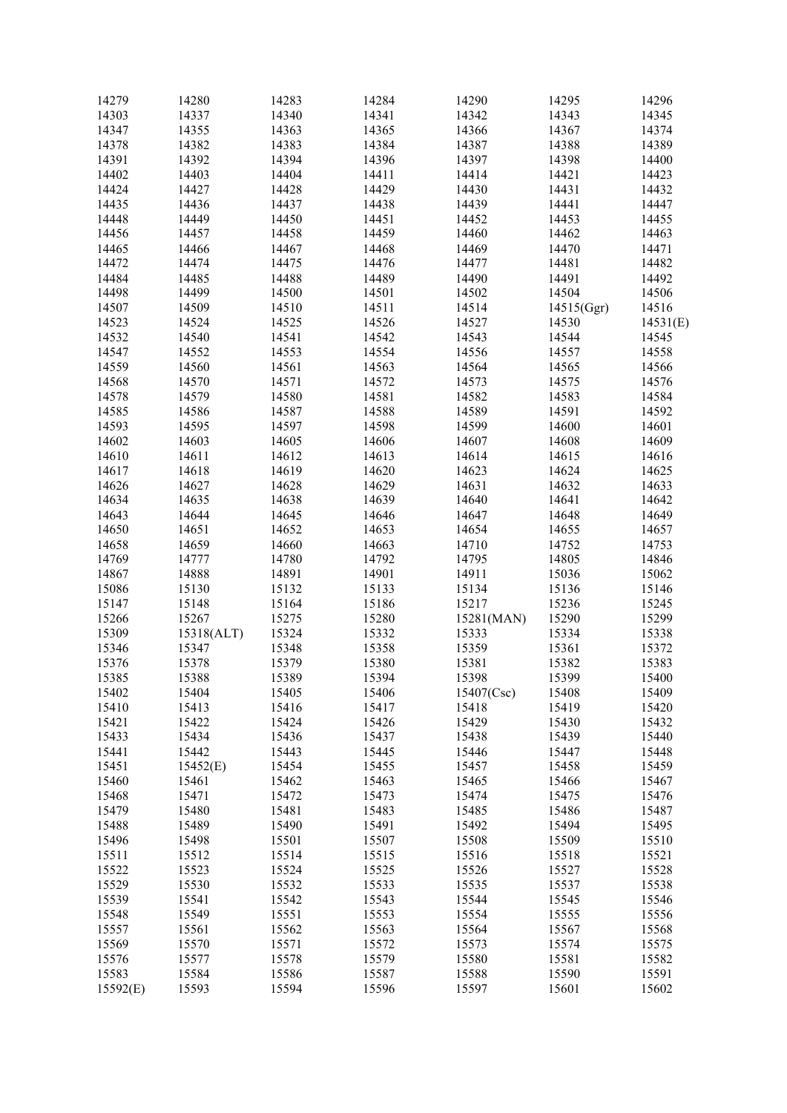| 14279    | 14280      | 14283 | 14284 | 14290      | 14295      | 14296    |
|----------|------------|-------|-------|------------|------------|----------|
| 14303    | 14337      | 14340 | 14341 | 14342      | 14343      | 14345    |
| 14347    | 14355      | 14363 | 14365 | 14366      | 14367      | 14374    |
| 14378    | 14382      | 14383 | 14384 | 14387      | 14388      | 14389    |
| 14391    | 14392      | 14394 | 14396 | 14397      | 14398      | 14400    |
| 14402    | 14403      | 14404 | 14411 | 14414      | 14421      | 14423    |
|          |            |       |       |            |            |          |
| 14424    | 14427      | 14428 | 14429 | 14430      | 14431      | 14432    |
| 14435    | 14436      | 14437 | 14438 | 14439      | 14441      | 14447    |
| 14448    | 14449      | 14450 | 14451 | 14452      | 14453      | 14455    |
| 14456    | 14457      | 14458 | 14459 | 14460      | 14462      | 14463    |
| 14465    | 14466      | 14467 | 14468 | 14469      | 14470      | 14471    |
| 14472    | 14474      | 14475 | 14476 | 14477      | 14481      | 14482    |
| 14484    | 14485      | 14488 | 14489 | 14490      | 14491      | 14492    |
| 14498    | 14499      | 14500 | 14501 | 14502      | 14504      | 14506    |
|          |            |       |       |            |            |          |
| 14507    | 14509      | 14510 | 14511 | 14514      | 14515(Ggr) | 14516    |
| 14523    | 14524      | 14525 | 14526 | 14527      | 14530      | 14531(E) |
| 14532    | 14540      | 14541 | 14542 | 14543      | 14544      | 14545    |
| 14547    | 14552      | 14553 | 14554 | 14556      | 14557      | 14558    |
| 14559    | 14560      | 14561 | 14563 | 14564      | 14565      | 14566    |
| 14568    | 14570      | 14571 | 14572 | 14573      | 14575      | 14576    |
| 14578    | 14579      | 14580 | 14581 | 14582      | 14583      | 14584    |
| 14585    | 14586      | 14587 | 14588 | 14589      | 14591      | 14592    |
| 14593    | 14595      | 14597 | 14598 | 14599      | 14600      | 14601    |
|          |            |       |       |            |            |          |
| 14602    | 14603      | 14605 | 14606 | 14607      | 14608      | 14609    |
| 14610    | 14611      | 14612 | 14613 | 14614      | 14615      | 14616    |
| 14617    | 14618      | 14619 | 14620 | 14623      | 14624      | 14625    |
| 14626    | 14627      | 14628 | 14629 | 14631      | 14632      | 14633    |
| 14634    | 14635      | 14638 | 14639 | 14640      | 14641      | 14642    |
| 14643    | 14644      | 14645 | 14646 | 14647      | 14648      | 14649    |
| 14650    | 14651      | 14652 | 14653 | 14654      | 14655      | 14657    |
| 14658    | 14659      | 14660 | 14663 | 14710      | 14752      | 14753    |
| 14769    | 14777      | 14780 | 14792 | 14795      | 14805      | 14846    |
| 14867    | 14888      | 14891 | 14901 | 14911      | 15036      | 15062    |
| 15086    | 15130      | 15132 | 15133 | 15134      | 15136      | 15146    |
| 15147    | 15148      | 15164 | 15186 | 15217      | 15236      | 15245    |
| 15266    | 15267      | 15275 |       |            | 15290      | 15299    |
|          |            |       | 15280 | 15281(MAN) |            |          |
| 15309    | 15318(ALT) | 15324 | 15332 | 15333      | 15334      | 15338    |
| 15346    | 15347      | 15348 | 15358 | 15359      | 15361      | 15372    |
| 15376    | 15378      | 15379 | 15380 | 15381      | 15382      | 15383    |
| 15385    | 15388      | 15389 | 15394 | 15398      | 15399      | 15400    |
| 15402    | 15404      | 15405 | 15406 | 15407(Csc) | 15408      | 15409    |
| 15410    | 15413      | 15416 | 15417 | 15418      | 15419      | 15420    |
| 15421    | 15422      | 15424 | 15426 | 15429      | 15430      | 15432    |
| 15433    | 15434      | 15436 | 15437 | 15438      | 15439      | 15440    |
| 15441    | 15442      | 15443 | 15445 | 15446      | 15447      | 15448    |
| 15451    | 15452(E)   | 15454 | 15455 | 15457      | 15458      | 15459    |
|          |            |       |       |            |            |          |
| 15460    | 15461      | 15462 | 15463 | 15465      | 15466      | 15467    |
| 15468    | 15471      | 15472 | 15473 | 15474      | 15475      | 15476    |
| 15479    | 15480      | 15481 | 15483 | 15485      | 15486      | 15487    |
| 15488    | 15489      | 15490 | 15491 | 15492      | 15494      | 15495    |
| 15496    | 15498      | 15501 | 15507 | 15508      | 15509      | 15510    |
| 15511    | 15512      | 15514 | 15515 | 15516      | 15518      | 15521    |
| 15522    | 15523      | 15524 | 15525 | 15526      | 15527      | 15528    |
| 15529    | 15530      | 15532 | 15533 | 15535      | 15537      | 15538    |
| 15539    | 15541      | 15542 | 15543 | 15544      | 15545      | 15546    |
| 15548    | 15549      | 15551 | 15553 | 15554      | 15555      | 15556    |
| 15557    | 15561      | 15562 | 15563 | 15564      |            | 15568    |
|          |            |       |       |            | 15567      |          |
| 15569    | 15570      | 15571 | 15572 | 15573      | 15574      | 15575    |
| 15576    | 15577      | 15578 | 15579 | 15580      | 15581      | 15582    |
| 15583    | 15584      | 15586 | 15587 | 15588      | 15590      | 15591    |
| 15592(E) | 15593      | 15594 | 15596 | 15597      | 15601      | 15602    |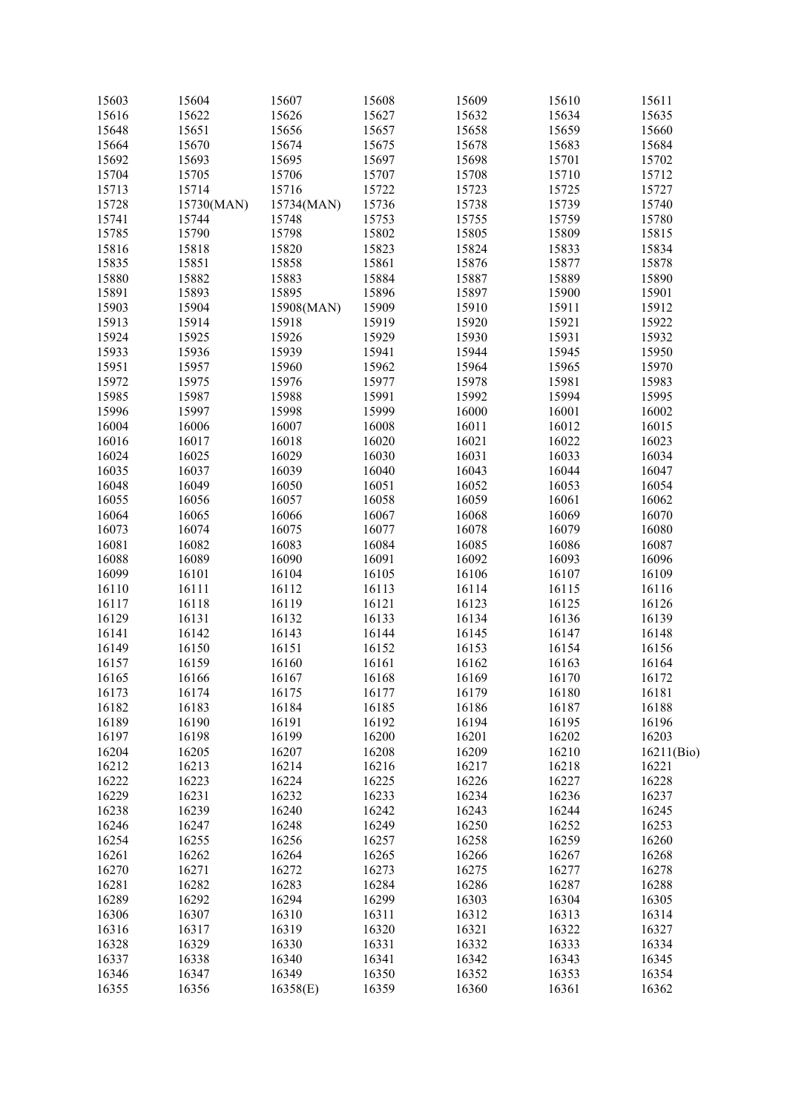| 15603 | 15604      | 15607      | 15608 | 15609 | 15610 | 15611      |
|-------|------------|------------|-------|-------|-------|------------|
| 15616 | 15622      | 15626      | 15627 | 15632 | 15634 | 15635      |
| 15648 | 15651      | 15656      | 15657 | 15658 | 15659 | 15660      |
| 15664 | 15670      | 15674      | 15675 | 15678 | 15683 | 15684      |
| 15692 | 15693      | 15695      | 15697 | 15698 | 15701 | 15702      |
| 15704 | 15705      | 15706      | 15707 | 15708 | 15710 | 15712      |
| 15713 | 15714      | 15716      | 15722 | 15723 | 15725 | 15727      |
| 15728 | 15730(MAN) | 15734(MAN) | 15736 | 15738 | 15739 | 15740      |
| 15741 | 15744      | 15748      | 15753 | 15755 | 15759 | 15780      |
| 15785 | 15790      | 15798      | 15802 | 15805 | 15809 | 15815      |
|       |            |            |       |       |       |            |
| 15816 | 15818      | 15820      | 15823 | 15824 | 15833 | 15834      |
| 15835 | 15851      | 15858      | 15861 | 15876 | 15877 | 15878      |
| 15880 | 15882      | 15883      | 15884 | 15887 | 15889 | 15890      |
| 15891 | 15893      | 15895      | 15896 | 15897 | 15900 | 15901      |
| 15903 | 15904      | 15908(MAN) | 15909 | 15910 | 15911 | 15912      |
| 15913 | 15914      | 15918      | 15919 | 15920 | 15921 | 15922      |
| 15924 | 15925      | 15926      | 15929 | 15930 | 15931 | 15932      |
| 15933 | 15936      | 15939      | 15941 | 15944 | 15945 | 15950      |
| 15951 | 15957      | 15960      | 15962 | 15964 | 15965 | 15970      |
| 15972 | 15975      | 15976      | 15977 | 15978 | 15981 | 15983      |
| 15985 | 15987      | 15988      | 15991 | 15992 | 15994 | 15995      |
| 15996 | 15997      | 15998      | 15999 |       | 16001 | 16002      |
|       |            |            |       | 16000 |       |            |
| 16004 | 16006      | 16007      | 16008 | 16011 | 16012 | 16015      |
| 16016 | 16017      | 16018      | 16020 | 16021 | 16022 | 16023      |
| 16024 | 16025      | 16029      | 16030 | 16031 | 16033 | 16034      |
| 16035 | 16037      | 16039      | 16040 | 16043 | 16044 | 16047      |
| 16048 | 16049      | 16050      | 16051 | 16052 | 16053 | 16054      |
| 16055 | 16056      | 16057      | 16058 | 16059 | 16061 | 16062      |
| 16064 | 16065      | 16066      | 16067 | 16068 | 16069 | 16070      |
| 16073 | 16074      | 16075      | 16077 | 16078 | 16079 | 16080      |
| 16081 | 16082      | 16083      | 16084 | 16085 | 16086 | 16087      |
| 16088 | 16089      | 16090      | 16091 | 16092 | 16093 | 16096      |
| 16099 | 16101      | 16104      | 16105 | 16106 | 16107 | 16109      |
| 16110 | 16111      | 16112      | 16113 | 16114 | 16115 | 16116      |
|       |            |            |       |       |       |            |
| 16117 | 16118      | 16119      | 16121 | 16123 | 16125 | 16126      |
| 16129 | 16131      | 16132      | 16133 | 16134 | 16136 | 16139      |
| 16141 | 16142      | 16143      | 16144 | 16145 | 16147 | 16148      |
| 16149 | 16150      | 16151      | 16152 | 16153 | 16154 | 16156      |
| 16157 | 16159      | 16160      | 16161 | 16162 | 16163 | 16164      |
| 16165 | 16166      | 16167      | 16168 | 16169 | 16170 | 16172      |
| 16173 | 16174      | 16175      | 16177 | 16179 | 16180 | 16181      |
| 16182 | 16183      | 16184      | 16185 | 16186 | 16187 | 16188      |
| 16189 | 16190      | 16191      | 16192 | 16194 | 16195 | 16196      |
| 16197 | 16198      | 16199      | 16200 | 16201 | 16202 | 16203      |
| 16204 | 16205      | 16207      | 16208 | 16209 | 16210 | 16211(Bio) |
|       |            |            | 16216 | 16217 | 16218 | 16221      |
| 16212 | 16213      | 16214      |       |       |       |            |
| 16222 | 16223      | 16224      | 16225 | 16226 | 16227 | 16228      |
| 16229 | 16231      | 16232      | 16233 | 16234 | 16236 | 16237      |
| 16238 | 16239      | 16240      | 16242 | 16243 | 16244 | 16245      |
| 16246 | 16247      | 16248      | 16249 | 16250 | 16252 | 16253      |
| 16254 | 16255      | 16256      | 16257 | 16258 | 16259 | 16260      |
| 16261 | 16262      | 16264      | 16265 | 16266 | 16267 | 16268      |
| 16270 | 16271      | 16272      | 16273 | 16275 | 16277 | 16278      |
| 16281 | 16282      | 16283      | 16284 | 16286 | 16287 | 16288      |
| 16289 | 16292      | 16294      | 16299 | 16303 | 16304 | 16305      |
| 16306 | 16307      | 16310      | 16311 | 16312 | 16313 | 16314      |
| 16316 | 16317      | 16319      | 16320 | 16321 | 16322 | 16327      |
|       |            |            |       |       |       |            |
| 16328 | 16329      | 16330      | 16331 | 16332 | 16333 | 16334      |
| 16337 | 16338      | 16340      | 16341 | 16342 | 16343 | 16345      |
| 16346 | 16347      | 16349      | 16350 | 16352 | 16353 | 16354      |
| 16355 | 16356      | 16358(E)   | 16359 | 16360 | 16361 | 16362      |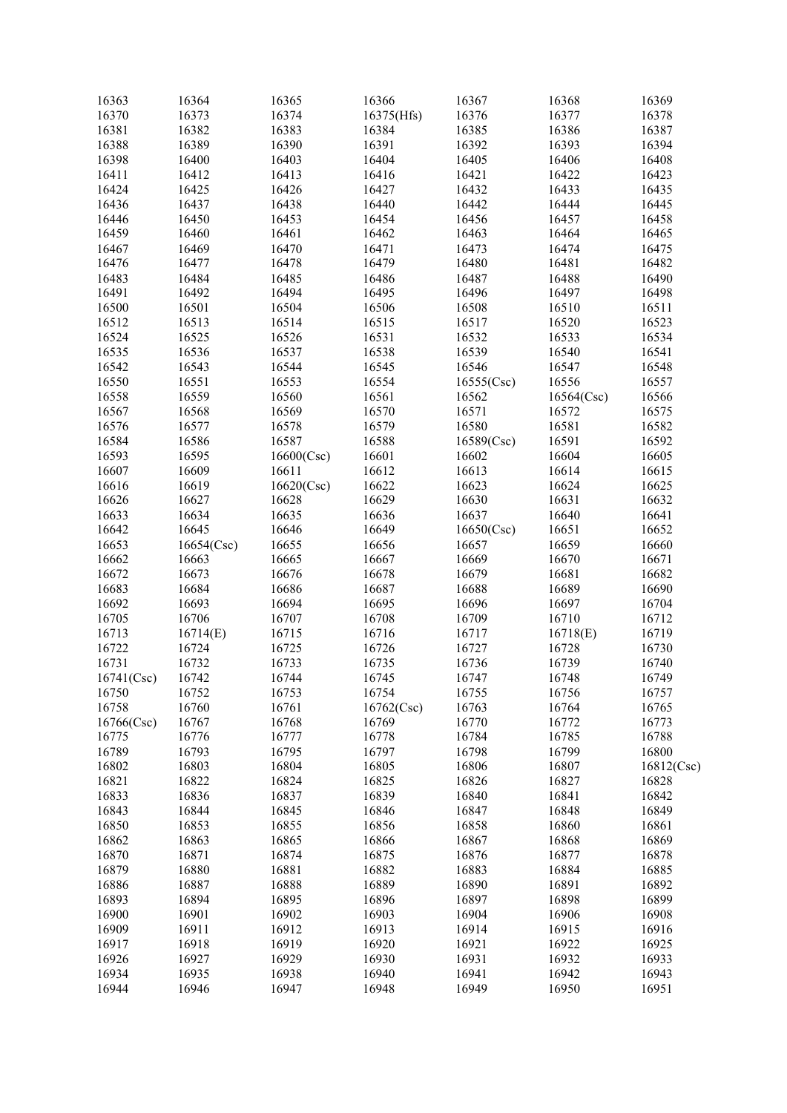| 16363      | 16364      | 16365      | 16366      | 16367      | 16368      | 16369      |
|------------|------------|------------|------------|------------|------------|------------|
| 16370      | 16373      | 16374      | 16375(Hfs) | 16376      | 16377      | 16378      |
| 16381      | 16382      | 16383      | 16384      | 16385      | 16386      | 16387      |
| 16388      | 16389      | 16390      | 16391      | 16392      | 16393      | 16394      |
| 16398      | 16400      | 16403      | 16404      | 16405      | 16406      | 16408      |
| 16411      | 16412      | 16413      | 16416      | 16421      | 16422      | 16423      |
| 16424      | 16425      | 16426      | 16427      | 16432      | 16433      | 16435      |
| 16436      | 16437      | 16438      | 16440      | 16442      | 16444      | 16445      |
| 16446      | 16450      | 16453      | 16454      | 16456      | 16457      | 16458      |
|            |            |            |            |            |            |            |
| 16459      | 16460      | 16461      | 16462      | 16463      | 16464      | 16465      |
| 16467      | 16469      | 16470      | 16471      | 16473      | 16474      | 16475      |
| 16476      | 16477      | 16478      | 16479      | 16480      | 16481      | 16482      |
| 16483      | 16484      | 16485      | 16486      | 16487      | 16488      | 16490      |
| 16491      | 16492      | 16494      | 16495      | 16496      | 16497      | 16498      |
| 16500      | 16501      | 16504      | 16506      | 16508      | 16510      | 16511      |
| 16512      | 16513      | 16514      | 16515      | 16517      | 16520      | 16523      |
| 16524      | 16525      | 16526      | 16531      | 16532      | 16533      | 16534      |
| 16535      | 16536      | 16537      | 16538      | 16539      | 16540      | 16541      |
| 16542      | 16543      | 16544      | 16545      | 16546      | 16547      | 16548      |
| 16550      | 16551      | 16553      | 16554      | 16555(Csc) | 16556      | 16557      |
| 16558      | 16559      | 16560      | 16561      | 16562      | 16564(Csc) | 16566      |
|            |            |            |            |            |            |            |
| 16567      | 16568      | 16569      | 16570      | 16571      | 16572      | 16575      |
| 16576      | 16577      | 16578      | 16579      | 16580      | 16581      | 16582      |
| 16584      | 16586      | 16587      | 16588      | 16589(Csc) | 16591      | 16592      |
| 16593      | 16595      | 16600(Csc) | 16601      | 16602      | 16604      | 16605      |
| 16607      | 16609      | 16611      | 16612      | 16613      | 16614      | 16615      |
| 16616      | 16619      | 16620(Csc) | 16622      | 16623      | 16624      | 16625      |
| 16626      | 16627      | 16628      | 16629      | 16630      | 16631      | 16632      |
| 16633      | 16634      | 16635      | 16636      | 16637      | 16640      | 16641      |
| 16642      | 16645      | 16646      | 16649      | 16650(Csc) | 16651      | 16652      |
| 16653      | 16654(Csc) | 16655      | 16656      | 16657      | 16659      | 16660      |
| 16662      | 16663      | 16665      | 16667      | 16669      | 16670      | 16671      |
| 16672      | 16673      | 16676      | 16678      | 16679      | 16681      | 16682      |
| 16683      | 16684      | 16686      | 16687      | 16688      | 16689      | 16690      |
| 16692      | 16693      | 16694      | 16695      | 16696      | 16697      | 16704      |
|            |            |            |            |            |            |            |
| 16705      | 16706      | 16707      | 16708      | 16709      | 16710      | 16712      |
| 16713      | 16714(E)   | 16715      | 16716      | 16717      | 16718(E)   | 16719      |
| 16722      | 16724      | 16725      | 16726      | 16727      | 16728      | 16730      |
| 16731      | 16732      | 16733      | 16735      | 16736      | 16739      | 16740      |
| 16741(Csc) | 16742      | 16744      | 16745      | 16747      | 16748      | 16749      |
| 16750      | 16752      | 16753      | 16754      | 16755      | 16756      | 16757      |
| 16758      | 16760      | 16761      | 16762(Csc) | 16763      | 16764      | 16765      |
| 16766(Csc) | 16767      | 16768      | 16769      | 16770      | 16772      | 16773      |
| 16775      | 16776      | 16777      | 16778      | 16784      | 16785      | 16788      |
| 16789      | 16793      | 16795      | 16797      | 16798      | 16799      | 16800      |
| 16802      | 16803      | 16804      | 16805      | 16806      | 16807      | 16812(Csc) |
| 16821      | 16822      | 16824      | 16825      | 16826      | 16827      | 16828      |
| 16833      | 16836      | 16837      | 16839      | 16840      | 16841      | 16842      |
| 16843      | 16844      | 16845      | 16846      | 16847      | 16848      | 16849      |
| 16850      | 16853      | 16855      | 16856      |            | 16860      | 16861      |
|            |            |            |            | 16858      |            |            |
| 16862      | 16863      | 16865      | 16866      | 16867      | 16868      | 16869      |
| 16870      | 16871      | 16874      | 16875      | 16876      | 16877      | 16878      |
| 16879      | 16880      | 16881      | 16882      | 16883      | 16884      | 16885      |
| 16886      | 16887      | 16888      | 16889      | 16890      | 16891      | 16892      |
| 16893      | 16894      | 16895      | 16896      | 16897      | 16898      | 16899      |
| 16900      | 16901      | 16902      | 16903      | 16904      | 16906      | 16908      |
| 16909      | 16911      | 16912      | 16913      | 16914      | 16915      | 16916      |
| 16917      | 16918      | 16919      | 16920      | 16921      | 16922      | 16925      |
| 16926      | 16927      | 16929      | 16930      | 16931      | 16932      | 16933      |
| 16934      | 16935      | 16938      | 16940      | 16941      | 16942      | 16943      |
| 16944      | 16946      | 16947      | 16948      | 16949      | 16950      | 16951      |
|            |            |            |            |            |            |            |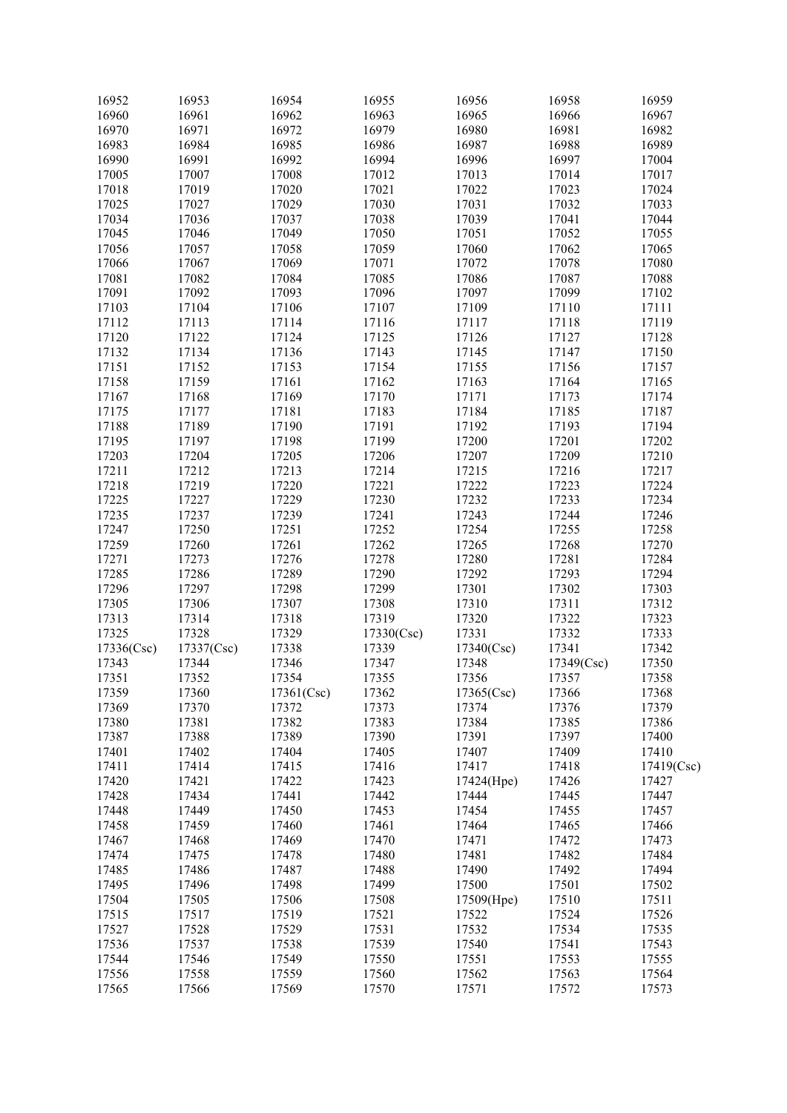| 16952      | 16953      | 16954      | 16955      | 16956      | 16958      | 16959      |
|------------|------------|------------|------------|------------|------------|------------|
| 16960      | 16961      | 16962      | 16963      | 16965      | 16966      | 16967      |
| 16970      | 16971      | 16972      | 16979      | 16980      | 16981      | 16982      |
| 16983      | 16984      | 16985      | 16986      | 16987      | 16988      | 16989      |
| 16990      | 16991      | 16992      | 16994      | 16996      | 16997      | 17004      |
| 17005      | 17007      | 17008      | 17012      | 17013      | 17014      | 17017      |
| 17018      | 17019      | 17020      | 17021      | 17022      | 17023      | 17024      |
| 17025      | 17027      | 17029      | 17030      | 17031      | 17032      | 17033      |
| 17034      | 17036      | 17037      | 17038      | 17039      | 17041      | 17044      |
|            |            |            |            |            |            |            |
| 17045      | 17046      | 17049      | 17050      | 17051      | 17052      | 17055      |
| 17056      | 17057      | 17058      | 17059      | 17060      | 17062      | 17065      |
| 17066      | 17067      | 17069      | 17071      | 17072      | 17078      | 17080      |
| 17081      | 17082      | 17084      | 17085      | 17086      | 17087      | 17088      |
| 17091      | 17092      | 17093      | 17096      | 17097      | 17099      | 17102      |
| 17103      | 17104      | 17106      | 17107      | 17109      | 17110      | 17111      |
| 17112      | 17113      | 17114      | 17116      | 17117      | 17118      | 17119      |
| 17120      | 17122      | 17124      | 17125      | 17126      | 17127      | 17128      |
| 17132      | 17134      | 17136      | 17143      | 17145      | 17147      | 17150      |
| 17151      | 17152      | 17153      | 17154      | 17155      | 17156      | 17157      |
| 17158      | 17159      | 17161      | 17162      | 17163      | 17164      | 17165      |
| 17167      | 17168      | 17169      | 17170      | 17171      | 17173      | 17174      |
| 17175      | 17177      | 17181      | 17183      | 17184      | 17185      | 17187      |
| 17188      | 17189      | 17190      | 17191      | 17192      | 17193      | 17194      |
|            |            |            |            |            |            |            |
| 17195      | 17197      | 17198      | 17199      | 17200      | 17201      | 17202      |
| 17203      | 17204      | 17205      | 17206      | 17207      | 17209      | 17210      |
| 17211      | 17212      | 17213      | 17214      | 17215      | 17216      | 17217      |
| 17218      | 17219      | 17220      | 17221      | 17222      | 17223      | 17224      |
| 17225      | 17227      | 17229      | 17230      | 17232      | 17233      | 17234      |
| 17235      | 17237      | 17239      | 17241      | 17243      | 17244      | 17246      |
| 17247      | 17250      | 17251      | 17252      | 17254      | 17255      | 17258      |
| 17259      | 17260      | 17261      | 17262      | 17265      | 17268      | 17270      |
| 17271      | 17273      | 17276      | 17278      | 17280      | 17281      | 17284      |
| 17285      | 17286      | 17289      | 17290      | 17292      | 17293      | 17294      |
| 17296      | 17297      | 17298      | 17299      | 17301      | 17302      | 17303      |
| 17305      | 17306      | 17307      | 17308      | 17310      | 17311      | 17312      |
| 17313      | 17314      | 17318      | 17319      | 17320      | 17322      | 17323      |
| 17325      | 17328      | 17329      |            | 17331      | 17332      | 17333      |
|            |            |            | 17330(Csc) |            | 17341      |            |
| 17336(Csc) | 17337(Csc) | 17338      | 17339      | 17340(Csc) |            | 17342      |
| 17343      | 17344      | 17346      | 17347      | 17348      | 17349(Csc) | 17350      |
| 17351      | 17352      | 17354      | 17355      | 17356      | 17357      | 17358      |
| 17359      | 17360      | 17361(Csc) | 17362      | 17365(Csc) | 17366      | 17368      |
| 17369      | 17370      | 17372      | 17373      | 17374      | 17376      | 17379      |
| 17380      | 17381      | 17382      | 17383      | 17384      | 17385      | 17386      |
| 17387      | 17388      | 17389      | 17390      | 17391      | 17397      | 17400      |
| 17401      | 17402      | 17404      | 17405      | 17407      | 17409      | 17410      |
| 17411      | 17414      | 17415      | 17416      | 17417      | 17418      | 17419(Csc) |
| 17420      | 17421      | 17422      | 17423      | 17424(Hpe) | 17426      | 17427      |
| 17428      | 17434      | 17441      | 17442      | 17444      | 17445      | 17447      |
| 17448      | 17449      | 17450      | 17453      | 17454      | 17455      | 17457      |
| 17458      | 17459      | 17460      | 17461      | 17464      | 17465      | 17466      |
| 17467      | 17468      | 17469      | 17470      | 17471      | 17472      | 17473      |
|            |            |            |            |            |            |            |
| 17474      | 17475      | 17478      | 17480      | 17481      | 17482      | 17484      |
| 17485      | 17486      | 17487      | 17488      | 17490      | 17492      | 17494      |
| 17495      | 17496      | 17498      | 17499      | 17500      | 17501      | 17502      |
| 17504      | 17505      | 17506      | 17508      | 17509(Hpe) | 17510      | 17511      |
| 17515      | 17517      | 17519      | 17521      | 17522      | 17524      | 17526      |
| 17527      | 17528      | 17529      | 17531      | 17532      | 17534      | 17535      |
| 17536      | 17537      | 17538      | 17539      | 17540      | 17541      | 17543      |
| 17544      | 17546      | 17549      | 17550      | 17551      | 17553      | 17555      |
| 17556      | 17558      | 17559      | 17560      | 17562      | 17563      | 17564      |
| 17565      | 17566      | 17569      | 17570      | 17571      | 17572      | 17573      |
|            |            |            |            |            |            |            |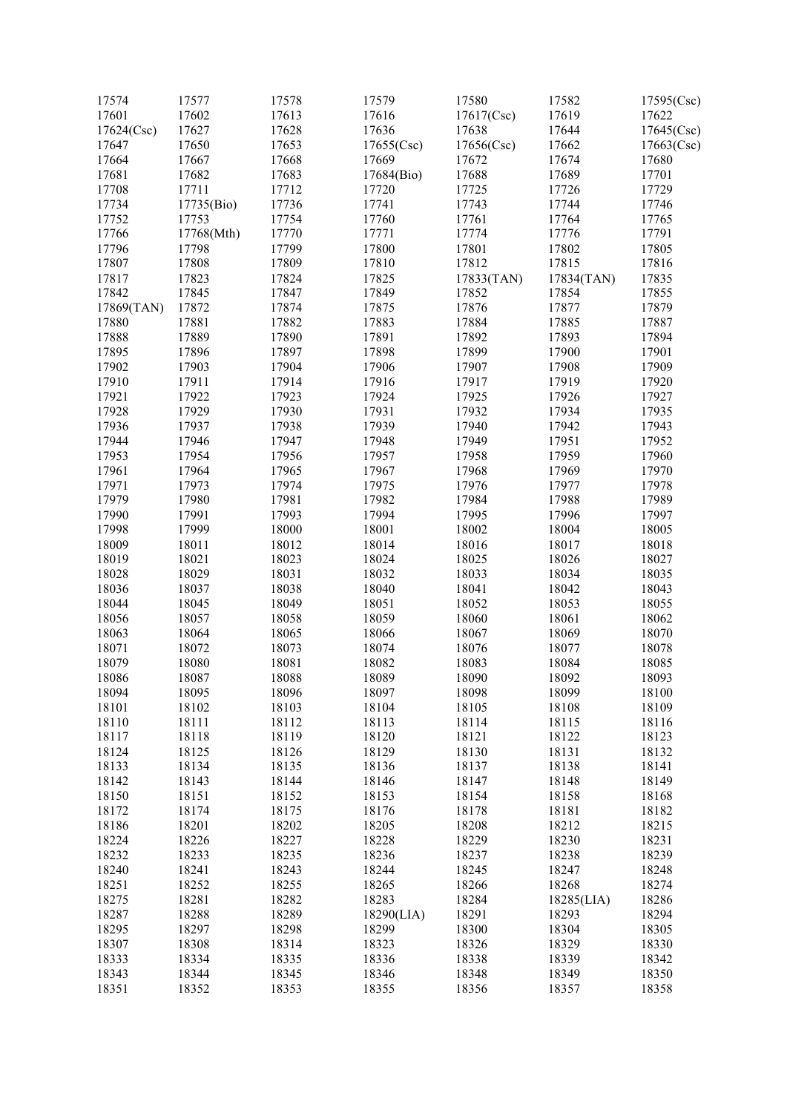| 17574      | 17577      | 17578 | 17579      | 17580      | 17582          | 17595(Csc) |
|------------|------------|-------|------------|------------|----------------|------------|
| 17601      | 17602      | 17613 | 17616      | 17617(Csc) | 17619          | 17622      |
| 17624(Csc) | 17627      | 17628 | 17636      | 17638      | 17644          | 17645(Csc) |
| 17647      | 17650      | 17653 | 17655(Csc) | 17656(Csc) | 17662          | 17663(Csc) |
| 17664      | 17667      | 17668 | 17669      | 17672      | 17674          | 17680      |
| 17681      | 17682      | 17683 | 17684(Bio) | 17688      | 17689          | 17701      |
| 17708      | 17711      | 17712 | 17720      | 17725      | 17726          | 17729      |
| 17734      | 17735(Bio) | 17736 | 17741      | 17743      | 17744          | 17746      |
| 17752      | 17753      | 17754 | 17760      | 17761      | 17764          | 17765      |
| 17766      | 17768(Mth) | 17770 | 17771      | 17774      | 17776          | 17791      |
| 17796      | 17798      | 17799 | 17800      | 17801      | 17802          | 17805      |
| 17807      | 17808      | 17809 | 17810      | 17812      | 17815          | 17816      |
| 17817      | 17823      | 17824 | 17825      | 17833(TAN) | 17834(TAN)     | 17835      |
| 17842      | 17845      | 17847 | 17849      | 17852      | 17854          | 17855      |
| 17869(TAN) | 17872      | 17874 | 17875      | 17876      | 17877          | 17879      |
| 17880      | 17881      | 17882 | 17883      | 17884      | 17885          | 17887      |
| 17888      | 17889      | 17890 | 17891      | 17892      | 17893          | 17894      |
| 17895      | 17896      | 17897 | 17898      | 17899      | 17900          | 17901      |
| 17902      | 17903      | 17904 | 17906      | 17907      | 17908          | 17909      |
|            | 17911      | 17914 | 17916      | 17917      | 17919          | 17920      |
| 17910      |            | 17923 | 17924      | 17925      |                |            |
| 17921      | 17922      |       |            |            | 17926          | 17927      |
| 17928      | 17929      | 17930 | 17931      | 17932      | 17934          | 17935      |
| 17936      | 17937      | 17938 | 17939      | 17940      | 17942<br>17951 | 17943      |
| 17944      | 17946      | 17947 | 17948      | 17949      |                | 17952      |
| 17953      | 17954      | 17956 | 17957      | 17958      | 17959          | 17960      |
| 17961      | 17964      | 17965 | 17967      | 17968      | 17969          | 17970      |
| 17971      | 17973      | 17974 | 17975      | 17976      | 17977          | 17978      |
| 17979      | 17980      | 17981 | 17982      | 17984      | 17988          | 17989      |
| 17990      | 17991      | 17993 | 17994      | 17995      | 17996          | 17997      |
| 17998      | 17999      | 18000 | 18001      | 18002      | 18004          | 18005      |
| 18009      | 18011      | 18012 | 18014      | 18016      | 18017          | 18018      |
| 18019      | 18021      | 18023 | 18024      | 18025      | 18026          | 18027      |
| 18028      | 18029      | 18031 | 18032      | 18033      | 18034          | 18035      |
| 18036      | 18037      | 18038 | 18040      | 18041      | 18042          | 18043      |
| 18044      | 18045      | 18049 | 18051      | 18052      | 18053          | 18055      |
| 18056      | 18057      | 18058 | 18059      | 18060      | 18061          | 18062      |
| 18063      | 18064      | 18065 | 18066      | 18067      | 18069          | 18070      |
| 18071      | 18072      | 18073 | 18074      | 18076      | 18077          | 18078      |
| 18079      | 18080      | 18081 | 18082      | 18083      | 18084          | 18085      |
| 18086      | 18087      | 18088 | 18089      | 18090      | 18092          | 18093      |
| 18094      | 18095      | 18096 | 18097      | 18098      | 18099          | 18100      |
| 18101      | 18102      | 18103 | 18104      | 18105      | 18108          | 18109      |
| 18110      | 18111      | 18112 | 18113      | 18114      | 18115          | 18116      |
| 18117      | 18118      | 18119 | 18120      | 18121      | 18122          | 18123      |
| 18124      | 18125      | 18126 | 18129      | 18130      | 18131          | 18132      |
| 18133      | 18134      | 18135 | 18136      | 18137      | 18138          | 18141      |
| 18142      | 18143      | 18144 | 18146      | 18147      | 18148          | 18149      |
| 18150      | 18151      | 18152 | 18153      | 18154      | 18158          | 18168      |
| 18172      | 18174      | 18175 | 18176      | 18178      | 18181          | 18182      |
| 18186      | 18201      | 18202 | 18205      | 18208      | 18212          | 18215      |
| 18224      | 18226      | 18227 | 18228      | 18229      | 18230          | 18231      |
| 18232      | 18233      | 18235 | 18236      | 18237      | 18238          | 18239      |
| 18240      | 18241      | 18243 | 18244      | 18245      | 18247          | 18248      |
| 18251      | 18252      | 18255 | 18265      | 18266      | 18268          | 18274      |
| 18275      | 18281      | 18282 | 18283      | 18284      | 18285(LIA)     | 18286      |
| 18287      | 18288      | 18289 | 18290(LIA) | 18291      | 18293          | 18294      |
| 18295      | 18297      | 18298 | 18299      | 18300      | 18304          | 18305      |
| 18307      | 18308      | 18314 | 18323      | 18326      | 18329          | 18330      |
| 18333      | 18334      | 18335 | 18336      | 18338      | 18339          | 18342      |
| 18343      | 18344      | 18345 | 18346      | 18348      | 18349          | 18350      |
| 18351      | 18352      | 18353 | 18355      | 18356      | 18357          | 18358      |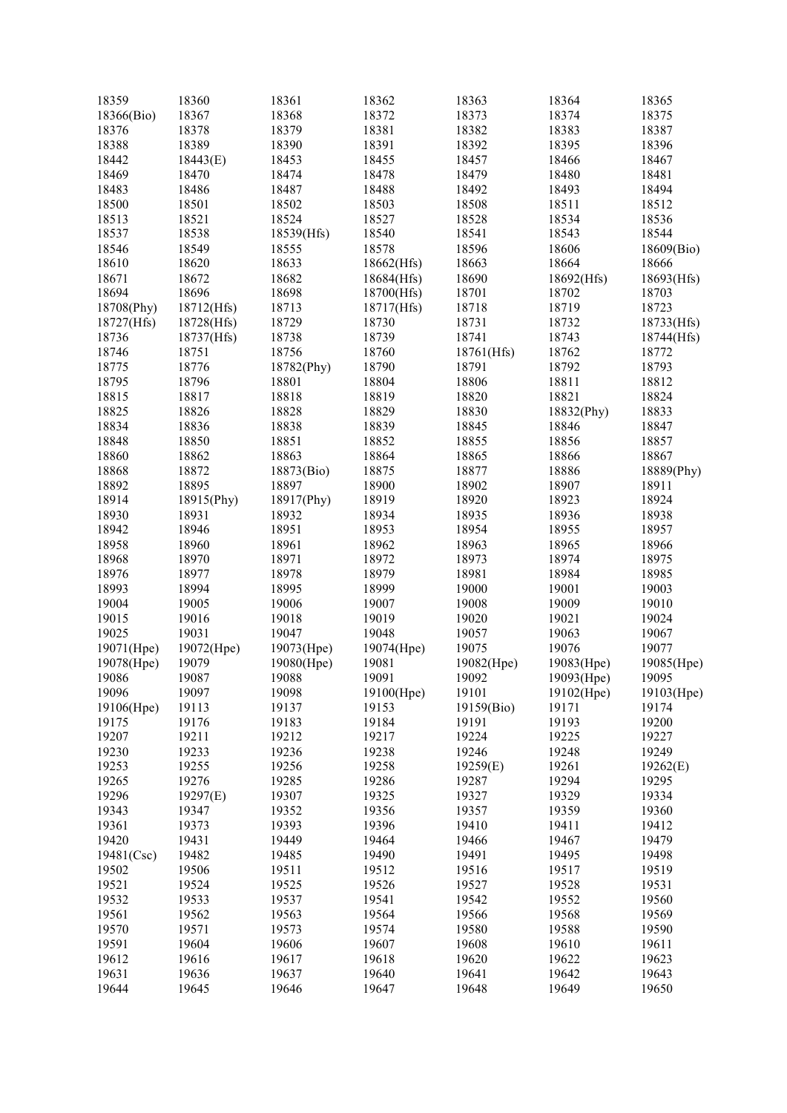| 18359      | 18360      | 18361      | 18362      | 18363      | 18364      | 18365      |
|------------|------------|------------|------------|------------|------------|------------|
| 18366(Bio) | 18367      | 18368      | 18372      | 18373      | 18374      | 18375      |
| 18376      | 18378      | 18379      | 18381      | 18382      | 18383      | 18387      |
| 18388      | 18389      | 18390      | 18391      | 18392      | 18395      | 18396      |
| 18442      | 18443(E)   | 18453      | 18455      | 18457      | 18466      | 18467      |
| 18469      | 18470      | 18474      | 18478      | 18479      | 18480      | 18481      |
| 18483      | 18486      | 18487      | 18488      | 18492      | 18493      | 18494      |
| 18500      | 18501      | 18502      | 18503      | 18508      | 18511      | 18512      |
| 18513      | 18521      | 18524      | 18527      | 18528      | 18534      | 18536      |
| 18537      | 18538      | 18539(Hfs) | 18540      | 18541      | 18543      | 18544      |
| 18546      | 18549      | 18555      | 18578      | 18596      | 18606      | 18609(Bio) |
| 18610      | 18620      | 18633      | 18662(Hfs) | 18663      | 18664      | 18666      |
| 18671      | 18672      | 18682      | 18684(Hfs) | 18690      | 18692(Hfs) | 18693(Hfs) |
| 18694      | 18696      | 18698      | 18700(Hfs) | 18701      | 18702      | 18703      |
| 18708(Phy) | 18712(Hfs) | 18713      | 18717(Hfs) | 18718      | 18719      | 18723      |
| 18727(Hfs) | 18728(Hfs) | 18729      | 18730      | 18731      | 18732      | 18733(Hfs) |
| 18736      | 18737(Hfs) | 18738      | 18739      | 18741      | 18743      | 18744(Hfs) |
| 18746      | 18751      | 18756      | 18760      | 18761(Hfs) | 18762      | 18772      |
| 18775      | 18776      | 18782(Phy) | 18790      | 18791      | 18792      | 18793      |
| 18795      | 18796      | 18801      | 18804      | 18806      | 18811      |            |
|            |            |            |            |            | 18821      | 18812      |
| 18815      | 18817      | 18818      | 18819      | 18820      |            | 18824      |
| 18825      | 18826      | 18828      | 18829      | 18830      | 18832(Phy) | 18833      |
| 18834      | 18836      | 18838      | 18839      | 18845      | 18846      | 18847      |
| 18848      | 18850      | 18851      | 18852      | 18855      | 18856      | 18857      |
| 18860      | 18862      | 18863      | 18864      | 18865      | 18866      | 18867      |
| 18868      | 18872      | 18873(Bio) | 18875      | 18877      | 18886      | 18889(Phy) |
| 18892      | 18895      | 18897      | 18900      | 18902      | 18907      | 18911      |
| 18914      | 18915(Phy) | 18917(Phy) | 18919      | 18920      | 18923      | 18924      |
| 18930      | 18931      | 18932      | 18934      | 18935      | 18936      | 18938      |
| 18942      | 18946      | 18951      | 18953      | 18954      | 18955      | 18957      |
| 18958      | 18960      | 18961      | 18962      | 18963      | 18965      | 18966      |
| 18968      | 18970      | 18971      | 18972      | 18973      | 18974      | 18975      |
| 18976      | 18977      | 18978      | 18979      | 18981      | 18984      | 18985      |
| 18993      | 18994      | 18995      | 18999      | 19000      | 19001      | 19003      |
| 19004      | 19005      | 19006      | 19007      | 19008      | 19009      | 19010      |
| 19015      | 19016      | 19018      | 19019      | 19020      | 19021      | 19024      |
| 19025      | 19031      | 19047      | 19048      | 19057      | 19063      | 19067      |
| 19071(Hpe) | 19072(Hpe) | 19073(Hpe) | 19074(Hpe) | 19075      | 19076      | 19077      |
| 19078(Hpe) | 19079      | 19080(Hpe) | 19081      | 19082(Hpe) | 19083(Hpe) | 19085(Hpe) |
| 19086      | 19087      | 19088      | 19091      | 19092      | 19093(Hpe) | 19095      |
| 19096      | 19097      | 19098      | 19100(Hpe) | 19101      | 19102(Hpe) | 19103(Hpe) |
| 19106(Hpe) | 19113      | 19137      | 19153      | 19159(Bio) | 19171      | 19174      |
| 19175      | 19176      | 19183      | 19184      | 19191      | 19193      | 19200      |
| 19207      | 19211      | 19212      | 19217      | 19224      | 19225      | 19227      |
| 19230      | 19233      | 19236      | 19238      | 19246      | 19248      | 19249      |
| 19253      | 19255      | 19256      | 19258      | 19259(E)   | 19261      | 19262(E)   |
| 19265      | 19276      | 19285      | 19286      | 19287      | 19294      | 19295      |
| 19296      | 19297(E)   | 19307      | 19325      | 19327      | 19329      | 19334      |
| 19343      | 19347      | 19352      | 19356      | 19357      | 19359      | 19360      |
| 19361      | 19373      | 19393      | 19396      | 19410      | 19411      | 19412      |
| 19420      | 19431      | 19449      | 19464      | 19466      | 19467      | 19479      |
| 19481(Csc) | 19482      | 19485      | 19490      | 19491      | 19495      | 19498      |
| 19502      | 19506      | 19511      | 19512      | 19516      | 19517      | 19519      |
| 19521      | 19524      | 19525      | 19526      | 19527      | 19528      | 19531      |
| 19532      | 19533      | 19537      | 19541      | 19542      | 19552      | 19560      |
| 19561      | 19562      | 19563      | 19564      | 19566      | 19568      | 19569      |
| 19570      | 19571      | 19573      | 19574      | 19580      | 19588      | 19590      |
| 19591      | 19604      | 19606      | 19607      | 19608      | 19610      | 19611      |
| 19612      | 19616      | 19617      | 19618      | 19620      | 19622      | 19623      |
| 19631      | 19636      | 19637      | 19640      | 19641      | 19642      | 19643      |
| 19644      | 19645      | 19646      | 19647      | 19648      | 19649      | 19650      |
|            |            |            |            |            |            |            |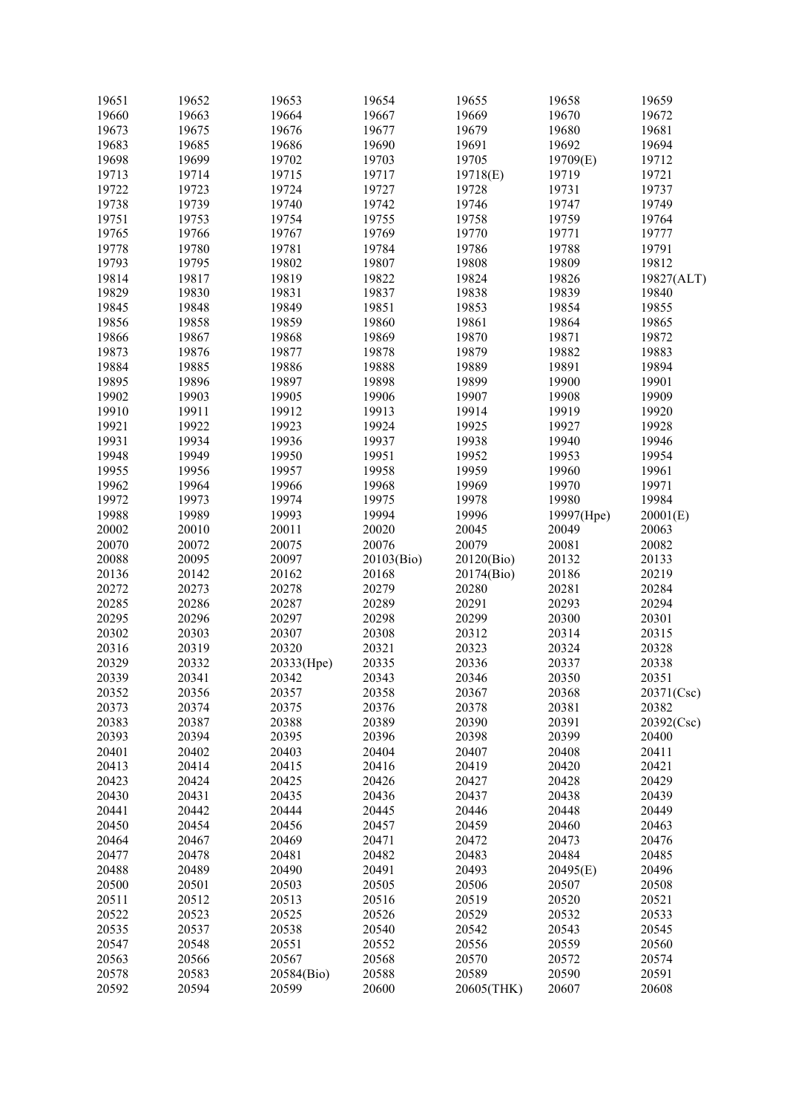| 19651 | 19652 | 19653      | 19654      | 19655      | 19658      | 19659      |
|-------|-------|------------|------------|------------|------------|------------|
| 19660 | 19663 | 19664      | 19667      | 19669      | 19670      | 19672      |
| 19673 | 19675 | 19676      | 19677      | 19679      | 19680      | 19681      |
| 19683 | 19685 | 19686      | 19690      | 19691      | 19692      | 19694      |
| 19698 | 19699 | 19702      | 19703      | 19705      | 19709(E)   | 19712      |
| 19713 |       |            |            |            |            |            |
|       | 19714 | 19715      | 19717      | 19718(E)   | 19719      | 19721      |
| 19722 | 19723 | 19724      | 19727      | 19728      | 19731      | 19737      |
| 19738 | 19739 | 19740      | 19742      | 19746      | 19747      | 19749      |
| 19751 | 19753 | 19754      | 19755      | 19758      | 19759      | 19764      |
| 19765 | 19766 | 19767      | 19769      | 19770      | 19771      | 19777      |
| 19778 | 19780 | 19781      | 19784      | 19786      | 19788      | 19791      |
| 19793 | 19795 | 19802      | 19807      | 19808      | 19809      | 19812      |
|       |       |            | 19822      |            |            |            |
| 19814 | 19817 | 19819      |            | 19824      | 19826      | 19827(ALT) |
| 19829 | 19830 | 19831      | 19837      | 19838      | 19839      | 19840      |
| 19845 | 19848 | 19849      | 19851      | 19853      | 19854      | 19855      |
| 19856 | 19858 | 19859      | 19860      | 19861      | 19864      | 19865      |
| 19866 | 19867 | 19868      | 19869      | 19870      | 19871      | 19872      |
| 19873 | 19876 | 19877      | 19878      | 19879      | 19882      | 19883      |
| 19884 | 19885 | 19886      | 19888      | 19889      | 19891      | 19894      |
| 19895 | 19896 | 19897      | 19898      | 19899      | 19900      | 19901      |
| 19902 | 19903 | 19905      | 19906      | 19907      | 19908      | 19909      |
|       |       |            |            |            |            |            |
| 19910 | 19911 | 19912      | 19913      | 19914      | 19919      | 19920      |
| 19921 | 19922 | 19923      | 19924      | 19925      | 19927      | 19928      |
| 19931 | 19934 | 19936      | 19937      | 19938      | 19940      | 19946      |
| 19948 | 19949 | 19950      | 19951      | 19952      | 19953      | 19954      |
| 19955 | 19956 | 19957      | 19958      | 19959      | 19960      | 19961      |
| 19962 | 19964 | 19966      | 19968      | 19969      | 19970      | 19971      |
| 19972 | 19973 | 19974      | 19975      | 19978      | 19980      | 19984      |
| 19988 | 19989 | 19993      | 19994      | 19996      | 19997(Hpe) | 20001(E)   |
|       |       |            |            |            |            |            |
| 20002 | 20010 | 20011      | 20020      | 20045      | 20049      | 20063      |
| 20070 | 20072 | 20075      | 20076      | 20079      | 20081      | 20082      |
| 20088 | 20095 | 20097      | 20103(Bio) | 20120(Bio) | 20132      | 20133      |
| 20136 | 20142 | 20162      | 20168      | 20174(Bio) | 20186      | 20219      |
| 20272 | 20273 | 20278      | 20279      | 20280      | 20281      | 20284      |
| 20285 | 20286 | 20287      | 20289      | 20291      | 20293      | 20294      |
| 20295 | 20296 | 20297      | 20298      | 20299      | 20300      | 20301      |
| 20302 | 20303 | 20307      | 20308      | 20312      | 20314      | 20315      |
| 20316 | 20319 | 20320      | 20321      | 20323      | 20324      | 20328      |
|       |       |            |            |            |            |            |
| 20329 | 20332 | 20333(Hpe) | 20335      | 20336      | 20337      | 20338      |
| 20339 | 20341 | 20342      | 20343      | 20346      | 20350      | 20351      |
| 20352 | 20356 | 20357      | 20358      | 20367      | 20368      | 20371(Csc) |
| 20373 | 20374 | 20375      | 20376      | 20378      | 20381      | 20382      |
| 20383 | 20387 | 20388      | 20389      | 20390      | 20391      | 20392(Csc) |
| 20393 | 20394 | 20395      | 20396      | 20398      | 20399      | 20400      |
| 20401 | 20402 | 20403      | 20404      | 20407      | 20408      | 20411      |
| 20413 | 20414 | 20415      | 20416      | 20419      | 20420      | 20421      |
| 20423 | 20424 | 20425      | 20426      | 20427      | 20428      | 20429      |
|       |       |            |            |            |            |            |
| 20430 | 20431 | 20435      | 20436      | 20437      | 20438      | 20439      |
| 20441 | 20442 | 20444      | 20445      | 20446      | 20448      | 20449      |
| 20450 | 20454 | 20456      | 20457      | 20459      | 20460      | 20463      |
| 20464 | 20467 | 20469      | 20471      | 20472      | 20473      | 20476      |
| 20477 | 20478 | 20481      | 20482      | 20483      | 20484      | 20485      |
| 20488 | 20489 | 20490      | 20491      | 20493      | 20495(E)   | 20496      |
| 20500 | 20501 | 20503      | 20505      | 20506      | 20507      | 20508      |
| 20511 | 20512 | 20513      | 20516      | 20519      | 20520      | 20521      |
|       |       |            |            |            |            |            |
| 20522 | 20523 | 20525      | 20526      | 20529      | 20532      | 20533      |
| 20535 | 20537 | 20538      | 20540      | 20542      | 20543      | 20545      |
| 20547 | 20548 | 20551      | 20552      | 20556      | 20559      | 20560      |
| 20563 | 20566 | 20567      | 20568      | 20570      | 20572      | 20574      |
| 20578 | 20583 | 20584(Bio) | 20588      | 20589      | 20590      | 20591      |
| 20592 | 20594 | 20599      | 20600      | 20605(THK) | 20607      | 20608      |
|       |       |            |            |            |            |            |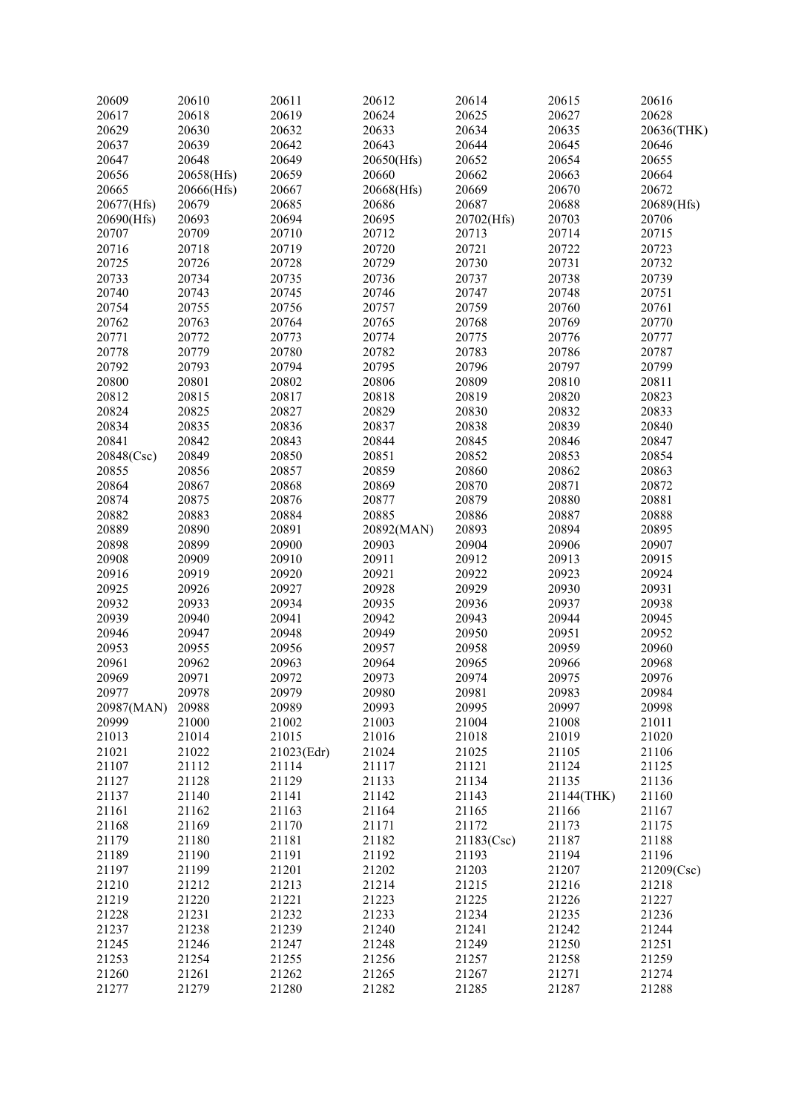| 20609      | 20610      | 20611      | 20612      | 20614      | 20615      | 20616      |
|------------|------------|------------|------------|------------|------------|------------|
| 20617      | 20618      | 20619      | 20624      | 20625      | 20627      | 20628      |
| 20629      | 20630      | 20632      | 20633      | 20634      | 20635      | 20636(THK) |
| 20637      | 20639      | 20642      | 20643      | 20644      | 20645      | 20646      |
| 20647      | 20648      | 20649      | 20650(Hfs) | 20652      | 20654      | 20655      |
| 20656      | 20658(Hfs) | 20659      | 20660      | 20662      | 20663      | 20664      |
| 20665      | 20666(Hfs) | 20667      | 20668(Hfs) | 20669      | 20670      | 20672      |
| 20677(Hfs) | 20679      | 20685      | 20686      | 20687      | 20688      | 20689(Hfs) |
| 20690(Hfs) | 20693      | 20694      | 20695      | 20702(Hfs) | 20703      | 20706      |
| 20707      | 20709      | 20710      | 20712      | 20713      | 20714      | 20715      |
| 20716      | 20718      | 20719      | 20720      | 20721      | 20722      | 20723      |
| 20725      | 20726      | 20728      | 20729      | 20730      | 20731      | 20732      |
|            |            |            |            |            |            |            |
| 20733      | 20734      | 20735      | 20736      | 20737      | 20738      | 20739      |
| 20740      | 20743      | 20745      | 20746      | 20747      | 20748      | 20751      |
| 20754      | 20755      | 20756      | 20757      | 20759      | 20760      | 20761      |
| 20762      | 20763      | 20764      | 20765      | 20768      | 20769      | 20770      |
| 20771      | 20772      | 20773      | 20774      | 20775      | 20776      | 20777      |
| 20778      | 20779      | 20780      | 20782      | 20783      | 20786      | 20787      |
| 20792      | 20793      | 20794      | 20795      | 20796      | 20797      | 20799      |
| 20800      | 20801      | 20802      | 20806      | 20809      | 20810      | 20811      |
| 20812      | 20815      | 20817      | 20818      | 20819      | 20820      | 20823      |
| 20824      | 20825      | 20827      | 20829      | 20830      | 20832      | 20833      |
| 20834      | 20835      | 20836      | 20837      | 20838      | 20839      | 20840      |
| 20841      | 20842      | 20843      | 20844      | 20845      | 20846      | 20847      |
| 20848(Csc) | 20849      | 20850      | 20851      | 20852      | 20853      | 20854      |
| 20855      | 20856      | 20857      | 20859      | 20860      | 20862      | 20863      |
| 20864      | 20867      | 20868      | 20869      | 20870      | 20871      | 20872      |
| 20874      | 20875      | 20876      | 20877      | 20879      | 20880      | 20881      |
| 20882      | 20883      | 20884      | 20885      | 20886      | 20887      | 20888      |
| 20889      | 20890      | 20891      | 20892(MAN) | 20893      | 20894      | 20895      |
| 20898      | 20899      | 20900      | 20903      | 20904      | 20906      | 20907      |
| 20908      | 20909      | 20910      | 20911      | 20912      | 20913      | 20915      |
|            |            | 20920      |            | 20922      | 20923      | 20924      |
| 20916      | 20919      |            | 20921      |            |            |            |
| 20925      | 20926      | 20927      | 20928      | 20929      | 20930      | 20931      |
| 20932      | 20933      | 20934      | 20935      | 20936      | 20937      | 20938      |
| 20939      | 20940      | 20941      | 20942      | 20943      | 20944      | 20945      |
| 20946      | 20947      | 20948      | 20949      | 20950      | 20951      | 20952      |
| 20953      | 20955      | 20956      | 20957      | 20958      | 20959      | 20960      |
| 20961      | 20962      | 20963      | 20964      | 20965      | 20966      | 20968      |
| 20969      | 20971      | 20972      | 20973      | 20974      | 20975      | 20976      |
| 20977      | 20978      | 20979      | 20980      | 20981      | 20983      | 20984      |
| 20987(MAN) | 20988      | 20989      | 20993      | 20995      | 20997      | 20998      |
| 20999      | 21000      | 21002      | 21003      | 21004      | 21008      | 21011      |
| 21013      | 21014      | 21015      | 21016      | 21018      | 21019      | 21020      |
| 21021      | 21022      | 21023(Edr) | 21024      | 21025      | 21105      | 21106      |
| 21107      | 21112      | 21114      | 21117      | 21121      | 21124      | 21125      |
| 21127      | 21128      | 21129      | 21133      | 21134      | 21135      | 21136      |
| 21137      | 21140      | 21141      | 21142      | 21143      | 21144(THK) | 21160      |
| 21161      | 21162      | 21163      | 21164      | 21165      | 21166      | 21167      |
| 21168      | 21169      | 21170      | 21171      | 21172      | 21173      | 21175      |
| 21179      | 21180      | 21181      | 21182      | 21183(Csc) | 21187      | 21188      |
|            |            |            |            |            |            |            |
| 21189      | 21190      | 21191      | 21192      | 21193      | 21194      | 21196      |
| 21197      | 21199      | 21201      | 21202      | 21203      | 21207      | 21209(Csc) |
| 21210      | 21212      | 21213      | 21214      | 21215      | 21216      | 21218      |
| 21219      | 21220      | 21221      | 21223      | 21225      | 21226      | 21227      |
| 21228      | 21231      | 21232      | 21233      | 21234      | 21235      | 21236      |
| 21237      | 21238      | 21239      | 21240      | 21241      | 21242      | 21244      |
| 21245      | 21246      | 21247      | 21248      | 21249      | 21250      | 21251      |
| 21253      | 21254      | 21255      | 21256      | 21257      | 21258      | 21259      |
| 21260      | 21261      | 21262      | 21265      | 21267      | 21271      | 21274      |
| 21277      | 21279      | 21280      | 21282      | 21285      | 21287      | 21288      |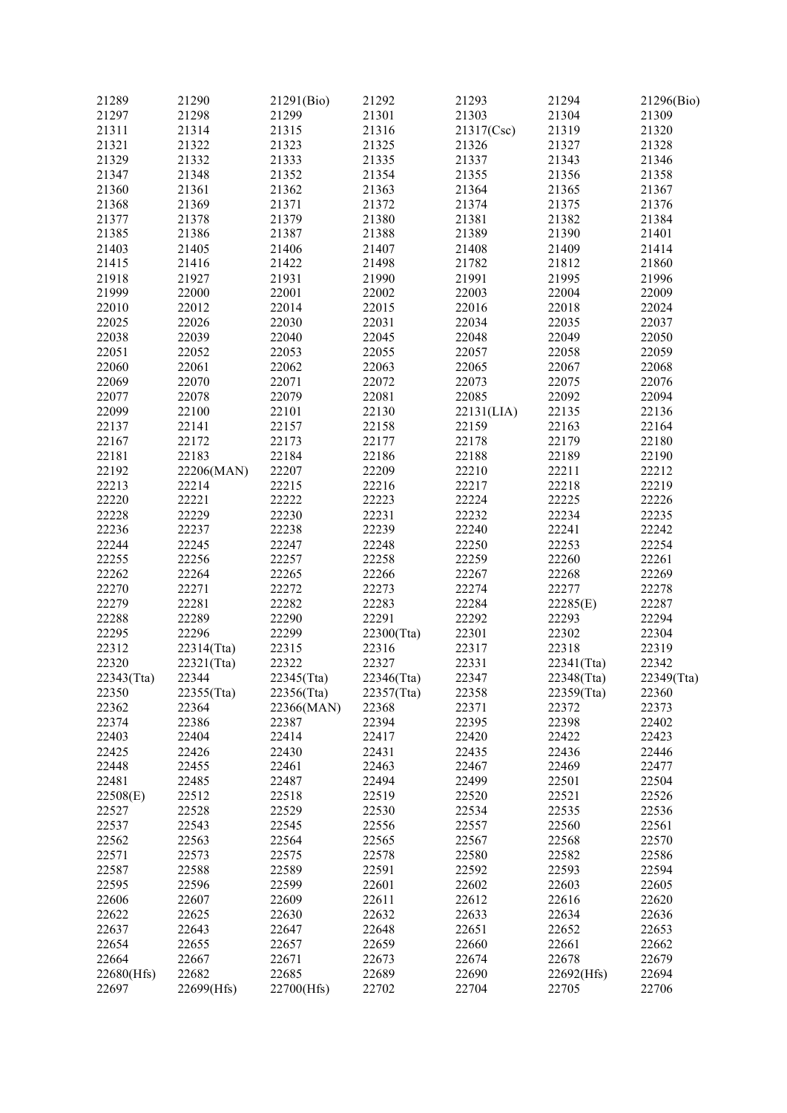| 21289      | 21290      | 21291(Bio) | 21292      | 21293      | 21294      | 21296(Bio) |
|------------|------------|------------|------------|------------|------------|------------|
| 21297      | 21298      | 21299      | 21301      | 21303      | 21304      | 21309      |
| 21311      | 21314      | 21315      | 21316      | 21317(Csc) | 21319      | 21320      |
| 21321      | 21322      | 21323      | 21325      | 21326      | 21327      | 21328      |
| 21329      | 21332      | 21333      | 21335      | 21337      | 21343      | 21346      |
| 21347      | 21348      | 21352      | 21354      | 21355      | 21356      | 21358      |
|            |            |            |            |            |            |            |
| 21360      | 21361      | 21362      | 21363      | 21364      | 21365      | 21367      |
| 21368      | 21369      | 21371      | 21372      | 21374      | 21375      | 21376      |
| 21377      | 21378      | 21379      | 21380      | 21381      | 21382      | 21384      |
| 21385      | 21386      | 21387      | 21388      | 21389      | 21390      | 21401      |
| 21403      | 21405      | 21406      | 21407      | 21408      | 21409      | 21414      |
| 21415      | 21416      | 21422      | 21498      | 21782      | 21812      | 21860      |
| 21918      | 21927      | 21931      | 21990      | 21991      | 21995      | 21996      |
| 21999      | 22000      | 22001      | 22002      | 22003      | 22004      | 22009      |
| 22010      | 22012      | 22014      | 22015      | 22016      | 22018      | 22024      |
| 22025      | 22026      | 22030      | 22031      | 22034      | 22035      | 22037      |
| 22038      | 22039      | 22040      | 22045      | 22048      | 22049      | 22050      |
| 22051      | 22052      | 22053      | 22055      | 22057      | 22058      | 22059      |
| 22060      | 22061      | 22062      | 22063      | 22065      | 22067      | 22068      |
|            |            |            |            |            |            |            |
| 22069      | 22070      | 22071      | 22072      | 22073      | 22075      | 22076      |
| 22077      | 22078      | 22079      | 22081      | 22085      | 22092      | 22094      |
| 22099      | 22100      | 22101      | 22130      | 22131(LIA) | 22135      | 22136      |
| 22137      | 22141      | 22157      | 22158      | 22159      | 22163      | 22164      |
| 22167      | 22172      | 22173      | 22177      | 22178      | 22179      | 22180      |
| 22181      | 22183      | 22184      | 22186      | 22188      | 22189      | 22190      |
| 22192      | 22206(MAN) | 22207      | 22209      | 22210      | 22211      | 22212      |
| 22213      | 22214      | 22215      | 22216      | 22217      | 22218      | 22219      |
| 22220      | 22221      | 22222      | 22223      | 22224      | 22225      | 22226      |
| 22228      | 22229      | 22230      | 22231      | 22232      | 22234      | 22235      |
| 22236      | 22237      | 22238      | 22239      | 22240      | 22241      | 22242      |
| 22244      | 22245      | 22247      | 22248      | 22250      | 22253      | 22254      |
| 22255      | 22256      | 22257      | 22258      | 22259      | 22260      | 22261      |
| 22262      | 22264      | 22265      | 22266      | 22267      | 22268      | 22269      |
| 22270      | 22271      | 22272      | 22273      | 22274      | 22277      | 22278      |
|            |            |            |            |            |            |            |
| 22279      | 22281      | 22282      | 22283      | 22284      | 22285(E)   | 22287      |
| 22288      | 22289      | 22290      | 22291      | 22292      | 22293      | 22294      |
| 22295      | 22296      | 22299      | 22300(Tta) | 22301      | 22302      | 22304      |
| 22312      | 22314(Tta) | 22315      | 22316      | 22317      | 22318      | 22319      |
| 22320      | 22321(Tta) | 22322      | 22327      | 22331      | 22341(Tta) | 22342      |
| 22343(Tta) | 22344      | 22345(Tta) | 22346(Tta) | 22347      | 22348(Tta) | 22349(Tta) |
| 22350      | 22355(Tta) | 22356(Tta) | 22357(Tta) | 22358      | 22359(Tta) | 22360      |
| 22362      | 22364      | 22366(MAN) | 22368      | 22371      | 22372      | 22373      |
| 22374      | 22386      | 22387      | 22394      | 22395      | 22398      | 22402      |
| 22403      | 22404      | 22414      | 22417      | 22420      | 22422      | 22423      |
| 22425      | 22426      | 22430      | 22431      | 22435      | 22436      | 22446      |
| 22448      | 22455      | 22461      | 22463      | 22467      | 22469      | 22477      |
| 22481      | 22485      | 22487      | 22494      | 22499      | 22501      | 22504      |
| 22508(E)   | 22512      | 22518      | 22519      | 22520      | 22521      | 22526      |
| 22527      | 22528      | 22529      | 22530      | 22534      | 22535      | 22536      |
| 22537      | 22543      | 22545      | 22556      | 22557      | 22560      | 22561      |
| 22562      | 22563      | 22564      | 22565      | 22567      | 22568      | 22570      |
|            |            |            |            |            |            |            |
| 22571      | 22573      | 22575      | 22578      | 22580      | 22582      | 22586      |
| 22587      | 22588      | 22589      | 22591      | 22592      | 22593      | 22594      |
| 22595      | 22596      | 22599      | 22601      | 22602      | 22603      | 22605      |
| 22606      | 22607      | 22609      | 22611      | 22612      | 22616      | 22620      |
| 22622      | 22625      | 22630      | 22632      | 22633      | 22634      | 22636      |
| 22637      | 22643      | 22647      | 22648      | 22651      | 22652      | 22653      |
| 22654      | 22655      | 22657      | 22659      | 22660      | 22661      | 22662      |
| 22664      | 22667      | 22671      | 22673      | 22674      | 22678      | 22679      |
| 22680(Hfs) | 22682      | 22685      | 22689      | 22690      | 22692(Hfs) | 22694      |
| 22697      | 22699(Hfs) | 22700(Hfs) | 22702      | 22704      | 22705      | 22706      |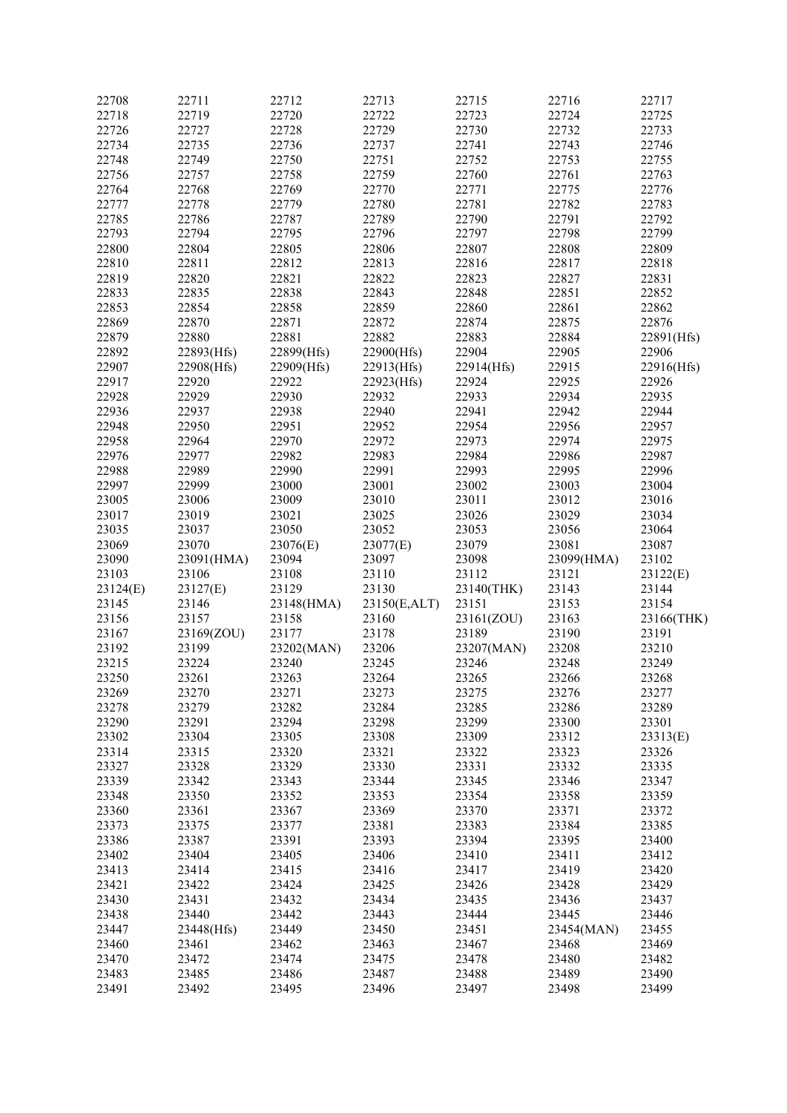| 22708    | 22711      | 22712      | 22713        | 22715      | 22716      | 22717      |
|----------|------------|------------|--------------|------------|------------|------------|
| 22718    | 22719      | 22720      | 22722        | 22723      | 22724      | 22725      |
| 22726    | 22727      | 22728      | 22729        | 22730      | 22732      | 22733      |
| 22734    | 22735      | 22736      | 22737        | 22741      | 22743      | 22746      |
|          |            |            |              |            |            |            |
| 22748    | 22749      | 22750      | 22751        | 22752      | 22753      | 22755      |
| 22756    | 22757      | 22758      | 22759        | 22760      | 22761      | 22763      |
| 22764    | 22768      | 22769      | 22770        | 22771      | 22775      | 22776      |
| 22777    | 22778      | 22779      | 22780        | 22781      | 22782      | 22783      |
| 22785    | 22786      | 22787      | 22789        | 22790      | 22791      | 22792      |
|          |            | 22795      |              | 22797      | 22798      | 22799      |
| 22793    | 22794      |            | 22796        |            |            |            |
| 22800    | 22804      | 22805      | 22806        | 22807      | 22808      | 22809      |
| 22810    | 22811      | 22812      | 22813        | 22816      | 22817      | 22818      |
| 22819    | 22820      | 22821      | 22822        | 22823      | 22827      | 22831      |
| 22833    | 22835      | 22838      | 22843        | 22848      | 22851      | 22852      |
| 22853    | 22854      | 22858      | 22859        | 22860      | 22861      | 22862      |
| 22869    | 22870      | 22871      | 22872        | 22874      | 22875      | 22876      |
|          |            |            |              |            |            |            |
| 22879    | 22880      | 22881      | 22882        | 22883      | 22884      | 22891(Hfs) |
| 22892    | 22893(Hfs) | 22899(Hfs) | 22900(Hfs)   | 22904      | 22905      | 22906      |
| 22907    | 22908(Hfs) | 22909(Hfs) | 22913(Hfs)   | 22914(Hfs) | 22915      | 22916(Hfs) |
| 22917    | 22920      | 22922      | 22923(Hfs)   | 22924      | 22925      | 22926      |
| 22928    | 22929      | 22930      | 22932        | 22933      | 22934      | 22935      |
|          |            | 22938      |              |            |            | 22944      |
| 22936    | 22937      |            | 22940        | 22941      | 22942      |            |
| 22948    | 22950      | 22951      | 22952        | 22954      | 22956      | 22957      |
| 22958    | 22964      | 22970      | 22972        | 22973      | 22974      | 22975      |
| 22976    | 22977      | 22982      | 22983        | 22984      | 22986      | 22987      |
| 22988    | 22989      | 22990      | 22991        | 22993      | 22995      | 22996      |
| 22997    | 22999      | 23000      | 23001        | 23002      | 23003      | 23004      |
|          |            |            |              |            |            |            |
| 23005    | 23006      | 23009      | 23010        | 23011      | 23012      | 23016      |
| 23017    | 23019      | 23021      | 23025        | 23026      | 23029      | 23034      |
| 23035    | 23037      | 23050      | 23052        | 23053      | 23056      | 23064      |
| 23069    | 23070      | 23076(E)   | 23077(E)     | 23079      | 23081      | 23087      |
| 23090    | 23091(HMA) | 23094      | 23097        | 23098      | 23099(HMA) | 23102      |
| 23103    | 23106      | 23108      | 23110        | 23112      | 23121      | 23122(E)   |
|          |            |            |              |            |            |            |
| 23124(E) | 23127(E)   | 23129      | 23130        | 23140(THK) | 23143      | 23144      |
| 23145    | 23146      | 23148(HMA) | 23150(E,ALT) | 23151      | 23153      | 23154      |
| 23156    | 23157      | 23158      | 23160        | 23161(ZOU) | 23163      | 23166(THK) |
| 23167    | 23169(ZOU) | 23177      | 23178        | 23189      | 23190      | 23191      |
| 23192    | 23199      | 23202(MAN) | 23206        | 23207(MAN) | 23208      | 23210      |
| 23215    | 23224      | 23240      | 23245        | 23246      | 23248      | 23249      |
|          |            |            |              |            |            |            |
| 23250    | 23261      | 23263      | 23264        | 23265      | 23266      | 23268      |
| 23269    | 23270      | 23271      | 23273        | 23275      | 23276      | 23277      |
| 23278    | 23279      | 23282      | 23284        | 23285      | 23286      | 23289      |
| 23290    | 23291      | 23294      | 23298        | 23299      | 23300      | 23301      |
| 23302    | 23304      | 23305      | 23308        | 23309      | 23312      | 23313(E)   |
| 23314    | 23315      | 23320      | 23321        | 23322      | 23323      | 23326      |
| 23327    | 23328      | 23329      | 23330        | 23331      | 23332      | 23335      |
|          |            |            |              |            |            |            |
| 23339    | 23342      | 23343      | 23344        | 23345      | 23346      | 23347      |
| 23348    | 23350      | 23352      | 23353        | 23354      | 23358      | 23359      |
| 23360    | 23361      | 23367      | 23369        | 23370      | 23371      | 23372      |
| 23373    | 23375      | 23377      | 23381        | 23383      | 23384      | 23385      |
| 23386    | 23387      | 23391      | 23393        | 23394      | 23395      | 23400      |
| 23402    | 23404      | 23405      | 23406        | 23410      | 23411      | 23412      |
|          |            |            |              |            |            |            |
| 23413    | 23414      | 23415      | 23416        | 23417      | 23419      | 23420      |
| 23421    | 23422      | 23424      | 23425        | 23426      | 23428      | 23429      |
| 23430    | 23431      | 23432      | 23434        | 23435      | 23436      | 23437      |
| 23438    | 23440      | 23442      | 23443        | 23444      | 23445      | 23446      |
| 23447    | 23448(Hfs) | 23449      | 23450        | 23451      | 23454(MAN) | 23455      |
|          |            |            |              | 23467      |            |            |
| 23460    | 23461      | 23462      | 23463        |            | 23468      | 23469      |
| 23470    | 23472      | 23474      | 23475        | 23478      | 23480      | 23482      |
| 23483    | 23485      | 23486      | 23487        | 23488      | 23489      | 23490      |
| 23491    | 23492      | 23495      | 23496        | 23497      | 23498      | 23499      |
|          |            |            |              |            |            |            |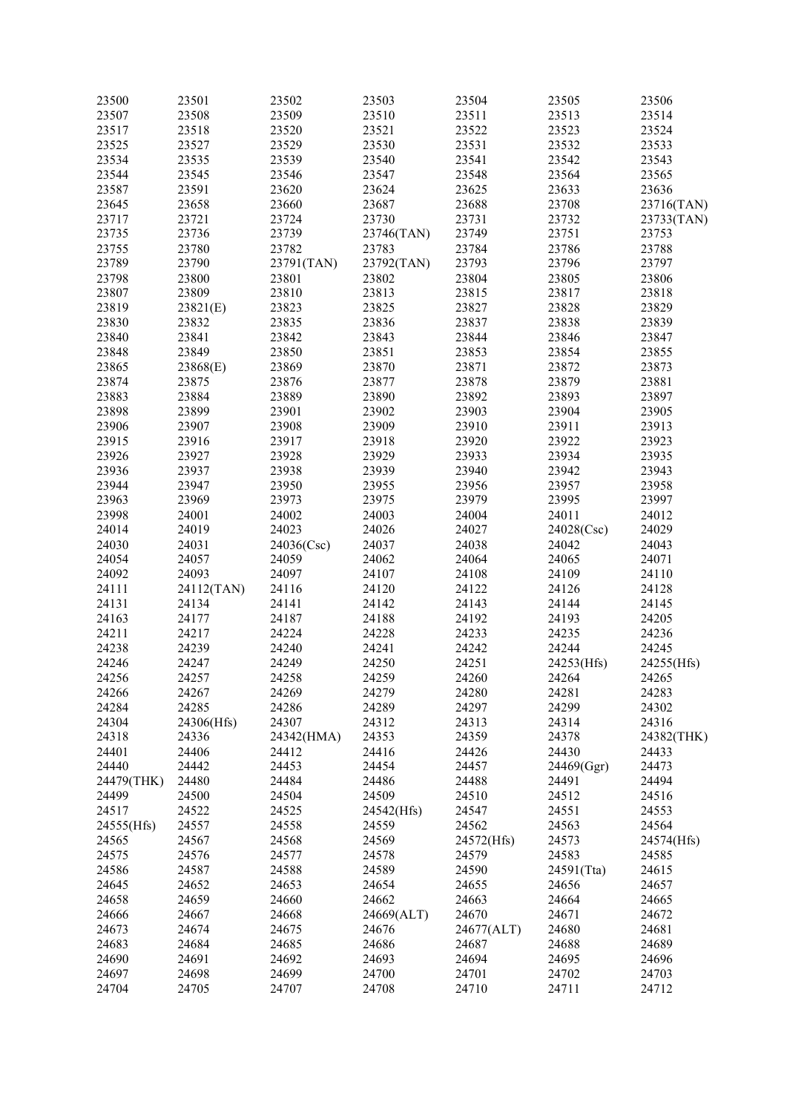| 23500      | 23501      | 23502      | 23503      | 23504      | 23505      | 23506      |
|------------|------------|------------|------------|------------|------------|------------|
| 23507      | 23508      | 23509      | 23510      | 23511      | 23513      | 23514      |
| 23517      | 23518      | 23520      | 23521      | 23522      | 23523      | 23524      |
| 23525      | 23527      | 23529      | 23530      | 23531      | 23532      | 23533      |
| 23534      | 23535      | 23539      | 23540      | 23541      | 23542      | 23543      |
| 23544      | 23545      | 23546      | 23547      | 23548      | 23564      | 23565      |
|            |            |            |            |            |            |            |
| 23587      | 23591      | 23620      | 23624      | 23625      | 23633      | 23636      |
| 23645      | 23658      | 23660      | 23687      | 23688      | 23708      | 23716(TAN) |
| 23717      | 23721      | 23724      | 23730      | 23731      | 23732      | 23733(TAN) |
| 23735      | 23736      | 23739      | 23746(TAN) | 23749      | 23751      | 23753      |
| 23755      | 23780      | 23782      | 23783      | 23784      | 23786      | 23788      |
| 23789      | 23790      | 23791(TAN) | 23792(TAN) | 23793      | 23796      | 23797      |
| 23798      | 23800      | 23801      | 23802      | 23804      | 23805      | 23806      |
| 23807      | 23809      | 23810      | 23813      | 23815      | 23817      | 23818      |
| 23819      | 23821(E)   | 23823      | 23825      | 23827      | 23828      | 23829      |
| 23830      | 23832      | 23835      | 23836      | 23837      | 23838      | 23839      |
| 23840      | 23841      | 23842      | 23843      | 23844      | 23846      | 23847      |
| 23848      | 23849      | 23850      | 23851      | 23853      | 23854      | 23855      |
| 23865      |            | 23869      | 23870      | 23871      | 23872      | 23873      |
|            | 23868(E)   |            |            |            |            |            |
| 23874      | 23875      | 23876      | 23877      | 23878      | 23879      | 23881      |
| 23883      | 23884      | 23889      | 23890      | 23892      | 23893      | 23897      |
| 23898      | 23899      | 23901      | 23902      | 23903      | 23904      | 23905      |
| 23906      | 23907      | 23908      | 23909      | 23910      | 23911      | 23913      |
| 23915      | 23916      | 23917      | 23918      | 23920      | 23922      | 23923      |
| 23926      | 23927      | 23928      | 23929      | 23933      | 23934      | 23935      |
| 23936      | 23937      | 23938      | 23939      | 23940      | 23942      | 23943      |
| 23944      | 23947      | 23950      | 23955      | 23956      | 23957      | 23958      |
| 23963      | 23969      | 23973      | 23975      | 23979      | 23995      | 23997      |
| 23998      | 24001      | 24002      | 24003      | 24004      | 24011      | 24012      |
| 24014      | 24019      | 24023      | 24026      | 24027      | 24028(Csc) | 24029      |
| 24030      | 24031      | 24036(Csc) | 24037      | 24038      | 24042      | 24043      |
| 24054      | 24057      | 24059      | 24062      | 24064      | 24065      | 24071      |
| 24092      | 24093      | 24097      | 24107      | 24108      | 24109      | 24110      |
| 24111      |            | 24116      | 24120      | 24122      | 24126      | 24128      |
|            | 24112(TAN) |            |            |            |            |            |
| 24131      | 24134      | 24141      | 24142      | 24143      | 24144      | 24145      |
| 24163      | 24177      | 24187      | 24188      | 24192      | 24193      | 24205      |
| 24211      | 24217      | 24224      | 24228      | 24233      | 24235      | 24236      |
| 24238      | 24239      | 24240      | 24241      | 24242      | 24244      | 24245      |
| 24246      | 24247      | 24249      | 24250      | 24251      | 24253(Hfs) | 24255(Hfs) |
| 24256      | 24257      | 24258      | 24259      | 24260      | 24264      | 24265      |
| 24266      | 24267      | 24269      | 24279      | 24280      | 24281      | 24283      |
| 24284      | 24285      | 24286      | 24289      | 24297      | 24299      | 24302      |
| 24304      | 24306(Hfs) | 24307      | 24312      | 24313      | 24314      | 24316      |
| 24318      | 24336      | 24342(HMA) | 24353      | 24359      | 24378      | 24382(THK) |
| 24401      | 24406      | 24412      | 24416      | 24426      | 24430      | 24433      |
| 24440      | 24442      | 24453      | 24454      | 24457      | 24469(Ggr) | 24473      |
| 24479(THK) | 24480      | 24484      | 24486      | 24488      | 24491      | 24494      |
| 24499      | 24500      | 24504      | 24509      | 24510      | 24512      | 24516      |
| 24517      | 24522      | 24525      | 24542(Hfs) | 24547      | 24551      | 24553      |
| 24555(Hfs) | 24557      | 24558      | 24559      | 24562      | 24563      | 24564      |
| 24565      | 24567      | 24568      | 24569      | 24572(Hfs) | 24573      |            |
|            |            |            |            |            |            | 24574(Hfs) |
| 24575      | 24576      | 24577      | 24578      | 24579      | 24583      | 24585      |
| 24586      | 24587      | 24588      | 24589      | 24590      | 24591(Tta) | 24615      |
| 24645      | 24652      | 24653      | 24654      | 24655      | 24656      | 24657      |
| 24658      | 24659      | 24660      | 24662      | 24663      | 24664      | 24665      |
| 24666      | 24667      | 24668      | 24669(ALT) | 24670      | 24671      | 24672      |
| 24673      | 24674      | 24675      | 24676      | 24677(ALT) | 24680      | 24681      |
| 24683      | 24684      | 24685      | 24686      | 24687      | 24688      | 24689      |
| 24690      | 24691      | 24692      | 24693      | 24694      | 24695      | 24696      |
| 24697      | 24698      | 24699      | 24700      | 24701      | 24702      | 24703      |
| 24704      | 24705      | 24707      | 24708      | 24710      | 24711      | 24712      |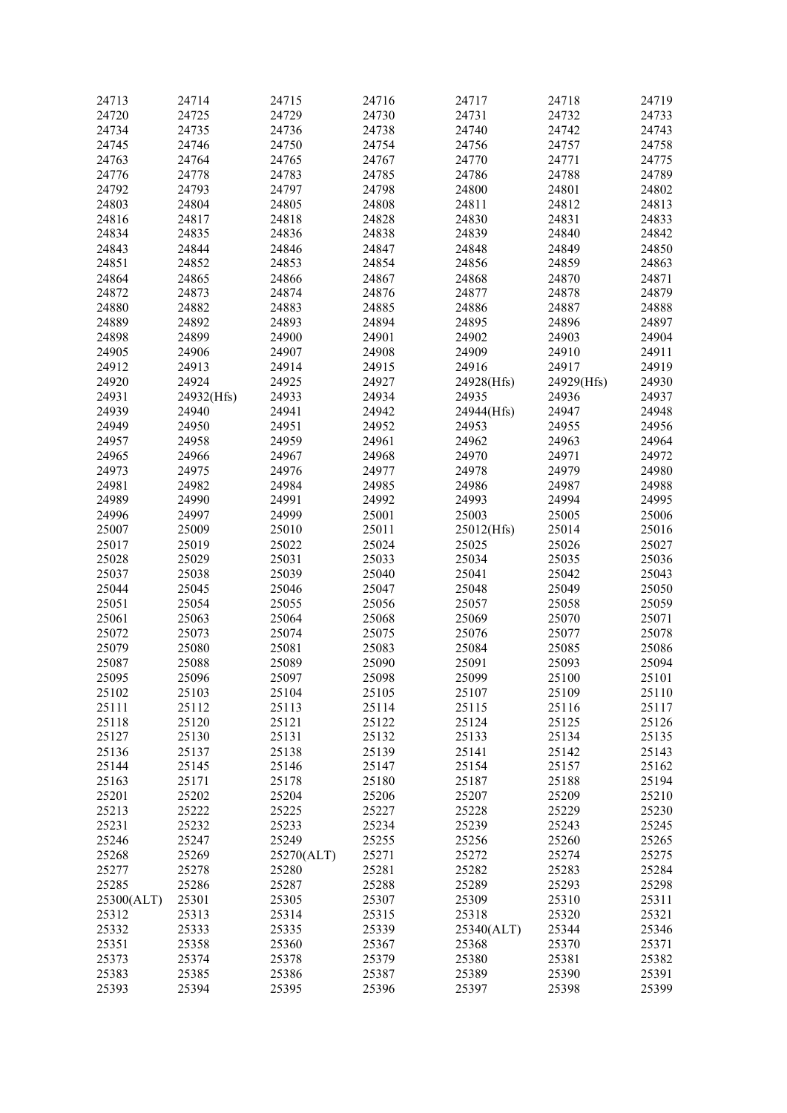| 24713      | 24714      | 24715      | 24716 | 24717      | 24718      | 24719 |
|------------|------------|------------|-------|------------|------------|-------|
| 24720      | 24725      | 24729      | 24730 | 24731      | 24732      | 24733 |
| 24734      | 24735      | 24736      | 24738 | 24740      | 24742      | 24743 |
| 24745      | 24746      | 24750      | 24754 | 24756      |            | 24758 |
|            |            |            |       |            | 24757      |       |
| 24763      | 24764      | 24765      | 24767 | 24770      | 24771      | 24775 |
| 24776      | 24778      | 24783      | 24785 | 24786      | 24788      | 24789 |
| 24792      | 24793      | 24797      | 24798 | 24800      | 24801      | 24802 |
| 24803      | 24804      | 24805      | 24808 | 24811      | 24812      | 24813 |
|            |            |            |       |            |            |       |
| 24816      | 24817      | 24818      | 24828 | 24830      | 24831      | 24833 |
| 24834      | 24835      | 24836      | 24838 | 24839      | 24840      | 24842 |
| 24843      | 24844      | 24846      | 24847 | 24848      | 24849      | 24850 |
| 24851      | 24852      | 24853      | 24854 | 24856      | 24859      | 24863 |
| 24864      | 24865      | 24866      | 24867 | 24868      | 24870      | 24871 |
| 24872      |            |            | 24876 | 24877      |            | 24879 |
|            | 24873      | 24874      |       |            | 24878      |       |
| 24880      | 24882      | 24883      | 24885 | 24886      | 24887      | 24888 |
| 24889      | 24892      | 24893      | 24894 | 24895      | 24896      | 24897 |
| 24898      | 24899      | 24900      | 24901 | 24902      | 24903      | 24904 |
| 24905      | 24906      | 24907      | 24908 | 24909      | 24910      | 24911 |
| 24912      | 24913      | 24914      |       | 24916      | 24917      | 24919 |
|            |            |            | 24915 |            |            |       |
| 24920      | 24924      | 24925      | 24927 | 24928(Hfs) | 24929(Hfs) | 24930 |
| 24931      | 24932(Hfs) | 24933      | 24934 | 24935      | 24936      | 24937 |
| 24939      | 24940      | 24941      | 24942 | 24944(Hfs) | 24947      | 24948 |
| 24949      | 24950      | 24951      | 24952 | 24953      | 24955      | 24956 |
| 24957      | 24958      | 24959      | 24961 | 24962      | 24963      | 24964 |
|            |            |            |       |            |            |       |
| 24965      | 24966      | 24967      | 24968 | 24970      | 24971      | 24972 |
| 24973      | 24975      | 24976      | 24977 | 24978      | 24979      | 24980 |
| 24981      | 24982      | 24984      | 24985 | 24986      | 24987      | 24988 |
| 24989      | 24990      | 24991      | 24992 | 24993      | 24994      | 24995 |
| 24996      | 24997      | 24999      | 25001 | 25003      | 25005      | 25006 |
|            |            |            |       |            |            |       |
| 25007      | 25009      | 25010      | 25011 | 25012(Hfs) | 25014      | 25016 |
| 25017      | 25019      | 25022      | 25024 | 25025      | 25026      | 25027 |
| 25028      | 25029      | 25031      | 25033 | 25034      | 25035      | 25036 |
| 25037      | 25038      | 25039      | 25040 | 25041      | 25042      | 25043 |
| 25044      | 25045      | 25046      | 25047 | 25048      | 25049      | 25050 |
| 25051      | 25054      | 25055      | 25056 | 25057      | 25058      | 25059 |
|            |            |            |       |            |            |       |
| 25061      | 25063      | 25064      | 25068 | 25069      | 25070      | 25071 |
| 25072      | 25073      | 25074      | 25075 | 25076      | 25077      | 25078 |
| 25079      | 25080      | 25081      | 25083 | 25084      | 25085      | 25086 |
| 25087      | 25088      | 25089      | 25090 | 25091      | 25093      | 25094 |
| 25095      | 25096      | 25097      | 25098 | 25099      | 25100      | 25101 |
| 25102      | 25103      | 25104      | 25105 | 25107      | 25109      | 25110 |
|            |            |            |       |            |            |       |
| 25111      | 25112      | 25113      | 25114 | 25115      | 25116      | 25117 |
| 25118      | 25120      | 25121      | 25122 | 25124      | 25125      | 25126 |
| 25127      | 25130      | 25131      | 25132 | 25133      | 25134      | 25135 |
| 25136      | 25137      | 25138      | 25139 | 25141      | 25142      | 25143 |
| 25144      | 25145      | 25146      | 25147 | 25154      | 25157      | 25162 |
|            |            |            |       |            |            |       |
| 25163      | 25171      | 25178      | 25180 | 25187      | 25188      | 25194 |
| 25201      | 25202      | 25204      | 25206 | 25207      | 25209      | 25210 |
| 25213      | 25222      | 25225      | 25227 | 25228      | 25229      | 25230 |
| 25231      | 25232      | 25233      | 25234 | 25239      | 25243      | 25245 |
| 25246      | 25247      | 25249      | 25255 | 25256      | 25260      | 25265 |
|            |            |            |       |            |            |       |
| 25268      | 25269      | 25270(ALT) | 25271 | 25272      | 25274      | 25275 |
| 25277      | 25278      | 25280      | 25281 | 25282      | 25283      | 25284 |
| 25285      | 25286      | 25287      | 25288 | 25289      | 25293      | 25298 |
| 25300(ALT) | 25301      | 25305      | 25307 | 25309      | 25310      | 25311 |
| 25312      | 25313      | 25314      | 25315 | 25318      | 25320      | 25321 |
| 25332      | 25333      | 25335      | 25339 | 25340(ALT) | 25344      | 25346 |
|            |            |            |       |            |            |       |
| 25351      | 25358      | 25360      | 25367 | 25368      | 25370      | 25371 |
| 25373      | 25374      | 25378      | 25379 | 25380      | 25381      | 25382 |
| 25383      | 25385      | 25386      | 25387 | 25389      | 25390      | 25391 |
| 25393      | 25394      | 25395      | 25396 | 25397      | 25398      | 25399 |
|            |            |            |       |            |            |       |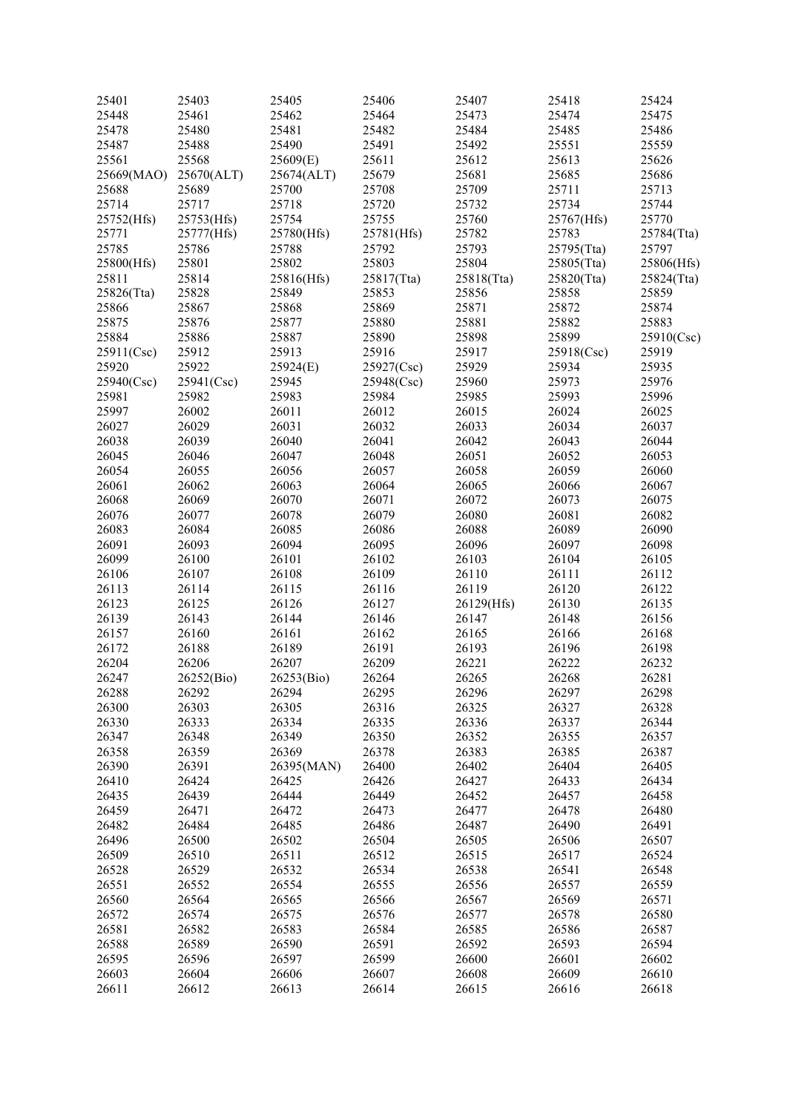| 25401      | 25403      | 25405      | 25406      | 25407      | 25418      | 25424      |
|------------|------------|------------|------------|------------|------------|------------|
|            |            |            |            |            |            |            |
| 25448      | 25461      | 25462      | 25464      | 25473      | 25474      | 25475      |
| 25478      | 25480      | 25481      | 25482      | 25484      | 25485      | 25486      |
| 25487      | 25488      | 25490      | 25491      | 25492      | 25551      | 25559      |
| 25561      | 25568      | 25609(E)   | 25611      | 25612      | 25613      | 25626      |
| 25669(MAO) | 25670(ALT) | 25674(ALT) | 25679      | 25681      | 25685      | 25686      |
| 25688      | 25689      | 25700      | 25708      | 25709      | 25711      | 25713      |
| 25714      | 25717      | 25718      | 25720      | 25732      | 25734      | 25744      |
| 25752(Hfs) | 25753(Hfs) | 25754      | 25755      | 25760      | 25767(Hfs) | 25770      |
| 25771      | 25777(Hfs) | 25780(Hfs) | 25781(Hfs) | 25782      | 25783      | 25784(Tta) |
| 25785      | 25786      | 25788      | 25792      | 25793      | 25795(Tta) | 25797      |
| 25800(Hfs) | 25801      | 25802      | 25803      | 25804      | 25805(Tta) | 25806(Hfs) |
|            |            |            |            |            |            |            |
| 25811      | 25814      | 25816(Hfs) | 25817(Tta) | 25818(Tta) | 25820(Tta) | 25824(Tta) |
| 25826(Tta) | 25828      | 25849      | 25853      | 25856      | 25858      | 25859      |
| 25866      | 25867      | 25868      | 25869      | 25871      | 25872      | 25874      |
| 25875      | 25876      | 25877      | 25880      | 25881      | 25882      | 25883      |
| 25884      | 25886      | 25887      | 25890      | 25898      | 25899      | 25910(Csc) |
| 25911(Csc) | 25912      | 25913      | 25916      | 25917      | 25918(Csc) | 25919      |
| 25920      | 25922      | 25924(E)   | 25927(Csc) | 25929      | 25934      | 25935      |
| 25940(Csc) | 25941(Csc) | 25945      | 25948(Csc) | 25960      | 25973      | 25976      |
| 25981      | 25982      | 25983      | 25984      | 25985      | 25993      | 25996      |
| 25997      | 26002      | 26011      | 26012      | 26015      | 26024      | 26025      |
| 26027      | 26029      | 26031      | 26032      | 26033      | 26034      | 26037      |
| 26038      | 26039      | 26040      | 26041      | 26042      | 26043      | 26044      |
| 26045      | 26046      | 26047      | 26048      | 26051      | 26052      | 26053      |
|            |            |            |            |            |            |            |
| 26054      | 26055      | 26056      | 26057      | 26058      | 26059      | 26060      |
| 26061      | 26062      | 26063      | 26064      | 26065      | 26066      | 26067      |
| 26068      | 26069      | 26070      | 26071      | 26072      | 26073      | 26075      |
| 26076      | 26077      | 26078      | 26079      | 26080      | 26081      | 26082      |
| 26083      | 26084      | 26085      | 26086      | 26088      | 26089      | 26090      |
| 26091      | 26093      | 26094      | 26095      | 26096      | 26097      | 26098      |
| 26099      | 26100      | 26101      | 26102      | 26103      | 26104      | 26105      |
| 26106      | 26107      | 26108      | 26109      | 26110      | 26111      | 26112      |
| 26113      | 26114      | 26115      | 26116      | 26119      | 26120      | 26122      |
| 26123      | 26125      | 26126      | 26127      | 26129(Hfs) | 26130      | 26135      |
| 26139      | 26143      | 26144      | 26146      | 26147      | 26148      | 26156      |
| 26157      | 26160      | 26161      | 26162      | 26165      | 26166      | 26168      |
| 26172      | 26188      | 26189      | 26191      | 26193      | 26196      | 26198      |
| 26204      | 26206      | 26207      | 26209      | 26221      | 26222      | 26232      |
| 26247      | 26252(Bio) | 26253(Bio) | 26264      | 26265      | 26268      | 26281      |
|            |            | 26294      |            |            |            | 26298      |
| 26288      | 26292      |            | 26295      | 26296      | 26297      |            |
| 26300      | 26303      | 26305      | 26316      | 26325      | 26327      | 26328      |
| 26330      | 26333      | 26334      | 26335      | 26336      | 26337      | 26344      |
| 26347      | 26348      | 26349      | 26350      | 26352      | 26355      | 26357      |
| 26358      | 26359      | 26369      | 26378      | 26383      | 26385      | 26387      |
| 26390      | 26391      | 26395(MAN) | 26400      | 26402      | 26404      | 26405      |
| 26410      | 26424      | 26425      | 26426      | 26427      | 26433      | 26434      |
| 26435      | 26439      | 26444      | 26449      | 26452      | 26457      | 26458      |
| 26459      | 26471      | 26472      | 26473      | 26477      | 26478      | 26480      |
| 26482      | 26484      | 26485      | 26486      | 26487      | 26490      | 26491      |
| 26496      | 26500      | 26502      | 26504      | 26505      | 26506      | 26507      |
| 26509      | 26510      | 26511      | 26512      | 26515      | 26517      | 26524      |
| 26528      | 26529      | 26532      | 26534      | 26538      | 26541      | 26548      |
| 26551      | 26552      | 26554      | 26555      | 26556      | 26557      | 26559      |
| 26560      | 26564      | 26565      | 26566      | 26567      | 26569      | 26571      |
|            |            |            |            |            |            |            |
| 26572      | 26574      | 26575      | 26576      | 26577      | 26578      | 26580      |
| 26581      | 26582      | 26583      | 26584      | 26585      | 26586      | 26587      |
| 26588      | 26589      | 26590      | 26591      | 26592      | 26593      | 26594      |
| 26595      | 26596      | 26597      | 26599      | 26600      | 26601      | 26602      |
| 26603      | 26604      | 26606      | 26607      | 26608      | 26609      | 26610      |
| 26611      | 26612      | 26613      | 26614      | 26615      | 26616      | 26618      |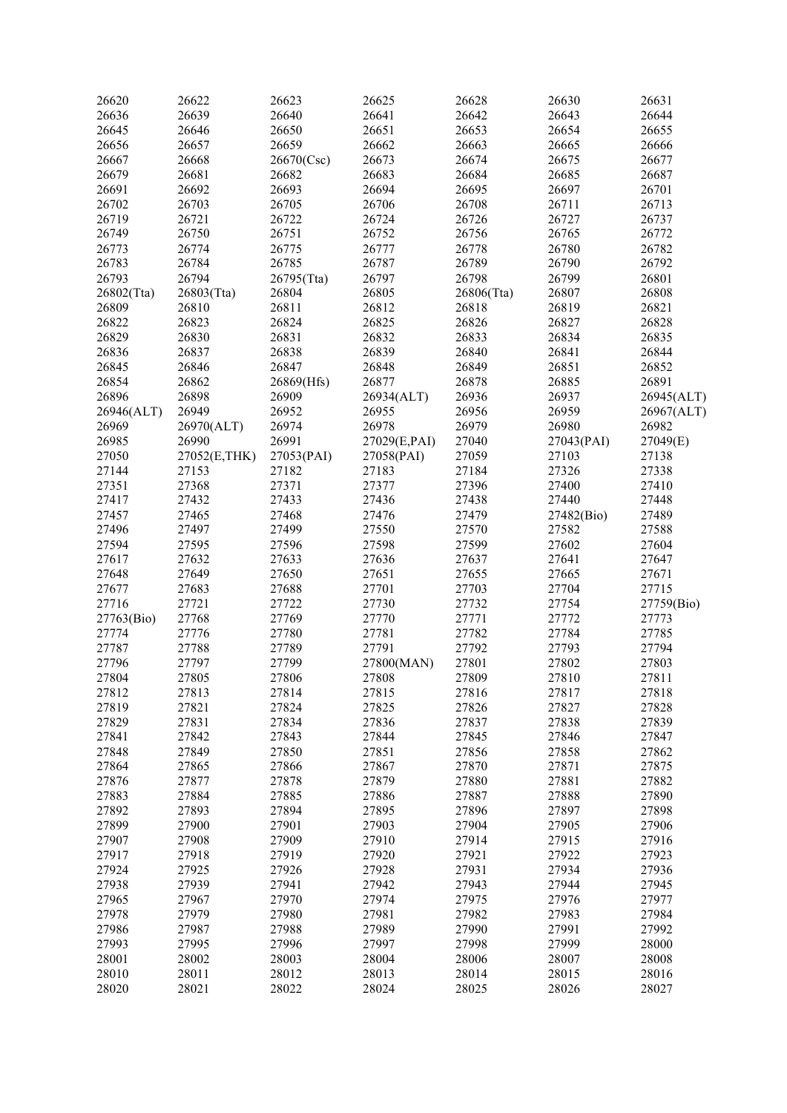| 26620      | 26622        | 26623      | 26625        | 26628      | 26630      | 26631      |
|------------|--------------|------------|--------------|------------|------------|------------|
| 26636      | 26639        | 26640      | 26641        | 26642      | 26643      | 26644      |
|            |              |            |              |            |            |            |
| 26645      | 26646        | 26650      | 26651        | 26653      | 26654      | 26655      |
| 26656      | 26657        | 26659      | 26662        | 26663      | 26665      | 26666      |
| 26667      | 26668        | 26670(Csc) | 26673        | 26674      | 26675      | 26677      |
| 26679      | 26681        | 26682      | 26683        | 26684      | 26685      | 26687      |
| 26691      | 26692        | 26693      | 26694        | 26695      | 26697      | 26701      |
| 26702      | 26703        | 26705      | 26706        | 26708      | 26711      | 26713      |
| 26719      | 26721        | 26722      | 26724        | 26726      | 26727      | 26737      |
|            |              |            |              |            |            |            |
| 26749      | 26750        | 26751      | 26752        | 26756      | 26765      | 26772      |
| 26773      | 26774        | 26775      | 26777        | 26778      | 26780      | 26782      |
| 26783      | 26784        | 26785      | 26787        | 26789      | 26790      | 26792      |
| 26793      | 26794        | 26795(Tta) | 26797        | 26798      | 26799      | 26801      |
| 26802(Tta) | 26803(Tta)   | 26804      | 26805        | 26806(Tta) | 26807      | 26808      |
| 26809      | 26810        | 26811      | 26812        | 26818      | 26819      | 26821      |
| 26822      | 26823        | 26824      | 26825        | 26826      | 26827      | 26828      |
| 26829      | 26830        | 26831      | 26832        | 26833      | 26834      | 26835      |
|            |              |            |              |            |            |            |
| 26836      | 26837        | 26838      | 26839        | 26840      | 26841      | 26844      |
| 26845      | 26846        | 26847      | 26848        | 26849      | 26851      | 26852      |
| 26854      | 26862        | 26869(Hfs) | 26877        | 26878      | 26885      | 26891      |
| 26896      | 26898        | 26909      | 26934(ALT)   | 26936      | 26937      | 26945(ALT) |
| 26946(ALT) | 26949        | 26952      | 26955        | 26956      | 26959      | 26967(ALT) |
| 26969      | 26970(ALT)   | 26974      | 26978        | 26979      | 26980      | 26982      |
| 26985      | 26990        | 26991      | 27029(E,PAI) | 27040      | 27043(PAI) | 27049(E)   |
| 27050      |              |            |              | 27059      | 27103      | 27138      |
|            | 27052(E,THK) | 27053(PAI) | 27058(PAI)   |            |            |            |
| 27144      | 27153        | 27182      | 27183        | 27184      | 27326      | 27338      |
| 27351      | 27368        | 27371      | 27377        | 27396      | 27400      | 27410      |
| 27417      | 27432        | 27433      | 27436        | 27438      | 27440      | 27448      |
| 27457      | 27465        | 27468      | 27476        | 27479      | 27482(Bio) | 27489      |
| 27496      | 27497        | 27499      | 27550        | 27570      | 27582      | 27588      |
| 27594      | 27595        | 27596      | 27598        | 27599      | 27602      | 27604      |
| 27617      | 27632        | 27633      | 27636        | 27637      | 27641      | 27647      |
| 27648      | 27649        | 27650      | 27651        | 27655      | 27665      | 27671      |
| 27677      | 27683        | 27688      | 27701        | 27703      | 27704      | 27715      |
|            |              |            |              |            |            |            |
| 27716      | 27721        | 27722      | 27730        | 27732      | 27754      | 27759(Bio) |
| 27763(Bio) | 27768        | 27769      | 27770        | 27771      | 27772      | 27773      |
| 27774      | 27776        | 27780      | 27781        | 27782      | 27784      | 27785      |
| 27787      | 27788        | 27789      | 27791        | 27792      | 27793      | 27794      |
| 27796      | 27797        | 27799      | 27800(MAN)   | 27801      | 27802      | 27803      |
| 27804      | 27805        | 27806      | 27808        | 27809      | 27810      | 27811      |
| 27812      | 27813        | 27814      | 27815        | 27816      | 27817      | 27818      |
| 27819      | 27821        | 27824      | 27825        | 27826      | 27827      | 27828      |
| 27829      | 27831        | 27834      | 27836        | 27837      | 27838      | 27839      |
| 27841      | 27842        | 27843      | 27844        | 27845      | 27846      | 27847      |
|            |              |            |              |            |            |            |
| 27848      | 27849        | 27850      | 27851        | 27856      | 27858      | 27862      |
| 27864      | 27865        | 27866      | 27867        | 27870      | 27871      | 27875      |
| 27876      | 27877        | 27878      | 27879        | 27880      | 27881      | 27882      |
| 27883      | 27884        | 27885      | 27886        | 27887      | 27888      | 27890      |
| 27892      | 27893        | 27894      | 27895        | 27896      | 27897      | 27898      |
| 27899      | 27900        | 27901      | 27903        | 27904      | 27905      | 27906      |
| 27907      | 27908        | 27909      | 27910        | 27914      | 27915      | 27916      |
| 27917      | 27918        | 27919      | 27920        | 27921      | 27922      | 27923      |
| 27924      | 27925        | 27926      | 27928        | 27931      | 27934      | 27936      |
|            |              |            |              |            |            |            |
| 27938      | 27939        | 27941      | 27942        | 27943      | 27944      | 27945      |
| 27965      | 27967        | 27970      | 27974        | 27975      | 27976      | 27977      |
| 27978      | 27979        | 27980      | 27981        | 27982      | 27983      | 27984      |
| 27986      | 27987        | 27988      | 27989        | 27990      | 27991      | 27992      |
| 27993      | 27995        | 27996      | 27997        | 27998      | 27999      | 28000      |
| 28001      | 28002        | 28003      | 28004        | 28006      | 28007      | 28008      |
| 28010      | 28011        | 28012      | 28013        | 28014      | 28015      | 28016      |
| 28020      | 28021        | 28022      | 28024        | 28025      | 28026      | 28027      |
|            |              |            |              |            |            |            |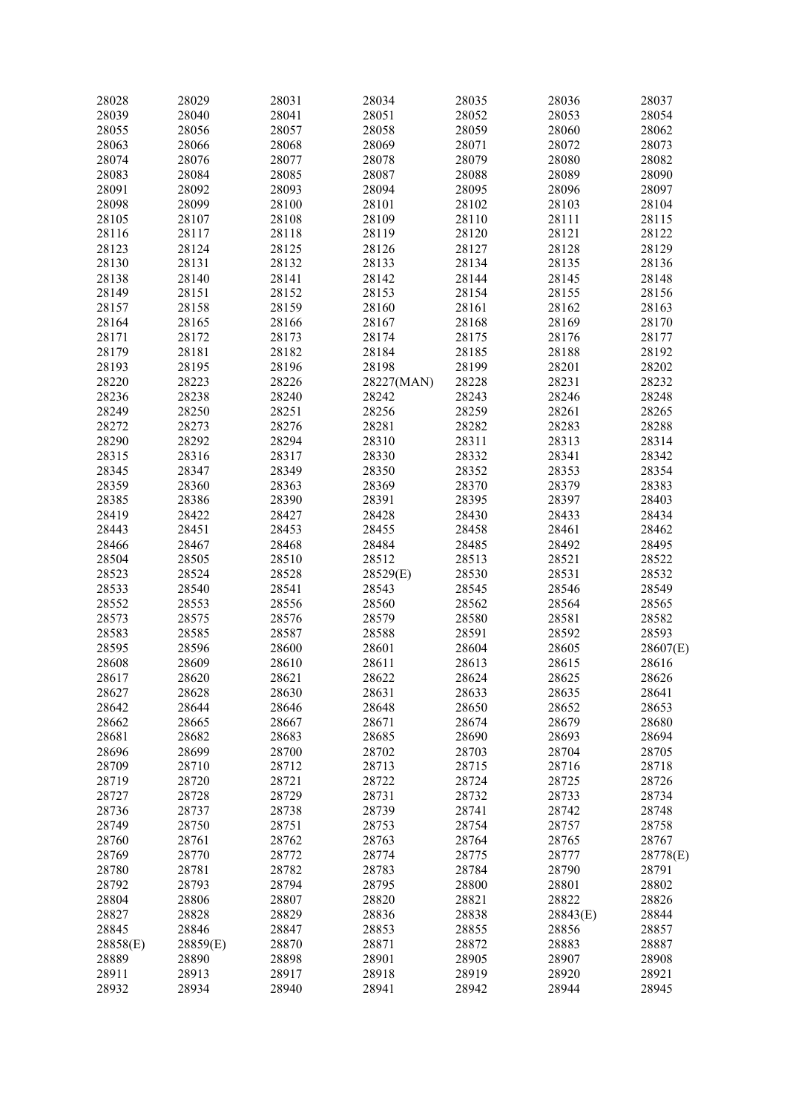| 28028    | 28029    | 28031 | 28034      | 28035 | 28036    | 28037    |
|----------|----------|-------|------------|-------|----------|----------|
| 28039    | 28040    | 28041 | 28051      | 28052 | 28053    | 28054    |
| 28055    | 28056    | 28057 | 28058      | 28059 | 28060    | 28062    |
|          |          |       |            |       |          |          |
| 28063    | 28066    | 28068 | 28069      | 28071 | 28072    | 28073    |
| 28074    | 28076    | 28077 | 28078      | 28079 | 28080    | 28082    |
| 28083    | 28084    | 28085 | 28087      | 28088 | 28089    | 28090    |
| 28091    | 28092    | 28093 | 28094      | 28095 | 28096    | 28097    |
| 28098    | 28099    | 28100 | 28101      | 28102 | 28103    | 28104    |
| 28105    | 28107    | 28108 | 28109      | 28110 | 28111    | 28115    |
| 28116    | 28117    | 28118 | 28119      | 28120 | 28121    | 28122    |
| 28123    | 28124    | 28125 | 28126      | 28127 | 28128    | 28129    |
| 28130    | 28131    | 28132 | 28133      | 28134 | 28135    | 28136    |
| 28138    | 28140    | 28141 | 28142      | 28144 | 28145    | 28148    |
| 28149    | 28151    | 28152 | 28153      | 28154 | 28155    | 28156    |
| 28157    | 28158    | 28159 | 28160      | 28161 | 28162    | 28163    |
|          |          |       |            |       |          |          |
| 28164    | 28165    | 28166 | 28167      | 28168 | 28169    | 28170    |
| 28171    | 28172    | 28173 | 28174      | 28175 | 28176    | 28177    |
| 28179    | 28181    | 28182 | 28184      | 28185 | 28188    | 28192    |
| 28193    | 28195    | 28196 | 28198      | 28199 | 28201    | 28202    |
| 28220    | 28223    | 28226 | 28227(MAN) | 28228 | 28231    | 28232    |
| 28236    | 28238    | 28240 | 28242      | 28243 | 28246    | 28248    |
| 28249    | 28250    | 28251 | 28256      | 28259 | 28261    | 28265    |
| 28272    | 28273    | 28276 | 28281      | 28282 | 28283    | 28288    |
| 28290    | 28292    | 28294 | 28310      | 28311 | 28313    | 28314    |
| 28315    | 28316    | 28317 | 28330      | 28332 | 28341    | 28342    |
| 28345    | 28347    | 28349 | 28350      | 28352 | 28353    | 28354    |
|          |          |       |            |       |          |          |
| 28359    | 28360    | 28363 | 28369      | 28370 | 28379    | 28383    |
| 28385    | 28386    | 28390 | 28391      | 28395 | 28397    | 28403    |
| 28419    | 28422    | 28427 | 28428      | 28430 | 28433    | 28434    |
| 28443    | 28451    | 28453 | 28455      | 28458 | 28461    | 28462    |
| 28466    | 28467    | 28468 | 28484      | 28485 | 28492    | 28495    |
| 28504    | 28505    | 28510 | 28512      | 28513 | 28521    | 28522    |
| 28523    | 28524    | 28528 | 28529(E)   | 28530 | 28531    | 28532    |
| 28533    | 28540    | 28541 | 28543      | 28545 | 28546    | 28549    |
| 28552    | 28553    | 28556 | 28560      | 28562 | 28564    | 28565    |
| 28573    | 28575    | 28576 | 28579      | 28580 | 28581    | 28582    |
| 28583    | 28585    | 28587 | 28588      | 28591 | 28592    | 28593    |
| 28595    | 28596    | 28600 | 28601      | 28604 | 28605    | 28607(E) |
| 28608    | 28609    | 28610 | 28611      | 28613 | 28615    | 28616    |
|          |          |       |            |       |          |          |
| 28617    | 28620    | 28621 | 28622      | 28624 | 28625    | 28626    |
| 28627    | 28628    | 28630 | 28631      | 28633 | 28635    | 28641    |
| 28642    | 28644    | 28646 | 28648      | 28650 | 28652    | 28653    |
| 28662    | 28665    | 28667 | 28671      | 28674 | 28679    | 28680    |
| 28681    | 28682    | 28683 | 28685      | 28690 | 28693    | 28694    |
| 28696    | 28699    | 28700 | 28702      | 28703 | 28704    | 28705    |
| 28709    | 28710    | 28712 | 28713      | 28715 | 28716    | 28718    |
| 28719    | 28720    | 28721 | 28722      | 28724 | 28725    | 28726    |
| 28727    | 28728    | 28729 | 28731      | 28732 | 28733    | 28734    |
| 28736    | 28737    | 28738 | 28739      | 28741 | 28742    | 28748    |
| 28749    | 28750    | 28751 | 28753      | 28754 | 28757    | 28758    |
| 28760    | 28761    | 28762 | 28763      | 28764 | 28765    | 28767    |
| 28769    | 28770    | 28772 | 28774      | 28775 | 28777    | 28778(E) |
|          |          |       |            |       |          |          |
| 28780    | 28781    | 28782 | 28783      | 28784 | 28790    | 28791    |
| 28792    | 28793    | 28794 | 28795      | 28800 | 28801    | 28802    |
| 28804    | 28806    | 28807 | 28820      | 28821 | 28822    | 28826    |
| 28827    | 28828    | 28829 | 28836      | 28838 | 28843(E) | 28844    |
| 28845    | 28846    | 28847 | 28853      | 28855 | 28856    | 28857    |
| 28858(E) | 28859(E) | 28870 | 28871      | 28872 | 28883    | 28887    |
| 28889    | 28890    | 28898 | 28901      | 28905 | 28907    | 28908    |
| 28911    | 28913    | 28917 | 28918      | 28919 | 28920    | 28921    |
| 28932    | 28934    | 28940 | 28941      | 28942 | 28944    | 28945    |
|          |          |       |            |       |          |          |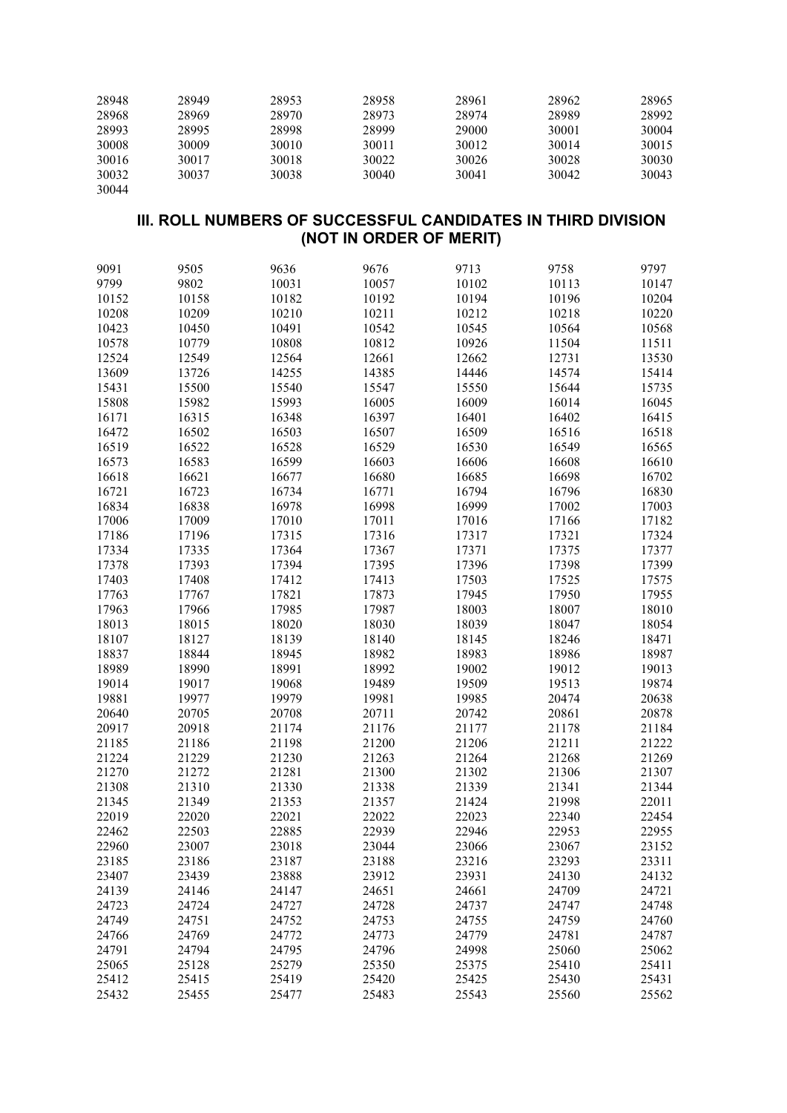| 28948 | 28949 | 28953 | 28958 | 28961 | 28962 | 28965 |
|-------|-------|-------|-------|-------|-------|-------|
| 28968 | 28969 | 28970 | 28973 | 28974 | 28989 | 28992 |
| 28993 | 28995 | 28998 | 28999 | 29000 | 30001 | 30004 |
| 30008 | 30009 | 30010 | 30011 | 30012 | 30014 | 30015 |
| 30016 | 30017 | 30018 | 30022 | 30026 | 30028 | 30030 |
| 30032 | 30037 | 30038 | 30040 | 30041 | 30042 | 30043 |
| 30044 |       |       |       |       |       |       |

#### **III. ROLL NUMBERS OF SUCCESSFUL CANDIDATES IN THIRD DIVISION (NOT IN ORDER OF MERIT)**

| 9091  | 9505  | 9636  | 9676  | 9713  | 9758  | 9797  |
|-------|-------|-------|-------|-------|-------|-------|
| 9799  | 9802  | 10031 | 10057 | 10102 | 10113 | 10147 |
| 10152 | 10158 | 10182 | 10192 | 10194 | 10196 | 10204 |
| 10208 | 10209 | 10210 | 10211 | 10212 | 10218 | 10220 |
| 10423 | 10450 | 10491 | 10542 | 10545 | 10564 | 10568 |
| 10578 | 10779 | 10808 | 10812 | 10926 | 11504 | 11511 |
| 12524 | 12549 | 12564 | 12661 | 12662 | 12731 | 13530 |
| 13609 | 13726 | 14255 | 14385 | 14446 | 14574 | 15414 |
| 15431 | 15500 | 15540 | 15547 | 15550 | 15644 | 15735 |
| 15808 | 15982 | 15993 | 16005 | 16009 | 16014 | 16045 |
| 16171 | 16315 | 16348 | 16397 | 16401 | 16402 | 16415 |
| 16472 | 16502 | 16503 | 16507 | 16509 | 16516 | 16518 |
| 16519 | 16522 | 16528 | 16529 | 16530 | 16549 | 16565 |
| 16573 | 16583 | 16599 | 16603 | 16606 | 16608 | 16610 |
| 16618 | 16621 | 16677 | 16680 | 16685 | 16698 | 16702 |
| 16721 | 16723 | 16734 | 16771 | 16794 | 16796 | 16830 |
| 16834 | 16838 | 16978 | 16998 | 16999 | 17002 | 17003 |
| 17006 | 17009 | 17010 | 17011 | 17016 | 17166 | 17182 |
| 17186 | 17196 | 17315 | 17316 | 17317 | 17321 | 17324 |
| 17334 | 17335 | 17364 | 17367 | 17371 | 17375 | 17377 |
| 17378 | 17393 | 17394 | 17395 | 17396 | 17398 | 17399 |
| 17403 | 17408 | 17412 | 17413 | 17503 | 17525 | 17575 |
| 17763 | 17767 | 17821 | 17873 | 17945 | 17950 | 17955 |
| 17963 | 17966 | 17985 | 17987 | 18003 | 18007 | 18010 |
| 18013 | 18015 | 18020 | 18030 | 18039 | 18047 | 18054 |
| 18107 | 18127 | 18139 | 18140 | 18145 | 18246 | 18471 |
| 18837 | 18844 | 18945 | 18982 | 18983 | 18986 | 18987 |
| 18989 | 18990 | 18991 | 18992 | 19002 | 19012 | 19013 |
| 19014 | 19017 | 19068 | 19489 | 19509 | 19513 | 19874 |
| 19881 | 19977 | 19979 | 19981 | 19985 | 20474 | 20638 |
| 20640 | 20705 | 20708 | 20711 | 20742 | 20861 | 20878 |
| 20917 | 20918 | 21174 | 21176 | 21177 | 21178 | 21184 |
| 21185 | 21186 | 21198 | 21200 | 21206 | 21211 | 21222 |
| 21224 | 21229 | 21230 | 21263 | 21264 | 21268 | 21269 |
| 21270 | 21272 | 21281 | 21300 | 21302 | 21306 | 21307 |
| 21308 | 21310 | 21330 | 21338 | 21339 | 21341 | 21344 |
| 21345 | 21349 | 21353 | 21357 | 21424 | 21998 | 22011 |
| 22019 | 22020 | 22021 | 22022 | 22023 | 22340 | 22454 |
| 22462 | 22503 | 22885 | 22939 | 22946 | 22953 | 22955 |
| 22960 | 23007 | 23018 | 23044 | 23066 | 23067 | 23152 |
| 23185 | 23186 | 23187 | 23188 | 23216 | 23293 | 23311 |
| 23407 | 23439 | 23888 | 23912 | 23931 | 24130 | 24132 |
| 24139 | 24146 | 24147 | 24651 | 24661 | 24709 | 24721 |
| 24723 | 24724 | 24727 | 24728 | 24737 | 24747 | 24748 |
| 24749 | 24751 | 24752 | 24753 | 24755 | 24759 | 24760 |
| 24766 | 24769 | 24772 | 24773 | 24779 | 24781 | 24787 |
| 24791 | 24794 | 24795 | 24796 | 24998 | 25060 | 25062 |
| 25065 | 25128 | 25279 | 25350 | 25375 | 25410 | 25411 |
| 25412 | 25415 | 25419 | 25420 | 25425 | 25430 | 25431 |
| 25432 | 25455 | 25477 | 25483 | 25543 | 25560 | 25562 |
|       |       |       |       |       |       |       |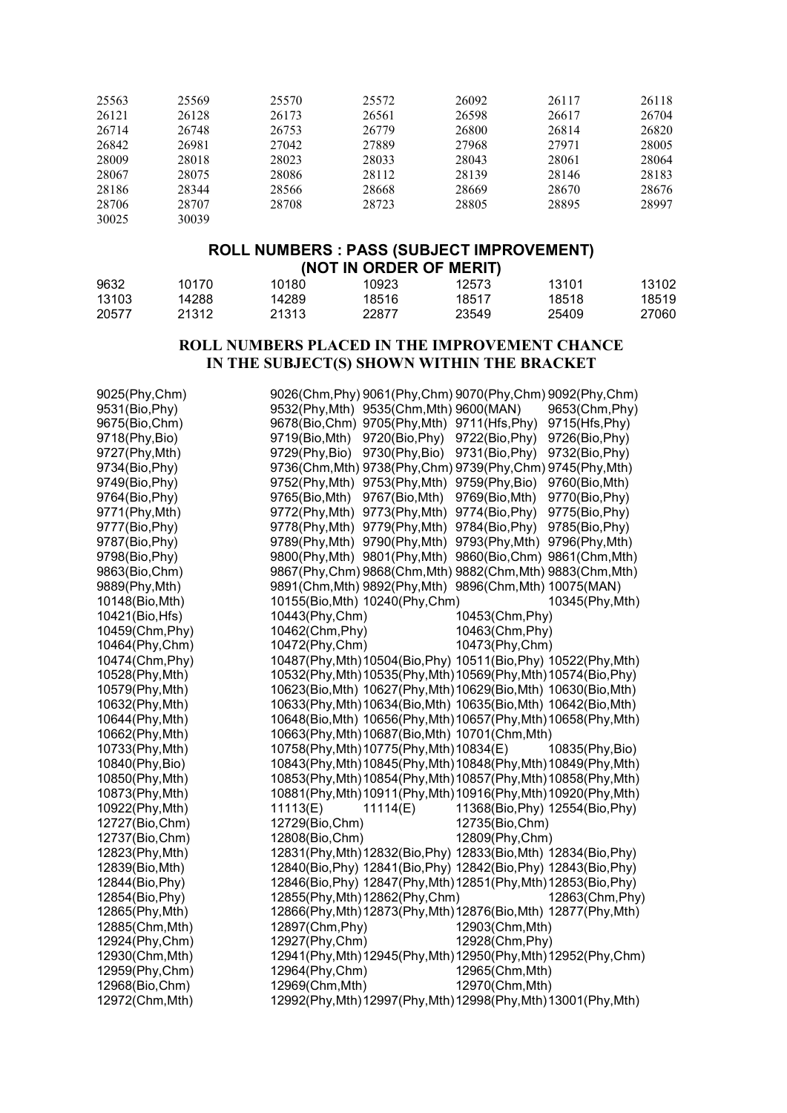| 25563 | 25569 | 25570 | 25572 | 26092 | 26117 | 26118 |
|-------|-------|-------|-------|-------|-------|-------|
| 26121 | 26128 | 26173 | 26561 | 26598 | 26617 | 26704 |
| 26714 | 26748 | 26753 | 26779 | 26800 | 26814 | 26820 |
| 26842 | 26981 | 27042 | 27889 | 27968 | 27971 | 28005 |
| 28009 | 28018 | 28023 | 28033 | 28043 | 28061 | 28064 |
| 28067 | 28075 | 28086 | 28112 | 28139 | 28146 | 28183 |
| 28186 | 28344 | 28566 | 28668 | 28669 | 28670 | 28676 |
| 28706 | 28707 | 28708 | 28723 | 28805 | 28895 | 28997 |
| 30025 | 30039 |       |       |       |       |       |

#### **ROLL NUMBERS : PASS (SUBJECT IMPROVEMENT) (NOT IN ORDER OF MERIT)**

| 9632  | 10170 | 10180 | 10923 | 12573 | 13101 | 13102 |
|-------|-------|-------|-------|-------|-------|-------|
| 13103 | 14288 | 14289 | 18516 | 18517 | 18518 | 18519 |
| 20577 | 21312 | 21313 | 22877 | 23549 | 25409 | 27060 |

### **ROLL NUMBERS PLACED IN THE IMPROVEMENT CHANCE IN THE SUBJECT(S) SHOWN WITHIN THE BRACKET**

| 9025(Phy,Chm)   | 9026(Chm, Phy) 9061(Phy, Chm) 9070(Phy, Chm) 9092(Phy, Chm)     |                                                                 |
|-----------------|-----------------------------------------------------------------|-----------------------------------------------------------------|
| 9531(Bio, Phy)  | 9532(Phy, Mth) 9535(Chm, Mth) 9600(MAN)                         | 9653(Chm, Phy)                                                  |
| 9675(Bio,Chm)   | 9678(Bio,Chm) 9705(Phy,Mth) 9711(Hfs,Phy)                       | 9715(Hfs, Phy)                                                  |
| 9718(Phy, Bio)  | 9719(Bio, Mth) 9720(Bio, Phy) 9722(Bio, Phy)                    | 9726(Bio, Phy)                                                  |
| 9727(Phy, Mth)  | 9729(Phy,Bio)<br>9730(Phy,Bio) 9731(Bio,Phy)                    | 9732(Bio, Phy)                                                  |
| 9734(Bio, Phy)  | 9736(Chm, Mth) 9738(Phy, Chm) 9739(Phy, Chm) 9745(Phy, Mth)     |                                                                 |
| 9749(Bio, Phy)  | 9752(Phy, Mth) 9753(Phy, Mth) 9759(Phy, Bio) 9760(Bio, Mth)     |                                                                 |
| 9764(Bio, Phy)  | 9765(Bio,Mth) 9767(Bio,Mth) 9769(Bio,Mth)                       | 9770(Bio, Phy)                                                  |
| 9771(Phy, Mth)  | 9772(Phy, Mth) 9773(Phy, Mth) 9774(Bio, Phy)                    | 9775(Bio, Phy)                                                  |
| 9777(Bio, Phy)  | 9778(Phy, Mth) 9779(Phy, Mth) 9784(Bio, Phy)                    | 9785(Bio, Phy)                                                  |
| 9787(Bio, Phy)  | 9789(Phy, Mth) 9790(Phy, Mth) 9793(Phy, Mth) 9796(Phy, Mth)     |                                                                 |
| 9798(Bio, Phy)  | 9800(Phy, Mth) 9801(Phy, Mth) 9860(Bio, Chm) 9861(Chm, Mth)     |                                                                 |
| 9863(Bio,Chm)   | 9867(Phy,Chm) 9868(Chm,Mth) 9882(Chm,Mth) 9883(Chm,Mth)         |                                                                 |
| 9889(Phy, Mth)  | 9891(Chm, Mth) 9892(Phy, Mth) 9896(Chm, Mth) 10075(MAN)         |                                                                 |
| 10148(Bio, Mth) | 10155(Bio, Mth) 10240(Phy, Chm)                                 | 10345(Phy, Mth)                                                 |
| 10421(Bio, Hfs) | 10443(Phy, Chm)                                                 | 10453(Chm, Phy)                                                 |
| 10459(Chm, Phy) | 10462(Chm, Phy)                                                 | 10463(Chm, Phy)                                                 |
| 10464(Phy,Chm)  | 10472(Phy, Chm)                                                 | 10473(Phy, Chm)                                                 |
| 10474(Chm, Phy) |                                                                 | 10487(Phy, Mth) 10504(Bio, Phy) 10511(Bio, Phy) 10522(Phy, Mth) |
| 10528(Phy, Mth) | 10532(Phy, Mth) 10535(Phy, Mth) 10569(Phy, Mth) 10574(Bio, Phy) |                                                                 |
| 10579(Phy, Mth) | 10623(Bio, Mth) 10627(Phy, Mth) 10629(Bio, Mth) 10630(Bio, Mth) |                                                                 |
| 10632(Phy, Mth) | 10633(Phy, Mth) 10634(Bio, Mth) 10635(Bio, Mth) 10642(Bio, Mth) |                                                                 |
| 10644(Phy, Mth) |                                                                 | 10648(Bio, Mth) 10656(Phy, Mth) 10657(Phy, Mth) 10658(Phy, Mth) |
| 10662(Phy, Mth) | 10663(Phy, Mth) 10687(Bio, Mth) 10701(Chm, Mth)                 |                                                                 |
| 10733(Phy, Mth) | 10758(Phy, Mth) 10775(Phy, Mth) 10834(E)                        | 10835(Phy, Bio)                                                 |
| 10840(Phy, Bio) |                                                                 | 10843(Phy, Mth) 10845(Phy, Mth) 10848(Phy, Mth) 10849(Phy, Mth) |
| 10850(Phy, Mth) |                                                                 | 10853(Phy, Mth) 10854(Phy, Mth) 10857(Phy, Mth) 10858(Phy, Mth) |
| 10873(Phy, Mth) |                                                                 | 10881(Phy, Mth) 10911(Phy, Mth) 10916(Phy, Mth) 10920(Phy, Mth) |
| 10922(Phy, Mth) | 11113(E)<br>11114(E)                                            | 11368(Bio, Phy) 12554(Bio, Phy)                                 |
| 12727(Bio, Chm) | 12729(Bio, Chm)                                                 | 12735(Bio, Chm)                                                 |
| 12737(Bio, Chm) | 12808(Bio,Chm)                                                  | 12809(Phy,Chm)                                                  |
| 12823(Phy, Mth) | 12831(Phy, Mth) 12832(Bio, Phy) 12833(Bio, Mth) 12834(Bio, Phy) |                                                                 |
| 12839(Bio, Mth) | 12840(Bio, Phy) 12841(Bio, Phy) 12842(Bio, Phy) 12843(Bio, Phy) |                                                                 |
| 12844(Bio, Phy) | 12846(Bio, Phy) 12847(Phy, Mth) 12851(Phy, Mth) 12853(Bio, Phy) |                                                                 |
| 12854(Bio, Phy) | 12855(Phy, Mth) 12862(Phy, Chm)                                 | 12863(Chm, Phy)                                                 |
| 12865(Phy, Mth) |                                                                 | 12866(Phy, Mth) 12873(Phy, Mth) 12876(Bio, Mth) 12877(Phy, Mth) |
| 12885(Chm, Mth) | 12897(Chm, Phy)                                                 | 12903(Chm, Mth)                                                 |
| 12924(Phy, Chm) | 12927(Phy, Chm)                                                 | 12928(Chm, Phy)                                                 |
| 12930(Chm, Mth) |                                                                 | 12941(Phy, Mth) 12945(Phy, Mth) 12950(Phy, Mth) 12952(Phy, Chm) |
| 12959(Phy,Chm)  | 12964(Phy,Chm)                                                  | 12965(Chm, Mth)                                                 |
| 12968(Bio,Chm)  | 12969(Chm, Mth)                                                 | 12970(Chm, Mth)                                                 |
| 12972(Chm, Mth) |                                                                 | 12992(Phy, Mth) 12997(Phy, Mth) 12998(Phy, Mth) 13001(Phy, Mth) |
|                 |                                                                 |                                                                 |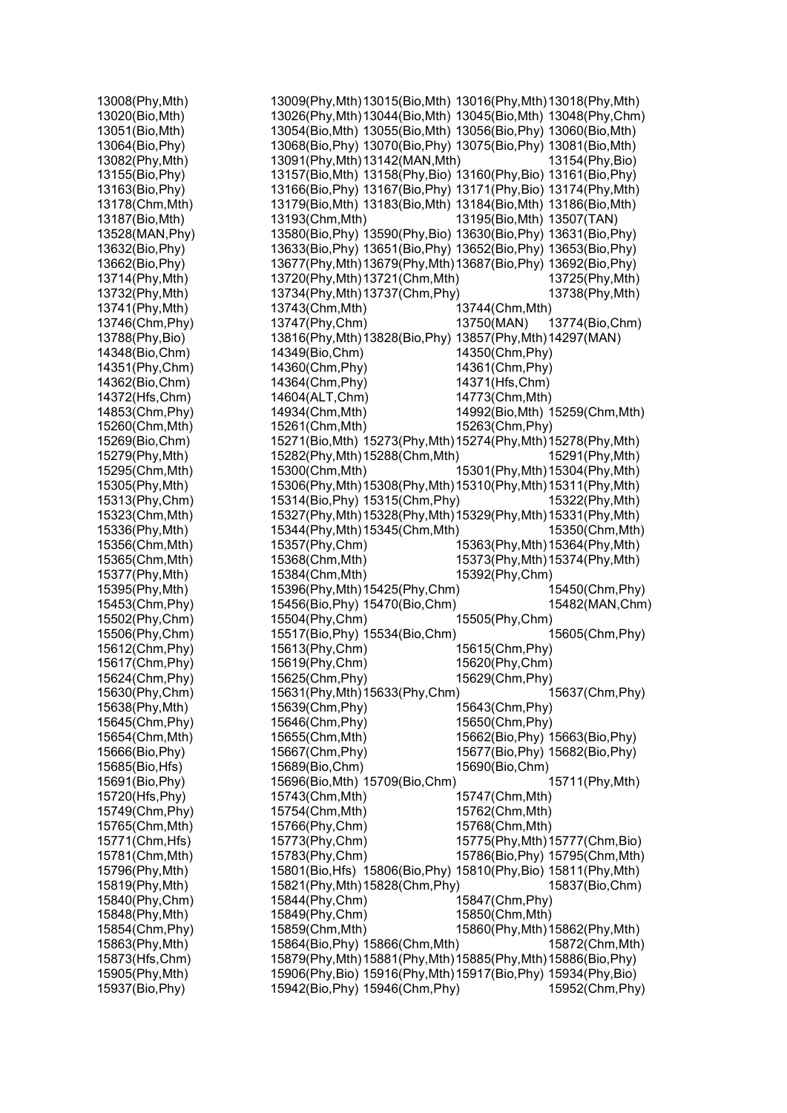| 13008(Phy, Mth) | 13009(Phy, Mth) 13015(Bio, Mth) 13016(Phy, Mth) 13018(Phy, Mth) |                                 |                                 |
|-----------------|-----------------------------------------------------------------|---------------------------------|---------------------------------|
| 13020(Bio, Mth) | 13026(Phy, Mth) 13044(Bio, Mth) 13045(Bio, Mth) 13048(Phy, Chm) |                                 |                                 |
| 13051(Bio, Mth) | 13054(Bio, Mth) 13055(Bio, Mth) 13056(Bio, Phy) 13060(Bio, Mth) |                                 |                                 |
| 13064(Bio, Phy) | 13068(Bio, Phy) 13070(Bio, Phy) 13075(Bio, Phy) 13081(Bio, Mth) |                                 |                                 |
| 13082(Phy, Mth) | 13091(Phy, Mth) 13142(MAN, Mth)                                 |                                 | 13154(Phy, Bio)                 |
| 13155(Bio, Phy) | 13157(Bio, Mth) 13158(Phy, Bio) 13160(Phy, Bio) 13161(Bio, Phy) |                                 |                                 |
| 13163(Bio, Phy) | 13166(Bio, Phy) 13167(Bio, Phy) 13171(Phy, Bio) 13174(Phy, Mth) |                                 |                                 |
| 13178(Chm, Mth) | 13179(Bio, Mth) 13183(Bio, Mth) 13184(Bio, Mth) 13186(Bio, Mth) |                                 |                                 |
| 13187(Bio, Mth) | 13193(Chm, Mth)                                                 | 13195(Bio, Mth) 13507(TAN)      |                                 |
| 13528(MAN, Phy) | 13580(Bio, Phy) 13590(Phy, Bio) 13630(Bio, Phy) 13631(Bio, Phy) |                                 |                                 |
| 13632(Bio, Phy) | 13633(Bio, Phy) 13651(Bio, Phy) 13652(Bio, Phy) 13653(Bio, Phy) |                                 |                                 |
| 13662(Bio, Phy) | 13677(Phy, Mth) 13679(Phy, Mth) 13687(Bio, Phy) 13692(Bio, Phy) |                                 |                                 |
| 13714(Phy, Mth) | 13720(Phy, Mth) 13721(Chm, Mth)                                 |                                 | 13725(Phy, Mth)                 |
| 13732(Phy, Mth) | 13734(Phy, Mth) 13737(Chm, Phy)                                 |                                 | 13738(Phy, Mth)                 |
| 13741(Phy, Mth) | 13743(Chm, Mth)                                                 | 13744(Chm, Mth)                 |                                 |
| 13746(Chm, Phy) | 13747(Phy,Chm)                                                  | 13750(MAN)                      | 13774(Bio, Chm)                 |
|                 |                                                                 |                                 |                                 |
| 13788(Phy, Bio) | 13816(Phy, Mth) 13828(Bio, Phy) 13857(Phy, Mth) 14297(MAN)      |                                 |                                 |
| 14348(Bio, Chm) | 14349(Bio, Chm)                                                 | 14350(Chm, Phy)                 |                                 |
| 14351(Phy,Chm)  | 14360(Chm, Phy)                                                 | 14361(Chm, Phy)                 |                                 |
| 14362(Bio, Chm) | 14364(Chm, Phy)                                                 | 14371(Hfs, Chm)                 |                                 |
| 14372(Hfs, Chm) | 14604(ALT, Chm)                                                 | 14773(Chm, Mth)                 |                                 |
| 14853(Chm, Phy) | 14934(Chm, Mth)                                                 |                                 | 14992(Bio, Mth) 15259(Chm, Mth) |
| 15260(Chm, Mth) | 15261(Chm, Mth)                                                 | 15263(Chm, Phy)                 |                                 |
| 15269(Bio,Chm)  | 15271(Bio, Mth) 15273(Phy, Mth) 15274(Phy, Mth) 15278(Phy, Mth) |                                 |                                 |
| 15279(Phy, Mth) | 15282(Phy, Mth) 15288(Chm, Mth)                                 |                                 | 15291(Phy, Mth)                 |
| 15295(Chm, Mth) | 15300(Chm, Mth)                                                 | 15301(Phy, Mth) 15304(Phy, Mth) |                                 |
| 15305(Phy, Mth) | 15306(Phy, Mth) 15308(Phy, Mth) 15310(Phy, Mth) 15311(Phy, Mth) |                                 |                                 |
| 15313(Phy, Chm) | 15314(Bio, Phy) 15315(Chm, Phy)                                 |                                 | 15322(Phy, Mth)                 |
| 15323(Chm, Mth) | 15327(Phy, Mth) 15328(Phy, Mth) 15329(Phy, Mth) 15331(Phy, Mth) |                                 |                                 |
| 15336(Phy, Mth) | 15344(Phy, Mth) 15345(Chm, Mth)                                 |                                 | 15350(Chm, Mth)                 |
| 15356(Chm, Mth) | 15357(Phy,Chm)                                                  | 15363(Phy, Mth) 15364(Phy, Mth) |                                 |
| 15365(Chm, Mth) | 15368(Chm, Mth)                                                 | 15373(Phy, Mth) 15374(Phy, Mth) |                                 |
| 15377(Phy, Mth) | 15384(Chm, Mth)                                                 | 15392(Phy,Chm)                  |                                 |
| 15395(Phy, Mth) | 15396(Phy, Mth) 15425(Phy, Chm)                                 |                                 | 15450(Chm, Phy)                 |
| 15453(Chm, Phy) | 15456(Bio, Phy) 15470(Bio, Chm)                                 |                                 | 15482(MAN, Chm)                 |
| 15502(Phy,Chm)  | 15504(Phy,Chm)                                                  | 15505(Phy,Chm)                  |                                 |
| 15506(Phy,Chm)  | 15517(Bio, Phy) 15534(Bio, Chm)                                 |                                 | 15605(Chm, Phy)                 |
| 15612(Chm, Phy) | 15613(Phy, Chm)                                                 | 15615(Chm, Phy)                 |                                 |
| 15617(Chm, Phy) | 15619(Phy, Chm)                                                 | 15620(Phy,Chm)                  |                                 |
| 15624(Chm, Phy) | 15625(Chm, Phy)                                                 | 15629(Chm, Phy)                 |                                 |
| 15630(Phy,Chm)  | 15631(Phy, Mth) 15633(Phy, Chm)                                 |                                 | 15637(Chm, Phy)                 |
| 15638(Phy, Mth) | 15639(Chm, Phy)                                                 | 15643(Chm, Phy)                 |                                 |
| 15645(Chm, Phy) | 15646(Chm, Phy)                                                 | 15650(Chm, Phy)                 |                                 |
| 15654(Chm, Mth) | 15655(Chm, Mth)                                                 | 15662(Bio, Phy) 15663(Bio, Phy) |                                 |
| 15666(Bio, Phy) | 15667(Chm, Phy)                                                 | 15677(Bio, Phy) 15682(Bio, Phy) |                                 |
| 15685(Bio, Hfs) | 15689(Bio, Chm)                                                 | 15690(Bio,Chm)                  |                                 |
| 15691(Bio, Phy) | 15696(Bio, Mth) 15709(Bio, Chm)                                 |                                 | 15711(Phy, Mth)                 |
| 15720(Hfs, Phy) | 15743(Chm, Mth)                                                 | 15747(Chm, Mth)                 |                                 |
| 15749(Chm, Phy) | 15754(Chm, Mth)                                                 | 15762(Chm, Mth)                 |                                 |
| 15765(Chm, Mth) | 15766(Phy,Chm)                                                  | 15768(Chm, Mth)                 |                                 |
| 15771(Chm, Hfs) | 15773(Phy, Chm)                                                 |                                 | 15775(Phy, Mth) 15777(Chm, Bio) |
| 15781(Chm, Mth) | 15783(Phy, Chm)                                                 |                                 | 15786(Bio, Phy) 15795(Chm, Mth) |
| 15796(Phy, Mth) | 15801(Bio, Hfs) 15806(Bio, Phy) 15810(Phy, Bio) 15811(Phy, Mth) |                                 |                                 |
| 15819(Phy, Mth) | 15821(Phy, Mth) 15828(Chm, Phy)                                 |                                 | 15837(Bio,Chm)                  |
| 15840(Phy,Chm)  | 15844(Phy,Chm)                                                  | 15847(Chm, Phy)                 |                                 |
| 15848(Phy, Mth) | 15849(Phy, Chm)                                                 | 15850(Chm, Mth)                 |                                 |
| 15854(Chm, Phy) | 15859(Chm, Mth)                                                 | 15860(Phy, Mth) 15862(Phy, Mth) |                                 |
| 15863(Phy, Mth) | 15864(Bio, Phy) 15866(Chm, Mth)                                 |                                 | 15872(Chm, Mth)                 |
| 15873(Hfs, Chm) | 15879(Phy, Mth) 15881(Phy, Mth) 15885(Phy, Mth) 15886(Bio, Phy) |                                 |                                 |
| 15905(Phy, Mth) | 15906(Phy,Bio) 15916(Phy,Mth)15917(Bio,Phy) 15934(Phy,Bio)      |                                 |                                 |
| 15937(Bio, Phy) | 15942(Bio, Phy) 15946(Chm, Phy)                                 |                                 | 15952(Chm, Phy)                 |
|                 |                                                                 |                                 |                                 |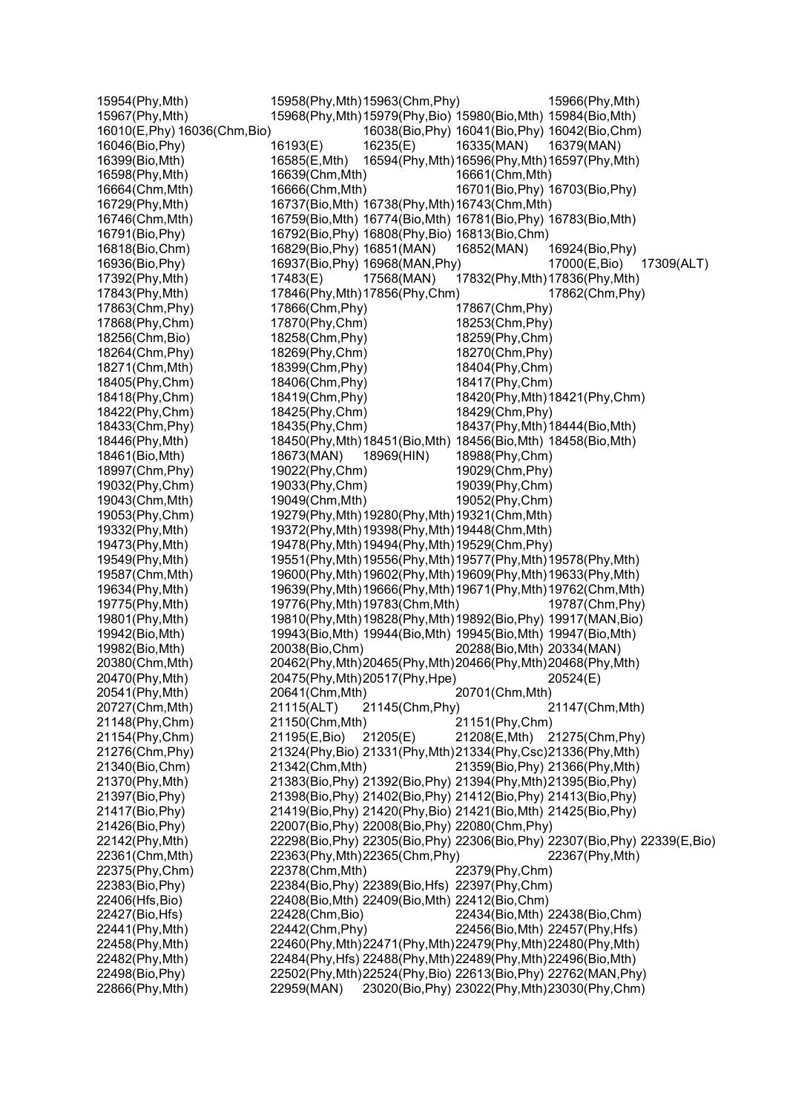| 15954(Phy, Mth)               | 15958(Phy, Mth) 15963(Chm, Phy) |                 |                                                                 | 15966(Phy, Mth)                                                               |
|-------------------------------|---------------------------------|-----------------|-----------------------------------------------------------------|-------------------------------------------------------------------------------|
| 15967(Phy, Mth)               |                                 |                 | 15968(Phy, Mth) 15979(Phy, Bio) 15980(Bio, Mth) 15984(Bio, Mth) |                                                                               |
| 16010(E, Phy) 16036(Chm, Bio) |                                 |                 | 16038(Bio, Phy) 16041(Bio, Phy) 16042(Bio, Chm)                 |                                                                               |
| 16046(Bio, Phy)               | 16193(E)                        | 16235(E)        | 16335(MAN)                                                      | 16379(MAN)                                                                    |
| 16399(Bio, Mth)               | 16585(E,Mth)                    |                 | 16594(Phy, Mth) 16596(Phy, Mth) 16597(Phy, Mth)                 |                                                                               |
| 16598(Phy, Mth)               | 16639(Chm, Mth)                 |                 | 16661(Chm, Mth)                                                 |                                                                               |
| 16664(Chm, Mth)               | 16666(Chm, Mth)                 |                 | 16701(Bio, Phy) 16703(Bio, Phy)                                 |                                                                               |
| 16729(Phy, Mth)               |                                 |                 | 16737(Bio, Mth) 16738(Phy, Mth) 16743(Chm, Mth)                 |                                                                               |
| 16746(Chm, Mth)               |                                 |                 | 16759(Bio, Mth) 16774(Bio, Mth) 16781(Bio, Phy) 16783(Bio, Mth) |                                                                               |
| 16791(Bio, Phy)               |                                 |                 | 16792(Bio, Phy) 16808(Phy, Bio) 16813(Bio, Chm)                 |                                                                               |
| 16818(Bio, Chm)               | 16829(Bio, Phy) 16851(MAN)      |                 | 16852(MAN)                                                      | 16924(Bio, Phy)                                                               |
| 16936(Bio, Phy)               | 16937(Bio, Phy) 16968(MAN, Phy) |                 |                                                                 | 17000(E,Bio)<br>17309(ALT)                                                    |
| 17392(Phy, Mth)               | 17483(E)                        | 17568(MAN)      | 17832(Phy, Mth) 17836(Phy, Mth)                                 |                                                                               |
| 17843(Phy, Mth)               | 17846(Phy, Mth) 17856(Phy, Chm) |                 |                                                                 | 17862(Chm, Phy)                                                               |
| 17863(Chm, Phy)               | 17866(Chm, Phy)                 |                 | 17867(Chm, Phy)                                                 |                                                                               |
| 17868(Phy, Chm)               | 17870(Phy,Chm)                  |                 | 18253(Chm, Phy)                                                 |                                                                               |
| 18256(Chm, Bio)               | 18258(Chm, Phy)                 |                 | 18259(Phy, Chm)                                                 |                                                                               |
| 18264(Chm, Phy)               | 18269(Phy, Chm)                 |                 | 18270(Chm, Phy)                                                 |                                                                               |
| 18271(Chm, Mth)               | 18399(Chm, Phy)                 |                 | 18404(Phy, Chm)                                                 |                                                                               |
| 18405(Phy, Chm)               | 18406(Chm, Phy)                 |                 | 18417(Phy, Chm)                                                 |                                                                               |
| 18418(Phy, Chm)               | 18419(Chm, Phy)                 |                 |                                                                 | 18420(Phy, Mth) 18421(Phy, Chm)                                               |
| 18422(Phy, Chm)               | 18425(Phy, Chm)                 |                 | 18429(Chm, Phy)                                                 |                                                                               |
| 18433(Chm, Phy)               | 18435(Phy, Chm)                 |                 | 18437(Phy, Mth) 18444(Bio, Mth)                                 |                                                                               |
| 18446(Phy, Mth)               |                                 |                 | 18450(Phy, Mth) 18451(Bio, Mth) 18456(Bio, Mth) 18458(Bio, Mth) |                                                                               |
| 18461(Bio, Mth)               | 18673(MAN)                      | 18969(HIN)      | 18988(Phy,Chm)                                                  |                                                                               |
| 18997(Chm, Phy)               | 19022(Phy, Chm)                 |                 | 19029(Chm, Phy)                                                 |                                                                               |
| 19032(Phy, Chm)               | 19033(Phy, Chm)                 |                 | 19039(Phy, Chm)                                                 |                                                                               |
| 19043(Chm, Mth)               | 19049(Chm, Mth)                 |                 | 19052(Phy, Chm)                                                 |                                                                               |
| 19053(Phy,Chm)                |                                 |                 | 19279(Phy, Mth) 19280(Phy, Mth) 19321(Chm, Mth)                 |                                                                               |
| 19332(Phy, Mth)               |                                 |                 | 19372(Phy, Mth) 19398(Phy, Mth) 19448(Chm, Mth)                 |                                                                               |
| 19473(Phy, Mth)               |                                 |                 | 19478(Phy, Mth) 19494(Phy, Mth) 19529(Chm, Phy)                 |                                                                               |
| 19549(Phy, Mth)               |                                 |                 | 19551(Phy, Mth) 19556(Phy, Mth) 19577(Phy, Mth) 19578(Phy, Mth) |                                                                               |
| 19587(Chm, Mth)               |                                 |                 | 19600(Phy, Mth) 19602(Phy, Mth) 19609(Phy, Mth) 19633(Phy, Mth) |                                                                               |
| 19634(Phy, Mth)               |                                 |                 |                                                                 | 19639(Phy, Mth) 19666(Phy, Mth) 19671(Phy, Mth) 19762(Chm, Mth)               |
| 19775(Phy, Mth)               | 19776(Phy, Mth) 19783(Chm, Mth) |                 |                                                                 | 19787(Chm, Phy)                                                               |
| 19801(Phy, Mth)               |                                 |                 |                                                                 | 19810(Phy, Mth) 19828(Phy, Mth) 19892(Bio, Phy) 19917(MAN, Bio)               |
| 19942(Bio, Mth)               |                                 |                 | 19943(Bio, Mth) 19944(Bio, Mth) 19945(Bio, Mth) 19947(Bio, Mth) |                                                                               |
| 19982(Bio, Mth)               | 20038(Bio, Chm)                 |                 | 20288(Bio, Mth) 20334(MAN)                                      |                                                                               |
| 20380(Chm, Mth)               |                                 |                 | 20462(Phy, Mth) 20465(Phy, Mth) 20466(Phy, Mth) 20468(Phy, Mth) |                                                                               |
| 20470(Phy, Mth)               | 20475(Phy, Mth) 20517(Phy, Hpe) |                 |                                                                 | 20524(E)                                                                      |
| 20541(Phy, Mth)               | 20641(Chm, Mth)                 |                 | 20701(Chm, Mth)                                                 |                                                                               |
| 20727(Chm, Mth)               | 21115(ALT)                      | 21145(Chm, Phy) |                                                                 | 21147(Chm, Mth)                                                               |
| 21148(Phy, Chm)               | 21150(Chm, Mth)                 |                 | 21151(Phy, Chm)                                                 |                                                                               |
| 21154(Phy, Chm)               | 21195(E,Bio)                    | 21205(E)        | 21208(E, Mth)                                                   | 21275(Chm, Phy)                                                               |
| 21276(Chm, Phy)               |                                 |                 | 21324(Phy, Bio) 21331(Phy, Mth) 21334(Phy, Csc) 21336(Phy, Mth) |                                                                               |
| 21340(Bio, Chm)               | 21342(Chm, Mth)                 |                 | 21359(Bio, Phy) 21366(Phy, Mth)                                 |                                                                               |
| 21370(Phy, Mth)               |                                 |                 | 21383(Bio, Phy) 21392(Bio, Phy) 21394(Phy, Mth) 21395(Bio, Phy) |                                                                               |
| 21397(Bio, Phy)               |                                 |                 | 21398(Bio, Phy) 21402(Bio, Phy) 21412(Bio, Phy) 21413(Bio, Phy) |                                                                               |
| 21417(Bio, Phy)               |                                 |                 | 21419(Bio, Phy) 21420(Phy, Bio) 21421(Bio, Mth) 21425(Bio, Phy) |                                                                               |
| 21426(Bio, Phy)               |                                 |                 | 22007(Bio, Phy) 22008(Bio, Phy) 22080(Chm, Phy)                 |                                                                               |
| 22142(Phy, Mth)               |                                 |                 |                                                                 | 22298(Bio, Phy) 22305(Bio, Phy) 22306(Bio, Phy) 22307(Bio, Phy) 22339(E, Bio) |
| 22361(Chm, Mth)               | 22363(Phy, Mth) 22365(Chm, Phy) |                 |                                                                 | 22367(Phy, Mth)                                                               |
| 22375(Phy, Chm)               | 22378(Chm, Mth)                 |                 | 22379(Phy, Chm)                                                 |                                                                               |
| 22383(Bio, Phy)               |                                 |                 | 22384(Bio, Phy) 22389(Bio, Hfs) 22397(Phy, Chm)                 |                                                                               |
| 22406(Hfs, Bio)               |                                 |                 | 22408(Bio, Mth) 22409(Bio, Mth) 22412(Bio, Chm)                 |                                                                               |
| 22427(Bio, Hfs)               | 22428(Chm, Bio)                 |                 | 22434(Bio, Mth) 22438(Bio, Chm)                                 |                                                                               |
| 22441(Phy, Mth)               | 22442(Chm, Phy)                 |                 | 22456(Bio, Mth) 22457(Phy, Hfs)                                 |                                                                               |
| 22458(Phy, Mth)               |                                 |                 | 22460(Phy, Mth) 22471(Phy, Mth) 22479(Phy, Mth) 22480(Phy, Mth) |                                                                               |
| 22482(Phy, Mth)               |                                 |                 | 22484(Phy, Hfs) 22488(Phy, Mth) 22489(Phy, Mth) 22496(Bio, Mth) |                                                                               |
| 22498(Bio, Phy)               |                                 |                 |                                                                 | 22502(Phy, Mth) 22524(Phy, Bio) 22613(Bio, Phy) 22762(MAN, Phy)               |
| 22866(Phy, Mth)               | 22959(MAN)                      |                 |                                                                 | 23020(Bio, Phy) 23022(Phy, Mth) 23030(Phy, Chm)                               |
|                               |                                 |                 |                                                                 |                                                                               |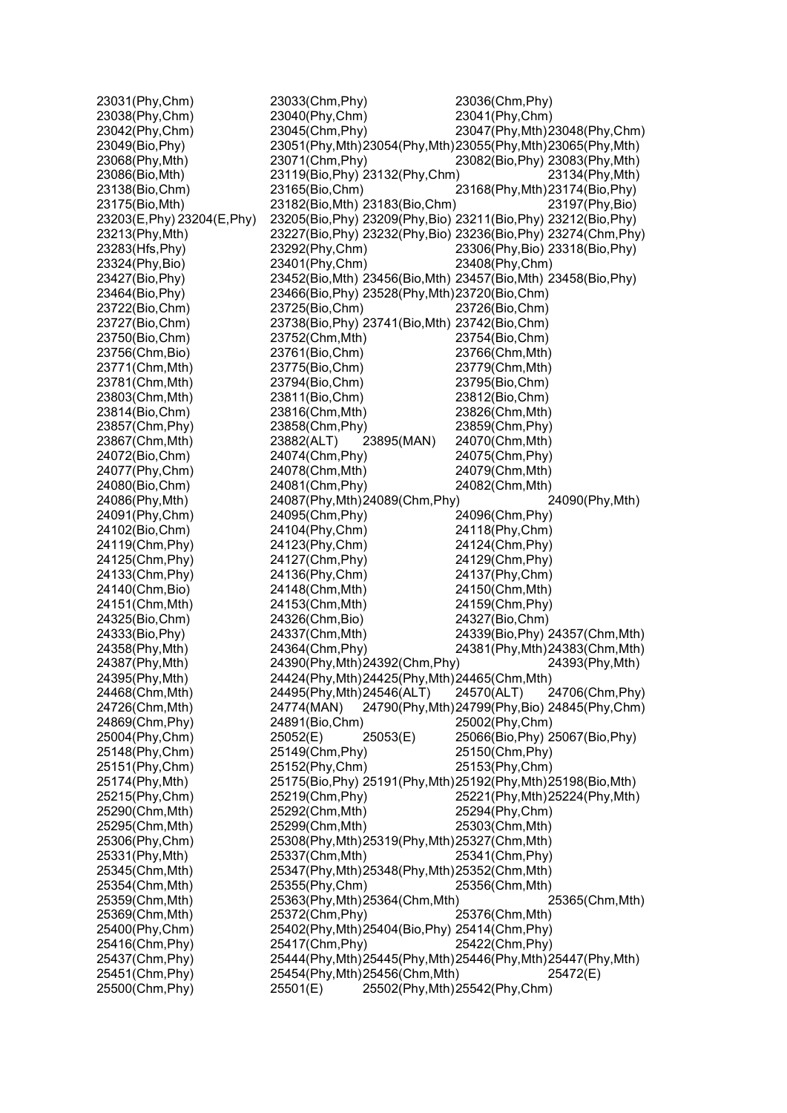| 23031(Phy,Chm)              | 23033(Chm, Phy)                                 | 23036(Chm, Phy)                                                 |
|-----------------------------|-------------------------------------------------|-----------------------------------------------------------------|
| 23038(Phy, Chm)             | 23040(Phy,Chm)                                  | 23041(Phy,Chm)                                                  |
| 23042(Phy, Chm)             | 23045(Chm, Phy)                                 | 23047(Phy, Mth) 23048(Phy, Chm)                                 |
| 23049(Bio, Phy)             |                                                 | 23051(Phy, Mth) 23054(Phy, Mth) 23055(Phy, Mth) 23065(Phy, Mth) |
| 23068(Phy, Mth)             | 23071(Chm, Phy)                                 | 23082(Bio, Phy) 23083(Phy, Mth)                                 |
| 23086(Bio, Mth)             | 23119(Bio, Phy) 23132(Phy, Chm)                 | 23134(Phy, Mth)                                                 |
| 23138(Bio,Chm)              | 23165(Bio, Chm)                                 | 23168(Phy, Mth) 23174(Bio, Phy)                                 |
| 23175(Bio, Mth)             | 23182(Bio, Mth) 23183(Bio, Chm)                 | 23197(Phy, Bio)                                                 |
| 23203(E, Phy) 23204(E, Phy) |                                                 | 23205(Bio, Phy) 23209(Phy, Bio) 23211(Bio, Phy) 23212(Bio, Phy) |
| 23213(Phy, Mth)             |                                                 | 23227(Bio, Phy) 23232(Phy, Bio) 23236(Bio, Phy) 23274(Chm, Phy) |
| 23283(Hfs, Phy)             | 23292(Phy, Chm)                                 | 23306(Phy, Bio) 23318(Bio, Phy)                                 |
| 23324(Phy, Bio)             | 23401(Phy, Chm)                                 | 23408(Phy,Chm)                                                  |
| 23427(Bio, Phy)             |                                                 | 23452(Bio, Mth) 23456(Bio, Mth) 23457(Bio, Mth) 23458(Bio, Phy) |
| 23464(Bio, Phy)             | 23466(Bio, Phy) 23528(Phy, Mth) 23720(Bio, Chm) |                                                                 |
| 23722(Bio,Chm)              | 23725(Bio,Chm)                                  | 23726(Bio,Chm)                                                  |
| 23727(Bio,Chm)              | 23738(Bio, Phy) 23741(Bio, Mth) 23742(Bio, Chm) |                                                                 |
| 23750(Bio,Chm)              | 23752(Chm, Mth)                                 | 23754(Bio, Chm)                                                 |
| 23756(Chm,Bio)              | 23761(Bio,Chm)                                  | 23766(Chm, Mth)                                                 |
| 23771(Chm, Mth)             | 23775(Bio,Chm)                                  | 23779(Chm, Mth)                                                 |
|                             |                                                 |                                                                 |
| 23781(Chm, Mth)             | 23794(Bio,Chm)                                  | 23795(Bio,Chm)                                                  |
| 23803(Chm, Mth)             | 23811(Bio,Chm)                                  | 23812(Bio,Chm)                                                  |
| 23814(Bio, Chm)             | 23816(Chm, Mth)                                 | 23826(Chm, Mth)                                                 |
| 23857(Chm, Phy)             | 23858(Chm, Phy)                                 | 23859(Chm, Phy)                                                 |
| 23867(Chm, Mth)             | 23882(ALT)<br>23895(MAN)                        | 24070(Chm, Mth)                                                 |
| 24072(Bio, Chm)             | 24074(Chm, Phy)                                 | 24075(Chm, Phy)                                                 |
| 24077(Phy,Chm)              | 24078(Chm, Mth)                                 | 24079(Chm, Mth)                                                 |
| 24080(Bio,Chm)              | 24081(Chm, Phy)                                 | 24082(Chm, Mth)                                                 |
| 24086(Phy, Mth)             | 24087(Phy, Mth) 24089(Chm, Phy)                 | 24090(Phy, Mth)                                                 |
| 24091(Phy, Chm)             | 24095(Chm, Phy)                                 | 24096(Chm, Phy)                                                 |
| 24102(Bio,Chm)              | 24104(Phy, Chm)                                 | 24118(Phy, Chm)                                                 |
| 24119(Chm, Phy)             | 24123(Phy, Chm)                                 | 24124(Chm, Phy)                                                 |
| 24125(Chm, Phy)             | 24127(Chm, Phy)                                 | 24129(Chm, Phy)                                                 |
| 24133(Chm, Phy)             | 24136(Phy, Chm)                                 | 24137(Phy, Chm)                                                 |
| 24140(Chm, Bio)             | 24148(Chm, Mth)                                 | 24150(Chm, Mth)                                                 |
| 24151(Chm, Mth)             | 24153(Chm, Mth)                                 | 24159(Chm, Phy)                                                 |
| 24325(Bio,Chm)              | 24326(Chm, Bio)                                 | 24327(Bio, Chm)                                                 |
| 24333(Bio, Phy)             | 24337(Chm, Mth)                                 | 24339(Bio, Phy) 24357(Chm, Mth)                                 |
| 24358(Phy, Mth)             | 24364(Chm, Phy)                                 | 24381(Phy, Mth) 24383(Chm, Mth)                                 |
| 24387(Phy, Mth)             | 24390(Phy, Mth) 24392(Chm, Phy)                 | 24393(Phy, Mth)                                                 |
| 24395(Phy, Mth)             | 24424(Phy, Mth) 24425(Phy, Mth) 24465(Chm, Mth) |                                                                 |
| 24468(Chm, Mth)             | 24495(Phy, Mth) 24546(ALT)                      | 24570(ALT)<br>24706(Chm, Phy)                                   |
| 24726(Chm, Mth)             | 24774(MAN)                                      | 24790(Phy, Mth) 24799(Phy, Bio) 24845(Phy, Chm)                 |
| 24869(Chm, Phy)             | 24891(Bio, Chm)                                 | 25002(Phy,Chm)                                                  |
| 25004(Phy,Chm)              | 25052(E)<br>25053(E)                            | 25066(Bio, Phy) 25067(Bio, Phy)                                 |
| 25148(Phy, Chm)             | 25149(Chm, Phy)                                 | 25150(Chm, Phy)                                                 |
| 25151(Phy, Chm)             | 25152(Phy, Chm)                                 | 25153(Phy, Chm)                                                 |
| 25174(Phy, Mth)             |                                                 | 25175(Bio, Phy) 25191(Phy, Mth) 25192(Phy, Mth) 25198(Bio, Mth) |
| 25215(Phy,Chm)              | 25219(Chm, Phy)                                 | 25221(Phy, Mth) 25224(Phy, Mth)                                 |
| 25290(Chm, Mth)             | 25292(Chm, Mth)                                 | 25294(Phy,Chm)                                                  |
| 25295(Chm, Mth)             | 25299(Chm, Mth)                                 | 25303(Chm, Mth)                                                 |
| 25306(Phy,Chm)              | 25308(Phy, Mth) 25319(Phy, Mth) 25327(Chm, Mth) |                                                                 |
| 25331(Phy, Mth)             | 25337(Chm, Mth)                                 | 25341(Chm, Phy)                                                 |
| 25345(Chm, Mth)             | 25347(Phy, Mth) 25348(Phy, Mth) 25352(Chm, Mth) |                                                                 |
| 25354(Chm, Mth)             | 25355(Phy,Chm)                                  | 25356(Chm, Mth)                                                 |
| 25359(Chm, Mth)             | 25363(Phy, Mth) 25364(Chm, Mth)                 | 25365(Chm, Mth)                                                 |
| 25369(Chm, Mth)             | 25372(Chm, Phy)                                 | 25376(Chm, Mth)                                                 |
| 25400(Phy,Chm)              | 25402(Phy, Mth) 25404(Bio, Phy) 25414(Chm, Phy) |                                                                 |
| 25416(Chm, Phy)             | 25417(Chm, Phy)                                 | 25422(Chm, Phy)                                                 |
| 25437(Chm, Phy)             |                                                 | 25444(Phy, Mth) 25445(Phy, Mth) 25446(Phy, Mth) 25447(Phy, Mth) |
| 25451(Chm, Phy)             | 25454(Phy, Mth) 25456(Chm, Mth)                 | 25472(E)                                                        |
| 25500(Chm, Phy)             | 25501(E)                                        | 25502(Phy, Mth) 25542(Phy, Chm)                                 |
|                             |                                                 |                                                                 |